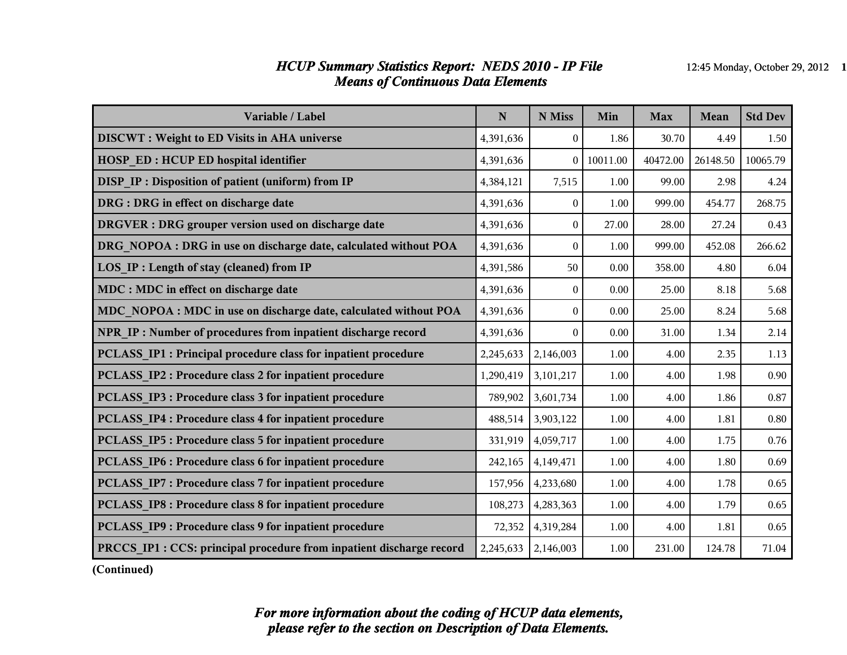#### *HCUP Summary Statistics Report: NEDS 2010 - IP File* 12:45 Monday, October 29, 2012 1 *Means of Continuous Data Elements*

| Variable / Label                                                     | ${\bf N}$ | N Miss         | Min      | <b>Max</b> | Mean     | <b>Std Dev</b> |
|----------------------------------------------------------------------|-----------|----------------|----------|------------|----------|----------------|
| <b>DISCWT</b> : Weight to ED Visits in AHA universe                  | 4,391,636 | $\theta$       | 1.86     | 30.70      | 4.49     | 1.50           |
| <b>HOSP ED: HCUP ED hospital identifier</b>                          | 4,391,636 | $\theta$       | 10011.00 | 40472.00   | 26148.50 | 10065.79       |
| <b>DISP IP: Disposition of patient (uniform) from IP</b>             | 4,384,121 | 7,515          | 1.00     | 99.00      | 2.98     | 4.24           |
| DRG : DRG in effect on discharge date                                | 4,391,636 | $\theta$       | 1.00     | 999.00     | 454.77   | 268.75         |
| DRGVER : DRG grouper version used on discharge date                  | 4,391,636 | $\theta$       | 27.00    | 28.00      | 27.24    | 0.43           |
| DRG NOPOA : DRG in use on discharge date, calculated without POA     | 4,391,636 | $\theta$       | 1.00     | 999.00     | 452.08   | 266.62         |
| LOS_IP : Length of stay (cleaned) from IP                            | 4,391,586 | 50             | 0.00     | 358.00     | 4.80     | 6.04           |
| MDC : MDC in effect on discharge date                                | 4,391,636 | $\theta$       | 0.00     | 25.00      | 8.18     | 5.68           |
| MDC_NOPOA : MDC in use on discharge date, calculated without POA     | 4,391,636 | $\overline{0}$ | 0.00     | 25.00      | 8.24     | 5.68           |
| NPR IP: Number of procedures from inpatient discharge record         | 4,391,636 | $\Omega$       | 0.00     | 31.00      | 1.34     | 2.14           |
| PCLASS_IP1 : Principal procedure class for inpatient procedure       | 2,245,633 | 2,146,003      | 1.00     | 4.00       | 2.35     | 1.13           |
| PCLASS IP2 : Procedure class 2 for inpatient procedure               | 1,290,419 | 3,101,217      | 1.00     | 4.00       | 1.98     | 0.90           |
| <b>PCLASS IP3 : Procedure class 3 for inpatient procedure</b>        | 789,902   | 3,601,734      | 1.00     | 4.00       | 1.86     | 0.87           |
| PCLASS IP4 : Procedure class 4 for inpatient procedure               | 488,514   | 3,903,122      | 1.00     | 4.00       | 1.81     | 0.80           |
| <b>PCLASS IP5: Procedure class 5 for inpatient procedure</b>         | 331,919   | 4,059,717      | 1.00     | 4.00       | 1.75     | 0.76           |
| PCLASS IP6 : Procedure class 6 for inpatient procedure               | 242,165   | 4,149,471      | 1.00     | 4.00       | 1.80     | 0.69           |
| <b>PCLASS IP7: Procedure class 7 for inpatient procedure</b>         | 157,956   | 4,233,680      | 1.00     | 4.00       | 1.78     | 0.65           |
| PCLASS IP8 : Procedure class 8 for inpatient procedure               | 108,273   | 4,283,363      | 1.00     | 4.00       | 1.79     | 0.65           |
| PCLASS IP9 : Procedure class 9 for inpatient procedure               | 72,352    | 4,319,284      | 1.00     | 4.00       | 1.81     | 0.65           |
| PRCCS_IP1 : CCS: principal procedure from inpatient discharge record | 2,245,633 | 2,146,003      | 1.00     | 231.00     | 124.78   | 71.04          |

**(Continued)**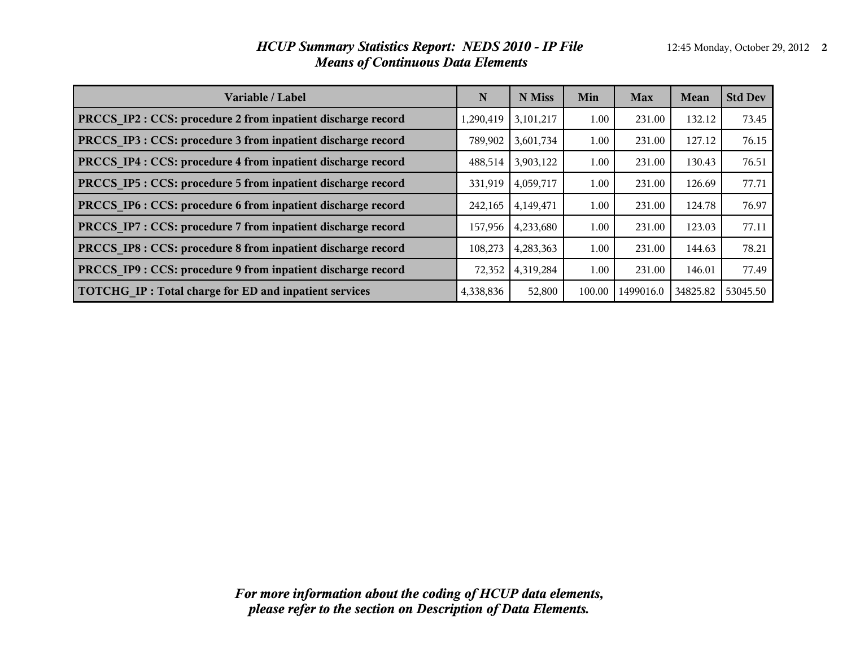#### *HCUP Summary Statistics Report: NEDS 2010 - IP File* 12:45 Monday, October 29, 2012 2 *Means of Continuous Data Elements*

| Variable / Label                                             | N         | N Miss    | Min    | <b>Max</b> | <b>Mean</b> | <b>Std Dev</b> |
|--------------------------------------------------------------|-----------|-----------|--------|------------|-------------|----------------|
| PRCCS IP2 : CCS: procedure 2 from inpatient discharge record | 1,290,419 | 3,101,217 | 1.00   | 231.00     | 132.12      | 73.45          |
| PRCCS IP3 : CCS: procedure 3 from inpatient discharge record | 789,902   | 3,601,734 | 1.00   | 231.00     | 127.12      | 76.15          |
| PRCCS IP4 : CCS: procedure 4 from inpatient discharge record | 488,514   | 3,903,122 | 1.00   | 231.00     | 130.43      | 76.51          |
| PRCCS IP5 : CCS: procedure 5 from inpatient discharge record | 331,919   | 4,059,717 | 1.00   | 231.00     | 126.69      | 77.71          |
| PRCCS IP6 : CCS: procedure 6 from inpatient discharge record | 242,165   | 4,149,471 | 1.00   | 231.00     | 124.78      | 76.97          |
| PRCCS_IP7: CCS: procedure 7 from inpatient discharge record  | 157,956   | 4,233,680 | 1.00   | 231.00     | 123.03      | 77.11          |
| PRCCS IP8 : CCS: procedure 8 from inpatient discharge record | 108,273   | 4,283,363 | 1.00   | 231.00     | 144.63      | 78.21          |
| PRCCS IP9 : CCS: procedure 9 from inpatient discharge record | 72,352    | 4,319,284 | 1.00   | 231.00     | 146.01      | 77.49          |
| TOTCHG IP: Total charge for ED and inpatient services        | 4,338,836 | 52,800    | 100.00 | 1499016.0  | 34825.82    | 53045.50       |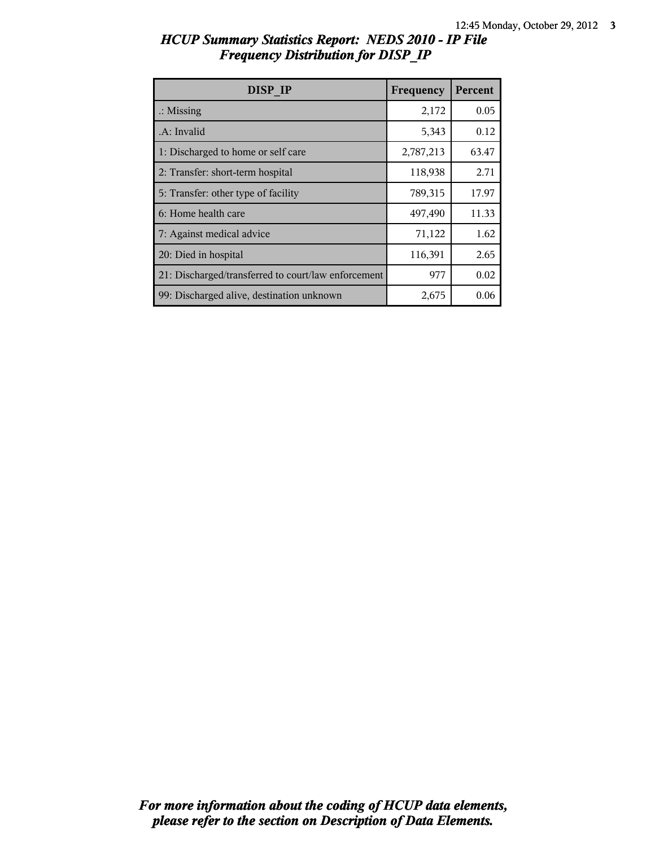| DISP IP                                             | Frequency | Percent |
|-----------------------------------------------------|-----------|---------|
| $\therefore$ Missing                                | 2,172     | 0.05    |
| .A: Invalid                                         | 5,343     | 0.12    |
| 1: Discharged to home or self care                  | 2,787,213 | 63.47   |
| 2: Transfer: short-term hospital                    | 118,938   | 2.71    |
| 5: Transfer: other type of facility                 | 789,315   | 17.97   |
| 6: Home health care                                 | 497,490   | 11.33   |
| 7: Against medical advice                           | 71,122    | 1.62    |
| 20: Died in hospital                                | 116,391   | 2.65    |
| 21: Discharged/transferred to court/law enforcement | 977       | 0.02    |
| 99: Discharged alive, destination unknown           | 2,675     | 0.06    |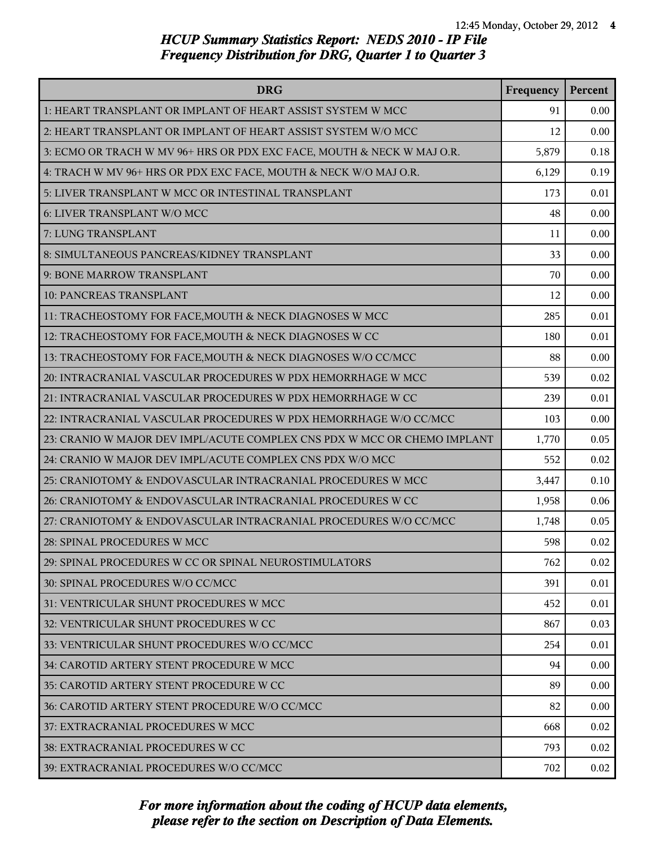| <b>DRG</b>                                                               | Frequency | Percent |
|--------------------------------------------------------------------------|-----------|---------|
| 1: HEART TRANSPLANT OR IMPLANT OF HEART ASSIST SYSTEM W MCC              | 91        | 0.00    |
| 2: HEART TRANSPLANT OR IMPLANT OF HEART ASSIST SYSTEM W/O MCC            | 12        | 0.00    |
| 3: ECMO OR TRACH W MV 96+ HRS OR PDX EXC FACE, MOUTH & NECK W MAJ O.R.   | 5,879     | 0.18    |
| 4: TRACH W MV 96+ HRS OR PDX EXC FACE, MOUTH & NECK W/O MAJ O.R.         | 6,129     | 0.19    |
| 5: LIVER TRANSPLANT W MCC OR INTESTINAL TRANSPLANT                       | 173       | 0.01    |
| 6: LIVER TRANSPLANT W/O MCC                                              | 48        | 0.00    |
| 7: LUNG TRANSPLANT                                                       | 11        | 0.00    |
| 8: SIMULTANEOUS PANCREAS/KIDNEY TRANSPLANT                               | 33        | 0.00    |
| 9: BONE MARROW TRANSPLANT                                                | 70        | 0.00    |
| <b>10: PANCREAS TRANSPLANT</b>                                           | 12        | 0.00    |
| 11: TRACHEOSTOMY FOR FACE, MOUTH & NECK DIAGNOSES W MCC                  | 285       | 0.01    |
| 12: TRACHEOSTOMY FOR FACE, MOUTH & NECK DIAGNOSES W CC                   | 180       | 0.01    |
| 13: TRACHEOSTOMY FOR FACE, MOUTH & NECK DIAGNOSES W/O CC/MCC             | 88        | 0.00    |
| 20: INTRACRANIAL VASCULAR PROCEDURES W PDX HEMORRHAGE W MCC              | 539       | 0.02    |
| 21: INTRACRANIAL VASCULAR PROCEDURES W PDX HEMORRHAGE W CC               | 239       | 0.01    |
| 22: INTRACRANIAL VASCULAR PROCEDURES W PDX HEMORRHAGE W/O CC/MCC         | 103       | 0.00    |
| 23: CRANIO W MAJOR DEV IMPL/ACUTE COMPLEX CNS PDX W MCC OR CHEMO IMPLANT | 1,770     | 0.05    |
| 24: CRANIO W MAJOR DEV IMPL/ACUTE COMPLEX CNS PDX W/O MCC                | 552       | 0.02    |
| 25: CRANIOTOMY & ENDOVASCULAR INTRACRANIAL PROCEDURES W MCC              | 3,447     | 0.10    |
| 26: CRANIOTOMY & ENDOVASCULAR INTRACRANIAL PROCEDURES W CC               | 1,958     | 0.06    |
| 27: CRANIOTOMY & ENDOVASCULAR INTRACRANIAL PROCEDURES W/O CC/MCC         | 1,748     | 0.05    |
| 28: SPINAL PROCEDURES W MCC                                              | 598       | 0.02    |
| 29: SPINAL PROCEDURES W CC OR SPINAL NEUROSTIMULATORS                    | 762       | 0.02    |
| 30: SPINAL PROCEDURES W/O CC/MCC                                         | 391       | 0.01    |
| 31: VENTRICULAR SHUNT PROCEDURES W MCC                                   | 452       | 0.01    |
| 32: VENTRICULAR SHUNT PROCEDURES W CC                                    | 867       | 0.03    |
| 33: VENTRICULAR SHUNT PROCEDURES W/O CC/MCC                              | 254       | 0.01    |
| 34: CAROTID ARTERY STENT PROCEDURE W MCC                                 | 94        | 0.00    |
| 35: CAROTID ARTERY STENT PROCEDURE W CC                                  | 89        | 0.00    |
| 36: CAROTID ARTERY STENT PROCEDURE W/O CC/MCC                            | 82        | 0.00    |
| 37: EXTRACRANIAL PROCEDURES W MCC                                        | 668       | 0.02    |
| 38: EXTRACRANIAL PROCEDURES W CC                                         | 793       | 0.02    |
| 39: EXTRACRANIAL PROCEDURES W/O CC/MCC                                   | 702       | 0.02    |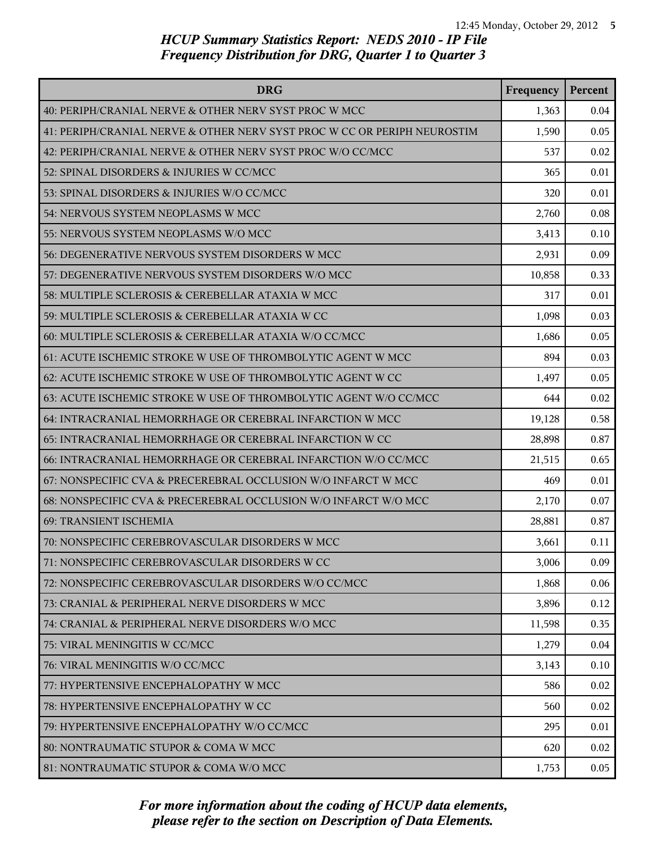| <b>DRG</b>                                                               | Frequency | Percent |
|--------------------------------------------------------------------------|-----------|---------|
| 40: PERIPH/CRANIAL NERVE & OTHER NERV SYST PROC W MCC                    | 1,363     | 0.04    |
| 41: PERIPH/CRANIAL NERVE & OTHER NERV SYST PROC W CC OR PERIPH NEUROSTIM | 1,590     | 0.05    |
| 42: PERIPH/CRANIAL NERVE & OTHER NERV SYST PROC W/O CC/MCC               | 537       | 0.02    |
| 52: SPINAL DISORDERS & INJURIES W CC/MCC                                 | 365       | 0.01    |
| 53: SPINAL DISORDERS & INJURIES W/O CC/MCC                               | 320       | 0.01    |
| 54: NERVOUS SYSTEM NEOPLASMS W MCC                                       | 2,760     | 0.08    |
| 55: NERVOUS SYSTEM NEOPLASMS W/O MCC                                     | 3,413     | 0.10    |
| 56: DEGENERATIVE NERVOUS SYSTEM DISORDERS W MCC                          | 2,931     | 0.09    |
| 57: DEGENERATIVE NERVOUS SYSTEM DISORDERS W/O MCC                        | 10,858    | 0.33    |
| 58: MULTIPLE SCLEROSIS & CEREBELLAR ATAXIA W MCC                         | 317       | 0.01    |
| 59: MULTIPLE SCLEROSIS & CEREBELLAR ATAXIA W CC                          | 1,098     | 0.03    |
| 60: MULTIPLE SCLEROSIS & CEREBELLAR ATAXIA W/O CC/MCC                    | 1,686     | 0.05    |
| 61: ACUTE ISCHEMIC STROKE W USE OF THROMBOLYTIC AGENT W MCC              | 894       | 0.03    |
| 62: ACUTE ISCHEMIC STROKE W USE OF THROMBOLYTIC AGENT W CC               | 1,497     | 0.05    |
| 63: ACUTE ISCHEMIC STROKE W USE OF THROMBOLYTIC AGENT W/O CC/MCC         | 644       | 0.02    |
| 64: INTRACRANIAL HEMORRHAGE OR CEREBRAL INFARCTION W MCC                 | 19,128    | 0.58    |
| 65: INTRACRANIAL HEMORRHAGE OR CEREBRAL INFARCTION W CC                  | 28,898    | 0.87    |
| 66: INTRACRANIAL HEMORRHAGE OR CEREBRAL INFARCTION W/O CC/MCC            | 21,515    | 0.65    |
| 67: NONSPECIFIC CVA & PRECEREBRAL OCCLUSION W/O INFARCT W MCC            | 469       | 0.01    |
| 68: NONSPECIFIC CVA & PRECEREBRAL OCCLUSION W/O INFARCT W/O MCC          | 2,170     | 0.07    |
| 69: TRANSIENT ISCHEMIA                                                   | 28,881    | 0.87    |
| 70: NONSPECIFIC CEREBROVASCULAR DISORDERS W MCC                          | 3,661     | 0.11    |
| 71: NONSPECIFIC CEREBROVASCULAR DISORDERS W CC                           | 3,006     | 0.09    |
| 72: NONSPECIFIC CEREBROVASCULAR DISORDERS W/O CC/MCC                     | 1,868     | 0.06    |
| 73: CRANIAL & PERIPHERAL NERVE DISORDERS W MCC                           | 3,896     | 0.12    |
| 74: CRANIAL & PERIPHERAL NERVE DISORDERS W/O MCC                         | 11,598    | 0.35    |
| 75: VIRAL MENINGITIS W CC/MCC                                            | 1,279     | 0.04    |
| 76: VIRAL MENINGITIS W/O CC/MCC                                          | 3,143     | 0.10    |
| 77: HYPERTENSIVE ENCEPHALOPATHY W MCC                                    | 586       | 0.02    |
| 78: HYPERTENSIVE ENCEPHALOPATHY W CC                                     | 560       | 0.02    |
| 79: HYPERTENSIVE ENCEPHALOPATHY W/O CC/MCC                               | 295       | 0.01    |
| 80: NONTRAUMATIC STUPOR & COMA W MCC                                     | 620       | 0.02    |
| 81: NONTRAUMATIC STUPOR & COMA W/O MCC                                   | 1,753     | 0.05    |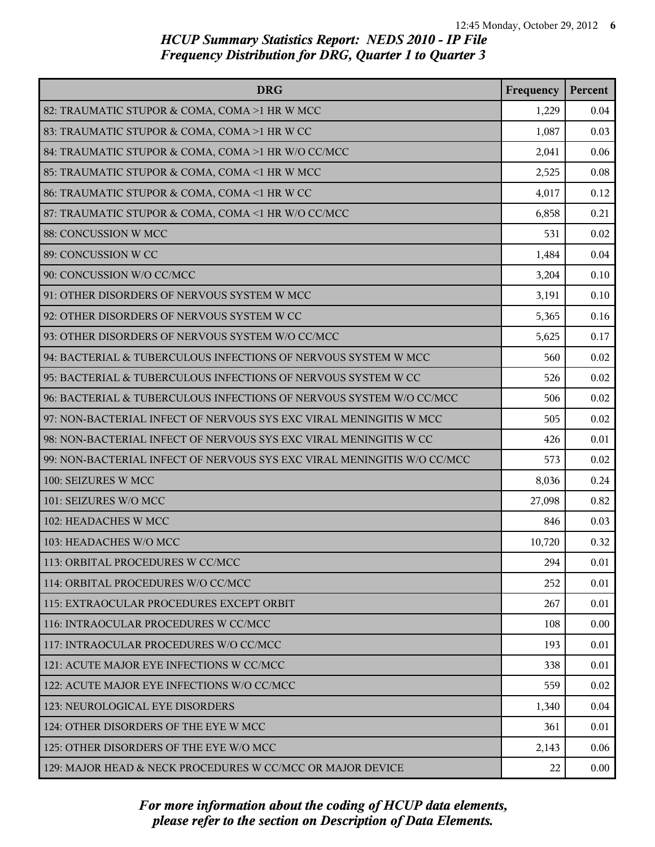| <b>DRG</b>                                                              | Frequency | Percent |
|-------------------------------------------------------------------------|-----------|---------|
| 82: TRAUMATIC STUPOR & COMA, COMA >1 HR W MCC                           | 1,229     | 0.04    |
| 83: TRAUMATIC STUPOR & COMA, COMA >1 HR W CC                            | 1,087     | 0.03    |
| 84: TRAUMATIC STUPOR & COMA, COMA >1 HR W/O CC/MCC                      | 2,041     | 0.06    |
| 85: TRAUMATIC STUPOR & COMA, COMA <1 HR W MCC                           | 2,525     | 0.08    |
| 86: TRAUMATIC STUPOR & COMA, COMA <1 HR W CC                            | 4,017     | 0.12    |
| 87: TRAUMATIC STUPOR & COMA, COMA <1 HR W/O CC/MCC                      | 6,858     | 0.21    |
| 88: CONCUSSION W MCC                                                    | 531       | 0.02    |
| 89: CONCUSSION W CC                                                     | 1,484     | 0.04    |
| 90: CONCUSSION W/O CC/MCC                                               | 3,204     | 0.10    |
| 91: OTHER DISORDERS OF NERVOUS SYSTEM W MCC                             | 3,191     | 0.10    |
| 92: OTHER DISORDERS OF NERVOUS SYSTEM W CC                              | 5,365     | 0.16    |
| 93: OTHER DISORDERS OF NERVOUS SYSTEM W/O CC/MCC                        | 5,625     | 0.17    |
| 94: BACTERIAL & TUBERCULOUS INFECTIONS OF NERVOUS SYSTEM W MCC          | 560       | 0.02    |
| 95: BACTERIAL & TUBERCULOUS INFECTIONS OF NERVOUS SYSTEM W CC           | 526       | 0.02    |
| 96: BACTERIAL & TUBERCULOUS INFECTIONS OF NERVOUS SYSTEM W/O CC/MCC     | 506       | 0.02    |
| 97: NON-BACTERIAL INFECT OF NERVOUS SYS EXC VIRAL MENINGITIS W MCC      | 505       | 0.02    |
| 98: NON-BACTERIAL INFECT OF NERVOUS SYS EXC VIRAL MENINGITIS W CC       | 426       | 0.01    |
| 99: NON-BACTERIAL INFECT OF NERVOUS SYS EXC VIRAL MENINGITIS W/O CC/MCC | 573       | 0.02    |
| 100: SEIZURES W MCC                                                     | 8,036     | 0.24    |
| 101: SEIZURES W/O MCC                                                   | 27,098    | 0.82    |
| 102: HEADACHES W MCC                                                    | 846       | 0.03    |
| 103: HEADACHES W/O MCC                                                  | 10,720    | 0.32    |
| 113: ORBITAL PROCEDURES W CC/MCC                                        | 294       | 0.01    |
| 114: ORBITAL PROCEDURES W/O CC/MCC                                      | 252       | 0.01    |
| 115: EXTRAOCULAR PROCEDURES EXCEPT ORBIT                                | 267       | 0.01    |
| 116: INTRAOCULAR PROCEDURES W CC/MCC                                    | 108       | 0.00    |
| 117: INTRAOCULAR PROCEDURES W/O CC/MCC                                  | 193       | 0.01    |
| 121: ACUTE MAJOR EYE INFECTIONS W CC/MCC                                | 338       | 0.01    |
| 122: ACUTE MAJOR EYE INFECTIONS W/O CC/MCC                              | 559       | 0.02    |
| 123: NEUROLOGICAL EYE DISORDERS                                         | 1,340     | 0.04    |
| 124: OTHER DISORDERS OF THE EYE W MCC                                   | 361       | 0.01    |
| 125: OTHER DISORDERS OF THE EYE W/O MCC                                 | 2,143     | 0.06    |
| 129: MAJOR HEAD & NECK PROCEDURES W CC/MCC OR MAJOR DEVICE              | 22        | 0.00    |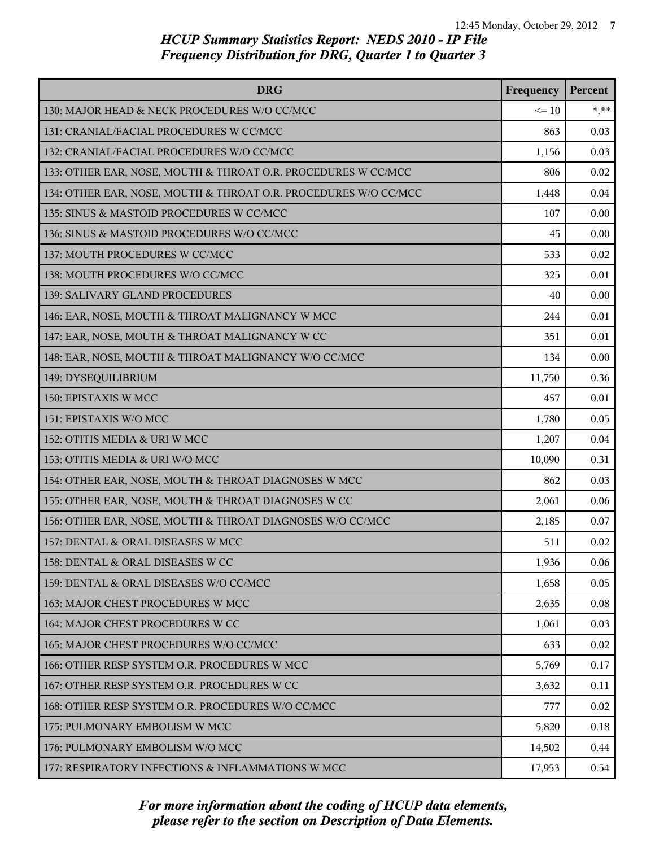| <b>DRG</b>                                                      | Frequency | Percent |
|-----------------------------------------------------------------|-----------|---------|
| 130: MAJOR HEAD & NECK PROCEDURES W/O CC/MCC                    | $\leq 10$ | $*.**$  |
| 131: CRANIAL/FACIAL PROCEDURES W CC/MCC                         | 863       | 0.03    |
| 132: CRANIAL/FACIAL PROCEDURES W/O CC/MCC                       | 1,156     | 0.03    |
| 133: OTHER EAR, NOSE, MOUTH & THROAT O.R. PROCEDURES W CC/MCC   | 806       | 0.02    |
| 134: OTHER EAR, NOSE, MOUTH & THROAT O.R. PROCEDURES W/O CC/MCC | 1,448     | 0.04    |
| 135: SINUS & MASTOID PROCEDURES W CC/MCC                        | 107       | 0.00    |
| 136: SINUS & MASTOID PROCEDURES W/O CC/MCC                      | 45        | 0.00    |
| 137: MOUTH PROCEDURES W CC/MCC                                  | 533       | 0.02    |
| 138: MOUTH PROCEDURES W/O CC/MCC                                | 325       | 0.01    |
| 139: SALIVARY GLAND PROCEDURES                                  | 40        | 0.00    |
| 146: EAR, NOSE, MOUTH & THROAT MALIGNANCY W MCC                 | 244       | 0.01    |
| 147: EAR, NOSE, MOUTH & THROAT MALIGNANCY W CC                  | 351       | 0.01    |
| 148: EAR, NOSE, MOUTH & THROAT MALIGNANCY W/O CC/MCC            | 134       | 0.00    |
| 149: DYSEQUILIBRIUM                                             | 11,750    | 0.36    |
| 150: EPISTAXIS W MCC                                            | 457       | 0.01    |
| 151: EPISTAXIS W/O MCC                                          | 1,780     | 0.05    |
| 152: OTITIS MEDIA & URI W MCC                                   | 1,207     | 0.04    |
| 153: OTITIS MEDIA & URI W/O MCC                                 | 10,090    | 0.31    |
| 154: OTHER EAR, NOSE, MOUTH & THROAT DIAGNOSES W MCC            | 862       | 0.03    |
| 155: OTHER EAR, NOSE, MOUTH & THROAT DIAGNOSES W CC             | 2,061     | 0.06    |
| 156: OTHER EAR, NOSE, MOUTH & THROAT DIAGNOSES W/O CC/MCC       | 2,185     | 0.07    |
| 157: DENTAL & ORAL DISEASES W MCC                               | 511       | 0.02    |
| 158: DENTAL & ORAL DISEASES W CC                                | 1,936     | 0.06    |
| 159: DENTAL & ORAL DISEASES W/O CC/MCC                          | 1,658     | 0.05    |
| 163: MAJOR CHEST PROCEDURES W MCC                               | 2,635     | 0.08    |
| 164: MAJOR CHEST PROCEDURES W CC                                | 1,061     | 0.03    |
| 165: MAJOR CHEST PROCEDURES W/O CC/MCC                          | 633       | 0.02    |
| 166: OTHER RESP SYSTEM O.R. PROCEDURES W MCC                    | 5,769     | 0.17    |
| 167: OTHER RESP SYSTEM O.R. PROCEDURES W CC                     | 3,632     | 0.11    |
| 168: OTHER RESP SYSTEM O.R. PROCEDURES W/O CC/MCC               | 777       | 0.02    |
| 175: PULMONARY EMBOLISM W MCC                                   | 5,820     | 0.18    |
| 176: PULMONARY EMBOLISM W/O MCC                                 | 14,502    | 0.44    |
| 177: RESPIRATORY INFECTIONS & INFLAMMATIONS W MCC               | 17,953    | 0.54    |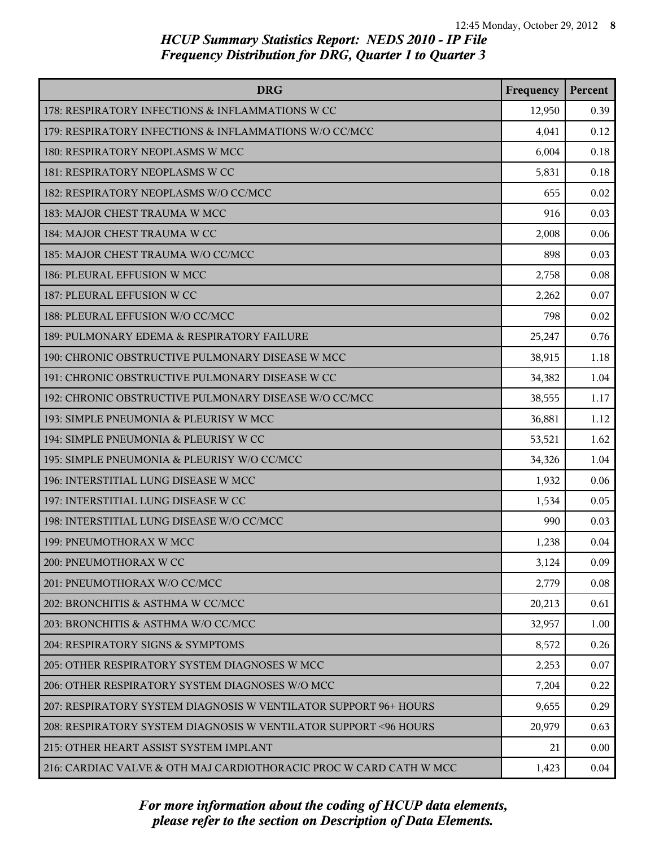| <b>DRG</b>                                                         | Frequency | Percent |
|--------------------------------------------------------------------|-----------|---------|
| 178: RESPIRATORY INFECTIONS & INFLAMMATIONS W CC                   | 12,950    | 0.39    |
| 179: RESPIRATORY INFECTIONS & INFLAMMATIONS W/O CC/MCC             | 4,041     | 0.12    |
| 180: RESPIRATORY NEOPLASMS W MCC                                   | 6,004     | 0.18    |
| 181: RESPIRATORY NEOPLASMS W CC                                    | 5,831     | 0.18    |
| 182: RESPIRATORY NEOPLASMS W/O CC/MCC                              | 655       | 0.02    |
| 183: MAJOR CHEST TRAUMA W MCC                                      | 916       | 0.03    |
| 184: MAJOR CHEST TRAUMA W CC                                       | 2,008     | 0.06    |
| 185: MAJOR CHEST TRAUMA W/O CC/MCC                                 | 898       | 0.03    |
| 186: PLEURAL EFFUSION W MCC                                        | 2,758     | 0.08    |
| 187: PLEURAL EFFUSION W CC                                         | 2,262     | 0.07    |
| 188: PLEURAL EFFUSION W/O CC/MCC                                   | 798       | 0.02    |
| 189: PULMONARY EDEMA & RESPIRATORY FAILURE                         | 25,247    | 0.76    |
| 190: CHRONIC OBSTRUCTIVE PULMONARY DISEASE W MCC                   | 38,915    | 1.18    |
| 191: CHRONIC OBSTRUCTIVE PULMONARY DISEASE W CC                    | 34,382    | 1.04    |
| 192: CHRONIC OBSTRUCTIVE PULMONARY DISEASE W/O CC/MCC              | 38,555    | 1.17    |
| 193: SIMPLE PNEUMONIA & PLEURISY W MCC                             | 36,881    | 1.12    |
| 194: SIMPLE PNEUMONIA & PLEURISY W CC                              | 53,521    | 1.62    |
| 195: SIMPLE PNEUMONIA & PLEURISY W/O CC/MCC                        | 34,326    | 1.04    |
| 196: INTERSTITIAL LUNG DISEASE W MCC                               | 1,932     | 0.06    |
| 197: INTERSTITIAL LUNG DISEASE W CC                                | 1,534     | 0.05    |
| 198: INTERSTITIAL LUNG DISEASE W/O CC/MCC                          | 990       | 0.03    |
| 199: PNEUMOTHORAX W MCC                                            | 1,238     | 0.04    |
| 200: PNEUMOTHORAX W CC                                             | 3,124     | 0.09    |
| 201: PNEUMOTHORAX W/O CC/MCC                                       | 2,779     | 0.08    |
| 202: BRONCHITIS & ASTHMA W CC/MCC                                  | 20,213    | 0.61    |
| 203: BRONCHITIS & ASTHMA W/O CC/MCC                                | 32,957    | 1.00    |
| 204: RESPIRATORY SIGNS & SYMPTOMS                                  | 8,572     | 0.26    |
| 205: OTHER RESPIRATORY SYSTEM DIAGNOSES W MCC                      | 2,253     | 0.07    |
| 206: OTHER RESPIRATORY SYSTEM DIAGNOSES W/O MCC                    | 7,204     | 0.22    |
| 207: RESPIRATORY SYSTEM DIAGNOSIS W VENTILATOR SUPPORT 96+ HOURS   | 9,655     | 0.29    |
| 208: RESPIRATORY SYSTEM DIAGNOSIS W VENTILATOR SUPPORT < 96 HOURS  | 20,979    | 0.63    |
| 215: OTHER HEART ASSIST SYSTEM IMPLANT                             | 21        | 0.00    |
| 216: CARDIAC VALVE & OTH MAJ CARDIOTHORACIC PROC W CARD CATH W MCC | 1,423     | 0.04    |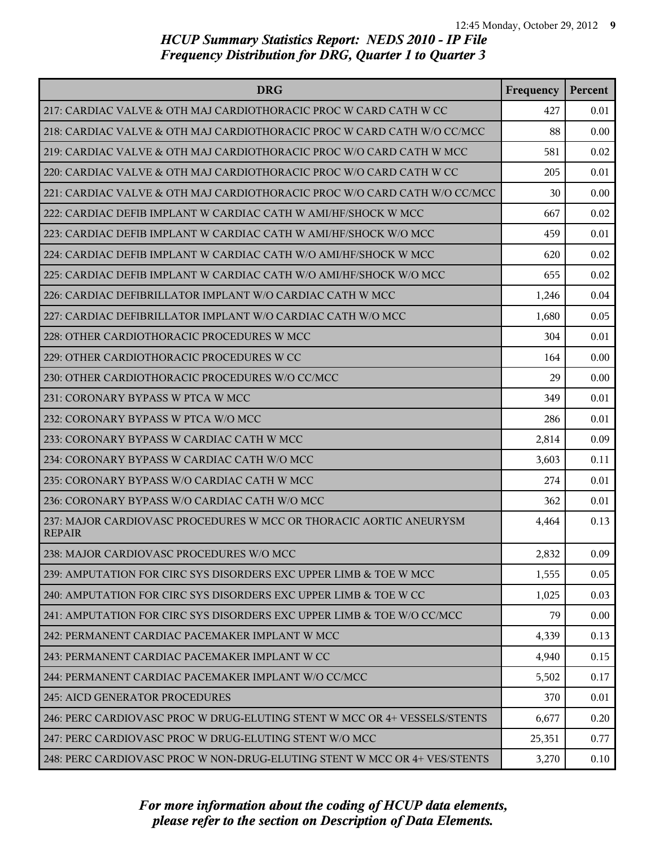| <b>DRG</b>                                                                          | Frequency | Percent |
|-------------------------------------------------------------------------------------|-----------|---------|
| 217: CARDIAC VALVE & OTH MAJ CARDIOTHORACIC PROC W CARD CATH W CC                   | 427       | 0.01    |
| 218: CARDIAC VALVE & OTH MAJ CARDIOTHORACIC PROC W CARD CATH W/O CC/MCC             | 88        | 0.00    |
| 219: CARDIAC VALVE & OTH MAJ CARDIOTHORACIC PROC W/O CARD CATH W MCC                | 581       | 0.02    |
| 220: CARDIAC VALVE & OTH MAJ CARDIOTHORACIC PROC W/O CARD CATH W CC                 | 205       | 0.01    |
| 221: CARDIAC VALVE & OTH MAJ CARDIOTHORACIC PROC W/O CARD CATH W/O CC/MCC           | 30        | 0.00    |
| 222: CARDIAC DEFIB IMPLANT W CARDIAC CATH W AMI/HF/SHOCK W MCC                      | 667       | 0.02    |
| 223: CARDIAC DEFIB IMPLANT W CARDIAC CATH W AMI/HF/SHOCK W/O MCC                    | 459       | 0.01    |
| 224: CARDIAC DEFIB IMPLANT W CARDIAC CATH W/O AMI/HF/SHOCK W MCC                    | 620       | 0.02    |
| 225: CARDIAC DEFIB IMPLANT W CARDIAC CATH W/O AMI/HF/SHOCK W/O MCC                  | 655       | 0.02    |
| 226: CARDIAC DEFIBRILLATOR IMPLANT W/O CARDIAC CATH W MCC                           | 1,246     | 0.04    |
| 227: CARDIAC DEFIBRILLATOR IMPLANT W/O CARDIAC CATH W/O MCC                         | 1,680     | 0.05    |
| 228: OTHER CARDIOTHORACIC PROCEDURES W MCC                                          | 304       | 0.01    |
| 229: OTHER CARDIOTHORACIC PROCEDURES W CC                                           | 164       | 0.00    |
| 230: OTHER CARDIOTHORACIC PROCEDURES W/O CC/MCC                                     | 29        | 0.00    |
| 231: CORONARY BYPASS W PTCA W MCC                                                   | 349       | 0.01    |
| 232: CORONARY BYPASS W PTCA W/O MCC                                                 | 286       | 0.01    |
| 233: CORONARY BYPASS W CARDIAC CATH W MCC                                           | 2,814     | 0.09    |
| 234: CORONARY BYPASS W CARDIAC CATH W/O MCC                                         | 3,603     | 0.11    |
| 235: CORONARY BYPASS W/O CARDIAC CATH W MCC                                         | 274       | 0.01    |
| 236: CORONARY BYPASS W/O CARDIAC CATH W/O MCC                                       | 362       | 0.01    |
| 237: MAJOR CARDIOVASC PROCEDURES W MCC OR THORACIC AORTIC ANEURYSM<br><b>REPAIR</b> | 4,464     | 0.13    |
| 238: MAJOR CARDIOVASC PROCEDURES W/O MCC                                            | 2,832     | 0.09    |
| 239: AMPUTATION FOR CIRC SYS DISORDERS EXC UPPER LIMB & TOE W MCC                   | 1,555     | 0.05    |
| 240: AMPUTATION FOR CIRC SYS DISORDERS EXC UPPER LIMB & TOE W CC                    | 1,025     | 0.03    |
| 241: AMPUTATION FOR CIRC SYS DISORDERS EXC UPPER LIMB & TOE W/O CC/MCC              | 79        | 0.00    |
| 242: PERMANENT CARDIAC PACEMAKER IMPLANT W MCC                                      | 4,339     | 0.13    |
| 243: PERMANENT CARDIAC PACEMAKER IMPLANT W CC                                       | 4,940     | 0.15    |
| 244: PERMANENT CARDIAC PACEMAKER IMPLANT W/O CC/MCC                                 | 5,502     | 0.17    |
| 245: AICD GENERATOR PROCEDURES                                                      | 370       | 0.01    |
| 246: PERC CARDIOVASC PROC W DRUG-ELUTING STENT W MCC OR 4+ VESSELS/STENTS           | 6,677     | 0.20    |
| 247: PERC CARDIOVASC PROC W DRUG-ELUTING STENT W/O MCC                              | 25,351    | 0.77    |
| 248: PERC CARDIOVASC PROC W NON-DRUG-ELUTING STENT W MCC OR 4+ VES/STENTS           | 3,270     | 0.10    |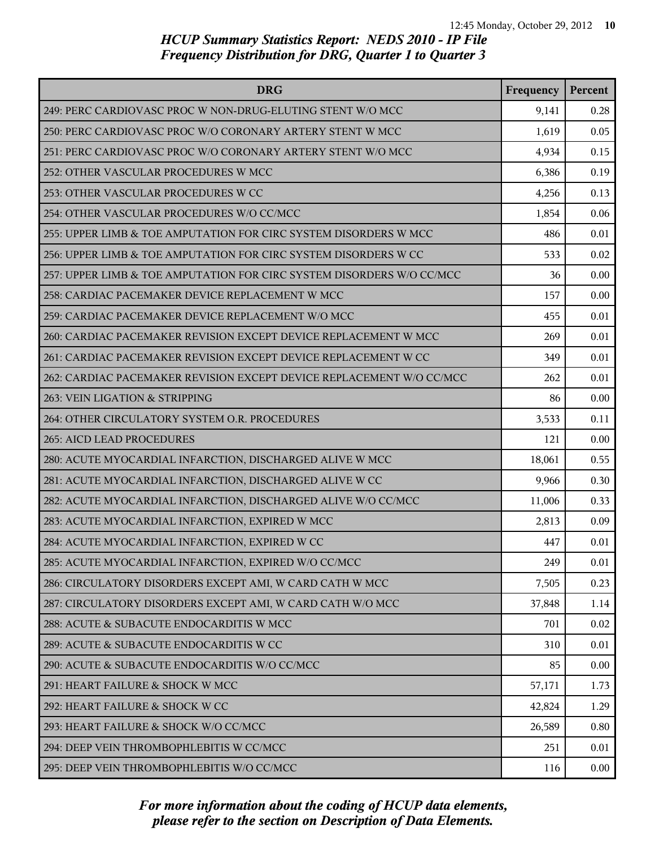| <b>DRG</b>                                                            | Frequency | Percent |
|-----------------------------------------------------------------------|-----------|---------|
| 249: PERC CARDIOVASC PROC W NON-DRUG-ELUTING STENT W/O MCC            | 9,141     | 0.28    |
| 250: PERC CARDIOVASC PROC W/O CORONARY ARTERY STENT W MCC             | 1,619     | 0.05    |
| 251: PERC CARDIOVASC PROC W/O CORONARY ARTERY STENT W/O MCC           | 4,934     | 0.15    |
| 252: OTHER VASCULAR PROCEDURES W MCC                                  | 6,386     | 0.19    |
| 253: OTHER VASCULAR PROCEDURES W CC                                   | 4,256     | 0.13    |
| 254: OTHER VASCULAR PROCEDURES W/O CC/MCC                             | 1,854     | 0.06    |
| 255: UPPER LIMB & TOE AMPUTATION FOR CIRC SYSTEM DISORDERS W MCC      | 486       | 0.01    |
| 256: UPPER LIMB & TOE AMPUTATION FOR CIRC SYSTEM DISORDERS W CC       | 533       | 0.02    |
| 257: UPPER LIMB & TOE AMPUTATION FOR CIRC SYSTEM DISORDERS W/O CC/MCC | 36        | 0.00    |
| 258: CARDIAC PACEMAKER DEVICE REPLACEMENT W MCC                       | 157       | 0.00    |
| 259: CARDIAC PACEMAKER DEVICE REPLACEMENT W/O MCC                     | 455       | 0.01    |
| 260: CARDIAC PACEMAKER REVISION EXCEPT DEVICE REPLACEMENT W MCC       | 269       | 0.01    |
| 261: CARDIAC PACEMAKER REVISION EXCEPT DEVICE REPLACEMENT W CC        | 349       | 0.01    |
| 262: CARDIAC PACEMAKER REVISION EXCEPT DEVICE REPLACEMENT W/O CC/MCC  | 262       | 0.01    |
| 263: VEIN LIGATION & STRIPPING                                        | 86        | 0.00    |
| 264: OTHER CIRCULATORY SYSTEM O.R. PROCEDURES                         | 3,533     | 0.11    |
| 265: AICD LEAD PROCEDURES                                             | 121       | 0.00    |
| 280: ACUTE MYOCARDIAL INFARCTION, DISCHARGED ALIVE W MCC              | 18,061    | 0.55    |
| 281: ACUTE MYOCARDIAL INFARCTION, DISCHARGED ALIVE W CC               | 9,966     | 0.30    |
| 282: ACUTE MYOCARDIAL INFARCTION, DISCHARGED ALIVE W/O CC/MCC         | 11,006    | 0.33    |
| 283: ACUTE MYOCARDIAL INFARCTION, EXPIRED W MCC                       | 2,813     | 0.09    |
| 284: ACUTE MYOCARDIAL INFARCTION, EXPIRED W CC                        | 447       | 0.01    |
| 285: ACUTE MYOCARDIAL INFARCTION, EXPIRED W/O CC/MCC                  | 249       | 0.01    |
| 286: CIRCULATORY DISORDERS EXCEPT AMI, W CARD CATH W MCC              | 7,505     | 0.23    |
| 287: CIRCULATORY DISORDERS EXCEPT AMI, W CARD CATH W/O MCC            | 37,848    | 1.14    |
| 288: ACUTE & SUBACUTE ENDOCARDITIS W MCC                              | 701       | 0.02    |
| 289: ACUTE & SUBACUTE ENDOCARDITIS W CC                               | 310       | 0.01    |
| 290: ACUTE & SUBACUTE ENDOCARDITIS W/O CC/MCC                         | 85        | 0.00    |
| 291: HEART FAILURE & SHOCK W MCC                                      | 57,171    | 1.73    |
| 292: HEART FAILURE & SHOCK W CC                                       | 42,824    | 1.29    |
| 293: HEART FAILURE & SHOCK W/O CC/MCC                                 | 26,589    | 0.80    |
| 294: DEEP VEIN THROMBOPHLEBITIS W CC/MCC                              | 251       | 0.01    |
| 295: DEEP VEIN THROMBOPHLEBITIS W/O CC/MCC                            | 116       | 0.00    |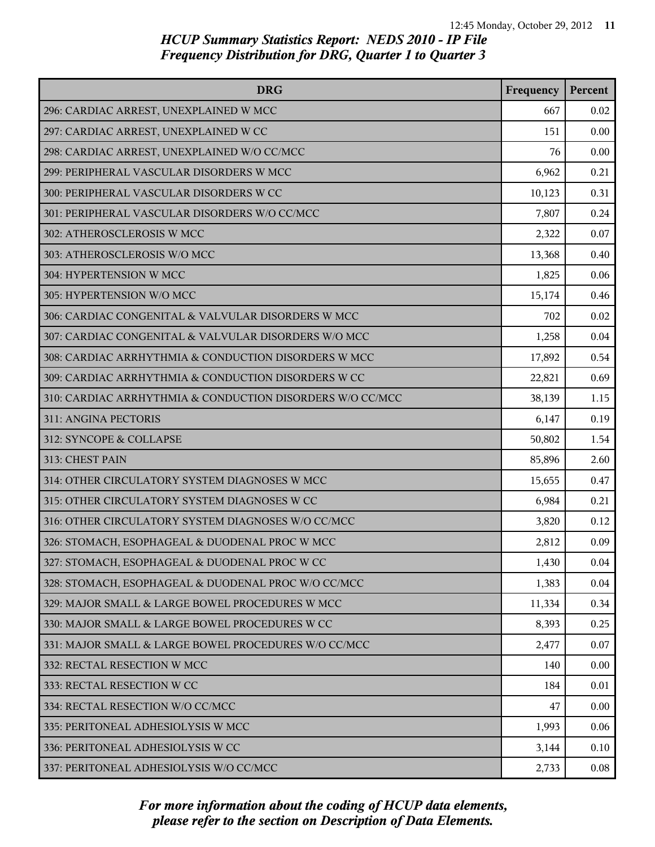| <b>DRG</b>                                                | Frequency | Percent |
|-----------------------------------------------------------|-----------|---------|
| 296: CARDIAC ARREST, UNEXPLAINED W MCC                    | 667       | 0.02    |
| 297: CARDIAC ARREST, UNEXPLAINED W CC                     | 151       | 0.00    |
| 298: CARDIAC ARREST, UNEXPLAINED W/O CC/MCC               | 76        | 0.00    |
| 299: PERIPHERAL VASCULAR DISORDERS W MCC                  | 6,962     | 0.21    |
| 300: PERIPHERAL VASCULAR DISORDERS W CC                   | 10,123    | 0.31    |
| 301: PERIPHERAL VASCULAR DISORDERS W/O CC/MCC             | 7,807     | 0.24    |
| 302: ATHEROSCLEROSIS W MCC                                | 2,322     | 0.07    |
| 303: ATHEROSCLEROSIS W/O MCC                              | 13,368    | 0.40    |
| 304: HYPERTENSION W MCC                                   | 1,825     | 0.06    |
| 305: HYPERTENSION W/O MCC                                 | 15,174    | 0.46    |
| 306: CARDIAC CONGENITAL & VALVULAR DISORDERS W MCC        | 702       | 0.02    |
| 307: CARDIAC CONGENITAL & VALVULAR DISORDERS W/O MCC      | 1,258     | 0.04    |
| 308: CARDIAC ARRHYTHMIA & CONDUCTION DISORDERS W MCC      | 17,892    | 0.54    |
| 309: CARDIAC ARRHYTHMIA & CONDUCTION DISORDERS W CC       | 22,821    | 0.69    |
| 310: CARDIAC ARRHYTHMIA & CONDUCTION DISORDERS W/O CC/MCC | 38,139    | 1.15    |
| 311: ANGINA PECTORIS                                      | 6,147     | 0.19    |
| 312: SYNCOPE & COLLAPSE                                   | 50,802    | 1.54    |
| 313: CHEST PAIN                                           | 85,896    | 2.60    |
| 314: OTHER CIRCULATORY SYSTEM DIAGNOSES W MCC             | 15,655    | 0.47    |
| 315: OTHER CIRCULATORY SYSTEM DIAGNOSES W CC              | 6,984     | 0.21    |
| 316: OTHER CIRCULATORY SYSTEM DIAGNOSES W/O CC/MCC        | 3,820     | 0.12    |
| 326: STOMACH, ESOPHAGEAL & DUODENAL PROC W MCC            | 2,812     | 0.09    |
| 327: STOMACH, ESOPHAGEAL & DUODENAL PROC W CC             | 1,430     | 0.04    |
| 328: STOMACH, ESOPHAGEAL & DUODENAL PROC W/O CC/MCC       | 1,383     | 0.04    |
| 329: MAJOR SMALL & LARGE BOWEL PROCEDURES W MCC           | 11,334    | 0.34    |
| 330: MAJOR SMALL & LARGE BOWEL PROCEDURES W CC            | 8,393     | 0.25    |
| 331: MAJOR SMALL & LARGE BOWEL PROCEDURES W/O CC/MCC      | 2,477     | 0.07    |
| 332: RECTAL RESECTION W MCC                               | 140       | 0.00    |
| 333: RECTAL RESECTION W CC                                | 184       | 0.01    |
| 334: RECTAL RESECTION W/O CC/MCC                          | 47        | 0.00    |
| 335: PERITONEAL ADHESIOLYSIS W MCC                        | 1,993     | 0.06    |
| 336: PERITONEAL ADHESIOLYSIS W CC                         | 3,144     | 0.10    |
| 337: PERITONEAL ADHESIOLYSIS W/O CC/MCC                   | 2,733     | 0.08    |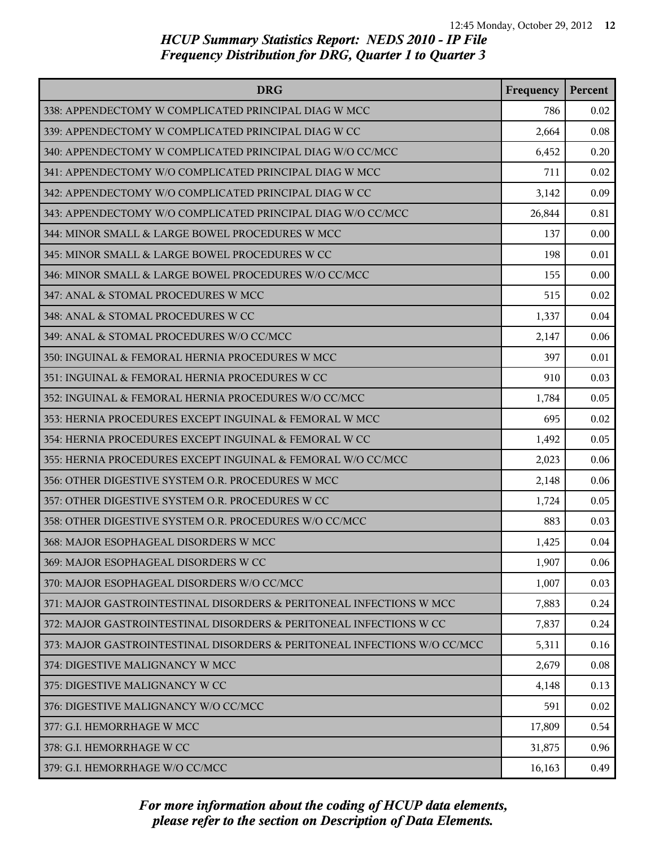| <b>DRG</b>                                                               | Frequency | Percent |
|--------------------------------------------------------------------------|-----------|---------|
| 338: APPENDECTOMY W COMPLICATED PRINCIPAL DIAG W MCC                     | 786       | 0.02    |
| 339: APPENDECTOMY W COMPLICATED PRINCIPAL DIAG W CC                      | 2,664     | 0.08    |
| 340: APPENDECTOMY W COMPLICATED PRINCIPAL DIAG W/O CC/MCC                | 6,452     | 0.20    |
| 341: APPENDECTOMY W/O COMPLICATED PRINCIPAL DIAG W MCC                   | 711       | 0.02    |
| 342: APPENDECTOMY W/O COMPLICATED PRINCIPAL DIAG W CC                    | 3,142     | 0.09    |
| 343: APPENDECTOMY W/O COMPLICATED PRINCIPAL DIAG W/O CC/MCC              | 26,844    | 0.81    |
| 344: MINOR SMALL & LARGE BOWEL PROCEDURES W MCC                          | 137       | 0.00    |
| 345: MINOR SMALL & LARGE BOWEL PROCEDURES W CC                           | 198       | 0.01    |
| 346: MINOR SMALL & LARGE BOWEL PROCEDURES W/O CC/MCC                     | 155       | 0.00    |
| 347: ANAL & STOMAL PROCEDURES W MCC                                      | 515       | 0.02    |
| 348: ANAL & STOMAL PROCEDURES W CC                                       | 1,337     | 0.04    |
| 349: ANAL & STOMAL PROCEDURES W/O CC/MCC                                 | 2,147     | 0.06    |
| 350: INGUINAL & FEMORAL HERNIA PROCEDURES W MCC                          | 397       | 0.01    |
| 351: INGUINAL & FEMORAL HERNIA PROCEDURES W CC                           | 910       | 0.03    |
| 352: INGUINAL & FEMORAL HERNIA PROCEDURES W/O CC/MCC                     | 1,784     | 0.05    |
| 353: HERNIA PROCEDURES EXCEPT INGUINAL & FEMORAL W MCC                   | 695       | 0.02    |
| 354: HERNIA PROCEDURES EXCEPT INGUINAL & FEMORAL W CC                    | 1,492     | 0.05    |
| 355: HERNIA PROCEDURES EXCEPT INGUINAL & FEMORAL W/O CC/MCC              | 2,023     | 0.06    |
| 356: OTHER DIGESTIVE SYSTEM O.R. PROCEDURES W MCC                        | 2,148     | 0.06    |
| 357: OTHER DIGESTIVE SYSTEM O.R. PROCEDURES W CC                         | 1,724     | 0.05    |
| 358: OTHER DIGESTIVE SYSTEM O.R. PROCEDURES W/O CC/MCC                   | 883       | 0.03    |
| 368: MAJOR ESOPHAGEAL DISORDERS W MCC                                    | 1,425     | 0.04    |
| 369: MAJOR ESOPHAGEAL DISORDERS W CC                                     | 1,907     | 0.06    |
| 370: MAJOR ESOPHAGEAL DISORDERS W/O CC/MCC                               | 1,007     | 0.03    |
| 371: MAJOR GASTROINTESTINAL DISORDERS & PERITONEAL INFECTIONS W MCC      | 7,883     | 0.24    |
| 372: MAJOR GASTROINTESTINAL DISORDERS & PERITONEAL INFECTIONS W CC       | 7,837     | 0.24    |
| 373: MAJOR GASTROINTESTINAL DISORDERS & PERITONEAL INFECTIONS W/O CC/MCC | 5,311     | 0.16    |
| 374: DIGESTIVE MALIGNANCY W MCC                                          | 2,679     | 0.08    |
| 375: DIGESTIVE MALIGNANCY W CC                                           | 4,148     | 0.13    |
| 376: DIGESTIVE MALIGNANCY W/O CC/MCC                                     | 591       | 0.02    |
| 377: G.I. HEMORRHAGE W MCC                                               | 17,809    | 0.54    |
| 378: G.I. HEMORRHAGE W CC                                                | 31,875    | 0.96    |
| 379: G.I. HEMORRHAGE W/O CC/MCC                                          | 16,163    | 0.49    |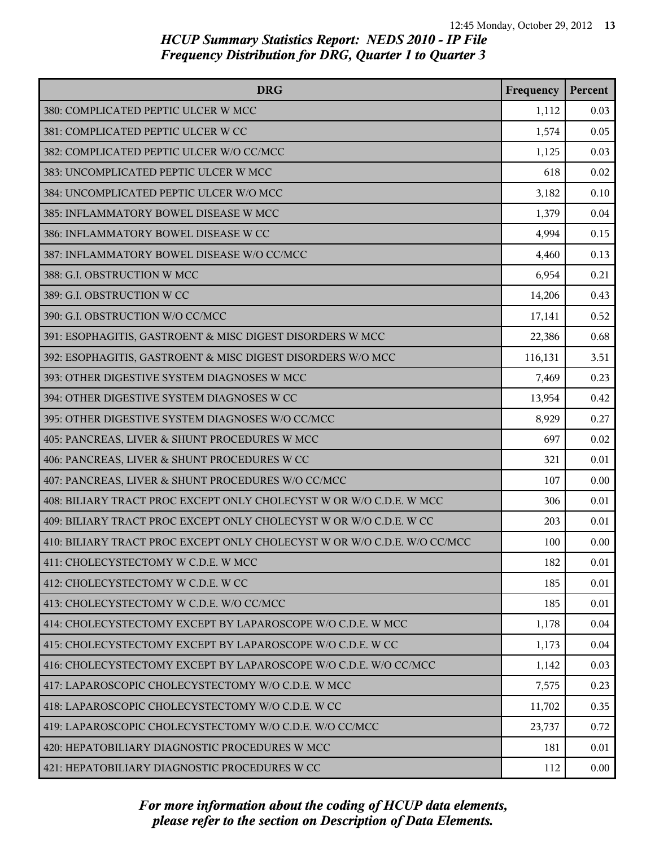| <b>DRG</b>                                                               | Frequency | Percent  |
|--------------------------------------------------------------------------|-----------|----------|
| 380: COMPLICATED PEPTIC ULCER W MCC                                      | 1,112     | 0.03     |
| 381: COMPLICATED PEPTIC ULCER W CC                                       | 1,574     | 0.05     |
| 382: COMPLICATED PEPTIC ULCER W/O CC/MCC                                 | 1,125     | 0.03     |
| 383: UNCOMPLICATED PEPTIC ULCER W MCC                                    | 618       | 0.02     |
| 384: UNCOMPLICATED PEPTIC ULCER W/O MCC                                  | 3,182     | 0.10     |
| 385: INFLAMMATORY BOWEL DISEASE W MCC                                    | 1,379     | 0.04     |
| 386: INFLAMMATORY BOWEL DISEASE W CC                                     | 4,994     | 0.15     |
| 387: INFLAMMATORY BOWEL DISEASE W/O CC/MCC                               | 4,460     | 0.13     |
| 388: G.I. OBSTRUCTION W MCC                                              | 6,954     | 0.21     |
| 389: G.I. OBSTRUCTION W CC                                               | 14,206    | 0.43     |
| 390: G.I. OBSTRUCTION W/O CC/MCC                                         | 17,141    | 0.52     |
| 391: ESOPHAGITIS, GASTROENT & MISC DIGEST DISORDERS W MCC                | 22,386    | 0.68     |
| 392: ESOPHAGITIS, GASTROENT & MISC DIGEST DISORDERS W/O MCC              | 116,131   | 3.51     |
| 393: OTHER DIGESTIVE SYSTEM DIAGNOSES W MCC                              | 7,469     | 0.23     |
| 394: OTHER DIGESTIVE SYSTEM DIAGNOSES W CC                               | 13,954    | 0.42     |
| 395: OTHER DIGESTIVE SYSTEM DIAGNOSES W/O CC/MCC                         | 8,929     | 0.27     |
| 405: PANCREAS, LIVER & SHUNT PROCEDURES W MCC                            | 697       | 0.02     |
| 406: PANCREAS, LIVER & SHUNT PROCEDURES W CC                             | 321       | 0.01     |
| 407: PANCREAS, LIVER & SHUNT PROCEDURES W/O CC/MCC                       | 107       | 0.00     |
| 408: BILIARY TRACT PROC EXCEPT ONLY CHOLECYST W OR W/O C.D.E. W MCC      | 306       | 0.01     |
| 409: BILIARY TRACT PROC EXCEPT ONLY CHOLECYST W OR W/O C.D.E. W CC       | 203       | 0.01     |
| 410: BILIARY TRACT PROC EXCEPT ONLY CHOLECYST W OR W/O C.D.E. W/O CC/MCC | 100       | 0.00     |
| 411: CHOLECYSTECTOMY W C.D.E. W MCC                                      | 182       | 0.01     |
| 412: CHOLECYSTECTOMY W C.D.E. W CC                                       | 185       | 0.01     |
| 413: CHOLECYSTECTOMY W C.D.E. W/O CC/MCC                                 | 185       | 0.01     |
| 414: CHOLECYSTECTOMY EXCEPT BY LAPAROSCOPE W/O C.D.E. W MCC              | 1,178     | 0.04     |
| 415: CHOLECYSTECTOMY EXCEPT BY LAPAROSCOPE W/O C.D.E. W CC               | 1,173     | 0.04     |
| 416: CHOLECYSTECTOMY EXCEPT BY LAPAROSCOPE W/O C.D.E. W/O CC/MCC         | 1,142     | 0.03     |
| 417: LAPAROSCOPIC CHOLECYSTECTOMY W/O C.D.E. W MCC                       | 7,575     | 0.23     |
| 418: LAPAROSCOPIC CHOLECYSTECTOMY W/O C.D.E. W CC                        | 11,702    | 0.35     |
| 419: LAPAROSCOPIC CHOLECYSTECTOMY W/O C.D.E. W/O CC/MCC                  | 23,737    | 0.72     |
| 420: HEPATOBILIARY DIAGNOSTIC PROCEDURES W MCC                           | 181       | 0.01     |
| 421: HEPATOBILIARY DIAGNOSTIC PROCEDURES W CC                            | 112       | $0.00\,$ |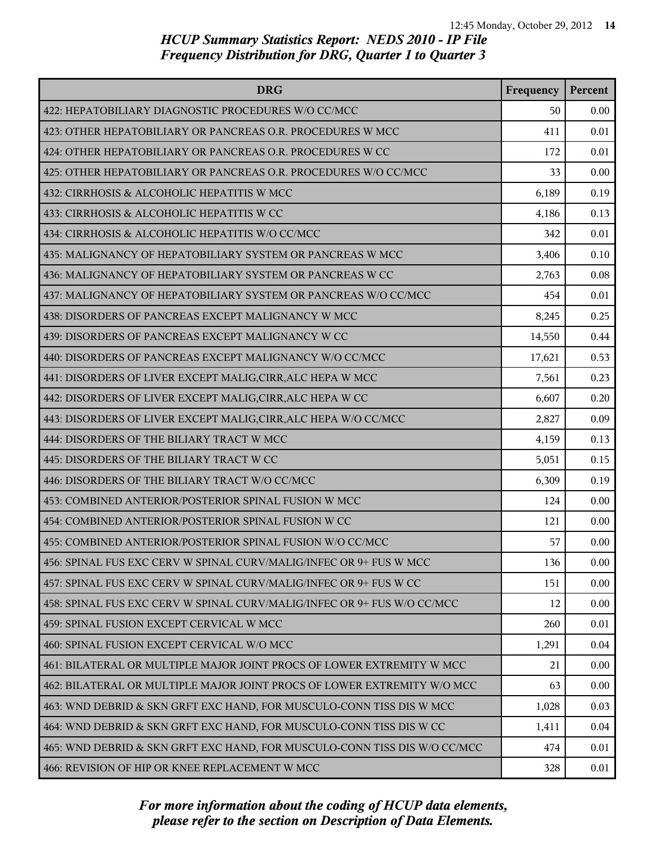| <b>DRG</b>                                                                | Frequency | Percent |
|---------------------------------------------------------------------------|-----------|---------|
| 422: HEPATOBILIARY DIAGNOSTIC PROCEDURES W/O CC/MCC                       | 50        | 0.00    |
| 423: OTHER HEPATOBILIARY OR PANCREAS O.R. PROCEDURES W MCC                | 411       | 0.01    |
| 424: OTHER HEPATOBILIARY OR PANCREAS O.R. PROCEDURES W CC                 | 172       | 0.01    |
| 425: OTHER HEPATOBILIARY OR PANCREAS O.R. PROCEDURES W/O CC/MCC           | 33        | 0.00    |
| 432: CIRRHOSIS & ALCOHOLIC HEPATITIS W MCC                                | 6,189     | 0.19    |
| 433: CIRRHOSIS & ALCOHOLIC HEPATITIS W CC                                 | 4,186     | 0.13    |
| 434: CIRRHOSIS & ALCOHOLIC HEPATITIS W/O CC/MCC                           | 342       | 0.01    |
| 435: MALIGNANCY OF HEPATOBILIARY SYSTEM OR PANCREAS W MCC                 | 3,406     | 0.10    |
| 436: MALIGNANCY OF HEPATOBILIARY SYSTEM OR PANCREAS W CC                  | 2,763     | 0.08    |
| 437: MALIGNANCY OF HEPATOBILIARY SYSTEM OR PANCREAS W/O CC/MCC            | 454       | 0.01    |
| 438: DISORDERS OF PANCREAS EXCEPT MALIGNANCY W MCC                        | 8,245     | 0.25    |
| 439: DISORDERS OF PANCREAS EXCEPT MALIGNANCY W CC                         | 14,550    | 0.44    |
| 440: DISORDERS OF PANCREAS EXCEPT MALIGNANCY W/O CC/MCC                   | 17,621    | 0.53    |
| 441: DISORDERS OF LIVER EXCEPT MALIG, CIRR, ALC HEPA W MCC                | 7,561     | 0.23    |
| 442: DISORDERS OF LIVER EXCEPT MALIG, CIRR, ALC HEPA W CC                 | 6,607     | 0.20    |
| 443: DISORDERS OF LIVER EXCEPT MALIG, CIRR, ALC HEPA W/O CC/MCC           | 2,827     | 0.09    |
| 444: DISORDERS OF THE BILIARY TRACT W MCC                                 | 4,159     | 0.13    |
| 445: DISORDERS OF THE BILIARY TRACT W CC                                  | 5,051     | 0.15    |
| 446: DISORDERS OF THE BILIARY TRACT W/O CC/MCC                            | 6,309     | 0.19    |
| 453: COMBINED ANTERIOR/POSTERIOR SPINAL FUSION W MCC                      | 124       | 0.00    |
| 454: COMBINED ANTERIOR/POSTERIOR SPINAL FUSION W CC                       | 121       | 0.00    |
| 455: COMBINED ANTERIOR/POSTERIOR SPINAL FUSION W/O CC/MCC                 | 57        | 0.00    |
| 456: SPINAL FUS EXC CERV W SPINAL CURV/MALIG/INFEC OR 9+ FUS W MCC        | 136       | 0.00    |
| 457: SPINAL FUS EXC CERV W SPINAL CURV/MALIG/INFEC OR 9+ FUS W CC         | 151       | 0.00    |
| 458: SPINAL FUS EXC CERV W SPINAL CURV/MALIG/INFEC OR 9+ FUS W/O CC/MCC   | 12        | 0.00    |
| 459: SPINAL FUSION EXCEPT CERVICAL W MCC                                  | 260       | 0.01    |
| 460: SPINAL FUSION EXCEPT CERVICAL W/O MCC                                | 1,291     | 0.04    |
| 461: BILATERAL OR MULTIPLE MAJOR JOINT PROCS OF LOWER EXTREMITY W MCC     | 21        | 0.00    |
| 462: BILATERAL OR MULTIPLE MAJOR JOINT PROCS OF LOWER EXTREMITY W/O MCC   | 63        | 0.00    |
| 463: WND DEBRID & SKN GRFT EXC HAND, FOR MUSCULO-CONN TISS DIS W MCC      | 1,028     | 0.03    |
| 464: WND DEBRID & SKN GRFT EXC HAND, FOR MUSCULO-CONN TISS DIS W CC       | 1,411     | 0.04    |
| 465: WND DEBRID & SKN GRFT EXC HAND, FOR MUSCULO-CONN TISS DIS W/O CC/MCC | 474       | 0.01    |
| 466: REVISION OF HIP OR KNEE REPLACEMENT W MCC                            | 328       | 0.01    |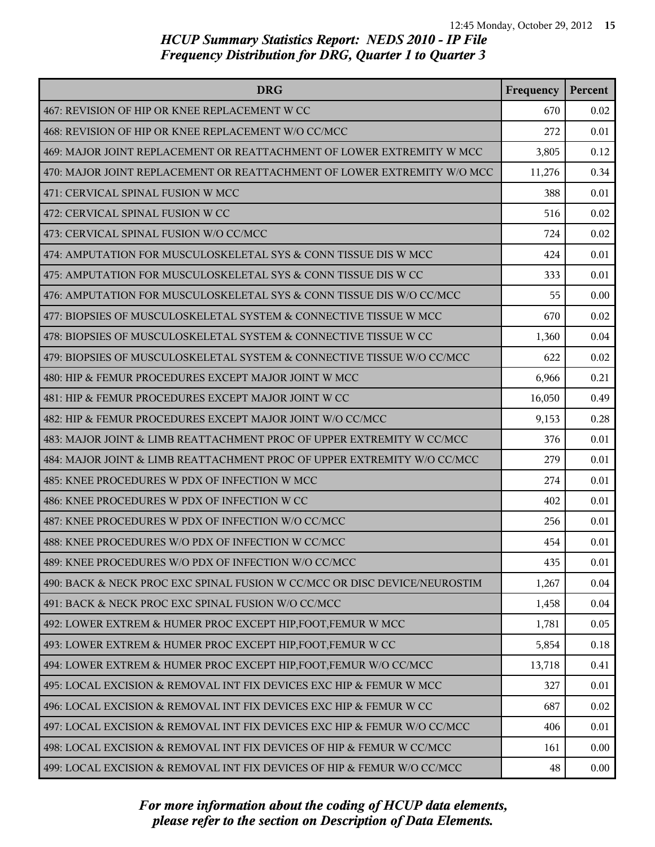| <b>DRG</b>                                                                | Frequency | Percent |
|---------------------------------------------------------------------------|-----------|---------|
| 467: REVISION OF HIP OR KNEE REPLACEMENT W CC                             | 670       | 0.02    |
| 468: REVISION OF HIP OR KNEE REPLACEMENT W/O CC/MCC                       | 272       | 0.01    |
| 469: MAJOR JOINT REPLACEMENT OR REATTACHMENT OF LOWER EXTREMITY W MCC     | 3,805     | 0.12    |
| 470: MAJOR JOINT REPLACEMENT OR REATTACHMENT OF LOWER EXTREMITY W/O MCC   | 11,276    | 0.34    |
| 471: CERVICAL SPINAL FUSION W MCC                                         | 388       | 0.01    |
| 472: CERVICAL SPINAL FUSION W CC                                          | 516       | 0.02    |
| 473: CERVICAL SPINAL FUSION W/O CC/MCC                                    | 724       | 0.02    |
| 474: AMPUTATION FOR MUSCULOSKELETAL SYS & CONN TISSUE DIS W MCC           | 424       | 0.01    |
| 475: AMPUTATION FOR MUSCULOSKELETAL SYS & CONN TISSUE DIS W CC            | 333       | 0.01    |
| 476: AMPUTATION FOR MUSCULOSKELETAL SYS & CONN TISSUE DIS W/O CC/MCC      | 55        | 0.00    |
| 477: BIOPSIES OF MUSCULOSKELETAL SYSTEM & CONNECTIVE TISSUE W MCC         | 670       | 0.02    |
| 478: BIOPSIES OF MUSCULOSKELETAL SYSTEM & CONNECTIVE TISSUE W CC          | 1,360     | 0.04    |
| 479: BIOPSIES OF MUSCULOSKELETAL SYSTEM & CONNECTIVE TISSUE W/O CC/MCC    | 622       | 0.02    |
| 480: HIP & FEMUR PROCEDURES EXCEPT MAJOR JOINT W MCC                      | 6,966     | 0.21    |
| 481: HIP & FEMUR PROCEDURES EXCEPT MAJOR JOINT W CC                       | 16,050    | 0.49    |
| 482: HIP & FEMUR PROCEDURES EXCEPT MAJOR JOINT W/O CC/MCC                 | 9,153     | 0.28    |
| 483: MAJOR JOINT & LIMB REATTACHMENT PROC OF UPPER EXTREMITY W CC/MCC     | 376       | 0.01    |
| 484: MAJOR JOINT & LIMB REATTACHMENT PROC OF UPPER EXTREMITY W/O CC/MCC   | 279       | 0.01    |
| 485: KNEE PROCEDURES W PDX OF INFECTION W MCC                             | 274       | 0.01    |
| 486: KNEE PROCEDURES W PDX OF INFECTION W CC                              | 402       | 0.01    |
| 487: KNEE PROCEDURES W PDX OF INFECTION W/O CC/MCC                        | 256       | 0.01    |
| 488: KNEE PROCEDURES W/O PDX OF INFECTION W CC/MCC                        | 454       | 0.01    |
| 489: KNEE PROCEDURES W/O PDX OF INFECTION W/O CC/MCC                      | 435       | 0.01    |
| 490: BACK & NECK PROC EXC SPINAL FUSION W CC/MCC OR DISC DEVICE/NEUROSTIM | 1,267     | 0.04    |
| 491: BACK & NECK PROC EXC SPINAL FUSION W/O CC/MCC                        | 1,458     | 0.04    |
| 492: LOWER EXTREM & HUMER PROC EXCEPT HIP, FOOT, FEMUR W MCC              | 1,781     | 0.05    |
| 493: LOWER EXTREM & HUMER PROC EXCEPT HIP, FOOT, FEMUR W CC               | 5,854     | 0.18    |
| 494: LOWER EXTREM & HUMER PROC EXCEPT HIP, FOOT, FEMUR W/O CC/MCC         | 13,718    | 0.41    |
| 495: LOCAL EXCISION & REMOVAL INT FIX DEVICES EXC HIP & FEMUR W MCC       | 327       | 0.01    |
| 496: LOCAL EXCISION & REMOVAL INT FIX DEVICES EXC HIP & FEMUR W CC        | 687       | 0.02    |
| 497: LOCAL EXCISION & REMOVAL INT FIX DEVICES EXC HIP & FEMUR W/O CC/MCC  | 406       | 0.01    |
| 498: LOCAL EXCISION & REMOVAL INT FIX DEVICES OF HIP & FEMUR W CC/MCC     | 161       | 0.00    |
| 499: LOCAL EXCISION & REMOVAL INT FIX DEVICES OF HIP & FEMUR W/O CC/MCC   | 48        | 0.00    |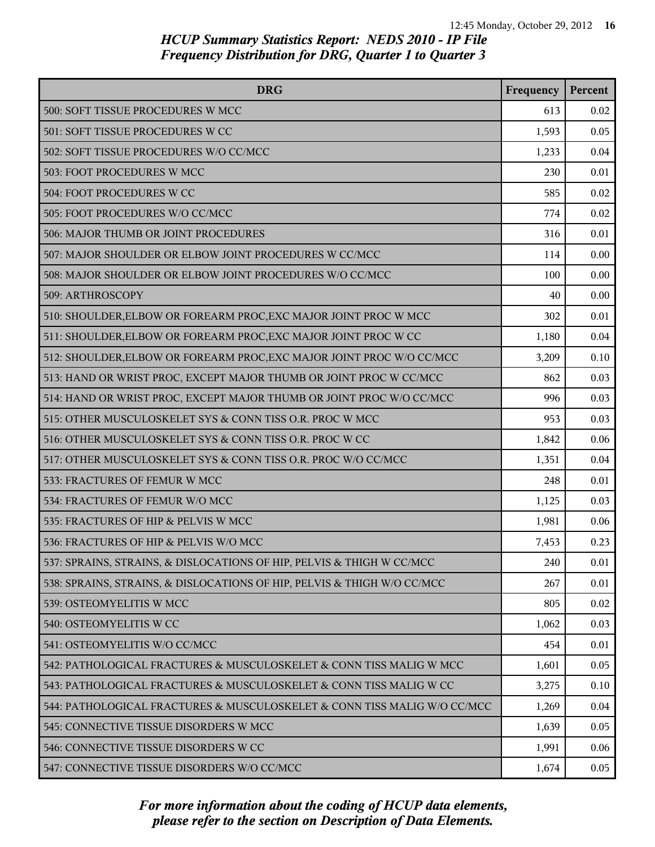| <b>DRG</b>                                                               | Frequency | Percent |
|--------------------------------------------------------------------------|-----------|---------|
| 500: SOFT TISSUE PROCEDURES W MCC                                        | 613       | 0.02    |
| 501: SOFT TISSUE PROCEDURES W CC                                         | 1,593     | 0.05    |
| 502: SOFT TISSUE PROCEDURES W/O CC/MCC                                   | 1,233     | 0.04    |
| 503: FOOT PROCEDURES W MCC                                               | 230       | 0.01    |
| 504: FOOT PROCEDURES W CC                                                | 585       | 0.02    |
| 505: FOOT PROCEDURES W/O CC/MCC                                          | 774       | 0.02    |
| 506: MAJOR THUMB OR JOINT PROCEDURES                                     | 316       | 0.01    |
| 507: MAJOR SHOULDER OR ELBOW JOINT PROCEDURES W CC/MCC                   | 114       | 0.00    |
| 508: MAJOR SHOULDER OR ELBOW JOINT PROCEDURES W/O CC/MCC                 | 100       | 0.00    |
| 509: ARTHROSCOPY                                                         | 40        | 0.00    |
| 510: SHOULDER, ELBOW OR FOREARM PROC, EXC MAJOR JOINT PROC W MCC         | 302       | 0.01    |
| 511: SHOULDER, ELBOW OR FOREARM PROC, EXC MAJOR JOINT PROC W CC          | 1,180     | 0.04    |
| 512: SHOULDER, ELBOW OR FOREARM PROC, EXC MAJOR JOINT PROC W/O CC/MCC    | 3,209     | 0.10    |
| 513: HAND OR WRIST PROC, EXCEPT MAJOR THUMB OR JOINT PROC W CC/MCC       | 862       | 0.03    |
| 514: HAND OR WRIST PROC, EXCEPT MAJOR THUMB OR JOINT PROC W/O CC/MCC     | 996       | 0.03    |
| 515: OTHER MUSCULOSKELET SYS & CONN TISS O.R. PROC W MCC                 | 953       | 0.03    |
| 516: OTHER MUSCULOSKELET SYS & CONN TISS O.R. PROC W CC                  | 1,842     | 0.06    |
| 517: OTHER MUSCULOSKELET SYS & CONN TISS O.R. PROC W/O CC/MCC            | 1,351     | 0.04    |
| 533: FRACTURES OF FEMUR W MCC                                            | 248       | 0.01    |
| 534: FRACTURES OF FEMUR W/O MCC                                          | 1,125     | 0.03    |
| 535: FRACTURES OF HIP & PELVIS W MCC                                     | 1,981     | 0.06    |
| 536: FRACTURES OF HIP & PELVIS W/O MCC                                   | 7,453     | 0.23    |
| 537: SPRAINS, STRAINS, & DISLOCATIONS OF HIP, PELVIS & THIGH W CC/MCC    | 240       | 0.01    |
| 538: SPRAINS, STRAINS, & DISLOCATIONS OF HIP, PELVIS & THIGH W/O CC/MCC  | 267       | 0.01    |
| 539: OSTEOMYELITIS W MCC                                                 | 805       | 0.02    |
| 540: OSTEOMYELITIS W CC                                                  | 1,062     | 0.03    |
| 541: OSTEOMYELITIS W/O CC/MCC                                            | 454       | 0.01    |
| 542: PATHOLOGICAL FRACTURES & MUSCULOSKELET & CONN TISS MALIG W MCC      | 1,601     | 0.05    |
| 543: PATHOLOGICAL FRACTURES & MUSCULOSKELET & CONN TISS MALIG W CC       | 3,275     | 0.10    |
| 544: PATHOLOGICAL FRACTURES & MUSCULOSKELET & CONN TISS MALIG W/O CC/MCC | 1,269     | 0.04    |
| 545: CONNECTIVE TISSUE DISORDERS W MCC                                   | 1,639     | 0.05    |
| 546: CONNECTIVE TISSUE DISORDERS W CC                                    | 1,991     | 0.06    |
| 547: CONNECTIVE TISSUE DISORDERS W/O CC/MCC                              | 1,674     | 0.05    |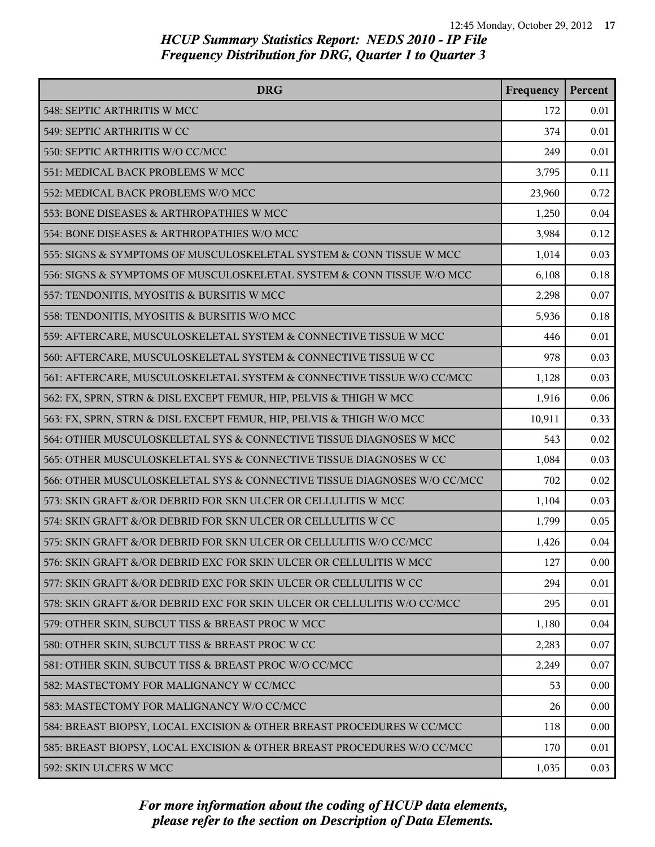| <b>DRG</b>                                                              | Frequency | Percent |
|-------------------------------------------------------------------------|-----------|---------|
| 548: SEPTIC ARTHRITIS W MCC                                             | 172       | 0.01    |
| 549: SEPTIC ARTHRITIS W CC                                              | 374       | 0.01    |
| 550: SEPTIC ARTHRITIS W/O CC/MCC                                        | 249       | 0.01    |
| 551: MEDICAL BACK PROBLEMS W MCC                                        | 3,795     | 0.11    |
| 552: MEDICAL BACK PROBLEMS W/O MCC                                      | 23,960    | 0.72    |
| 553: BONE DISEASES & ARTHROPATHIES W MCC                                | 1,250     | 0.04    |
| 554: BONE DISEASES & ARTHROPATHIES W/O MCC                              | 3,984     | 0.12    |
| 555: SIGNS & SYMPTOMS OF MUSCULOSKELETAL SYSTEM & CONN TISSUE W MCC     | 1,014     | 0.03    |
| 556: SIGNS & SYMPTOMS OF MUSCULOSKELETAL SYSTEM & CONN TISSUE W/O MCC   | 6,108     | 0.18    |
| 557: TENDONITIS, MYOSITIS & BURSITIS W MCC                              | 2,298     | 0.07    |
| 558: TENDONITIS, MYOSITIS & BURSITIS W/O MCC                            | 5,936     | 0.18    |
| 559: AFTERCARE, MUSCULOSKELETAL SYSTEM & CONNECTIVE TISSUE W MCC        | 446       | 0.01    |
| 560: AFTERCARE, MUSCULOSKELETAL SYSTEM & CONNECTIVE TISSUE W CC         | 978       | 0.03    |
| 561: AFTERCARE, MUSCULOSKELETAL SYSTEM & CONNECTIVE TISSUE W/O CC/MCC   | 1,128     | 0.03    |
| 562: FX, SPRN, STRN & DISL EXCEPT FEMUR, HIP, PELVIS & THIGH W MCC      | 1,916     | 0.06    |
| 563: FX, SPRN, STRN & DISL EXCEPT FEMUR, HIP, PELVIS & THIGH W/O MCC    | 10,911    | 0.33    |
| 564: OTHER MUSCULOSKELETAL SYS & CONNECTIVE TISSUE DIAGNOSES W MCC      | 543       | 0.02    |
| 565: OTHER MUSCULOSKELETAL SYS & CONNECTIVE TISSUE DIAGNOSES W CC       | 1,084     | 0.03    |
| 566: OTHER MUSCULOSKELETAL SYS & CONNECTIVE TISSUE DIAGNOSES W/O CC/MCC | 702       | 0.02    |
| 573: SKIN GRAFT &/OR DEBRID FOR SKN ULCER OR CELLULITIS W MCC           | 1,104     | 0.03    |
| 574: SKIN GRAFT &/OR DEBRID FOR SKN ULCER OR CELLULITIS W CC            | 1,799     | 0.05    |
| 575: SKIN GRAFT &/OR DEBRID FOR SKN ULCER OR CELLULITIS W/O CC/MCC      | 1,426     | 0.04    |
| 576: SKIN GRAFT &/OR DEBRID EXC FOR SKIN ULCER OR CELLULITIS W MCC      | 127       | 0.00    |
| 577: SKIN GRAFT &/OR DEBRID EXC FOR SKIN ULCER OR CELLULITIS W CC       | 294       | 0.01    |
| 578: SKIN GRAFT &/OR DEBRID EXC FOR SKIN ULCER OR CELLULITIS W/O CC/MCC | 295       | 0.01    |
| 579: OTHER SKIN, SUBCUT TISS & BREAST PROC W MCC                        | 1,180     | 0.04    |
| 580: OTHER SKIN, SUBCUT TISS & BREAST PROC W CC                         | 2,283     | 0.07    |
| 581: OTHER SKIN, SUBCUT TISS & BREAST PROC W/O CC/MCC                   | 2,249     | 0.07    |
| 582: MASTECTOMY FOR MALIGNANCY W CC/MCC                                 | 53        | 0.00    |
| 583: MASTECTOMY FOR MALIGNANCY W/O CC/MCC                               | 26        | 0.00    |
| 584: BREAST BIOPSY, LOCAL EXCISION & OTHER BREAST PROCEDURES W CC/MCC   | 118       | 0.00    |
| 585: BREAST BIOPSY, LOCAL EXCISION & OTHER BREAST PROCEDURES W/O CC/MCC | 170       | 0.01    |
| 592: SKIN ULCERS W MCC                                                  | 1,035     | 0.03    |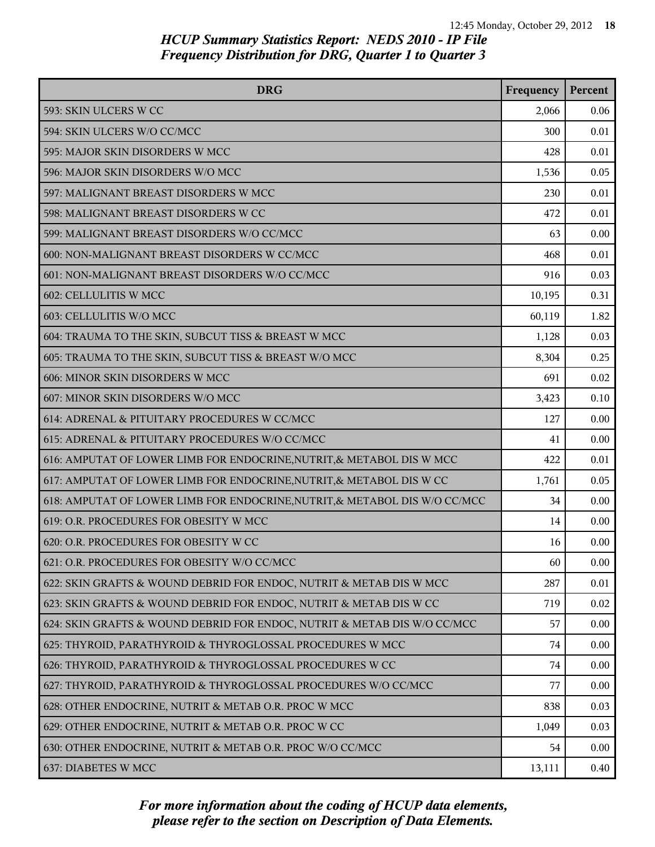| <b>DRG</b>                                                                 | Frequency | Percent |
|----------------------------------------------------------------------------|-----------|---------|
| 593: SKIN ULCERS W CC                                                      | 2,066     | 0.06    |
| 594: SKIN ULCERS W/O CC/MCC                                                | 300       | 0.01    |
| 595: MAJOR SKIN DISORDERS W MCC                                            | 428       | 0.01    |
| 596: MAJOR SKIN DISORDERS W/O MCC                                          | 1,536     | 0.05    |
| 597: MALIGNANT BREAST DISORDERS W MCC                                      | 230       | 0.01    |
| 598: MALIGNANT BREAST DISORDERS W CC                                       | 472       | 0.01    |
| 599: MALIGNANT BREAST DISORDERS W/O CC/MCC                                 | 63        | 0.00    |
| 600: NON-MALIGNANT BREAST DISORDERS W CC/MCC                               | 468       | 0.01    |
| 601: NON-MALIGNANT BREAST DISORDERS W/O CC/MCC                             | 916       | 0.03    |
| 602: CELLULITIS W MCC                                                      | 10,195    | 0.31    |
| 603: CELLULITIS W/O MCC                                                    | 60,119    | 1.82    |
| 604: TRAUMA TO THE SKIN, SUBCUT TISS & BREAST W MCC                        | 1,128     | 0.03    |
| 605: TRAUMA TO THE SKIN, SUBCUT TISS & BREAST W/O MCC                      | 8,304     | 0.25    |
| 606: MINOR SKIN DISORDERS W MCC                                            | 691       | 0.02    |
| 607: MINOR SKIN DISORDERS W/O MCC                                          | 3,423     | 0.10    |
| 614: ADRENAL & PITUITARY PROCEDURES W CC/MCC                               | 127       | 0.00    |
| 615: ADRENAL & PITUITARY PROCEDURES W/O CC/MCC                             | 41        | 0.00    |
| 616: AMPUTAT OF LOWER LIMB FOR ENDOCRINE, NUTRIT, & METABOL DIS W MCC      | 422       | 0.01    |
| 617: AMPUTAT OF LOWER LIMB FOR ENDOCRINE, NUTRIT, & METABOL DIS W CC       | 1,761     | 0.05    |
| 618: AMPUTAT OF LOWER LIMB FOR ENDOCRINE, NUTRIT, & METABOL DIS W/O CC/MCC | 34        | 0.00    |
| 619: O.R. PROCEDURES FOR OBESITY W MCC                                     | 14        | 0.00    |
| 620: O.R. PROCEDURES FOR OBESITY W CC                                      | 16        | 0.00    |
| 621: O.R. PROCEDURES FOR OBESITY W/O CC/MCC                                | 60        | 0.00    |
| 622: SKIN GRAFTS & WOUND DEBRID FOR ENDOC, NUTRIT & METAB DIS W MCC        | 287       | 0.01    |
| 623: SKIN GRAFTS & WOUND DEBRID FOR ENDOC, NUTRIT & METAB DIS W CC         | 719       | 0.02    |
| 624: SKIN GRAFTS & WOUND DEBRID FOR ENDOC, NUTRIT & METAB DIS W/O CC/MCC   | 57        | 0.00    |
| 625: THYROID, PARATHYROID & THYROGLOSSAL PROCEDURES W MCC                  | 74        | 0.00    |
| 626: THYROID, PARATHYROID & THYROGLOSSAL PROCEDURES W CC                   | 74        | 0.00    |
| 627: THYROID, PARATHYROID & THYROGLOSSAL PROCEDURES W/O CC/MCC             | 77        | 0.00    |
| 628: OTHER ENDOCRINE, NUTRIT & METAB O.R. PROC W MCC                       | 838       | 0.03    |
| 629: OTHER ENDOCRINE, NUTRIT & METAB O.R. PROC W CC                        | 1,049     | 0.03    |
| 630: OTHER ENDOCRINE, NUTRIT & METAB O.R. PROC W/O CC/MCC                  | 54        | 0.00    |
| 637: DIABETES W MCC                                                        | 13,111    | 0.40    |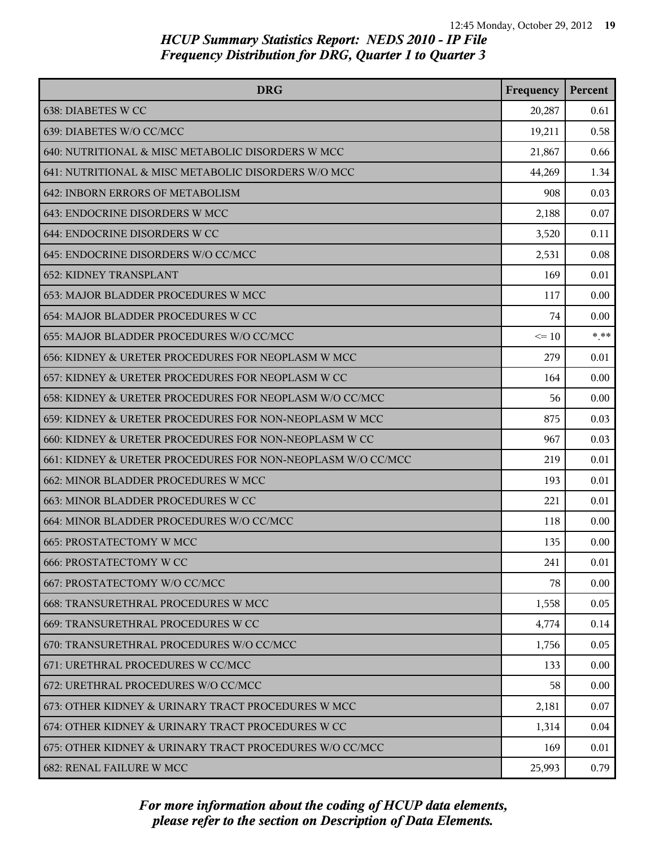| <b>DRG</b>                                                  | Frequency | Percent |
|-------------------------------------------------------------|-----------|---------|
| 638: DIABETES W CC                                          | 20,287    | 0.61    |
| 639: DIABETES W/O CC/MCC                                    | 19,211    | 0.58    |
| 640: NUTRITIONAL & MISC METABOLIC DISORDERS W MCC           | 21,867    | 0.66    |
| 641: NUTRITIONAL & MISC METABOLIC DISORDERS W/O MCC         | 44,269    | 1.34    |
| 642: INBORN ERRORS OF METABOLISM                            | 908       | 0.03    |
| 643: ENDOCRINE DISORDERS W MCC                              | 2,188     | 0.07    |
| 644: ENDOCRINE DISORDERS W CC                               | 3,520     | 0.11    |
| 645: ENDOCRINE DISORDERS W/O CC/MCC                         | 2,531     | 0.08    |
| <b>652: KIDNEY TRANSPLANT</b>                               | 169       | 0.01    |
| 653: MAJOR BLADDER PROCEDURES W MCC                         | 117       | 0.00    |
| 654: MAJOR BLADDER PROCEDURES W CC                          | 74        | 0.00    |
| 655: MAJOR BLADDER PROCEDURES W/O CC/MCC                    | $\leq 10$ | $* * *$ |
| 656: KIDNEY & URETER PROCEDURES FOR NEOPLASM W MCC          | 279       | 0.01    |
| 657: KIDNEY & URETER PROCEDURES FOR NEOPLASM W CC           | 164       | 0.00    |
| 658: KIDNEY & URETER PROCEDURES FOR NEOPLASM W/O CC/MCC     | 56        | 0.00    |
| 659: KIDNEY & URETER PROCEDURES FOR NON-NEOPLASM W MCC      | 875       | 0.03    |
| 660: KIDNEY & URETER PROCEDURES FOR NON-NEOPLASM W CC       | 967       | 0.03    |
| 661: KIDNEY & URETER PROCEDURES FOR NON-NEOPLASM W/O CC/MCC | 219       | 0.01    |
| 662: MINOR BLADDER PROCEDURES W MCC                         | 193       | 0.01    |
| 663: MINOR BLADDER PROCEDURES W CC                          | 221       | 0.01    |
| 664: MINOR BLADDER PROCEDURES W/O CC/MCC                    | 118       | 0.00    |
| 665: PROSTATECTOMY W MCC                                    | 135       | 0.00    |
| <b>666: PROSTATECTOMY W CC</b>                              | 241       | 0.01    |
| 667: PROSTATECTOMY W/O CC/MCC                               | 78        | 0.00    |
| 668: TRANSURETHRAL PROCEDURES W MCC                         | 1,558     | 0.05    |
| 669: TRANSURETHRAL PROCEDURES W CC                          | 4,774     | 0.14    |
| 670: TRANSURETHRAL PROCEDURES W/O CC/MCC                    | 1,756     | 0.05    |
| 671: URETHRAL PROCEDURES W CC/MCC                           | 133       | 0.00    |
| 672: URETHRAL PROCEDURES W/O CC/MCC                         | 58        | 0.00    |
| 673: OTHER KIDNEY & URINARY TRACT PROCEDURES W MCC          | 2,181     | 0.07    |
| 674: OTHER KIDNEY & URINARY TRACT PROCEDURES W CC           | 1,314     | 0.04    |
| 675: OTHER KIDNEY & URINARY TRACT PROCEDURES W/O CC/MCC     | 169       | 0.01    |
| 682: RENAL FAILURE W MCC                                    | 25,993    | 0.79    |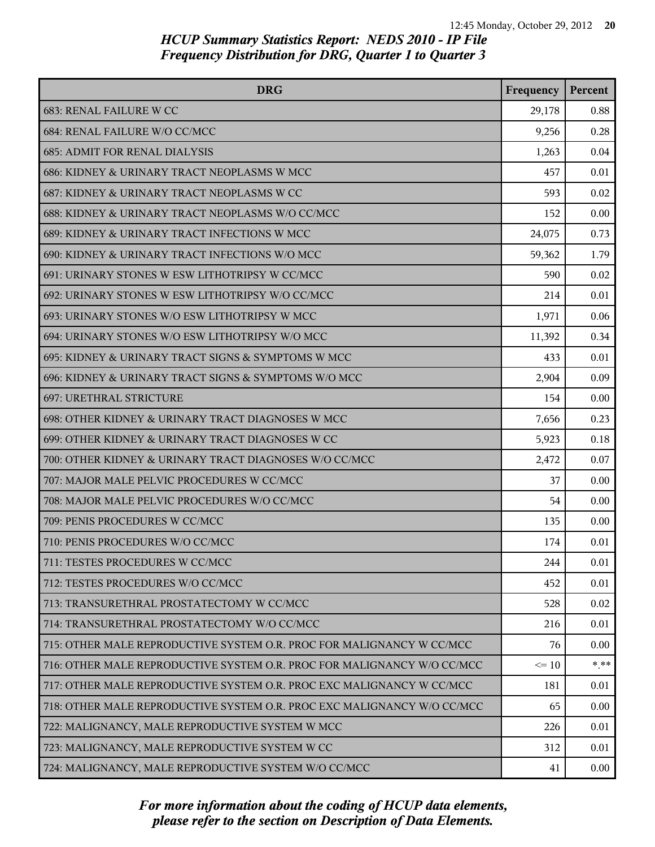| <b>DRG</b>                                                              | Frequency | Percent |
|-------------------------------------------------------------------------|-----------|---------|
| 683: RENAL FAILURE W CC                                                 | 29,178    | 0.88    |
| 684: RENAL FAILURE W/O CC/MCC                                           | 9,256     | 0.28    |
| <b>685: ADMIT FOR RENAL DIALYSIS</b>                                    | 1,263     | 0.04    |
| 686: KIDNEY & URINARY TRACT NEOPLASMS W MCC                             | 457       | 0.01    |
| 687: KIDNEY & URINARY TRACT NEOPLASMS W CC                              | 593       | 0.02    |
| 688: KIDNEY & URINARY TRACT NEOPLASMS W/O CC/MCC                        | 152       | 0.00    |
| 689: KIDNEY & URINARY TRACT INFECTIONS W MCC                            | 24,075    | 0.73    |
| 690: KIDNEY & URINARY TRACT INFECTIONS W/O MCC                          | 59,362    | 1.79    |
| 691: URINARY STONES W ESW LITHOTRIPSY W CC/MCC                          | 590       | 0.02    |
| 692: URINARY STONES W ESW LITHOTRIPSY W/O CC/MCC                        | 214       | 0.01    |
| 693: URINARY STONES W/O ESW LITHOTRIPSY W MCC                           | 1,971     | 0.06    |
| 694: URINARY STONES W/O ESW LITHOTRIPSY W/O MCC                         | 11,392    | 0.34    |
| 695: KIDNEY & URINARY TRACT SIGNS & SYMPTOMS W MCC                      | 433       | 0.01    |
| 696: KIDNEY & URINARY TRACT SIGNS & SYMPTOMS W/O MCC                    | 2,904     | 0.09    |
| <b>697: URETHRAL STRICTURE</b>                                          | 154       | 0.00    |
| 698: OTHER KIDNEY & URINARY TRACT DIAGNOSES W MCC                       | 7,656     | 0.23    |
| 699: OTHER KIDNEY & URINARY TRACT DIAGNOSES W CC                        | 5,923     | 0.18    |
| 700: OTHER KIDNEY & URINARY TRACT DIAGNOSES W/O CC/MCC                  | 2,472     | 0.07    |
| 707: MAJOR MALE PELVIC PROCEDURES W CC/MCC                              | 37        | 0.00    |
| 708: MAJOR MALE PELVIC PROCEDURES W/O CC/MCC                            | 54        | 0.00    |
| 709: PENIS PROCEDURES W CC/MCC                                          | 135       | 0.00    |
| 710: PENIS PROCEDURES W/O CC/MCC                                        | 174       | 0.01    |
| 711: TESTES PROCEDURES W CC/MCC                                         | 244       | 0.01    |
| 712: TESTES PROCEDURES W/O CC/MCC                                       | 452       | 0.01    |
| 713: TRANSURETHRAL PROSTATECTOMY W CC/MCC                               | 528       | 0.02    |
| 714: TRANSURETHRAL PROSTATECTOMY W/O CC/MCC                             | 216       | 0.01    |
| 715: OTHER MALE REPRODUCTIVE SYSTEM O.R. PROC FOR MALIGNANCY W CC/MCC   | 76        | 0.00    |
| 716: OTHER MALE REPRODUCTIVE SYSTEM O.R. PROC FOR MALIGNANCY W/O CC/MCC | $\leq 10$ | $* * *$ |
| 717: OTHER MALE REPRODUCTIVE SYSTEM O.R. PROC EXC MALIGNANCY W CC/MCC   | 181       | 0.01    |
| 718: OTHER MALE REPRODUCTIVE SYSTEM O.R. PROC EXC MALIGNANCY W/O CC/MCC | 65        | 0.00    |
| 722: MALIGNANCY, MALE REPRODUCTIVE SYSTEM W MCC                         | 226       | 0.01    |
| 723: MALIGNANCY, MALE REPRODUCTIVE SYSTEM W CC                          | 312       | 0.01    |
| 724: MALIGNANCY, MALE REPRODUCTIVE SYSTEM W/O CC/MCC                    | 41        | 0.00    |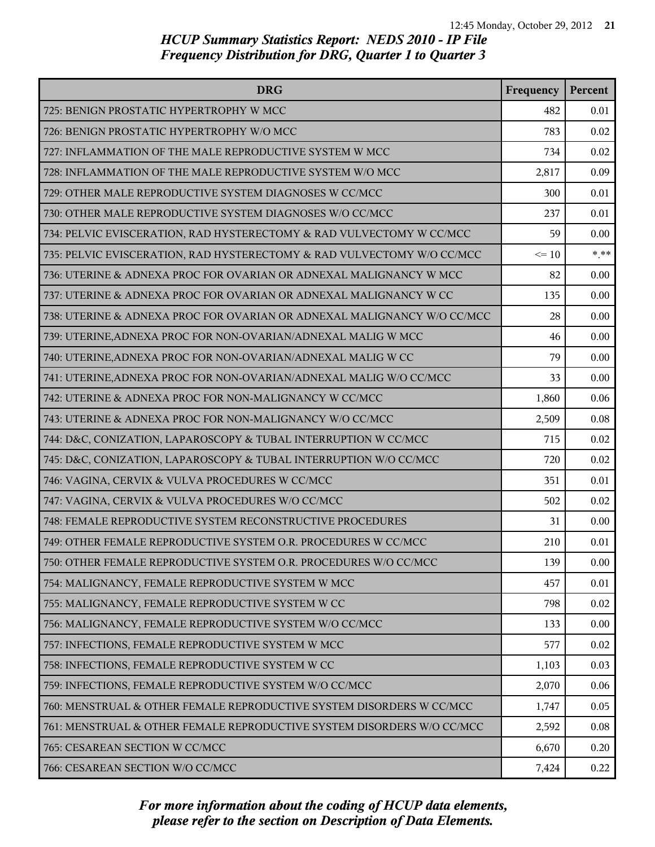| <b>DRG</b>                                                              | Frequency | Percent |
|-------------------------------------------------------------------------|-----------|---------|
| 725: BENIGN PROSTATIC HYPERTROPHY W MCC                                 | 482       | 0.01    |
| 726: BENIGN PROSTATIC HYPERTROPHY W/O MCC                               | 783       | 0.02    |
| 727: INFLAMMATION OF THE MALE REPRODUCTIVE SYSTEM W MCC                 | 734       | 0.02    |
| 728: INFLAMMATION OF THE MALE REPRODUCTIVE SYSTEM W/O MCC               | 2,817     | 0.09    |
| 729: OTHER MALE REPRODUCTIVE SYSTEM DIAGNOSES W CC/MCC                  | 300       | 0.01    |
| 730: OTHER MALE REPRODUCTIVE SYSTEM DIAGNOSES W/O CC/MCC                | 237       | 0.01    |
| 734: PELVIC EVISCERATION, RAD HYSTERECTOMY & RAD VULVECTOMY W CC/MCC    | 59        | 0.00    |
| 735: PELVIC EVISCERATION, RAD HYSTERECTOMY & RAD VULVECTOMY W/O CC/MCC  | $\leq 10$ | $*$ **  |
| 736: UTERINE & ADNEXA PROC FOR OVARIAN OR ADNEXAL MALIGNANCY W MCC      | 82        | 0.00    |
| 737: UTERINE & ADNEXA PROC FOR OVARIAN OR ADNEXAL MALIGNANCY W CC       | 135       | 0.00    |
| 738: UTERINE & ADNEXA PROC FOR OVARIAN OR ADNEXAL MALIGNANCY W/O CC/MCC | 28        | 0.00    |
| 739: UTERINE, ADNEXA PROC FOR NON-OVARIAN/ADNEXAL MALIG W MCC           | 46        | 0.00    |
| 740: UTERINE, ADNEXA PROC FOR NON-OVARIAN/ADNEXAL MALIG W CC            | 79        | 0.00    |
| 741: UTERINE, ADNEXA PROC FOR NON-OVARIAN/ADNEXAL MALIG W/O CC/MCC      | 33        | 0.00    |
| 742: UTERINE & ADNEXA PROC FOR NON-MALIGNANCY W CC/MCC                  | 1,860     | 0.06    |
| 743: UTERINE & ADNEXA PROC FOR NON-MALIGNANCY W/O CC/MCC                | 2,509     | 0.08    |
| 744: D&C, CONIZATION, LAPAROSCOPY & TUBAL INTERRUPTION W CC/MCC         | 715       | 0.02    |
| 745: D&C, CONIZATION, LAPAROSCOPY & TUBAL INTERRUPTION W/O CC/MCC       | 720       | 0.02    |
| 746: VAGINA, CERVIX & VULVA PROCEDURES W CC/MCC                         | 351       | 0.01    |
| 747: VAGINA, CERVIX & VULVA PROCEDURES W/O CC/MCC                       | 502       | 0.02    |
| 748: FEMALE REPRODUCTIVE SYSTEM RECONSTRUCTIVE PROCEDURES               | 31        | 0.00    |
| 749: OTHER FEMALE REPRODUCTIVE SYSTEM O.R. PROCEDURES W CC/MCC          | 210       | 0.01    |
| 750: OTHER FEMALE REPRODUCTIVE SYSTEM O.R. PROCEDURES W/O CC/MCC        | 139       | 0.00    |
| 754: MALIGNANCY, FEMALE REPRODUCTIVE SYSTEM W MCC                       | 457       | 0.01    |
| 755: MALIGNANCY, FEMALE REPRODUCTIVE SYSTEM W CC                        | 798       | 0.02    |
| 756: MALIGNANCY, FEMALE REPRODUCTIVE SYSTEM W/O CC/MCC                  | 133       | 0.00    |
| 757: INFECTIONS, FEMALE REPRODUCTIVE SYSTEM W MCC                       | 577       | 0.02    |
| 758: INFECTIONS, FEMALE REPRODUCTIVE SYSTEM W CC                        | 1,103     | 0.03    |
| 759: INFECTIONS, FEMALE REPRODUCTIVE SYSTEM W/O CC/MCC                  | 2,070     | 0.06    |
| 760: MENSTRUAL & OTHER FEMALE REPRODUCTIVE SYSTEM DISORDERS W CC/MCC    | 1,747     | 0.05    |
| 761: MENSTRUAL & OTHER FEMALE REPRODUCTIVE SYSTEM DISORDERS W/O CC/MCC  | 2,592     | 0.08    |
| 765: CESAREAN SECTION W CC/MCC                                          | 6,670     | 0.20    |
| 766: CESAREAN SECTION W/O CC/MCC                                        | 7,424     | 0.22    |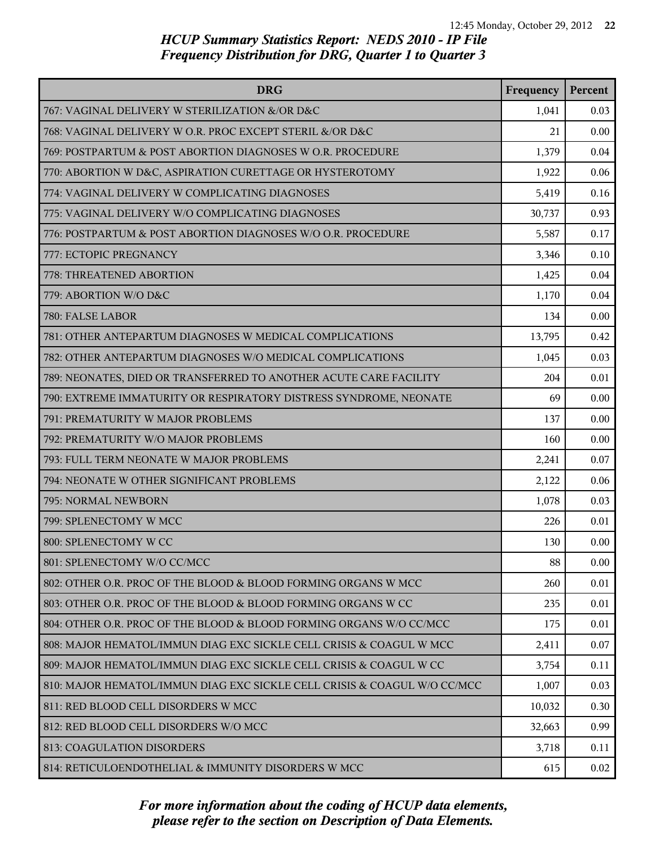| <b>DRG</b>                                                               | Frequency | Percent |
|--------------------------------------------------------------------------|-----------|---------|
| 767: VAGINAL DELIVERY W STERILIZATION &/OR D&C                           | 1,041     | 0.03    |
| 768: VAGINAL DELIVERY W O.R. PROC EXCEPT STERIL &/OR D&C                 | 21        | 0.00    |
| 769: POSTPARTUM & POST ABORTION DIAGNOSES W O.R. PROCEDURE               | 1,379     | 0.04    |
| 770: ABORTION W D&C, ASPIRATION CURETTAGE OR HYSTEROTOMY                 | 1,922     | 0.06    |
| 774: VAGINAL DELIVERY W COMPLICATING DIAGNOSES                           | 5,419     | 0.16    |
| 775: VAGINAL DELIVERY W/O COMPLICATING DIAGNOSES                         | 30,737    | 0.93    |
| 776: POSTPARTUM & POST ABORTION DIAGNOSES W/O O.R. PROCEDURE             | 5,587     | 0.17    |
| 777: ECTOPIC PREGNANCY                                                   | 3,346     | 0.10    |
| 778: THREATENED ABORTION                                                 | 1,425     | 0.04    |
| 779: ABORTION W/O D&C                                                    | 1,170     | 0.04    |
| 780: FALSE LABOR                                                         | 134       | 0.00    |
| 781: OTHER ANTEPARTUM DIAGNOSES W MEDICAL COMPLICATIONS                  | 13,795    | 0.42    |
| 782: OTHER ANTEPARTUM DIAGNOSES W/O MEDICAL COMPLICATIONS                | 1,045     | 0.03    |
| 789: NEONATES, DIED OR TRANSFERRED TO ANOTHER ACUTE CARE FACILITY        | 204       | 0.01    |
| 790: EXTREME IMMATURITY OR RESPIRATORY DISTRESS SYNDROME, NEONATE        | 69        | 0.00    |
| 791: PREMATURITY W MAJOR PROBLEMS                                        | 137       | 0.00    |
| 792: PREMATURITY W/O MAJOR PROBLEMS                                      | 160       | 0.00    |
| 793: FULL TERM NEONATE W MAJOR PROBLEMS                                  | 2,241     | 0.07    |
| 794: NEONATE W OTHER SIGNIFICANT PROBLEMS                                | 2,122     | 0.06    |
| 795: NORMAL NEWBORN                                                      | 1,078     | 0.03    |
| 799: SPLENECTOMY W MCC                                                   | 226       | 0.01    |
| 800: SPLENECTOMY W CC                                                    | 130       | 0.00    |
| 801: SPLENECTOMY W/O CC/MCC                                              | 88        | 0.00    |
| 802: OTHER O.R. PROC OF THE BLOOD & BLOOD FORMING ORGANS W MCC           | 260       | 0.01    |
| 803: OTHER O.R. PROC OF THE BLOOD & BLOOD FORMING ORGANS W CC            | 235       | 0.01    |
| 804: OTHER O.R. PROC OF THE BLOOD & BLOOD FORMING ORGANS W/O CC/MCC      | 175       | 0.01    |
| 808: MAJOR HEMATOL/IMMUN DIAG EXC SICKLE CELL CRISIS & COAGUL W MCC      | 2,411     | 0.07    |
| 809: MAJOR HEMATOL/IMMUN DIAG EXC SICKLE CELL CRISIS & COAGUL W CC       | 3,754     | 0.11    |
| 810: MAJOR HEMATOL/IMMUN DIAG EXC SICKLE CELL CRISIS & COAGUL W/O CC/MCC | 1,007     | 0.03    |
| 811: RED BLOOD CELL DISORDERS W MCC                                      | 10,032    | 0.30    |
| 812: RED BLOOD CELL DISORDERS W/O MCC                                    | 32,663    | 0.99    |
| 813: COAGULATION DISORDERS                                               | 3,718     | 0.11    |
| 814: RETICULOENDOTHELIAL & IMMUNITY DISORDERS W MCC                      | 615       | 0.02    |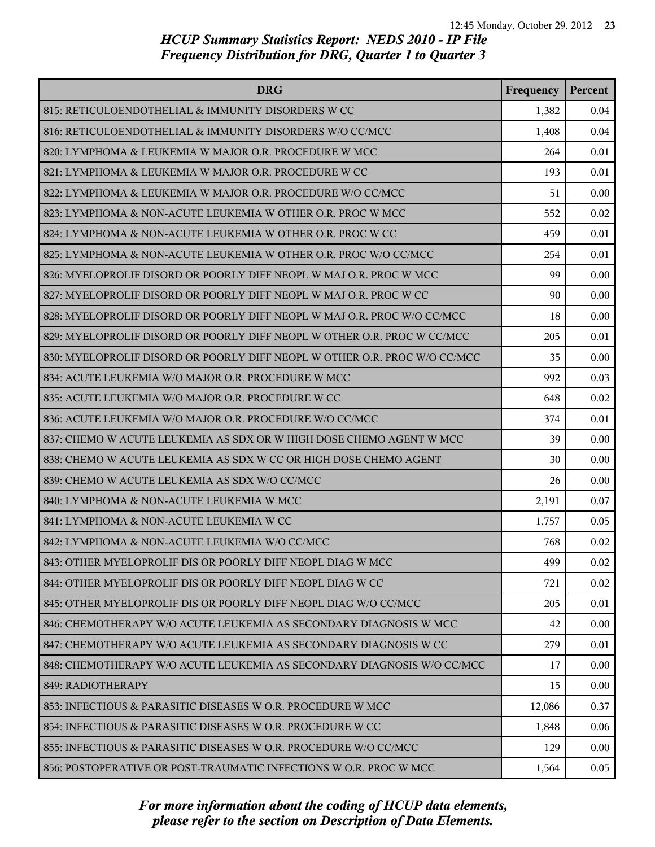| <b>DRG</b>                                                                | Frequency | Percent |
|---------------------------------------------------------------------------|-----------|---------|
| 815: RETICULOENDOTHELIAL & IMMUNITY DISORDERS W CC                        | 1,382     | 0.04    |
| 816: RETICULOENDOTHELIAL & IMMUNITY DISORDERS W/O CC/MCC                  | 1,408     | 0.04    |
| 820: LYMPHOMA & LEUKEMIA W MAJOR O.R. PROCEDURE W MCC                     | 264       | 0.01    |
| 821: LYMPHOMA & LEUKEMIA W MAJOR O.R. PROCEDURE W CC                      | 193       | 0.01    |
| 822: LYMPHOMA & LEUKEMIA W MAJOR O.R. PROCEDURE W/O CC/MCC                | 51        | 0.00    |
| 823: LYMPHOMA & NON-ACUTE LEUKEMIA W OTHER O.R. PROC W MCC                | 552       | 0.02    |
| 824: LYMPHOMA & NON-ACUTE LEUKEMIA W OTHER O.R. PROC W CC                 | 459       | 0.01    |
| 825: LYMPHOMA & NON-ACUTE LEUKEMIA W OTHER O.R. PROC W/O CC/MCC           | 254       | 0.01    |
| 826: MYELOPROLIF DISORD OR POORLY DIFF NEOPL W MAJ O.R. PROC W MCC        | 99        | 0.00    |
| 827: MYELOPROLIF DISORD OR POORLY DIFF NEOPL W MAJ O.R. PROC W CC         | 90        | 0.00    |
| 828: MYELOPROLIF DISORD OR POORLY DIFF NEOPL W MAJ O.R. PROC W/O CC/MCC   | 18        | 0.00    |
| 829: MYELOPROLIF DISORD OR POORLY DIFF NEOPL W OTHER O.R. PROC W CC/MCC   | 205       | 0.01    |
| 830: MYELOPROLIF DISORD OR POORLY DIFF NEOPL W OTHER O.R. PROC W/O CC/MCC | 35        | 0.00    |
| 834: ACUTE LEUKEMIA W/O MAJOR O.R. PROCEDURE W MCC                        | 992       | 0.03    |
| 835: ACUTE LEUKEMIA W/O MAJOR O.R. PROCEDURE W CC                         | 648       | 0.02    |
| 836: ACUTE LEUKEMIA W/O MAJOR O.R. PROCEDURE W/O CC/MCC                   | 374       | 0.01    |
| 837: CHEMO W ACUTE LEUKEMIA AS SDX OR W HIGH DOSE CHEMO AGENT W MCC       | 39        | 0.00    |
| 838: CHEMO W ACUTE LEUKEMIA AS SDX W CC OR HIGH DOSE CHEMO AGENT          | 30        | 0.00    |
| 839: CHEMO W ACUTE LEUKEMIA AS SDX W/O CC/MCC                             | 26        | 0.00    |
| 840: LYMPHOMA & NON-ACUTE LEUKEMIA W MCC                                  | 2,191     | 0.07    |
| 841: LYMPHOMA & NON-ACUTE LEUKEMIA W CC                                   | 1,757     | 0.05    |
| 842: LYMPHOMA & NON-ACUTE LEUKEMIA W/O CC/MCC                             | 768       | 0.02    |
| 843: OTHER MYELOPROLIF DIS OR POORLY DIFF NEOPL DIAG W MCC                | 499       | 0.02    |
| 844: OTHER MYELOPROLIF DIS OR POORLY DIFF NEOPL DIAG W CC                 | 721       | 0.02    |
| 845: OTHER MYELOPROLIF DIS OR POORLY DIFF NEOPL DIAG W/O CC/MCC           | 205       | 0.01    |
| 846: CHEMOTHERAPY W/O ACUTE LEUKEMIA AS SECONDARY DIAGNOSIS W MCC         | 42        | 0.00    |
| 847: CHEMOTHERAPY W/O ACUTE LEUKEMIA AS SECONDARY DIAGNOSIS W CC          | 279       | 0.01    |
| 848: CHEMOTHERAPY W/O ACUTE LEUKEMIA AS SECONDARY DIAGNOSIS W/O CC/MCC    | 17        | 0.00    |
| 849: RADIOTHERAPY                                                         | 15        | 0.00    |
| 853: INFECTIOUS & PARASITIC DISEASES W O.R. PROCEDURE W MCC               | 12,086    | 0.37    |
| 854: INFECTIOUS & PARASITIC DISEASES W O.R. PROCEDURE W CC                | 1,848     | 0.06    |
| 855: INFECTIOUS & PARASITIC DISEASES W O.R. PROCEDURE W/O CC/MCC          | 129       | 0.00    |
| 856: POSTOPERATIVE OR POST-TRAUMATIC INFECTIONS W O.R. PROC W MCC         | 1,564     | 0.05    |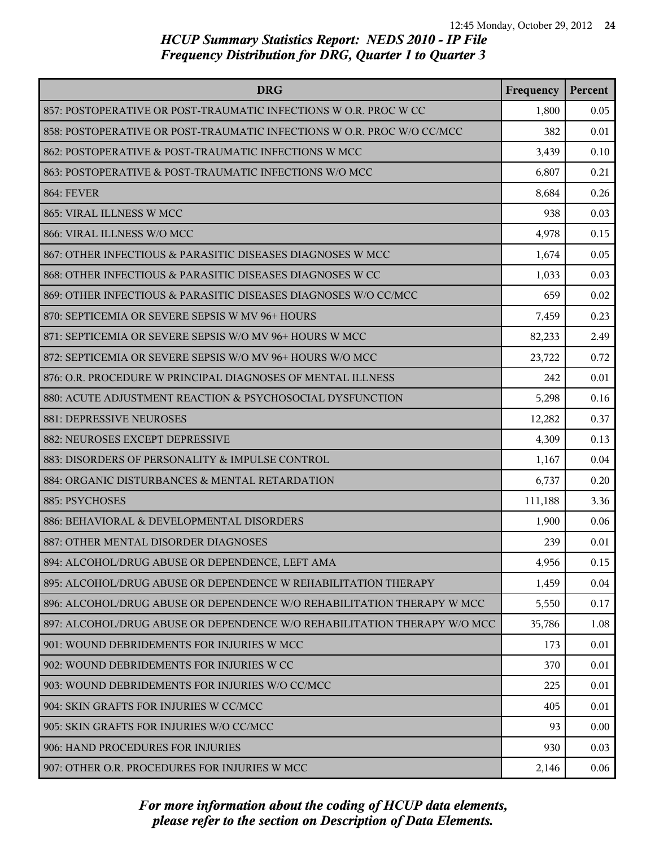| <b>DRG</b>                                                               | Frequency | Percent |
|--------------------------------------------------------------------------|-----------|---------|
| 857: POSTOPERATIVE OR POST-TRAUMATIC INFECTIONS W O.R. PROC W CC         | 1,800     | 0.05    |
| 858: POSTOPERATIVE OR POST-TRAUMATIC INFECTIONS W O.R. PROC W/O CC/MCC   | 382       | 0.01    |
| 862: POSTOPERATIVE & POST-TRAUMATIC INFECTIONS W MCC                     | 3,439     | 0.10    |
| 863: POSTOPERATIVE & POST-TRAUMATIC INFECTIONS W/O MCC                   | 6,807     | 0.21    |
| <b>864: FEVER</b>                                                        | 8,684     | 0.26    |
| 865: VIRAL ILLNESS W MCC                                                 | 938       | 0.03    |
| 866: VIRAL ILLNESS W/O MCC                                               | 4,978     | 0.15    |
| 867: OTHER INFECTIOUS & PARASITIC DISEASES DIAGNOSES W MCC               | 1,674     | 0.05    |
| 868: OTHER INFECTIOUS & PARASITIC DISEASES DIAGNOSES W CC                | 1,033     | 0.03    |
| 869: OTHER INFECTIOUS & PARASITIC DISEASES DIAGNOSES W/O CC/MCC          | 659       | 0.02    |
| 870: SEPTICEMIA OR SEVERE SEPSIS W MV 96+ HOURS                          | 7,459     | 0.23    |
| 871: SEPTICEMIA OR SEVERE SEPSIS W/O MV 96+ HOURS W MCC                  | 82,233    | 2.49    |
| 872: SEPTICEMIA OR SEVERE SEPSIS W/O MV 96+ HOURS W/O MCC                | 23,722    | 0.72    |
| 876: O.R. PROCEDURE W PRINCIPAL DIAGNOSES OF MENTAL ILLNESS              | 242       | 0.01    |
| 880: ACUTE ADJUSTMENT REACTION & PSYCHOSOCIAL DYSFUNCTION                | 5,298     | 0.16    |
| 881: DEPRESSIVE NEUROSES                                                 | 12,282    | 0.37    |
| 882: NEUROSES EXCEPT DEPRESSIVE                                          | 4,309     | 0.13    |
| 883: DISORDERS OF PERSONALITY & IMPULSE CONTROL                          | 1,167     | 0.04    |
| 884: ORGANIC DISTURBANCES & MENTAL RETARDATION                           | 6,737     | 0.20    |
| 885: PSYCHOSES                                                           | 111,188   | 3.36    |
| 886: BEHAVIORAL & DEVELOPMENTAL DISORDERS                                | 1,900     | 0.06    |
| 887: OTHER MENTAL DISORDER DIAGNOSES                                     | 239       | 0.01    |
| 894: ALCOHOL/DRUG ABUSE OR DEPENDENCE, LEFT AMA                          | 4,956     | 0.15    |
| 895: ALCOHOL/DRUG ABUSE OR DEPENDENCE W REHABILITATION THERAPY           | 1,459     | 0.04    |
| 896: ALCOHOL/DRUG ABUSE OR DEPENDENCE W/O REHABILITATION THERAPY W MCC   | 5,550     | 0.17    |
| 897: ALCOHOL/DRUG ABUSE OR DEPENDENCE W/O REHABILITATION THERAPY W/O MCC | 35,786    | 1.08    |
| 901: WOUND DEBRIDEMENTS FOR INJURIES W MCC                               | 173       | 0.01    |
| 902: WOUND DEBRIDEMENTS FOR INJURIES W CC                                | 370       | 0.01    |
| 903: WOUND DEBRIDEMENTS FOR INJURIES W/O CC/MCC                          | 225       | 0.01    |
| 904: SKIN GRAFTS FOR INJURIES W CC/MCC                                   | 405       | 0.01    |
| 905: SKIN GRAFTS FOR INJURIES W/O CC/MCC                                 | 93        | 0.00    |
| 906: HAND PROCEDURES FOR INJURIES                                        | 930       | 0.03    |
| 907: OTHER O.R. PROCEDURES FOR INJURIES W MCC                            | 2,146     | 0.06    |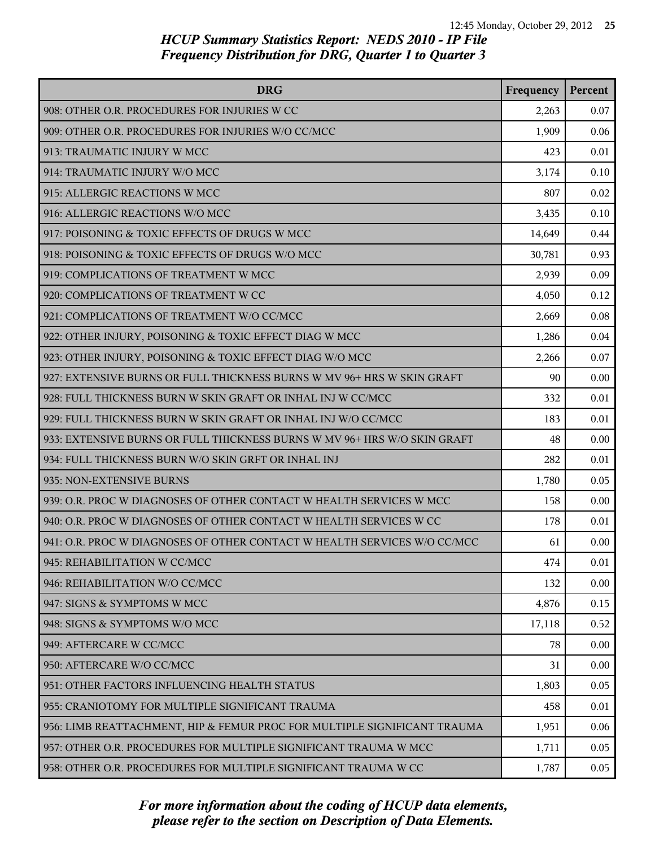| <b>DRG</b>                                                               | Frequency | Percent |
|--------------------------------------------------------------------------|-----------|---------|
| 908: OTHER O.R. PROCEDURES FOR INJURIES W CC                             | 2,263     | 0.07    |
| 909: OTHER O.R. PROCEDURES FOR INJURIES W/O CC/MCC                       | 1,909     | 0.06    |
| 913: TRAUMATIC INJURY W MCC                                              | 423       | 0.01    |
| 914: TRAUMATIC INJURY W/O MCC                                            | 3,174     | 0.10    |
| 915: ALLERGIC REACTIONS W MCC                                            | 807       | 0.02    |
| 916: ALLERGIC REACTIONS W/O MCC                                          | 3,435     | 0.10    |
| 917: POISONING & TOXIC EFFECTS OF DRUGS W MCC                            | 14,649    | 0.44    |
| 918: POISONING & TOXIC EFFECTS OF DRUGS W/O MCC                          | 30,781    | 0.93    |
| 919: COMPLICATIONS OF TREATMENT W MCC                                    | 2,939     | 0.09    |
| 920: COMPLICATIONS OF TREATMENT W CC                                     | 4,050     | 0.12    |
| 921: COMPLICATIONS OF TREATMENT W/O CC/MCC                               | 2,669     | 0.08    |
| 922: OTHER INJURY, POISONING & TOXIC EFFECT DIAG W MCC                   | 1,286     | 0.04    |
| 923: OTHER INJURY, POISONING & TOXIC EFFECT DIAG W/O MCC                 | 2,266     | 0.07    |
| 927: EXTENSIVE BURNS OR FULL THICKNESS BURNS W MV 96+ HRS W SKIN GRAFT   | 90        | 0.00    |
| 928: FULL THICKNESS BURN W SKIN GRAFT OR INHAL INJ W CC/MCC              | 332       | 0.01    |
| 929: FULL THICKNESS BURN W SKIN GRAFT OR INHAL INJ W/O CC/MCC            | 183       | 0.01    |
| 933: EXTENSIVE BURNS OR FULL THICKNESS BURNS W MV 96+ HRS W/O SKIN GRAFT | 48        | 0.00    |
| 934: FULL THICKNESS BURN W/O SKIN GRFT OR INHAL INJ                      | 282       | 0.01    |
| 935: NON-EXTENSIVE BURNS                                                 | 1,780     | 0.05    |
| 939: O.R. PROC W DIAGNOSES OF OTHER CONTACT W HEALTH SERVICES W MCC      | 158       | 0.00    |
| 940: O.R. PROC W DIAGNOSES OF OTHER CONTACT W HEALTH SERVICES W CC       | 178       | 0.01    |
| 941: O.R. PROC W DIAGNOSES OF OTHER CONTACT W HEALTH SERVICES W/O CC/MCC | 61        | 0.00    |
| 945: REHABILITATION W CC/MCC                                             | 474       | 0.01    |
| 946: REHABILITATION W/O CC/MCC                                           | 132       | 0.00    |
| 947: SIGNS & SYMPTOMS W MCC                                              | 4,876     | 0.15    |
| 948: SIGNS & SYMPTOMS W/O MCC                                            | 17,118    | 0.52    |
| 949: AFTERCARE W CC/MCC                                                  | 78        | 0.00    |
| 950: AFTERCARE W/O CC/MCC                                                | 31        | 0.00    |
| 951: OTHER FACTORS INFLUENCING HEALTH STATUS                             | 1,803     | 0.05    |
| 955: CRANIOTOMY FOR MULTIPLE SIGNIFICANT TRAUMA                          | 458       | 0.01    |
| 956: LIMB REATTACHMENT, HIP & FEMUR PROC FOR MULTIPLE SIGNIFICANT TRAUMA | 1,951     | 0.06    |
| 957: OTHER O.R. PROCEDURES FOR MULTIPLE SIGNIFICANT TRAUMA W MCC         | 1,711     | 0.05    |
| 958: OTHER O.R. PROCEDURES FOR MULTIPLE SIGNIFICANT TRAUMA W CC          | 1,787     | 0.05    |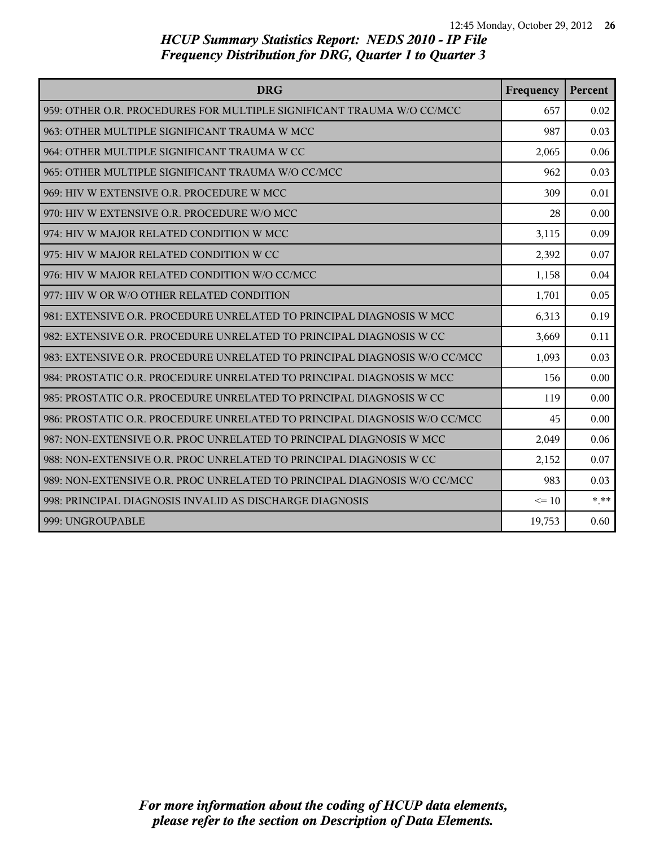| <b>DRG</b>                                                                | Frequency | Percent |
|---------------------------------------------------------------------------|-----------|---------|
| 959: OTHER O.R. PROCEDURES FOR MULTIPLE SIGNIFICANT TRAUMA W/O CC/MCC     | 657       | 0.02    |
| 963: OTHER MULTIPLE SIGNIFICANT TRAUMA W MCC                              | 987       | 0.03    |
| 964: OTHER MULTIPLE SIGNIFICANT TRAUMA W CC                               | 2,065     | 0.06    |
| 965: OTHER MULTIPLE SIGNIFICANT TRAUMA W/O CC/MCC                         | 962       | 0.03    |
| 969: HIV W EXTENSIVE O.R. PROCEDURE W MCC                                 | 309       | 0.01    |
| 970: HIV W EXTENSIVE O.R. PROCEDURE W/O MCC                               | 28        | 0.00    |
| 974: HIV W MAJOR RELATED CONDITION W MCC                                  | 3,115     | 0.09    |
| 975: HIV W MAJOR RELATED CONDITION W CC                                   | 2,392     | 0.07    |
| 976: HIV W MAJOR RELATED CONDITION W/O CC/MCC                             | 1,158     | 0.04    |
| 977: HIV W OR W/O OTHER RELATED CONDITION                                 | 1,701     | 0.05    |
| 981: EXTENSIVE O.R. PROCEDURE UNRELATED TO PRINCIPAL DIAGNOSIS W MCC      | 6,313     | 0.19    |
| 982: EXTENSIVE O.R. PROCEDURE UNRELATED TO PRINCIPAL DIAGNOSIS W CC       | 3,669     | 0.11    |
| 983: EXTENSIVE O.R. PROCEDURE UNRELATED TO PRINCIPAL DIAGNOSIS W/O CC/MCC | 1,093     | 0.03    |
| 984: PROSTATIC O.R. PROCEDURE UNRELATED TO PRINCIPAL DIAGNOSIS W MCC      | 156       | 0.00    |
| 985: PROSTATIC O.R. PROCEDURE UNRELATED TO PRINCIPAL DIAGNOSIS W CC       | 119       | 0.00    |
| 986: PROSTATIC O.R. PROCEDURE UNRELATED TO PRINCIPAL DIAGNOSIS W/O CC/MCC | 45        | 0.00    |
| 987: NON-EXTENSIVE O.R. PROC UNRELATED TO PRINCIPAL DIAGNOSIS W MCC       | 2,049     | 0.06    |
| 988: NON-EXTENSIVE O.R. PROC UNRELATED TO PRINCIPAL DIAGNOSIS W CC        | 2,152     | 0.07    |
| 989: NON-EXTENSIVE O.R. PROC UNRELATED TO PRINCIPAL DIAGNOSIS W/O CC/MCC  | 983       | 0.03    |
| 998: PRINCIPAL DIAGNOSIS INVALID AS DISCHARGE DIAGNOSIS                   | $\leq 10$ | $* * *$ |
| 999: UNGROUPABLE                                                          | 19,753    | 0.60    |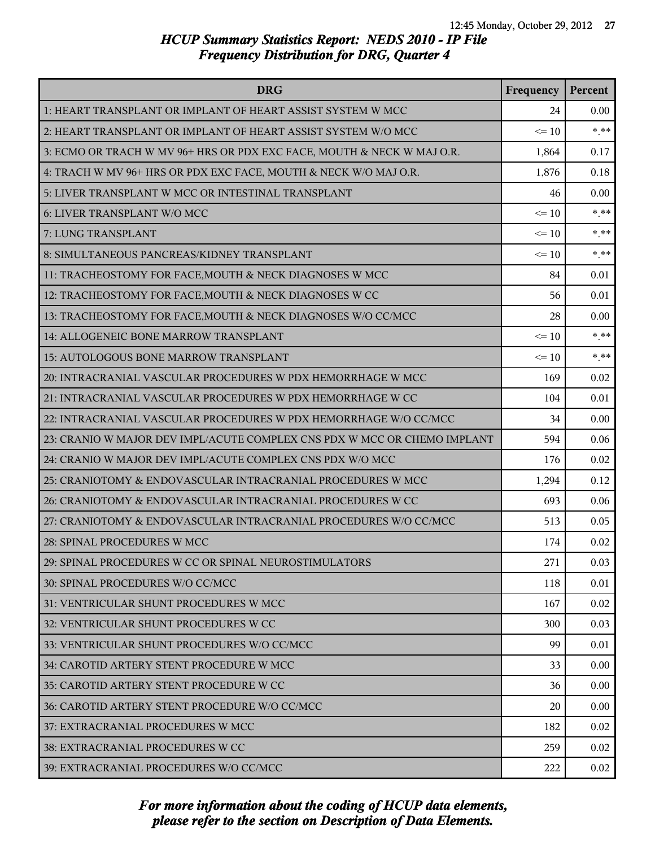| <b>DRG</b>                                                               | Frequency | Percent |
|--------------------------------------------------------------------------|-----------|---------|
| 1: HEART TRANSPLANT OR IMPLANT OF HEART ASSIST SYSTEM W MCC              | 24        | 0.00    |
| 2: HEART TRANSPLANT OR IMPLANT OF HEART ASSIST SYSTEM W/O MCC            | $\leq 10$ | $***$   |
| 3: ECMO OR TRACH W MV 96+ HRS OR PDX EXC FACE, MOUTH & NECK W MAJ O.R.   | 1,864     | 0.17    |
| 4: TRACH W MV 96+ HRS OR PDX EXC FACE, MOUTH & NECK W/O MAJ O.R.         | 1,876     | 0.18    |
| 5: LIVER TRANSPLANT W MCC OR INTESTINAL TRANSPLANT                       | 46        | 0.00    |
| 6: LIVER TRANSPLANT W/O MCC                                              | $\leq 10$ | $*$ **  |
| 7: LUNG TRANSPLANT                                                       | $\leq 10$ | $***$   |
| 8: SIMULTANEOUS PANCREAS/KIDNEY TRANSPLANT                               | $\leq 10$ | $***$   |
| 11: TRACHEOSTOMY FOR FACE, MOUTH & NECK DIAGNOSES W MCC                  | 84        | 0.01    |
| 12: TRACHEOSTOMY FOR FACE, MOUTH & NECK DIAGNOSES W CC                   | 56        | 0.01    |
| 13: TRACHEOSTOMY FOR FACE, MOUTH & NECK DIAGNOSES W/O CC/MCC             | 28        | 0.00    |
| 14: ALLOGENEIC BONE MARROW TRANSPLANT                                    | $\leq 10$ | $***$   |
| 15: AUTOLOGOUS BONE MARROW TRANSPLANT                                    | $\leq 10$ | $***$   |
| 20: INTRACRANIAL VASCULAR PROCEDURES W PDX HEMORRHAGE W MCC              | 169       | 0.02    |
| 21: INTRACRANIAL VASCULAR PROCEDURES W PDX HEMORRHAGE W CC               | 104       | 0.01    |
| 22: INTRACRANIAL VASCULAR PROCEDURES W PDX HEMORRHAGE W/O CC/MCC         | 34        | 0.00    |
| 23: CRANIO W MAJOR DEV IMPL/ACUTE COMPLEX CNS PDX W MCC OR CHEMO IMPLANT | 594       | 0.06    |
| 24: CRANIO W MAJOR DEV IMPL/ACUTE COMPLEX CNS PDX W/O MCC                | 176       | 0.02    |
| 25: CRANIOTOMY & ENDOVASCULAR INTRACRANIAL PROCEDURES W MCC              | 1,294     | 0.12    |
| 26: CRANIOTOMY & ENDOVASCULAR INTRACRANIAL PROCEDURES W CC               | 693       | 0.06    |
| 27: CRANIOTOMY & ENDOVASCULAR INTRACRANIAL PROCEDURES W/O CC/MCC         | 513       | 0.05    |
| 28: SPINAL PROCEDURES W MCC                                              | 174       | 0.02    |
| 29: SPINAL PROCEDURES W CC OR SPINAL NEUROSTIMULATORS                    | 271       | 0.03    |
| 30: SPINAL PROCEDURES W/O CC/MCC                                         | 118       | 0.01    |
| 31: VENTRICULAR SHUNT PROCEDURES W MCC                                   | 167       | 0.02    |
| 32: VENTRICULAR SHUNT PROCEDURES W CC                                    | 300       | 0.03    |
| 33: VENTRICULAR SHUNT PROCEDURES W/O CC/MCC                              | 99        | 0.01    |
| 34: CAROTID ARTERY STENT PROCEDURE W MCC                                 | 33        | 0.00    |
| 35: CAROTID ARTERY STENT PROCEDURE W CC                                  | 36        | 0.00    |
| 36: CAROTID ARTERY STENT PROCEDURE W/O CC/MCC                            | 20        | 0.00    |
| 37: EXTRACRANIAL PROCEDURES W MCC                                        | 182       | 0.02    |
| 38: EXTRACRANIAL PROCEDURES W CC                                         | 259       | 0.02    |
| 39: EXTRACRANIAL PROCEDURES W/O CC/MCC                                   | 222       | 0.02    |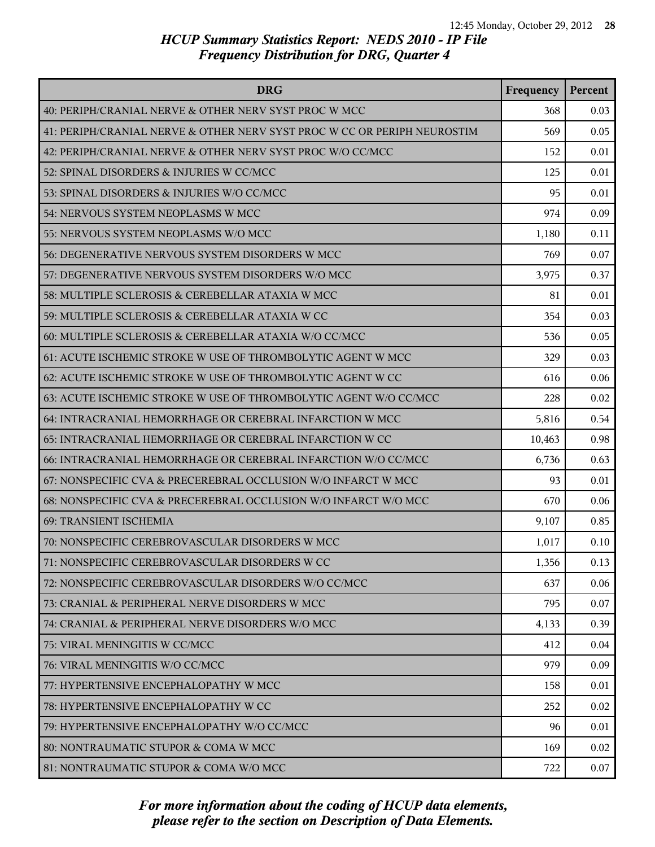| <b>DRG</b>                                                               | Frequency | Percent |
|--------------------------------------------------------------------------|-----------|---------|
| 40: PERIPH/CRANIAL NERVE & OTHER NERV SYST PROC W MCC                    | 368       | 0.03    |
| 41: PERIPH/CRANIAL NERVE & OTHER NERV SYST PROC W CC OR PERIPH NEUROSTIM | 569       | 0.05    |
| 42: PERIPH/CRANIAL NERVE & OTHER NERV SYST PROC W/O CC/MCC               | 152       | 0.01    |
| 52: SPINAL DISORDERS & INJURIES W CC/MCC                                 | 125       | 0.01    |
| 53: SPINAL DISORDERS & INJURIES W/O CC/MCC                               | 95        | 0.01    |
| 54: NERVOUS SYSTEM NEOPLASMS W MCC                                       | 974       | 0.09    |
| 55: NERVOUS SYSTEM NEOPLASMS W/O MCC                                     | 1,180     | 0.11    |
| 56: DEGENERATIVE NERVOUS SYSTEM DISORDERS W MCC                          | 769       | 0.07    |
| 57: DEGENERATIVE NERVOUS SYSTEM DISORDERS W/O MCC                        | 3,975     | 0.37    |
| 58: MULTIPLE SCLEROSIS & CEREBELLAR ATAXIA W MCC                         | 81        | 0.01    |
| 59: MULTIPLE SCLEROSIS & CEREBELLAR ATAXIA W CC                          | 354       | 0.03    |
| 60: MULTIPLE SCLEROSIS & CEREBELLAR ATAXIA W/O CC/MCC                    | 536       | 0.05    |
| 61: ACUTE ISCHEMIC STROKE W USE OF THROMBOLYTIC AGENT W MCC              | 329       | 0.03    |
| 62: ACUTE ISCHEMIC STROKE W USE OF THROMBOLYTIC AGENT W CC               | 616       | 0.06    |
| 63: ACUTE ISCHEMIC STROKE W USE OF THROMBOLYTIC AGENT W/O CC/MCC         | 228       | 0.02    |
| 64: INTRACRANIAL HEMORRHAGE OR CEREBRAL INFARCTION W MCC                 | 5,816     | 0.54    |
| 65: INTRACRANIAL HEMORRHAGE OR CEREBRAL INFARCTION W CC                  | 10,463    | 0.98    |
| 66: INTRACRANIAL HEMORRHAGE OR CEREBRAL INFARCTION W/O CC/MCC            | 6,736     | 0.63    |
| 67: NONSPECIFIC CVA & PRECEREBRAL OCCLUSION W/O INFARCT W MCC            | 93        | 0.01    |
| 68: NONSPECIFIC CVA & PRECEREBRAL OCCLUSION W/O INFARCT W/O MCC          | 670       | 0.06    |
| 69: TRANSIENT ISCHEMIA                                                   | 9,107     | 0.85    |
| 70: NONSPECIFIC CEREBROVASCULAR DISORDERS W MCC                          | 1,017     | 0.10    |
| 71: NONSPECIFIC CEREBROVASCULAR DISORDERS W CC                           | 1,356     | 0.13    |
| 72: NONSPECIFIC CEREBROVASCULAR DISORDERS W/O CC/MCC                     | 637       | 0.06    |
| 73: CRANIAL & PERIPHERAL NERVE DISORDERS W MCC                           | 795       | 0.07    |
| 74: CRANIAL & PERIPHERAL NERVE DISORDERS W/O MCC                         | 4,133     | 0.39    |
| 75: VIRAL MENINGITIS W CC/MCC                                            | 412       | 0.04    |
| 76: VIRAL MENINGITIS W/O CC/MCC                                          | 979       | 0.09    |
| 77: HYPERTENSIVE ENCEPHALOPATHY W MCC                                    | 158       | 0.01    |
| 78: HYPERTENSIVE ENCEPHALOPATHY W CC                                     | 252       | 0.02    |
| 79: HYPERTENSIVE ENCEPHALOPATHY W/O CC/MCC                               | 96        | 0.01    |
| 80: NONTRAUMATIC STUPOR & COMA W MCC                                     | 169       | 0.02    |
| 81: NONTRAUMATIC STUPOR & COMA W/O MCC                                   | 722       | 0.07    |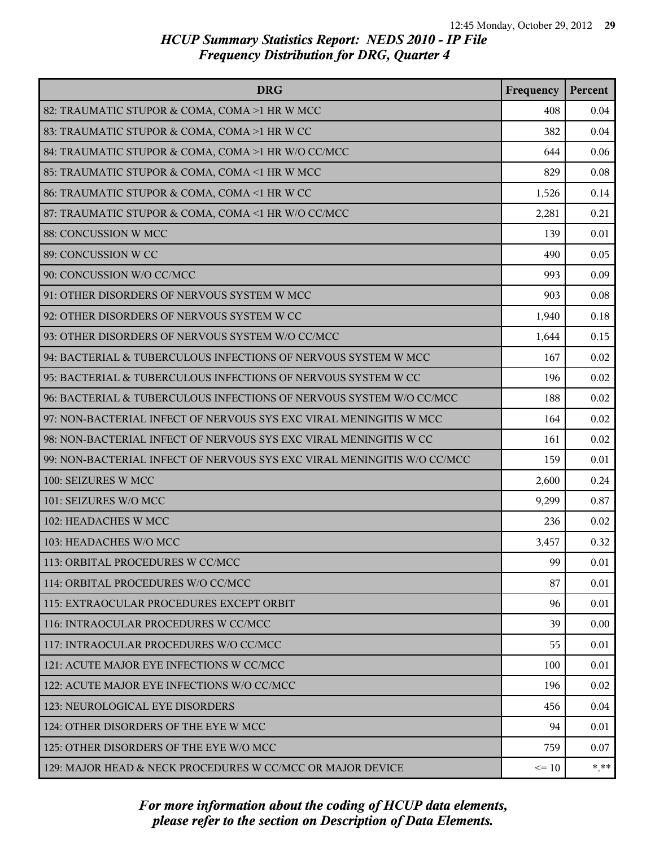| <b>DRG</b>                                                              | Frequency | Percent  |
|-------------------------------------------------------------------------|-----------|----------|
| 82: TRAUMATIC STUPOR & COMA, COMA >1 HR W MCC                           | 408       | 0.04     |
| 83: TRAUMATIC STUPOR & COMA, COMA >1 HR W CC                            | 382       | 0.04     |
| 84: TRAUMATIC STUPOR & COMA, COMA >1 HR W/O CC/MCC                      | 644       | 0.06     |
| 85: TRAUMATIC STUPOR & COMA, COMA <1 HR W MCC                           | 829       | 0.08     |
| 86: TRAUMATIC STUPOR & COMA, COMA <1 HR W CC                            | 1,526     | 0.14     |
| 87: TRAUMATIC STUPOR & COMA, COMA <1 HR W/O CC/MCC                      | 2,281     | 0.21     |
| 88: CONCUSSION W MCC                                                    | 139       | 0.01     |
| 89: CONCUSSION W CC                                                     | 490       | 0.05     |
| 90: CONCUSSION W/O CC/MCC                                               | 993       | 0.09     |
| 91: OTHER DISORDERS OF NERVOUS SYSTEM W MCC                             | 903       | 0.08     |
| 92: OTHER DISORDERS OF NERVOUS SYSTEM W CC                              | 1,940     | 0.18     |
| 93: OTHER DISORDERS OF NERVOUS SYSTEM W/O CC/MCC                        | 1,644     | 0.15     |
| 94: BACTERIAL & TUBERCULOUS INFECTIONS OF NERVOUS SYSTEM W MCC          | 167       | 0.02     |
| 95: BACTERIAL & TUBERCULOUS INFECTIONS OF NERVOUS SYSTEM W CC           | 196       | 0.02     |
| 96: BACTERIAL & TUBERCULOUS INFECTIONS OF NERVOUS SYSTEM W/O CC/MCC     | 188       | 0.02     |
| 97: NON-BACTERIAL INFECT OF NERVOUS SYS EXC VIRAL MENINGITIS W MCC      | 164       | 0.02     |
| 98: NON-BACTERIAL INFECT OF NERVOUS SYS EXC VIRAL MENINGITIS W CC       | 161       | 0.02     |
| 99: NON-BACTERIAL INFECT OF NERVOUS SYS EXC VIRAL MENINGITIS W/O CC/MCC | 159       | 0.01     |
| 100: SEIZURES W MCC                                                     | 2,600     | 0.24     |
| 101: SEIZURES W/O MCC                                                   | 9,299     | 0.87     |
| 102: HEADACHES W MCC                                                    | 236       | 0.02     |
| 103: HEADACHES W/O MCC                                                  | 3,457     | 0.32     |
| 113: ORBITAL PROCEDURES W CC/MCC                                        | 99        | 0.01     |
| 114: ORBITAL PROCEDURES W/O CC/MCC                                      | 87        | 0.01     |
| 115: EXTRAOCULAR PROCEDURES EXCEPT ORBIT                                | 96        | 0.01     |
| 116: INTRAOCULAR PROCEDURES W CC/MCC                                    | 39        | 0.00     |
| 117: INTRAOCULAR PROCEDURES W/O CC/MCC                                  | 55        | $0.01\,$ |
| 121: ACUTE MAJOR EYE INFECTIONS W CC/MCC                                | 100       | 0.01     |
| 122: ACUTE MAJOR EYE INFECTIONS W/O CC/MCC                              | 196       | 0.02     |
| 123: NEUROLOGICAL EYE DISORDERS                                         | 456       | 0.04     |
| 124: OTHER DISORDERS OF THE EYE W MCC                                   | 94        | 0.01     |
| 125: OTHER DISORDERS OF THE EYE W/O MCC                                 | 759       | 0.07     |
| 129: MAJOR HEAD & NECK PROCEDURES W CC/MCC OR MAJOR DEVICE              | $\leq 10$ | $* * *$  |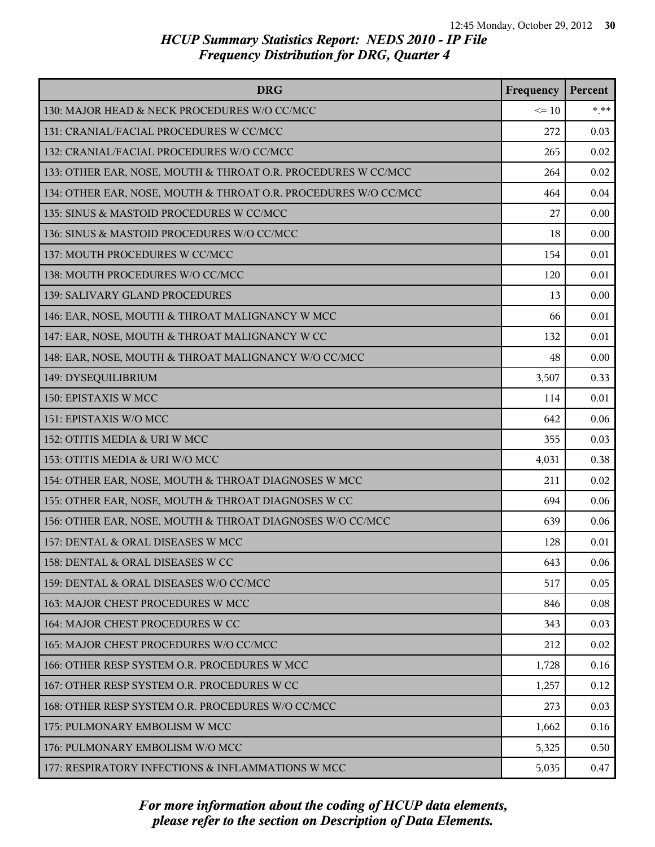| <b>DRG</b>                                                      | Frequency | Percent |
|-----------------------------------------------------------------|-----------|---------|
| 130: MAJOR HEAD & NECK PROCEDURES W/O CC/MCC                    | $\leq 10$ | $* * *$ |
| 131: CRANIAL/FACIAL PROCEDURES W CC/MCC                         | 272       | 0.03    |
| 132: CRANIAL/FACIAL PROCEDURES W/O CC/MCC                       | 265       | 0.02    |
| 133: OTHER EAR, NOSE, MOUTH & THROAT O.R. PROCEDURES W CC/MCC   | 264       | 0.02    |
| 134: OTHER EAR, NOSE, MOUTH & THROAT O.R. PROCEDURES W/O CC/MCC | 464       | 0.04    |
| 135: SINUS & MASTOID PROCEDURES W CC/MCC                        | 27        | 0.00    |
| 136: SINUS & MASTOID PROCEDURES W/O CC/MCC                      | 18        | 0.00    |
| 137: MOUTH PROCEDURES W CC/MCC                                  | 154       | 0.01    |
| 138: MOUTH PROCEDURES W/O CC/MCC                                | 120       | 0.01    |
| 139: SALIVARY GLAND PROCEDURES                                  | 13        | 0.00    |
| 146: EAR, NOSE, MOUTH & THROAT MALIGNANCY W MCC                 | 66        | 0.01    |
| 147: EAR, NOSE, MOUTH & THROAT MALIGNANCY W CC                  | 132       | 0.01    |
| 148: EAR, NOSE, MOUTH & THROAT MALIGNANCY W/O CC/MCC            | 48        | 0.00    |
| 149: DYSEQUILIBRIUM                                             | 3,507     | 0.33    |
| 150: EPISTAXIS W MCC                                            | 114       | 0.01    |
| 151: EPISTAXIS W/O MCC                                          | 642       | 0.06    |
| 152: OTITIS MEDIA & URI W MCC                                   | 355       | 0.03    |
| 153: OTITIS MEDIA & URI W/O MCC                                 | 4,031     | 0.38    |
| 154: OTHER EAR, NOSE, MOUTH & THROAT DIAGNOSES W MCC            | 211       | 0.02    |
| 155: OTHER EAR, NOSE, MOUTH & THROAT DIAGNOSES W CC             | 694       | 0.06    |
| 156: OTHER EAR, NOSE, MOUTH & THROAT DIAGNOSES W/O CC/MCC       | 639       | 0.06    |
| 157: DENTAL & ORAL DISEASES W MCC                               | 128       | 0.01    |
| 158: DENTAL & ORAL DISEASES W CC                                | 643       | 0.06    |
| 159: DENTAL & ORAL DISEASES W/O CC/MCC                          | 517       | 0.05    |
| 163: MAJOR CHEST PROCEDURES W MCC                               | 846       | 0.08    |
| l 164: MAJOR CHEST PROCEDURES W CC                              | 343       | 0.03    |
| 165: MAJOR CHEST PROCEDURES W/O CC/MCC                          | 212       | 0.02    |
| 166: OTHER RESP SYSTEM O.R. PROCEDURES W MCC                    | 1,728     | 0.16    |
| 167: OTHER RESP SYSTEM O.R. PROCEDURES W CC                     | 1,257     | 0.12    |
| 168: OTHER RESP SYSTEM O.R. PROCEDURES W/O CC/MCC               | 273       | 0.03    |
| 175: PULMONARY EMBOLISM W MCC                                   | 1,662     | 0.16    |
| 176: PULMONARY EMBOLISM W/O MCC                                 | 5,325     | 0.50    |
| 177: RESPIRATORY INFECTIONS & INFLAMMATIONS W MCC               | 5,035     | 0.47    |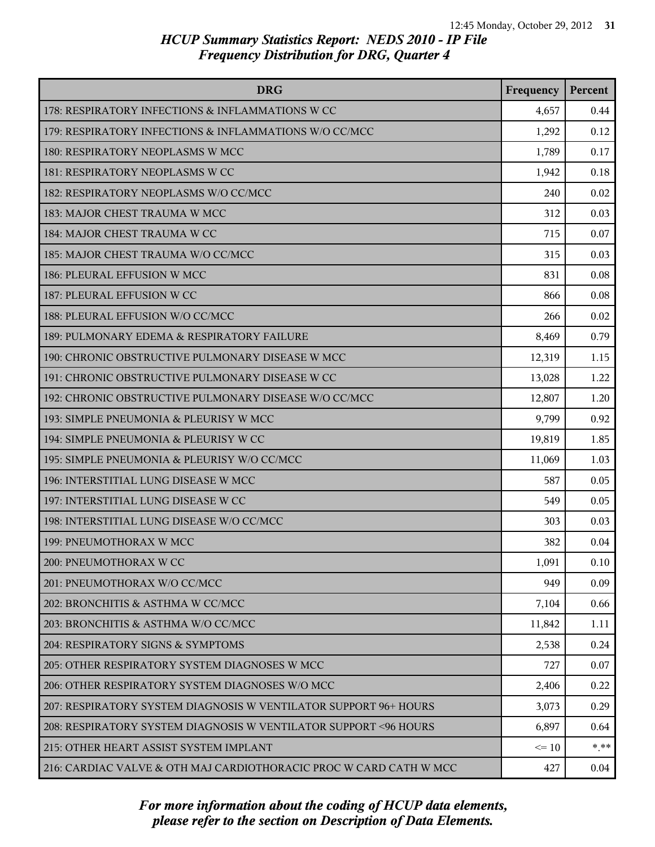| <b>DRG</b>                                                         | Frequency | Percent |
|--------------------------------------------------------------------|-----------|---------|
| 178: RESPIRATORY INFECTIONS & INFLAMMATIONS W CC                   | 4,657     | 0.44    |
| 179: RESPIRATORY INFECTIONS & INFLAMMATIONS W/O CC/MCC             | 1,292     | 0.12    |
| 180: RESPIRATORY NEOPLASMS W MCC                                   | 1,789     | 0.17    |
| 181: RESPIRATORY NEOPLASMS W CC                                    | 1,942     | 0.18    |
| 182: RESPIRATORY NEOPLASMS W/O CC/MCC                              | 240       | 0.02    |
| 183: MAJOR CHEST TRAUMA W MCC                                      | 312       | 0.03    |
| 184: MAJOR CHEST TRAUMA W CC                                       | 715       | 0.07    |
| 185: MAJOR CHEST TRAUMA W/O CC/MCC                                 | 315       | 0.03    |
| 186: PLEURAL EFFUSION W MCC                                        | 831       | 0.08    |
| 187: PLEURAL EFFUSION W CC                                         | 866       | 0.08    |
| 188: PLEURAL EFFUSION W/O CC/MCC                                   | 266       | 0.02    |
| 189: PULMONARY EDEMA & RESPIRATORY FAILURE                         | 8,469     | 0.79    |
| 190: CHRONIC OBSTRUCTIVE PULMONARY DISEASE W MCC                   | 12,319    | 1.15    |
| 191: CHRONIC OBSTRUCTIVE PULMONARY DISEASE W CC                    | 13,028    | 1.22    |
| 192: CHRONIC OBSTRUCTIVE PULMONARY DISEASE W/O CC/MCC              | 12,807    | 1.20    |
| 193: SIMPLE PNEUMONIA & PLEURISY W MCC                             | 9,799     | 0.92    |
| 194: SIMPLE PNEUMONIA & PLEURISY W CC                              | 19,819    | 1.85    |
| 195: SIMPLE PNEUMONIA & PLEURISY W/O CC/MCC                        | 11,069    | 1.03    |
| 196: INTERSTITIAL LUNG DISEASE W MCC                               | 587       | 0.05    |
| 197: INTERSTITIAL LUNG DISEASE W CC                                | 549       | 0.05    |
| 198: INTERSTITIAL LUNG DISEASE W/O CC/MCC                          | 303       | 0.03    |
| 199: PNEUMOTHORAX W MCC                                            | 382       | 0.04    |
| 200: PNEUMOTHORAX W CC                                             | 1,091     | 0.10    |
| 201: PNEUMOTHORAX W/O CC/MCC                                       | 949       | 0.09    |
| 202: BRONCHITIS & ASTHMA W CC/MCC                                  | 7,104     | 0.66    |
| 203: BRONCHITIS & ASTHMA W/O CC/MCC                                | 11,842    | 1.11    |
| 204: RESPIRATORY SIGNS & SYMPTOMS                                  | 2,538     | 0.24    |
| 205: OTHER RESPIRATORY SYSTEM DIAGNOSES W MCC                      | 727       | 0.07    |
| 206: OTHER RESPIRATORY SYSTEM DIAGNOSES W/O MCC                    | 2,406     | 0.22    |
| 207: RESPIRATORY SYSTEM DIAGNOSIS W VENTILATOR SUPPORT 96+ HOURS   | 3,073     | 0.29    |
| 208: RESPIRATORY SYSTEM DIAGNOSIS W VENTILATOR SUPPORT < 96 HOURS  | 6,897     | 0.64    |
| 215: OTHER HEART ASSIST SYSTEM IMPLANT                             | $\leq 10$ | $* * *$ |
| 216: CARDIAC VALVE & OTH MAJ CARDIOTHORACIC PROC W CARD CATH W MCC | 427       | 0.04    |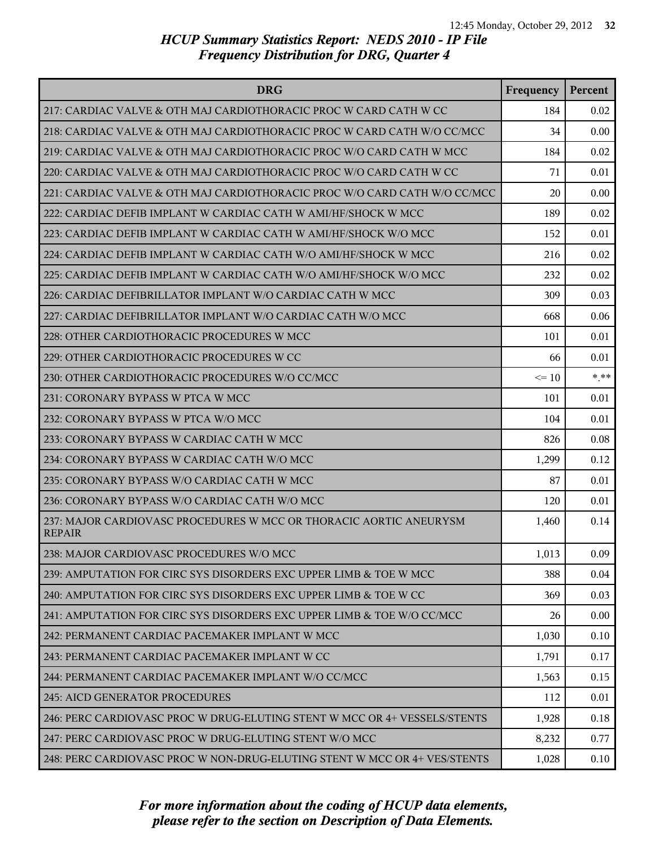| <b>DRG</b>                                                                          | Frequency | Percent |
|-------------------------------------------------------------------------------------|-----------|---------|
| 217: CARDIAC VALVE & OTH MAJ CARDIOTHORACIC PROC W CARD CATH W CC                   | 184       | 0.02    |
| 218: CARDIAC VALVE & OTH MAJ CARDIOTHORACIC PROC W CARD CATH W/O CC/MCC             | 34        | 0.00    |
| 219: CARDIAC VALVE & OTH MAJ CARDIOTHORACIC PROC W/O CARD CATH W MCC                | 184       | 0.02    |
| 220: CARDIAC VALVE & OTH MAJ CARDIOTHORACIC PROC W/O CARD CATH W CC                 | 71        | 0.01    |
| 221: CARDIAC VALVE & OTH MAJ CARDIOTHORACIC PROC W/O CARD CATH W/O CC/MCC           | 20        | 0.00    |
| 222: CARDIAC DEFIB IMPLANT W CARDIAC CATH W AMI/HF/SHOCK W MCC                      | 189       | 0.02    |
| 223: CARDIAC DEFIB IMPLANT W CARDIAC CATH W AMI/HF/SHOCK W/O MCC                    | 152       | 0.01    |
| 224: CARDIAC DEFIB IMPLANT W CARDIAC CATH W/O AMI/HF/SHOCK W MCC                    | 216       | 0.02    |
| 225: CARDIAC DEFIB IMPLANT W CARDIAC CATH W/O AMI/HF/SHOCK W/O MCC                  | 232       | 0.02    |
| 226: CARDIAC DEFIBRILLATOR IMPLANT W/O CARDIAC CATH W MCC                           | 309       | 0.03    |
| 227: CARDIAC DEFIBRILLATOR IMPLANT W/O CARDIAC CATH W/O MCC                         | 668       | 0.06    |
| 228: OTHER CARDIOTHORACIC PROCEDURES W MCC                                          | 101       | 0.01    |
| 229: OTHER CARDIOTHORACIC PROCEDURES W CC                                           | 66        | 0.01    |
| 230: OTHER CARDIOTHORACIC PROCEDURES W/O CC/MCC                                     | $\leq$ 10 | * **    |
| 231: CORONARY BYPASS W PTCA W MCC                                                   | 101       | 0.01    |
| 232: CORONARY BYPASS W PTCA W/O MCC                                                 | 104       | 0.01    |
| 233: CORONARY BYPASS W CARDIAC CATH W MCC                                           | 826       | 0.08    |
| 234: CORONARY BYPASS W CARDIAC CATH W/O MCC                                         | 1,299     | 0.12    |
| 235: CORONARY BYPASS W/O CARDIAC CATH W MCC                                         | 87        | 0.01    |
| 236: CORONARY BYPASS W/O CARDIAC CATH W/O MCC                                       | 120       | 0.01    |
| 237: MAJOR CARDIOVASC PROCEDURES W MCC OR THORACIC AORTIC ANEURYSM<br><b>REPAIR</b> | 1,460     | 0.14    |
| 238: MAJOR CARDIOVASC PROCEDURES W/O MCC                                            | 1,013     | 0.09    |
| 239: AMPUTATION FOR CIRC SYS DISORDERS EXC UPPER LIMB & TOE W MCC                   | 388       | 0.04    |
| 240: AMPUTATION FOR CIRC SYS DISORDERS EXC UPPER LIMB & TOE W CC                    | 369       | 0.03    |
| 241: AMPUTATION FOR CIRC SYS DISORDERS EXC UPPER LIMB & TOE W/O CC/MCC              | 26        | 0.00    |
| 242: PERMANENT CARDIAC PACEMAKER IMPLANT W MCC                                      | 1,030     | 0.10    |
| 243: PERMANENT CARDIAC PACEMAKER IMPLANT W CC                                       | 1,791     | 0.17    |
| 244: PERMANENT CARDIAC PACEMAKER IMPLANT W/O CC/MCC                                 | 1,563     | 0.15    |
| 245: AICD GENERATOR PROCEDURES                                                      | 112       | 0.01    |
| 246: PERC CARDIOVASC PROC W DRUG-ELUTING STENT W MCC OR 4+ VESSELS/STENTS           | 1,928     | 0.18    |
| 247: PERC CARDIOVASC PROC W DRUG-ELUTING STENT W/O MCC                              | 8,232     | 0.77    |
| 248: PERC CARDIOVASC PROC W NON-DRUG-ELUTING STENT W MCC OR 4+ VES/STENTS           | 1,028     | 0.10    |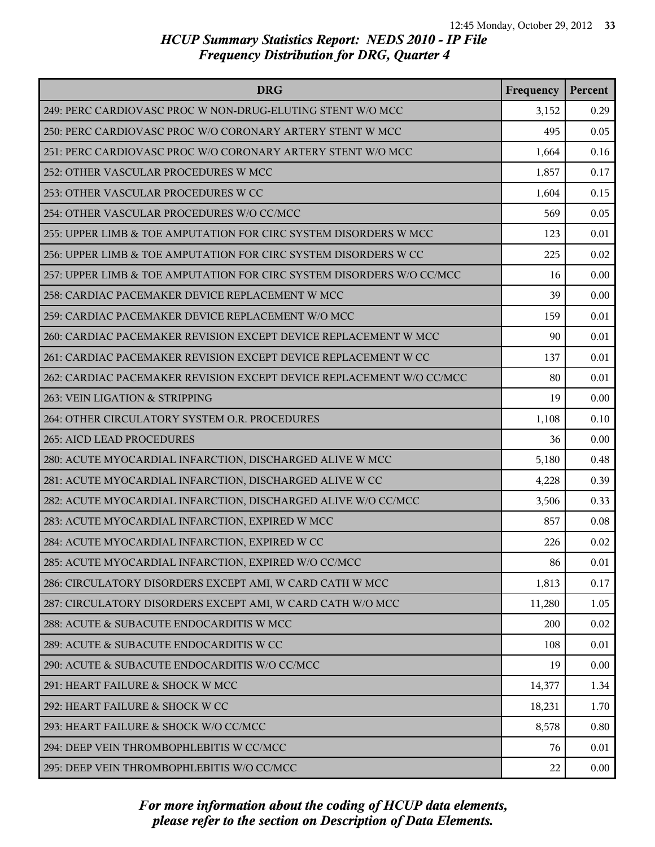| <b>DRG</b>                                                            | Frequency | Percent  |
|-----------------------------------------------------------------------|-----------|----------|
| 249: PERC CARDIOVASC PROC W NON-DRUG-ELUTING STENT W/O MCC            | 3,152     | 0.29     |
| 250: PERC CARDIOVASC PROC W/O CORONARY ARTERY STENT W MCC             | 495       | 0.05     |
| 251: PERC CARDIOVASC PROC W/O CORONARY ARTERY STENT W/O MCC           | 1,664     | 0.16     |
| 252: OTHER VASCULAR PROCEDURES W MCC                                  | 1,857     | 0.17     |
| 253: OTHER VASCULAR PROCEDURES W CC                                   | 1,604     | 0.15     |
| 254: OTHER VASCULAR PROCEDURES W/O CC/MCC                             | 569       | 0.05     |
| 255: UPPER LIMB & TOE AMPUTATION FOR CIRC SYSTEM DISORDERS W MCC      | 123       | 0.01     |
| 256: UPPER LIMB & TOE AMPUTATION FOR CIRC SYSTEM DISORDERS W CC       | 225       | 0.02     |
| 257: UPPER LIMB & TOE AMPUTATION FOR CIRC SYSTEM DISORDERS W/O CC/MCC | 16        | 0.00     |
| 258: CARDIAC PACEMAKER DEVICE REPLACEMENT W MCC                       | 39        | 0.00     |
| 259: CARDIAC PACEMAKER DEVICE REPLACEMENT W/O MCC                     | 159       | 0.01     |
| 260: CARDIAC PACEMAKER REVISION EXCEPT DEVICE REPLACEMENT W MCC       | 90        | 0.01     |
| 261: CARDIAC PACEMAKER REVISION EXCEPT DEVICE REPLACEMENT W CC        | 137       | 0.01     |
| 262: CARDIAC PACEMAKER REVISION EXCEPT DEVICE REPLACEMENT W/O CC/MCC  | 80        | 0.01     |
| 263: VEIN LIGATION & STRIPPING                                        | 19        | 0.00     |
| 264: OTHER CIRCULATORY SYSTEM O.R. PROCEDURES                         | 1,108     | 0.10     |
| 265: AICD LEAD PROCEDURES                                             | 36        | 0.00     |
| 280: ACUTE MYOCARDIAL INFARCTION, DISCHARGED ALIVE W MCC              | 5,180     | 0.48     |
| 281: ACUTE MYOCARDIAL INFARCTION, DISCHARGED ALIVE W CC               | 4,228     | 0.39     |
| 282: ACUTE MYOCARDIAL INFARCTION, DISCHARGED ALIVE W/O CC/MCC         | 3,506     | 0.33     |
| 283: ACUTE MYOCARDIAL INFARCTION, EXPIRED W MCC                       | 857       | 0.08     |
| 284: ACUTE MYOCARDIAL INFARCTION, EXPIRED W CC                        | 226       | 0.02     |
| 285: ACUTE MYOCARDIAL INFARCTION, EXPIRED W/O CC/MCC                  | 86        | 0.01     |
| 286: CIRCULATORY DISORDERS EXCEPT AMI, W CARD CATH W MCC              | 1,813     | 0.17     |
| 287: CIRCULATORY DISORDERS EXCEPT AMI, W CARD CATH W/O MCC            | 11,280    | 1.05     |
| 288: ACUTE & SUBACUTE ENDOCARDITIS W MCC                              | 200       | 0.02     |
| 289: ACUTE & SUBACUTE ENDOCARDITIS W CC                               | 108       | 0.01     |
| 290: ACUTE & SUBACUTE ENDOCARDITIS W/O CC/MCC                         | 19        | 0.00     |
| 291: HEART FAILURE & SHOCK W MCC                                      | 14,377    | 1.34     |
| 292: HEART FAILURE & SHOCK W CC                                       | 18,231    | 1.70     |
| 293: HEART FAILURE & SHOCK W/O CC/MCC                                 | 8,578     | 0.80     |
| 294: DEEP VEIN THROMBOPHLEBITIS W CC/MCC                              | 76        | 0.01     |
| 295: DEEP VEIN THROMBOPHLEBITIS W/O CC/MCC                            | 22        | $0.00\,$ |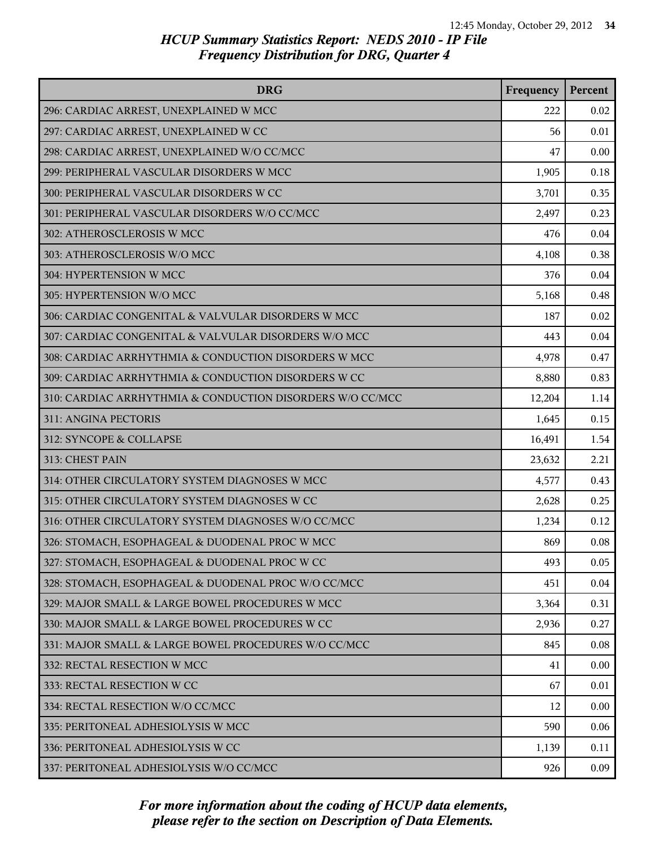| <b>DRG</b>                                                | Frequency | Percent |
|-----------------------------------------------------------|-----------|---------|
| 296: CARDIAC ARREST, UNEXPLAINED W MCC                    | 222       | 0.02    |
| 297: CARDIAC ARREST, UNEXPLAINED W CC                     | 56        | 0.01    |
| 298: CARDIAC ARREST, UNEXPLAINED W/O CC/MCC               | 47        | 0.00    |
| 299: PERIPHERAL VASCULAR DISORDERS W MCC                  | 1,905     | 0.18    |
| 300: PERIPHERAL VASCULAR DISORDERS W CC                   | 3,701     | 0.35    |
| 301: PERIPHERAL VASCULAR DISORDERS W/O CC/MCC             | 2,497     | 0.23    |
| 302: ATHEROSCLEROSIS W MCC                                | 476       | 0.04    |
| 303: ATHEROSCLEROSIS W/O MCC                              | 4,108     | 0.38    |
| 304: HYPERTENSION W MCC                                   | 376       | 0.04    |
| 305: HYPERTENSION W/O MCC                                 | 5,168     | 0.48    |
| 306: CARDIAC CONGENITAL & VALVULAR DISORDERS W MCC        | 187       | 0.02    |
| 307: CARDIAC CONGENITAL & VALVULAR DISORDERS W/O MCC      | 443       | 0.04    |
| 308: CARDIAC ARRHYTHMIA & CONDUCTION DISORDERS W MCC      | 4,978     | 0.47    |
| 309: CARDIAC ARRHYTHMIA & CONDUCTION DISORDERS W CC       | 8,880     | 0.83    |
| 310: CARDIAC ARRHYTHMIA & CONDUCTION DISORDERS W/O CC/MCC | 12,204    | 1.14    |
| 311: ANGINA PECTORIS                                      | 1,645     | 0.15    |
| 312: SYNCOPE & COLLAPSE                                   | 16,491    | 1.54    |
| 313: CHEST PAIN                                           | 23,632    | 2.21    |
| 314: OTHER CIRCULATORY SYSTEM DIAGNOSES W MCC             | 4,577     | 0.43    |
| 315: OTHER CIRCULATORY SYSTEM DIAGNOSES W CC              | 2,628     | 0.25    |
| 316: OTHER CIRCULATORY SYSTEM DIAGNOSES W/O CC/MCC        | 1,234     | 0.12    |
| 326: STOMACH, ESOPHAGEAL & DUODENAL PROC W MCC            | 869       | 0.08    |
| 327: STOMACH, ESOPHAGEAL & DUODENAL PROC W CC             | 493       | 0.05    |
| 328: STOMACH, ESOPHAGEAL & DUODENAL PROC W/O CC/MCC       | 451       | 0.04    |
| 329: MAJOR SMALL & LARGE BOWEL PROCEDURES W MCC           | 3,364     | 0.31    |
| 330: MAJOR SMALL & LARGE BOWEL PROCEDURES W CC            | 2,936     | 0.27    |
| 331: MAJOR SMALL & LARGE BOWEL PROCEDURES W/O CC/MCC      | 845       | 0.08    |
| 332: RECTAL RESECTION W MCC                               | 41        | 0.00    |
| 333: RECTAL RESECTION W CC                                | 67        | 0.01    |
| 334: RECTAL RESECTION W/O CC/MCC                          | 12        | 0.00    |
| 335: PERITONEAL ADHESIOLYSIS W MCC                        | 590       | 0.06    |
| 336: PERITONEAL ADHESIOLYSIS W CC                         | 1,139     | 0.11    |
| 337: PERITONEAL ADHESIOLYSIS W/O CC/MCC                   | 926       | 0.09    |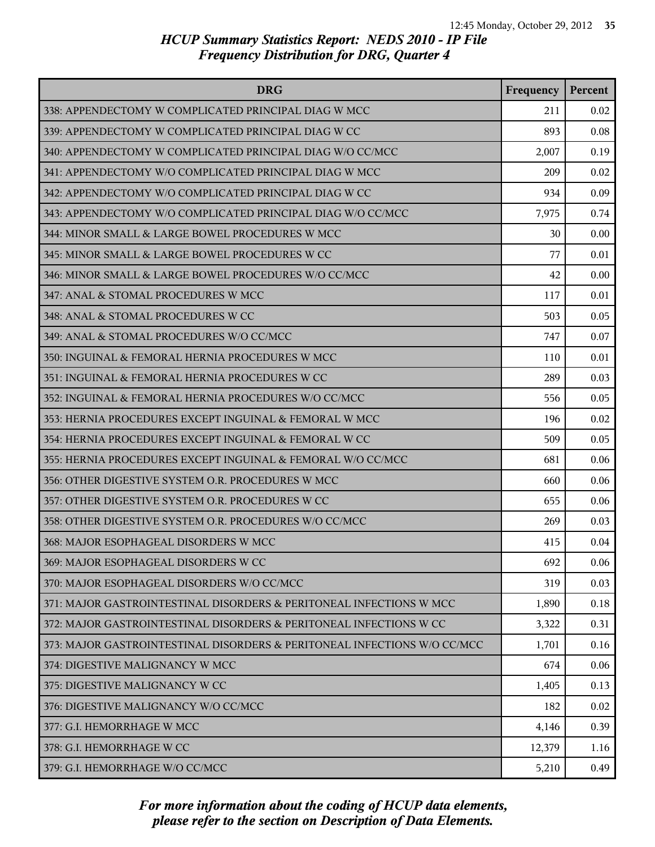| <b>DRG</b>                                                               | Frequency | Percent |
|--------------------------------------------------------------------------|-----------|---------|
| 338: APPENDECTOMY W COMPLICATED PRINCIPAL DIAG W MCC                     | 211       | 0.02    |
| 339: APPENDECTOMY W COMPLICATED PRINCIPAL DIAG W CC                      | 893       | 0.08    |
| 340: APPENDECTOMY W COMPLICATED PRINCIPAL DIAG W/O CC/MCC                | 2,007     | 0.19    |
| 341: APPENDECTOMY W/O COMPLICATED PRINCIPAL DIAG W MCC                   | 209       | 0.02    |
| 342: APPENDECTOMY W/O COMPLICATED PRINCIPAL DIAG W CC                    | 934       | 0.09    |
| 343: APPENDECTOMY W/O COMPLICATED PRINCIPAL DIAG W/O CC/MCC              | 7,975     | 0.74    |
| 344: MINOR SMALL & LARGE BOWEL PROCEDURES W MCC                          | 30        | 0.00    |
| 345: MINOR SMALL & LARGE BOWEL PROCEDURES W CC                           | 77        | 0.01    |
| 346: MINOR SMALL & LARGE BOWEL PROCEDURES W/O CC/MCC                     | 42        | 0.00    |
| 347: ANAL & STOMAL PROCEDURES W MCC                                      | 117       | 0.01    |
| 348: ANAL & STOMAL PROCEDURES W CC                                       | 503       | 0.05    |
| 349: ANAL & STOMAL PROCEDURES W/O CC/MCC                                 | 747       | 0.07    |
| 350: INGUINAL & FEMORAL HERNIA PROCEDURES W MCC                          | 110       | 0.01    |
| 351: INGUINAL & FEMORAL HERNIA PROCEDURES W CC                           | 289       | 0.03    |
| 352: INGUINAL & FEMORAL HERNIA PROCEDURES W/O CC/MCC                     | 556       | 0.05    |
| 353: HERNIA PROCEDURES EXCEPT INGUINAL & FEMORAL W MCC                   | 196       | 0.02    |
| 354: HERNIA PROCEDURES EXCEPT INGUINAL & FEMORAL W CC                    | 509       | 0.05    |
| 355: HERNIA PROCEDURES EXCEPT INGUINAL & FEMORAL W/O CC/MCC              | 681       | 0.06    |
| 356: OTHER DIGESTIVE SYSTEM O.R. PROCEDURES W MCC                        | 660       | 0.06    |
| 357: OTHER DIGESTIVE SYSTEM O.R. PROCEDURES W CC                         | 655       | 0.06    |
| 358: OTHER DIGESTIVE SYSTEM O.R. PROCEDURES W/O CC/MCC                   | 269       | 0.03    |
| 368: MAJOR ESOPHAGEAL DISORDERS W MCC                                    | 415       | 0.04    |
| 369: MAJOR ESOPHAGEAL DISORDERS W CC                                     | 692       | 0.06    |
| 370: MAJOR ESOPHAGEAL DISORDERS W/O CC/MCC                               | 319       | 0.03    |
| 371: MAJOR GASTROINTESTINAL DISORDERS & PERITONEAL INFECTIONS W MCC      | 1,890     | 0.18    |
| 372: MAJOR GASTROINTESTINAL DISORDERS & PERITONEAL INFECTIONS W CC       | 3,322     | 0.31    |
| 373: MAJOR GASTROINTESTINAL DISORDERS & PERITONEAL INFECTIONS W/O CC/MCC | 1,701     | 0.16    |
| 374: DIGESTIVE MALIGNANCY W MCC                                          | 674       | 0.06    |
| 375: DIGESTIVE MALIGNANCY W CC                                           | 1,405     | 0.13    |
| 376: DIGESTIVE MALIGNANCY W/O CC/MCC                                     | 182       | 0.02    |
| 377: G.I. HEMORRHAGE W MCC                                               | 4,146     | 0.39    |
| 378: G.I. HEMORRHAGE W CC                                                | 12,379    | 1.16    |
| 379: G.I. HEMORRHAGE W/O CC/MCC                                          | 5,210     | 0.49    |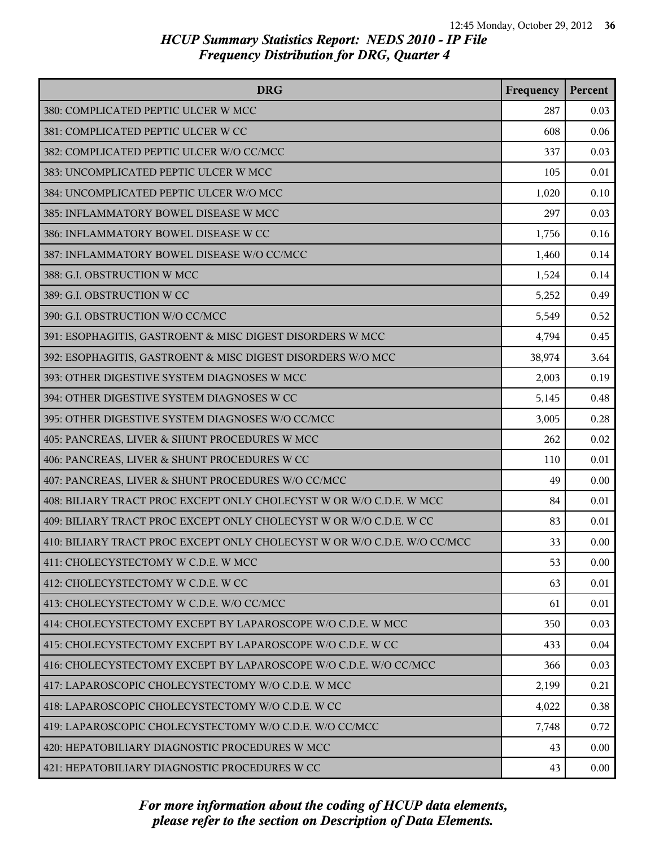| <b>DRG</b>                                                               | Frequency | Percent |
|--------------------------------------------------------------------------|-----------|---------|
| 380: COMPLICATED PEPTIC ULCER W MCC                                      | 287       | 0.03    |
| 381: COMPLICATED PEPTIC ULCER W CC                                       | 608       | 0.06    |
| 382: COMPLICATED PEPTIC ULCER W/O CC/MCC                                 | 337       | 0.03    |
| 383: UNCOMPLICATED PEPTIC ULCER W MCC                                    | 105       | 0.01    |
| 384: UNCOMPLICATED PEPTIC ULCER W/O MCC                                  | 1,020     | 0.10    |
| 385: INFLAMMATORY BOWEL DISEASE W MCC                                    | 297       | 0.03    |
| 386: INFLAMMATORY BOWEL DISEASE W CC                                     | 1,756     | 0.16    |
| 387: INFLAMMATORY BOWEL DISEASE W/O CC/MCC                               | 1,460     | 0.14    |
| 388: G.I. OBSTRUCTION W MCC                                              | 1,524     | 0.14    |
| 389: G.I. OBSTRUCTION W CC                                               | 5,252     | 0.49    |
| 390: G.I. OBSTRUCTION W/O CC/MCC                                         | 5,549     | 0.52    |
| 391: ESOPHAGITIS, GASTROENT & MISC DIGEST DISORDERS W MCC                | 4,794     | 0.45    |
| 392: ESOPHAGITIS, GASTROENT & MISC DIGEST DISORDERS W/O MCC              | 38,974    | 3.64    |
| 393: OTHER DIGESTIVE SYSTEM DIAGNOSES W MCC                              | 2,003     | 0.19    |
| 394: OTHER DIGESTIVE SYSTEM DIAGNOSES W CC                               | 5,145     | 0.48    |
| 395: OTHER DIGESTIVE SYSTEM DIAGNOSES W/O CC/MCC                         | 3,005     | 0.28    |
| 405: PANCREAS, LIVER & SHUNT PROCEDURES W MCC                            | 262       | 0.02    |
| 406: PANCREAS, LIVER & SHUNT PROCEDURES W CC                             | 110       | 0.01    |
| 407: PANCREAS, LIVER & SHUNT PROCEDURES W/O CC/MCC                       | 49        | 0.00    |
| 408: BILIARY TRACT PROC EXCEPT ONLY CHOLECYST W OR W/O C.D.E. W MCC      | 84        | 0.01    |
| 409: BILIARY TRACT PROC EXCEPT ONLY CHOLECYST W OR W/O C.D.E. W CC       | 83        | 0.01    |
| 410: BILIARY TRACT PROC EXCEPT ONLY CHOLECYST W OR W/O C.D.E. W/O CC/MCC | 33        | 0.00    |
| 411: CHOLECYSTECTOMY W C.D.E. W MCC                                      | 53        | 0.00    |
| 412: CHOLECYSTECTOMY W C.D.E. W CC                                       | 63        | 0.01    |
| 413: CHOLECYSTECTOMY W C.D.E. W/O CC/MCC                                 | 61        | 0.01    |
| 414: CHOLECYSTECTOMY EXCEPT BY LAPAROSCOPE W/O C.D.E. W MCC              | 350       | 0.03    |
| 415: CHOLECYSTECTOMY EXCEPT BY LAPAROSCOPE W/O C.D.E. W CC               | 433       | 0.04    |
| 416: CHOLECYSTECTOMY EXCEPT BY LAPAROSCOPE W/O C.D.E. W/O CC/MCC         | 366       | 0.03    |
| 417: LAPAROSCOPIC CHOLECYSTECTOMY W/O C.D.E. W MCC                       | 2,199     | 0.21    |
| 418: LAPAROSCOPIC CHOLECYSTECTOMY W/O C.D.E. W CC                        | 4,022     | 0.38    |
| 419: LAPAROSCOPIC CHOLECYSTECTOMY W/O C.D.E. W/O CC/MCC                  | 7,748     | 0.72    |
| 420: HEPATOBILIARY DIAGNOSTIC PROCEDURES W MCC                           | 43        | 0.00    |
| 421: HEPATOBILIARY DIAGNOSTIC PROCEDURES W CC                            | 43        | 0.00    |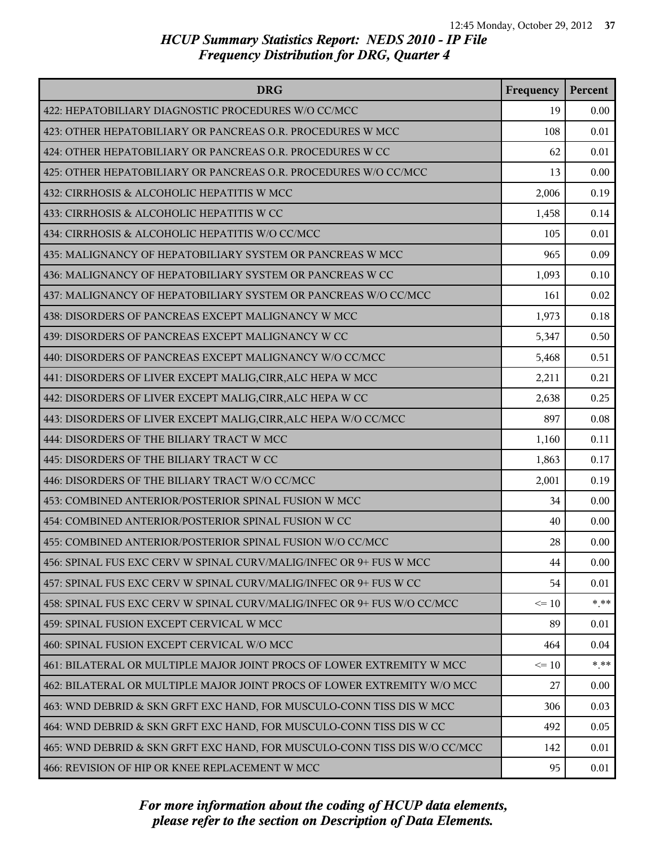| <b>DRG</b>                                                                | Frequency | Percent |
|---------------------------------------------------------------------------|-----------|---------|
| 422: HEPATOBILIARY DIAGNOSTIC PROCEDURES W/O CC/MCC                       | 19        | 0.00    |
| 423: OTHER HEPATOBILIARY OR PANCREAS O.R. PROCEDURES W MCC                | 108       | 0.01    |
| 424: OTHER HEPATOBILIARY OR PANCREAS O.R. PROCEDURES W CC                 | 62        | 0.01    |
| 425: OTHER HEPATOBILIARY OR PANCREAS O.R. PROCEDURES W/O CC/MCC           | 13        | 0.00    |
| 432: CIRRHOSIS & ALCOHOLIC HEPATITIS W MCC                                | 2,006     | 0.19    |
| 433: CIRRHOSIS & ALCOHOLIC HEPATITIS W CC                                 | 1,458     | 0.14    |
| 434: CIRRHOSIS & ALCOHOLIC HEPATITIS W/O CC/MCC                           | 105       | 0.01    |
| 435: MALIGNANCY OF HEPATOBILIARY SYSTEM OR PANCREAS W MCC                 | 965       | 0.09    |
| 436: MALIGNANCY OF HEPATOBILIARY SYSTEM OR PANCREAS W CC                  | 1,093     | 0.10    |
| 437: MALIGNANCY OF HEPATOBILIARY SYSTEM OR PANCREAS W/O CC/MCC            | 161       | 0.02    |
| 438: DISORDERS OF PANCREAS EXCEPT MALIGNANCY W MCC                        | 1,973     | 0.18    |
| 439: DISORDERS OF PANCREAS EXCEPT MALIGNANCY W CC                         | 5,347     | 0.50    |
| 440: DISORDERS OF PANCREAS EXCEPT MALIGNANCY W/O CC/MCC                   | 5,468     | 0.51    |
| 441: DISORDERS OF LIVER EXCEPT MALIG, CIRR, ALC HEPA W MCC                | 2,211     | 0.21    |
| 442: DISORDERS OF LIVER EXCEPT MALIG, CIRR, ALC HEPA W CC                 | 2,638     | 0.25    |
| 443: DISORDERS OF LIVER EXCEPT MALIG, CIRR, ALC HEPA W/O CC/MCC           | 897       | 0.08    |
| 444: DISORDERS OF THE BILIARY TRACT W MCC                                 | 1,160     | 0.11    |
| 445: DISORDERS OF THE BILIARY TRACT W CC                                  | 1,863     | 0.17    |
| 446: DISORDERS OF THE BILIARY TRACT W/O CC/MCC                            | 2,001     | 0.19    |
| 453: COMBINED ANTERIOR/POSTERIOR SPINAL FUSION W MCC                      | 34        | 0.00    |
| 454: COMBINED ANTERIOR/POSTERIOR SPINAL FUSION W CC                       | 40        | 0.00    |
| 455: COMBINED ANTERIOR/POSTERIOR SPINAL FUSION W/O CC/MCC                 | 28        | 0.00    |
| 456: SPINAL FUS EXC CERV W SPINAL CURV/MALIG/INFEC OR 9+ FUS W MCC        | 44        | 0.00    |
| 457: SPINAL FUS EXC CERV W SPINAL CURV/MALIG/INFEC OR 9+ FUS W CC         | 54        | 0.01    |
| 458: SPINAL FUS EXC CERV W SPINAL CURV/MALIG/INFEC OR 9+ FUS W/O CC/MCC   | $\leq 10$ | $***$   |
| 459: SPINAL FUSION EXCEPT CERVICAL W MCC                                  | 89        | 0.01    |
| 460: SPINAL FUSION EXCEPT CERVICAL W/O MCC                                | 464       | 0.04    |
| 461: BILATERAL OR MULTIPLE MAJOR JOINT PROCS OF LOWER EXTREMITY W MCC     | $\leq 10$ | $***$   |
| 462: BILATERAL OR MULTIPLE MAJOR JOINT PROCS OF LOWER EXTREMITY W/O MCC   | 27        | 0.00    |
| 463: WND DEBRID & SKN GRFT EXC HAND, FOR MUSCULO-CONN TISS DIS W MCC      | 306       | 0.03    |
| 464: WND DEBRID & SKN GRFT EXC HAND, FOR MUSCULO-CONN TISS DIS W CC       | 492       | 0.05    |
| 465: WND DEBRID & SKN GRFT EXC HAND, FOR MUSCULO-CONN TISS DIS W/O CC/MCC | 142       | 0.01    |
| 466: REVISION OF HIP OR KNEE REPLACEMENT W MCC                            | 95        | 0.01    |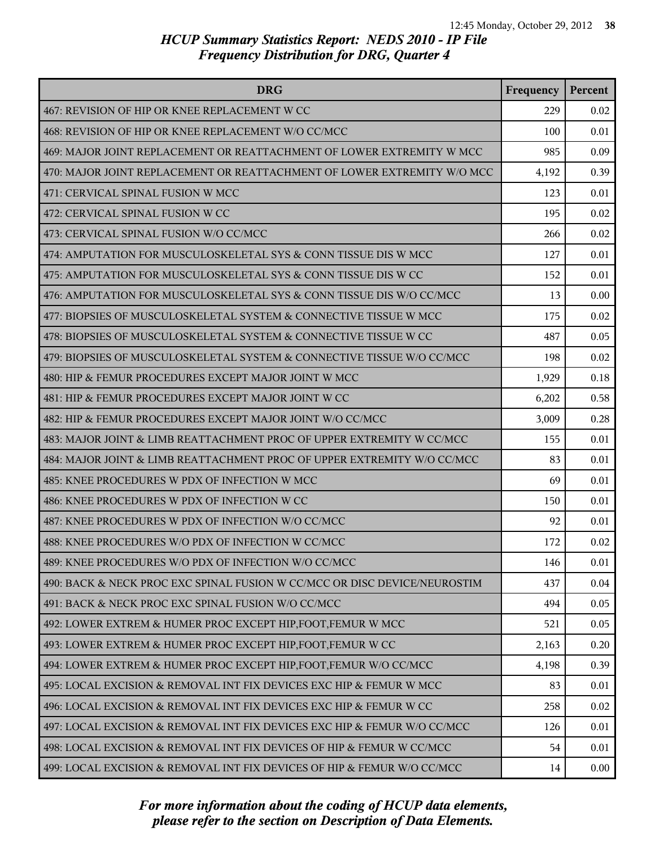| <b>DRG</b>                                                                | Frequency | Percent |
|---------------------------------------------------------------------------|-----------|---------|
| 467: REVISION OF HIP OR KNEE REPLACEMENT W CC                             | 229       | 0.02    |
| 468: REVISION OF HIP OR KNEE REPLACEMENT W/O CC/MCC                       | 100       | 0.01    |
| 469: MAJOR JOINT REPLACEMENT OR REATTACHMENT OF LOWER EXTREMITY W MCC     | 985       | 0.09    |
| 470: MAJOR JOINT REPLACEMENT OR REATTACHMENT OF LOWER EXTREMITY W/O MCC   | 4,192     | 0.39    |
| 471: CERVICAL SPINAL FUSION W MCC                                         | 123       | 0.01    |
| 472: CERVICAL SPINAL FUSION W CC                                          | 195       | 0.02    |
| 473: CERVICAL SPINAL FUSION W/O CC/MCC                                    | 266       | 0.02    |
| 474: AMPUTATION FOR MUSCULOSKELETAL SYS & CONN TISSUE DIS W MCC           | 127       | 0.01    |
| 475: AMPUTATION FOR MUSCULOSKELETAL SYS & CONN TISSUE DIS W CC            | 152       | 0.01    |
| 476: AMPUTATION FOR MUSCULOSKELETAL SYS & CONN TISSUE DIS W/O CC/MCC      | 13        | 0.00    |
| 477: BIOPSIES OF MUSCULOSKELETAL SYSTEM & CONNECTIVE TISSUE W MCC         | 175       | 0.02    |
| 478: BIOPSIES OF MUSCULOSKELETAL SYSTEM & CONNECTIVE TISSUE W CC          | 487       | 0.05    |
| 479: BIOPSIES OF MUSCULOSKELETAL SYSTEM & CONNECTIVE TISSUE W/O CC/MCC    | 198       | 0.02    |
| 480: HIP & FEMUR PROCEDURES EXCEPT MAJOR JOINT W MCC                      | 1,929     | 0.18    |
| 481: HIP & FEMUR PROCEDURES EXCEPT MAJOR JOINT W CC                       | 6,202     | 0.58    |
| 482: HIP & FEMUR PROCEDURES EXCEPT MAJOR JOINT W/O CC/MCC                 | 3,009     | 0.28    |
| 483: MAJOR JOINT & LIMB REATTACHMENT PROC OF UPPER EXTREMITY W CC/MCC     | 155       | 0.01    |
| 484: MAJOR JOINT & LIMB REATTACHMENT PROC OF UPPER EXTREMITY W/O CC/MCC   | 83        | 0.01    |
| 485: KNEE PROCEDURES W PDX OF INFECTION W MCC                             | 69        | 0.01    |
| 486: KNEE PROCEDURES W PDX OF INFECTION W CC                              | 150       | 0.01    |
| 487: KNEE PROCEDURES W PDX OF INFECTION W/O CC/MCC                        | 92        | 0.01    |
| 488: KNEE PROCEDURES W/O PDX OF INFECTION W CC/MCC                        | 172       | 0.02    |
| 489: KNEE PROCEDURES W/O PDX OF INFECTION W/O CC/MCC                      | 146       | 0.01    |
| 490: BACK & NECK PROC EXC SPINAL FUSION W CC/MCC OR DISC DEVICE/NEUROSTIM | 437       | 0.04    |
| 491: BACK & NECK PROC EXC SPINAL FUSION W/O CC/MCC                        | 494       | 0.05    |
| 492: LOWER EXTREM & HUMER PROC EXCEPT HIP, FOOT, FEMUR W MCC              | 521       | 0.05    |
| 493: LOWER EXTREM & HUMER PROC EXCEPT HIP, FOOT, FEMUR W CC               | 2,163     | 0.20    |
| 494: LOWER EXTREM & HUMER PROC EXCEPT HIP, FOOT, FEMUR W/O CC/MCC         | 4,198     | 0.39    |
| 495: LOCAL EXCISION & REMOVAL INT FIX DEVICES EXC HIP & FEMUR W MCC       | 83        | 0.01    |
| 496: LOCAL EXCISION & REMOVAL INT FIX DEVICES EXC HIP & FEMUR W CC        | 258       | 0.02    |
| 497: LOCAL EXCISION & REMOVAL INT FIX DEVICES EXC HIP & FEMUR W/O CC/MCC  | 126       | 0.01    |
| 498: LOCAL EXCISION & REMOVAL INT FIX DEVICES OF HIP & FEMUR W CC/MCC     | 54        | 0.01    |
| 499: LOCAL EXCISION & REMOVAL INT FIX DEVICES OF HIP & FEMUR W/O CC/MCC   | 14        | 0.00    |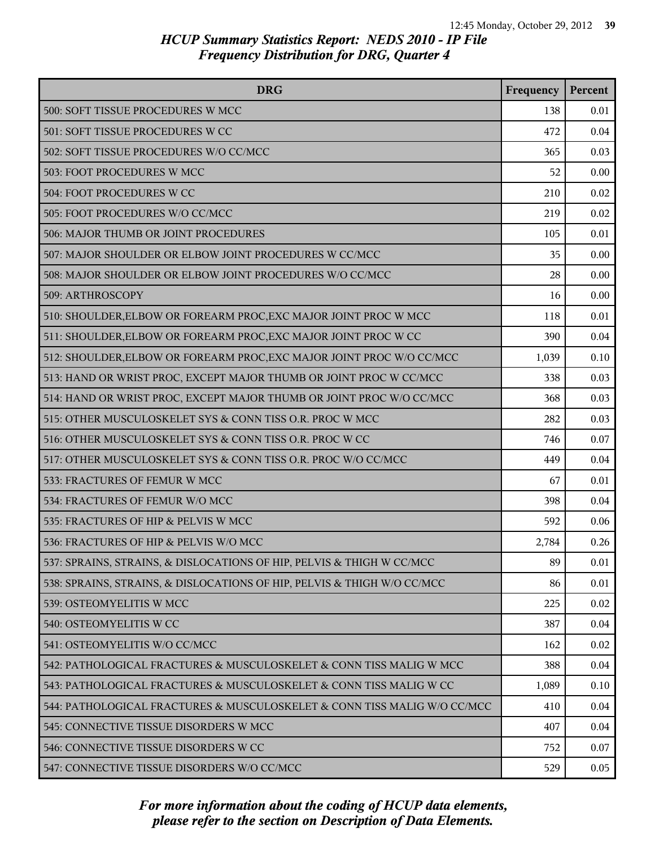| <b>DRG</b>                                                               | Frequency | Percent |
|--------------------------------------------------------------------------|-----------|---------|
| 500: SOFT TISSUE PROCEDURES W MCC                                        | 138       | 0.01    |
| 501: SOFT TISSUE PROCEDURES W CC                                         | 472       | 0.04    |
| 502: SOFT TISSUE PROCEDURES W/O CC/MCC                                   | 365       | 0.03    |
| 503: FOOT PROCEDURES W MCC                                               | 52        | 0.00    |
| 504: FOOT PROCEDURES W CC                                                | 210       | 0.02    |
| 505: FOOT PROCEDURES W/O CC/MCC                                          | 219       | 0.02    |
| 506: MAJOR THUMB OR JOINT PROCEDURES                                     | 105       | 0.01    |
| 507: MAJOR SHOULDER OR ELBOW JOINT PROCEDURES W CC/MCC                   | 35        | 0.00    |
| 508: MAJOR SHOULDER OR ELBOW JOINT PROCEDURES W/O CC/MCC                 | 28        | 0.00    |
| 509: ARTHROSCOPY                                                         | 16        | 0.00    |
| 510: SHOULDER, ELBOW OR FOREARM PROC, EXC MAJOR JOINT PROC W MCC         | 118       | 0.01    |
| 511: SHOULDER, ELBOW OR FOREARM PROC, EXC MAJOR JOINT PROC W CC          | 390       | 0.04    |
| 512: SHOULDER, ELBOW OR FOREARM PROC, EXC MAJOR JOINT PROC W/O CC/MCC    | 1,039     | 0.10    |
| 513: HAND OR WRIST PROC, EXCEPT MAJOR THUMB OR JOINT PROC W CC/MCC       | 338       | 0.03    |
| 514: HAND OR WRIST PROC, EXCEPT MAJOR THUMB OR JOINT PROC W/O CC/MCC     | 368       | 0.03    |
| 515: OTHER MUSCULOSKELET SYS & CONN TISS O.R. PROC W MCC                 | 282       | 0.03    |
| 516: OTHER MUSCULOSKELET SYS & CONN TISS O.R. PROC W CC                  | 746       | 0.07    |
| 517: OTHER MUSCULOSKELET SYS & CONN TISS O.R. PROC W/O CC/MCC            | 449       | 0.04    |
| 533: FRACTURES OF FEMUR W MCC                                            | 67        | 0.01    |
| 534: FRACTURES OF FEMUR W/O MCC                                          | 398       | 0.04    |
| 535: FRACTURES OF HIP & PELVIS W MCC                                     | 592       | 0.06    |
| 536: FRACTURES OF HIP & PELVIS W/O MCC                                   | 2,784     | 0.26    |
| 537: SPRAINS, STRAINS, & DISLOCATIONS OF HIP, PELVIS & THIGH W CC/MCC    | 89        | 0.01    |
| 538: SPRAINS, STRAINS, & DISLOCATIONS OF HIP, PELVIS & THIGH W/O CC/MCC  | 86        | 0.01    |
| 539: OSTEOMYELITIS W MCC                                                 | 225       | 0.02    |
| 540: OSTEOMYELITIS W CC                                                  | 387       | 0.04    |
| 541: OSTEOMYELITIS W/O CC/MCC                                            | 162       | 0.02    |
| 542: PATHOLOGICAL FRACTURES & MUSCULOSKELET & CONN TISS MALIG W MCC      | 388       | 0.04    |
| 543: PATHOLOGICAL FRACTURES & MUSCULOSKELET & CONN TISS MALIG W CC       | 1,089     | 0.10    |
| 544: PATHOLOGICAL FRACTURES & MUSCULOSKELET & CONN TISS MALIG W/O CC/MCC | 410       | 0.04    |
| 545: CONNECTIVE TISSUE DISORDERS W MCC                                   | 407       | 0.04    |
| 546: CONNECTIVE TISSUE DISORDERS W CC                                    | 752       | 0.07    |
| 547: CONNECTIVE TISSUE DISORDERS W/O CC/MCC                              | 529       | 0.05    |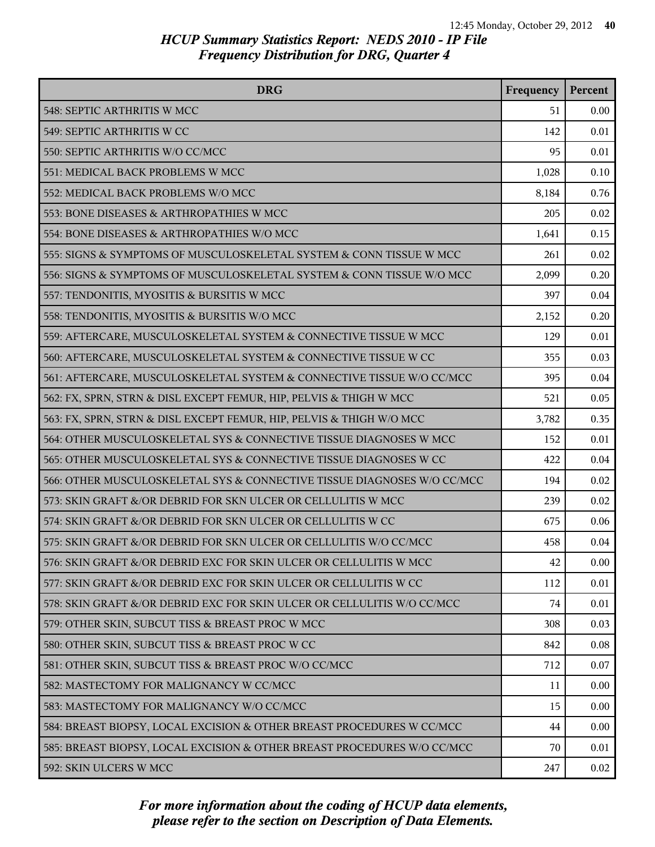| <b>DRG</b>                                                              | Frequency | Percent |
|-------------------------------------------------------------------------|-----------|---------|
| 548: SEPTIC ARTHRITIS W MCC                                             | 51        | 0.00    |
| 549: SEPTIC ARTHRITIS W CC                                              | 142       | 0.01    |
| 550: SEPTIC ARTHRITIS W/O CC/MCC                                        | 95        | 0.01    |
| 551: MEDICAL BACK PROBLEMS W MCC                                        | 1,028     | 0.10    |
| 552: MEDICAL BACK PROBLEMS W/O MCC                                      | 8,184     | 0.76    |
| 553: BONE DISEASES & ARTHROPATHIES W MCC                                | 205       | 0.02    |
| 554: BONE DISEASES & ARTHROPATHIES W/O MCC                              | 1,641     | 0.15    |
| 555: SIGNS & SYMPTOMS OF MUSCULOSKELETAL SYSTEM & CONN TISSUE W MCC     | 261       | 0.02    |
| 556: SIGNS & SYMPTOMS OF MUSCULOSKELETAL SYSTEM & CONN TISSUE W/O MCC   | 2,099     | 0.20    |
| 557: TENDONITIS, MYOSITIS & BURSITIS W MCC                              | 397       | 0.04    |
| 558: TENDONITIS, MYOSITIS & BURSITIS W/O MCC                            | 2,152     | 0.20    |
| 559: AFTERCARE, MUSCULOSKELETAL SYSTEM & CONNECTIVE TISSUE W MCC        | 129       | 0.01    |
| 560: AFTERCARE, MUSCULOSKELETAL SYSTEM & CONNECTIVE TISSUE W CC         | 355       | 0.03    |
| 561: AFTERCARE, MUSCULOSKELETAL SYSTEM & CONNECTIVE TISSUE W/O CC/MCC   | 395       | 0.04    |
| 562: FX, SPRN, STRN & DISL EXCEPT FEMUR, HIP, PELVIS & THIGH W MCC      | 521       | 0.05    |
| 563: FX, SPRN, STRN & DISL EXCEPT FEMUR, HIP, PELVIS & THIGH W/O MCC    | 3,782     | 0.35    |
| 564: OTHER MUSCULOSKELETAL SYS & CONNECTIVE TISSUE DIAGNOSES W MCC      | 152       | 0.01    |
| 565: OTHER MUSCULOSKELETAL SYS & CONNECTIVE TISSUE DIAGNOSES W CC       | 422       | 0.04    |
| 566: OTHER MUSCULOSKELETAL SYS & CONNECTIVE TISSUE DIAGNOSES W/O CC/MCC | 194       | 0.02    |
| 573: SKIN GRAFT &/OR DEBRID FOR SKN ULCER OR CELLULITIS W MCC           | 239       | 0.02    |
| 574: SKIN GRAFT &/OR DEBRID FOR SKN ULCER OR CELLULITIS W CC            | 675       | 0.06    |
| 575: SKIN GRAFT &/OR DEBRID FOR SKN ULCER OR CELLULITIS W/O CC/MCC      | 458       | 0.04    |
| 576: SKIN GRAFT &/OR DEBRID EXC FOR SKIN ULCER OR CELLULITIS W MCC      | 42        | 0.00    |
| 577: SKIN GRAFT &/OR DEBRID EXC FOR SKIN ULCER OR CELLULITIS W CC       | 112       | 0.01    |
| 578: SKIN GRAFT &/OR DEBRID EXC FOR SKIN ULCER OR CELLULITIS W/O CC/MCC | 74        | 0.01    |
| 579: OTHER SKIN, SUBCUT TISS & BREAST PROC W MCC                        | 308       | 0.03    |
| 580: OTHER SKIN, SUBCUT TISS & BREAST PROC W CC                         | 842       | 0.08    |
| 581: OTHER SKIN, SUBCUT TISS & BREAST PROC W/O CC/MCC                   | 712       | 0.07    |
| 582: MASTECTOMY FOR MALIGNANCY W CC/MCC                                 | 11        | 0.00    |
| 583: MASTECTOMY FOR MALIGNANCY W/O CC/MCC                               | 15        | 0.00    |
| 584: BREAST BIOPSY, LOCAL EXCISION & OTHER BREAST PROCEDURES W CC/MCC   | 44        | 0.00    |
| 585: BREAST BIOPSY, LOCAL EXCISION & OTHER BREAST PROCEDURES W/O CC/MCC | 70        | 0.01    |
| 592: SKIN ULCERS W MCC                                                  | 247       | 0.02    |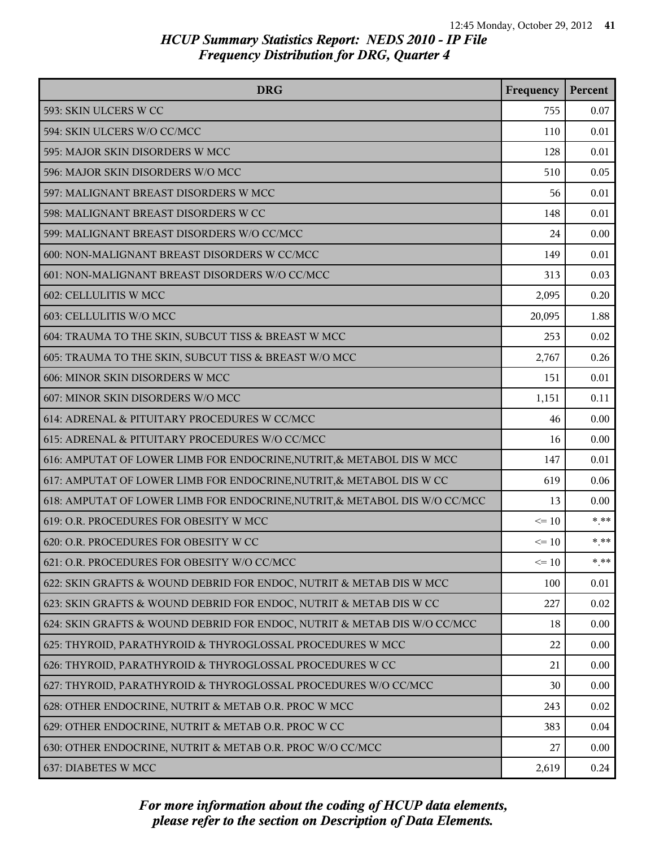| <b>DRG</b>                                                                 | Frequency | Percent |
|----------------------------------------------------------------------------|-----------|---------|
| 593: SKIN ULCERS W CC                                                      | 755       | 0.07    |
| 594: SKIN ULCERS W/O CC/MCC                                                | 110       | 0.01    |
| 595: MAJOR SKIN DISORDERS W MCC                                            | 128       | 0.01    |
| 596: MAJOR SKIN DISORDERS W/O MCC                                          | 510       | 0.05    |
| 597: MALIGNANT BREAST DISORDERS W MCC                                      | 56        | 0.01    |
| 598: MALIGNANT BREAST DISORDERS W CC                                       | 148       | 0.01    |
| 599: MALIGNANT BREAST DISORDERS W/O CC/MCC                                 | 24        | 0.00    |
| 600: NON-MALIGNANT BREAST DISORDERS W CC/MCC                               | 149       | 0.01    |
| 601: NON-MALIGNANT BREAST DISORDERS W/O CC/MCC                             | 313       | 0.03    |
| 602: CELLULITIS W MCC                                                      | 2,095     | 0.20    |
| 603: CELLULITIS W/O MCC                                                    | 20,095    | 1.88    |
| 604: TRAUMA TO THE SKIN, SUBCUT TISS & BREAST W MCC                        | 253       | 0.02    |
| 605: TRAUMA TO THE SKIN, SUBCUT TISS & BREAST W/O MCC                      | 2,767     | 0.26    |
| 606: MINOR SKIN DISORDERS W MCC                                            | 151       | 0.01    |
| 607: MINOR SKIN DISORDERS W/O MCC                                          | 1,151     | 0.11    |
| 614: ADRENAL & PITUITARY PROCEDURES W CC/MCC                               | 46        | 0.00    |
| 615: ADRENAL & PITUITARY PROCEDURES W/O CC/MCC                             | 16        | 0.00    |
| 616: AMPUTAT OF LOWER LIMB FOR ENDOCRINE, NUTRIT, & METABOL DIS W MCC      | 147       | 0.01    |
| 617: AMPUTAT OF LOWER LIMB FOR ENDOCRINE, NUTRIT, & METABOL DIS W CC       | 619       | 0.06    |
| 618: AMPUTAT OF LOWER LIMB FOR ENDOCRINE, NUTRIT, & METABOL DIS W/O CC/MCC | 13        | 0.00    |
| 619: O.R. PROCEDURES FOR OBESITY W MCC                                     | $\leq 10$ | $* * *$ |
| 620: O.R. PROCEDURES FOR OBESITY W CC                                      | $\leq 10$ | $***$   |
| 621: O.R. PROCEDURES FOR OBESITY W/O CC/MCC                                | $\leq 10$ | * **    |
| 622: SKIN GRAFTS & WOUND DEBRID FOR ENDOC, NUTRIT & METAB DIS W MCC        | 100       | 0.01    |
| 623: SKIN GRAFTS & WOUND DEBRID FOR ENDOC, NUTRIT & METAB DIS W CC         | 227       | 0.02    |
| 624: SKIN GRAFTS & WOUND DEBRID FOR ENDOC, NUTRIT & METAB DIS W/O CC/MCC   | 18        | 0.00    |
| 625: THYROID, PARATHYROID & THYROGLOSSAL PROCEDURES W MCC                  | 22        | 0.00    |
| 626: THYROID, PARATHYROID & THYROGLOSSAL PROCEDURES W CC                   | 21        | 0.00    |
| 627: THYROID, PARATHYROID & THYROGLOSSAL PROCEDURES W/O CC/MCC             | 30        | 0.00    |
| 628: OTHER ENDOCRINE, NUTRIT & METAB O.R. PROC W MCC                       | 243       | 0.02    |
| 629: OTHER ENDOCRINE, NUTRIT & METAB O.R. PROC W CC                        | 383       | 0.04    |
| 630: OTHER ENDOCRINE, NUTRIT & METAB O.R. PROC W/O CC/MCC                  | 27        | 0.00    |
| 637: DIABETES W MCC                                                        | 2,619     | 0.24    |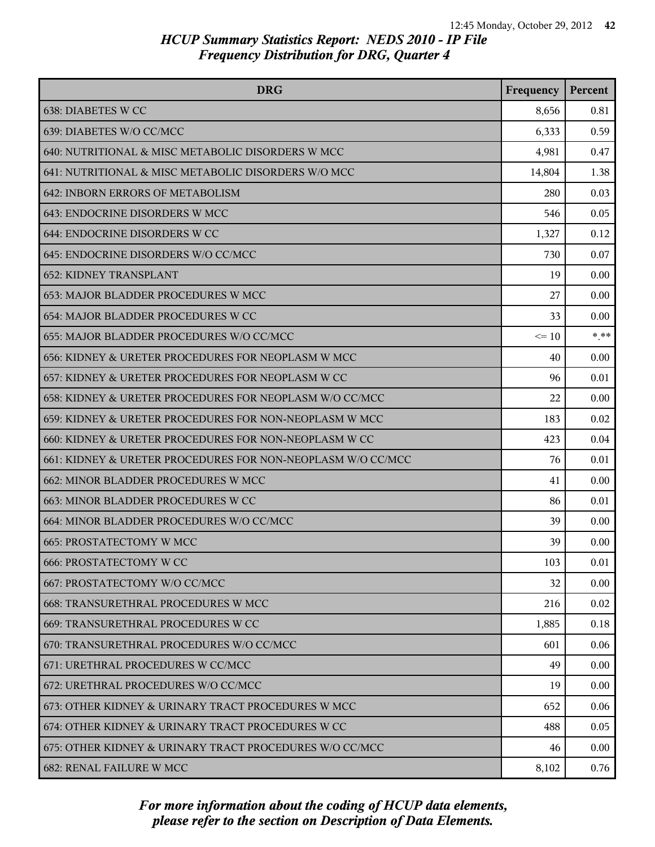| <b>DRG</b>                                                  | Frequency | Percent |
|-------------------------------------------------------------|-----------|---------|
| 638: DIABETES W CC                                          | 8,656     | 0.81    |
| 639: DIABETES W/O CC/MCC                                    | 6,333     | 0.59    |
| 640: NUTRITIONAL & MISC METABOLIC DISORDERS W MCC           | 4,981     | 0.47    |
| 641: NUTRITIONAL & MISC METABOLIC DISORDERS W/O MCC         | 14,804    | 1.38    |
| 642: INBORN ERRORS OF METABOLISM                            | 280       | 0.03    |
| 643: ENDOCRINE DISORDERS W MCC                              | 546       | 0.05    |
| 644: ENDOCRINE DISORDERS W CC                               | 1,327     | 0.12    |
| 645: ENDOCRINE DISORDERS W/O CC/MCC                         | 730       | 0.07    |
| <b>652: KIDNEY TRANSPLANT</b>                               | 19        | 0.00    |
| <b>653: MAJOR BLADDER PROCEDURES W MCC</b>                  | 27        | 0.00    |
| 654: MAJOR BLADDER PROCEDURES W CC                          | 33        | 0.00    |
| 655: MAJOR BLADDER PROCEDURES W/O CC/MCC                    | $\leq 10$ | $***$   |
| 656: KIDNEY & URETER PROCEDURES FOR NEOPLASM W MCC          | 40        | 0.00    |
| 657: KIDNEY & URETER PROCEDURES FOR NEOPLASM W CC           | 96        | 0.01    |
| 658: KIDNEY & URETER PROCEDURES FOR NEOPLASM W/O CC/MCC     | 22        | 0.00    |
| 659: KIDNEY & URETER PROCEDURES FOR NON-NEOPLASM W MCC      | 183       | 0.02    |
| 660: KIDNEY & URETER PROCEDURES FOR NON-NEOPLASM W CC       | 423       | 0.04    |
| 661: KIDNEY & URETER PROCEDURES FOR NON-NEOPLASM W/O CC/MCC | 76        | 0.01    |
| 662: MINOR BLADDER PROCEDURES W MCC                         | 41        | 0.00    |
| 663: MINOR BLADDER PROCEDURES W CC                          | 86        | 0.01    |
| 664: MINOR BLADDER PROCEDURES W/O CC/MCC                    | 39        | 0.00    |
| <b>665: PROSTATECTOMY W MCC</b>                             | 39        | 0.00    |
| <b>666: PROSTATECTOMY W CC</b>                              | 103       | 0.01    |
| 667: PROSTATECTOMY W/O CC/MCC                               | 32        | 0.00    |
| 668: TRANSURETHRAL PROCEDURES W MCC                         | 216       | 0.02    |
| 669: TRANSURETHRAL PROCEDURES W CC                          | 1,885     | 0.18    |
| 670: TRANSURETHRAL PROCEDURES W/O CC/MCC                    | 601       | 0.06    |
| 671: URETHRAL PROCEDURES W CC/MCC                           | 49        | 0.00    |
| 672: URETHRAL PROCEDURES W/O CC/MCC                         | 19        | 0.00    |
| 673: OTHER KIDNEY & URINARY TRACT PROCEDURES W MCC          | 652       | 0.06    |
| 674: OTHER KIDNEY & URINARY TRACT PROCEDURES W CC           | 488       | 0.05    |
| 675: OTHER KIDNEY & URINARY TRACT PROCEDURES W/O CC/MCC     | 46        | 0.00    |
| 682: RENAL FAILURE W MCC                                    | 8,102     | 0.76    |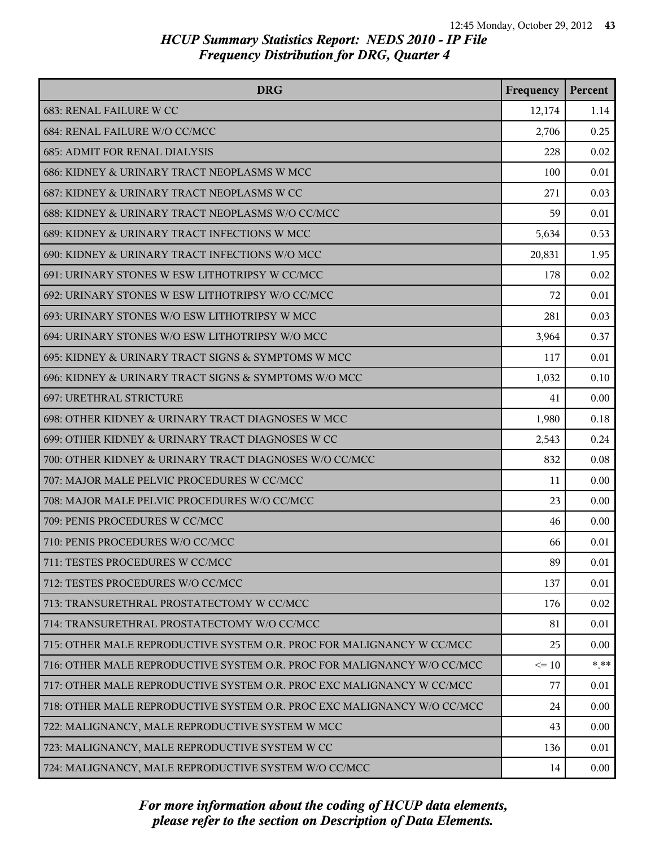| <b>DRG</b>                                                              | Frequency | Percent  |
|-------------------------------------------------------------------------|-----------|----------|
| 683: RENAL FAILURE W CC                                                 | 12,174    | 1.14     |
| 684: RENAL FAILURE W/O CC/MCC                                           | 2,706     | 0.25     |
| <b>685: ADMIT FOR RENAL DIALYSIS</b>                                    | 228       | 0.02     |
| 686: KIDNEY & URINARY TRACT NEOPLASMS W MCC                             | 100       | 0.01     |
| 687: KIDNEY & URINARY TRACT NEOPLASMS W CC                              | 271       | 0.03     |
| 688: KIDNEY & URINARY TRACT NEOPLASMS W/O CC/MCC                        | 59        | 0.01     |
| 689: KIDNEY & URINARY TRACT INFECTIONS W MCC                            | 5,634     | 0.53     |
| 690: KIDNEY & URINARY TRACT INFECTIONS W/O MCC                          | 20,831    | 1.95     |
| 691: URINARY STONES W ESW LITHOTRIPSY W CC/MCC                          | 178       | 0.02     |
| 692: URINARY STONES W ESW LITHOTRIPSY W/O CC/MCC                        | 72        | 0.01     |
| 693: URINARY STONES W/O ESW LITHOTRIPSY W MCC                           | 281       | 0.03     |
| 694: URINARY STONES W/O ESW LITHOTRIPSY W/O MCC                         | 3,964     | 0.37     |
| 695: KIDNEY & URINARY TRACT SIGNS & SYMPTOMS W MCC                      | 117       | 0.01     |
| 696: KIDNEY & URINARY TRACT SIGNS & SYMPTOMS W/O MCC                    | 1,032     | 0.10     |
| 697: URETHRAL STRICTURE                                                 | 41        | 0.00     |
| 698: OTHER KIDNEY & URINARY TRACT DIAGNOSES W MCC                       | 1,980     | 0.18     |
| 699: OTHER KIDNEY & URINARY TRACT DIAGNOSES W CC                        | 2,543     | 0.24     |
| 700: OTHER KIDNEY & URINARY TRACT DIAGNOSES W/O CC/MCC                  | 832       | 0.08     |
| 707: MAJOR MALE PELVIC PROCEDURES W CC/MCC                              | 11        | 0.00     |
| 708: MAJOR MALE PELVIC PROCEDURES W/O CC/MCC                            | 23        | 0.00     |
| 709: PENIS PROCEDURES W CC/MCC                                          | 46        | 0.00     |
| 710: PENIS PROCEDURES W/O CC/MCC                                        | 66        | 0.01     |
| 711: TESTES PROCEDURES W CC/MCC                                         | 89        | 0.01     |
| 712: TESTES PROCEDURES W/O CC/MCC                                       | 137       | 0.01     |
| 713: TRANSURETHRAL PROSTATECTOMY W CC/MCC                               | 176       | 0.02     |
| 714: TRANSURETHRAL PROSTATECTOMY W/O CC/MCC                             | 81        | 0.01     |
| 715: OTHER MALE REPRODUCTIVE SYSTEM O.R. PROC FOR MALIGNANCY W CC/MCC   | 25        | 0.00     |
| 716: OTHER MALE REPRODUCTIVE SYSTEM O.R. PROC FOR MALIGNANCY W/O CC/MCC | $\leq 10$ | $***$    |
| 717: OTHER MALE REPRODUCTIVE SYSTEM O.R. PROC EXC MALIGNANCY W CC/MCC   | 77        | 0.01     |
| 718: OTHER MALE REPRODUCTIVE SYSTEM O.R. PROC EXC MALIGNANCY W/O CC/MCC | 24        | 0.00     |
| 722: MALIGNANCY, MALE REPRODUCTIVE SYSTEM W MCC                         | 43        | 0.00     |
| 723: MALIGNANCY, MALE REPRODUCTIVE SYSTEM W CC                          | 136       | 0.01     |
| 724: MALIGNANCY, MALE REPRODUCTIVE SYSTEM W/O CC/MCC                    | 14        | $0.00\,$ |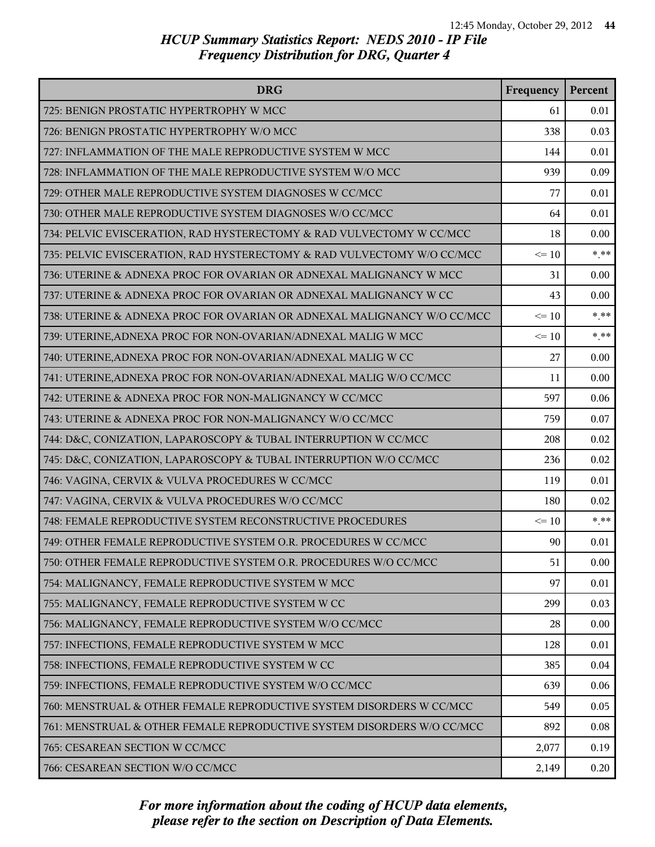| <b>DRG</b>                                                              | Frequency | Percent  |
|-------------------------------------------------------------------------|-----------|----------|
| 725: BENIGN PROSTATIC HYPERTROPHY W MCC                                 | 61        | 0.01     |
| 726: BENIGN PROSTATIC HYPERTROPHY W/O MCC                               | 338       | 0.03     |
| 727: INFLAMMATION OF THE MALE REPRODUCTIVE SYSTEM W MCC                 | 144       | 0.01     |
| 728: INFLAMMATION OF THE MALE REPRODUCTIVE SYSTEM W/O MCC               | 939       | 0.09     |
| 729: OTHER MALE REPRODUCTIVE SYSTEM DIAGNOSES W CC/MCC                  | 77        | 0.01     |
| 730: OTHER MALE REPRODUCTIVE SYSTEM DIAGNOSES W/O CC/MCC                | 64        | 0.01     |
| 734: PELVIC EVISCERATION, RAD HYSTERECTOMY & RAD VULVECTOMY W CC/MCC    | 18        | 0.00     |
| 735: PELVIC EVISCERATION, RAD HYSTERECTOMY & RAD VULVECTOMY W/O CC/MCC  | $\leq 10$ | $*$ **   |
| 736: UTERINE & ADNEXA PROC FOR OVARIAN OR ADNEXAL MALIGNANCY W MCC      | 31        | 0.00     |
| 737: UTERINE & ADNEXA PROC FOR OVARIAN OR ADNEXAL MALIGNANCY W CC       | 43        | 0.00     |
| 738: UTERINE & ADNEXA PROC FOR OVARIAN OR ADNEXAL MALIGNANCY W/O CC/MCC | $\leq 10$ | $* * *$  |
| 739: UTERINE, ADNEXA PROC FOR NON-OVARIAN/ADNEXAL MALIG W MCC           | $\leq 10$ | $* * *$  |
| 740: UTERINE, ADNEXA PROC FOR NON-OVARIAN/ADNEXAL MALIG W CC            | 27        | 0.00     |
| 741: UTERINE, ADNEXA PROC FOR NON-OVARIAN/ADNEXAL MALIG W/O CC/MCC      | 11        | 0.00     |
| 742: UTERINE & ADNEXA PROC FOR NON-MALIGNANCY W CC/MCC                  | 597       | 0.06     |
| 743: UTERINE & ADNEXA PROC FOR NON-MALIGNANCY W/O CC/MCC                | 759       | 0.07     |
| 744: D&C, CONIZATION, LAPAROSCOPY & TUBAL INTERRUPTION W CC/MCC         | 208       | 0.02     |
| 745: D&C, CONIZATION, LAPAROSCOPY & TUBAL INTERRUPTION W/O CC/MCC       | 236       | 0.02     |
| 746: VAGINA, CERVIX & VULVA PROCEDURES W CC/MCC                         | 119       | 0.01     |
| 747: VAGINA, CERVIX & VULVA PROCEDURES W/O CC/MCC                       | 180       | 0.02     |
| 748: FEMALE REPRODUCTIVE SYSTEM RECONSTRUCTIVE PROCEDURES               | $\leq 10$ | $*$ $**$ |
| 749: OTHER FEMALE REPRODUCTIVE SYSTEM O.R. PROCEDURES W CC/MCC          | 90        | 0.01     |
| 750: OTHER FEMALE REPRODUCTIVE SYSTEM O.R. PROCEDURES W/O CC/MCC        | 51        | 0.00     |
| 754: MALIGNANCY, FEMALE REPRODUCTIVE SYSTEM W MCC                       | 97        | 0.01     |
| 755: MALIGNANCY, FEMALE REPRODUCTIVE SYSTEM W CC                        | 299       | 0.03     |
| 756: MALIGNANCY, FEMALE REPRODUCTIVE SYSTEM W/O CC/MCC                  | 28        | 0.00     |
| 757: INFECTIONS, FEMALE REPRODUCTIVE SYSTEM W MCC                       | 128       | 0.01     |
| 758: INFECTIONS, FEMALE REPRODUCTIVE SYSTEM W CC                        | 385       | 0.04     |
| 759: INFECTIONS, FEMALE REPRODUCTIVE SYSTEM W/O CC/MCC                  | 639       | 0.06     |
| 760: MENSTRUAL & OTHER FEMALE REPRODUCTIVE SYSTEM DISORDERS W CC/MCC    | 549       | 0.05     |
| 761: MENSTRUAL & OTHER FEMALE REPRODUCTIVE SYSTEM DISORDERS W/O CC/MCC  | 892       | 0.08     |
| 765: CESAREAN SECTION W CC/MCC                                          | 2,077     | 0.19     |
| 766: CESAREAN SECTION W/O CC/MCC                                        | 2,149     | 0.20     |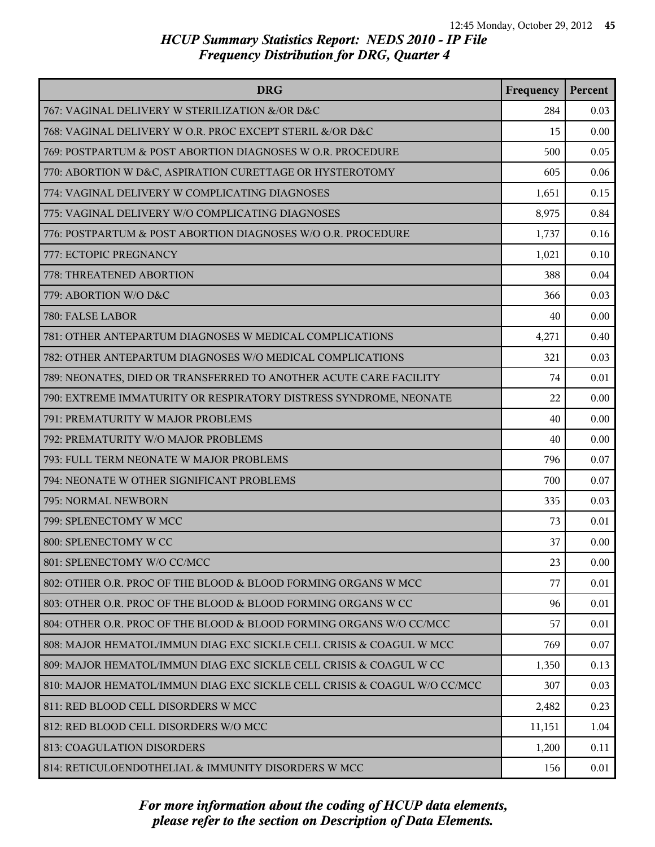| <b>DRG</b>                                                               | Frequency | Percent |
|--------------------------------------------------------------------------|-----------|---------|
| 767: VAGINAL DELIVERY W STERILIZATION &/OR D&C                           | 284       | 0.03    |
| 768: VAGINAL DELIVERY W O.R. PROC EXCEPT STERIL &/OR D&C                 | 15        | 0.00    |
| 769: POSTPARTUM & POST ABORTION DIAGNOSES W O.R. PROCEDURE               | 500       | 0.05    |
| 770: ABORTION W D&C, ASPIRATION CURETTAGE OR HYSTEROTOMY                 | 605       | 0.06    |
| 774: VAGINAL DELIVERY W COMPLICATING DIAGNOSES                           | 1,651     | 0.15    |
| 775: VAGINAL DELIVERY W/O COMPLICATING DIAGNOSES                         | 8,975     | 0.84    |
| 776: POSTPARTUM & POST ABORTION DIAGNOSES W/O O.R. PROCEDURE             | 1,737     | 0.16    |
| 777: ECTOPIC PREGNANCY                                                   | 1,021     | 0.10    |
| 778: THREATENED ABORTION                                                 | 388       | 0.04    |
| 779: ABORTION W/O D&C                                                    | 366       | 0.03    |
| 780: FALSE LABOR                                                         | 40        | 0.00    |
| 781: OTHER ANTEPARTUM DIAGNOSES W MEDICAL COMPLICATIONS                  | 4,271     | 0.40    |
| 782: OTHER ANTEPARTUM DIAGNOSES W/O MEDICAL COMPLICATIONS                | 321       | 0.03    |
| 789: NEONATES, DIED OR TRANSFERRED TO ANOTHER ACUTE CARE FACILITY        | 74        | 0.01    |
| 790: EXTREME IMMATURITY OR RESPIRATORY DISTRESS SYNDROME, NEONATE        | 22        | 0.00    |
| 791: PREMATURITY W MAJOR PROBLEMS                                        | 40        | 0.00    |
| 792: PREMATURITY W/O MAJOR PROBLEMS                                      | 40        | 0.00    |
| 793: FULL TERM NEONATE W MAJOR PROBLEMS                                  | 796       | 0.07    |
| 794: NEONATE W OTHER SIGNIFICANT PROBLEMS                                | 700       | 0.07    |
| 795: NORMAL NEWBORN                                                      | 335       | 0.03    |
| 799: SPLENECTOMY W MCC                                                   | 73        | 0.01    |
| 800: SPLENECTOMY W CC                                                    | 37        | 0.00    |
| 801: SPLENECTOMY W/O CC/MCC                                              | 23        | 0.00    |
| 802: OTHER O.R. PROC OF THE BLOOD & BLOOD FORMING ORGANS W MCC           | 77        | 0.01    |
| 803: OTHER O.R. PROC OF THE BLOOD & BLOOD FORMING ORGANS W CC            | 96        | 0.01    |
| 804: OTHER O.R. PROC OF THE BLOOD & BLOOD FORMING ORGANS W/O CC/MCC      | 57        | 0.01    |
| 808: MAJOR HEMATOL/IMMUN DIAG EXC SICKLE CELL CRISIS & COAGUL W MCC      | 769       | 0.07    |
| 809: MAJOR HEMATOL/IMMUN DIAG EXC SICKLE CELL CRISIS & COAGUL W CC       | 1,350     | 0.13    |
| 810: MAJOR HEMATOL/IMMUN DIAG EXC SICKLE CELL CRISIS & COAGUL W/O CC/MCC | 307       | 0.03    |
| 811: RED BLOOD CELL DISORDERS W MCC                                      | 2,482     | 0.23    |
| 812: RED BLOOD CELL DISORDERS W/O MCC                                    | 11,151    | 1.04    |
| 813: COAGULATION DISORDERS                                               | 1,200     | 0.11    |
| 814: RETICULOENDOTHELIAL & IMMUNITY DISORDERS W MCC                      | 156       | 0.01    |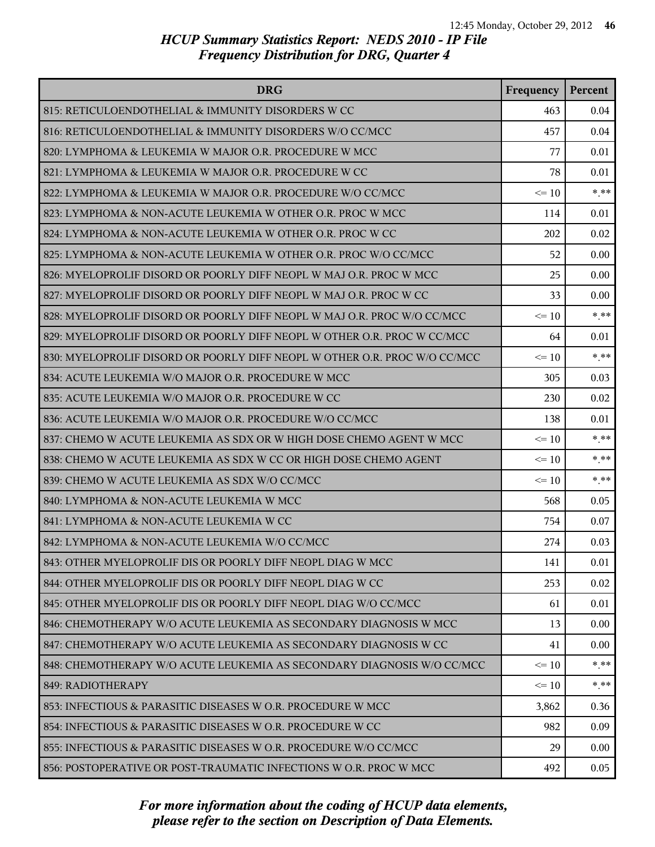| <b>DRG</b>                                                                | Frequency | Percent |
|---------------------------------------------------------------------------|-----------|---------|
| 815: RETICULOENDOTHELIAL & IMMUNITY DISORDERS W CC                        | 463       | 0.04    |
| 816: RETICULOENDOTHELIAL & IMMUNITY DISORDERS W/O CC/MCC                  | 457       | 0.04    |
| 820: LYMPHOMA & LEUKEMIA W MAJOR O.R. PROCEDURE W MCC                     | 77        | 0.01    |
| 821: LYMPHOMA & LEUKEMIA W MAJOR O.R. PROCEDURE W CC                      | 78        | 0.01    |
| 822: LYMPHOMA & LEUKEMIA W MAJOR O.R. PROCEDURE W/O CC/MCC                | $\leq 10$ | $***$   |
| 823: LYMPHOMA & NON-ACUTE LEUKEMIA W OTHER O.R. PROC W MCC                | 114       | 0.01    |
| 824: LYMPHOMA & NON-ACUTE LEUKEMIA W OTHER O.R. PROC W CC                 | 202       | 0.02    |
| 825: LYMPHOMA & NON-ACUTE LEUKEMIA W OTHER O.R. PROC W/O CC/MCC           | 52        | 0.00    |
| 826: MYELOPROLIF DISORD OR POORLY DIFF NEOPL W MAJ O.R. PROC W MCC        | 25        | 0.00    |
| 827: MYELOPROLIF DISORD OR POORLY DIFF NEOPL W MAJ O.R. PROC W CC         | 33        | 0.00    |
| 828: MYELOPROLIF DISORD OR POORLY DIFF NEOPL W MAJ O.R. PROC W/O CC/MCC   | $\leq 10$ | $***$   |
| 829: MYELOPROLIF DISORD OR POORLY DIFF NEOPL W OTHER O.R. PROC W CC/MCC   | 64        | 0.01    |
| 830: MYELOPROLIF DISORD OR POORLY DIFF NEOPL W OTHER O.R. PROC W/O CC/MCC | $\leq 10$ | $***$   |
| 834: ACUTE LEUKEMIA W/O MAJOR O.R. PROCEDURE W MCC                        | 305       | 0.03    |
| 835: ACUTE LEUKEMIA W/O MAJOR O.R. PROCEDURE W CC                         | 230       | 0.02    |
| 836: ACUTE LEUKEMIA W/O MAJOR O.R. PROCEDURE W/O CC/MCC                   | 138       | 0.01    |
| 837: CHEMO W ACUTE LEUKEMIA AS SDX OR W HIGH DOSE CHEMO AGENT W MCC       | $\leq 10$ | $***$   |
| 838: CHEMO W ACUTE LEUKEMIA AS SDX W CC OR HIGH DOSE CHEMO AGENT          | $\leq 10$ | $***$   |
| 839: CHEMO W ACUTE LEUKEMIA AS SDX W/O CC/MCC                             | $\leq 10$ | $***$   |
| 840: LYMPHOMA & NON-ACUTE LEUKEMIA W MCC                                  | 568       | 0.05    |
| 841: LYMPHOMA & NON-ACUTE LEUKEMIA W CC                                   | 754       | 0.07    |
| 842: LYMPHOMA & NON-ACUTE LEUKEMIA W/O CC/MCC                             | 274       | 0.03    |
| 843: OTHER MYELOPROLIF DIS OR POORLY DIFF NEOPL DIAG W MCC                | 141       | 0.01    |
| 844: OTHER MYELOPROLIF DIS OR POORLY DIFF NEOPL DIAG W CC                 | 253       | 0.02    |
| 845: OTHER MYELOPROLIF DIS OR POORLY DIFF NEOPL DIAG W/O CC/MCC           | 61        | 0.01    |
| 846: CHEMOTHERAPY W/O ACUTE LEUKEMIA AS SECONDARY DIAGNOSIS W MCC         | 13        | 0.00    |
| 847: CHEMOTHERAPY W/O ACUTE LEUKEMIA AS SECONDARY DIAGNOSIS W CC          | 41        | 0.00    |
| 848: CHEMOTHERAPY W/O ACUTE LEUKEMIA AS SECONDARY DIAGNOSIS W/O CC/MCC    | $\leq 10$ | $* * *$ |
| 849: RADIOTHERAPY                                                         | $\leq$ 10 | $* * *$ |
| 853: INFECTIOUS & PARASITIC DISEASES W O.R. PROCEDURE W MCC               | 3,862     | 0.36    |
| 854: INFECTIOUS & PARASITIC DISEASES W O.R. PROCEDURE W CC                | 982       | 0.09    |
| 855: INFECTIOUS & PARASITIC DISEASES W O.R. PROCEDURE W/O CC/MCC          | 29        | 0.00    |
| 856: POSTOPERATIVE OR POST-TRAUMATIC INFECTIONS W O.R. PROC W MCC         | 492       | 0.05    |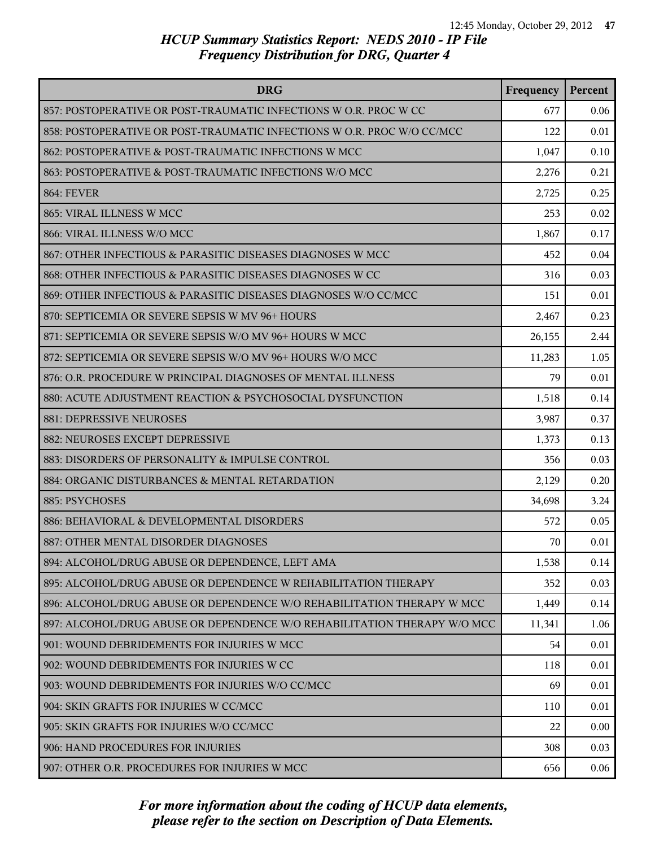| <b>DRG</b>                                                               | Frequency | Percent |
|--------------------------------------------------------------------------|-----------|---------|
| 857: POSTOPERATIVE OR POST-TRAUMATIC INFECTIONS W O.R. PROC W CC         | 677       | 0.06    |
| 858: POSTOPERATIVE OR POST-TRAUMATIC INFECTIONS W O.R. PROC W/O CC/MCC   | 122       | 0.01    |
| 862: POSTOPERATIVE & POST-TRAUMATIC INFECTIONS W MCC                     | 1,047     | 0.10    |
| 863: POSTOPERATIVE & POST-TRAUMATIC INFECTIONS W/O MCC                   | 2,276     | 0.21    |
| <b>864: FEVER</b>                                                        | 2,725     | 0.25    |
| 865: VIRAL ILLNESS W MCC                                                 | 253       | 0.02    |
| 866: VIRAL ILLNESS W/O MCC                                               | 1,867     | 0.17    |
| 867: OTHER INFECTIOUS & PARASITIC DISEASES DIAGNOSES W MCC               | 452       | 0.04    |
| 868: OTHER INFECTIOUS & PARASITIC DISEASES DIAGNOSES W CC                | 316       | 0.03    |
| 869: OTHER INFECTIOUS & PARASITIC DISEASES DIAGNOSES W/O CC/MCC          | 151       | 0.01    |
| 870: SEPTICEMIA OR SEVERE SEPSIS W MV 96+ HOURS                          | 2,467     | 0.23    |
| 871: SEPTICEMIA OR SEVERE SEPSIS W/O MV 96+ HOURS W MCC                  | 26,155    | 2.44    |
| 872: SEPTICEMIA OR SEVERE SEPSIS W/O MV 96+ HOURS W/O MCC                | 11,283    | 1.05    |
| 876: O.R. PROCEDURE W PRINCIPAL DIAGNOSES OF MENTAL ILLNESS              | 79        | 0.01    |
| 880: ACUTE ADJUSTMENT REACTION & PSYCHOSOCIAL DYSFUNCTION                | 1,518     | 0.14    |
| 881: DEPRESSIVE NEUROSES                                                 | 3,987     | 0.37    |
| 882: NEUROSES EXCEPT DEPRESSIVE                                          | 1,373     | 0.13    |
| 883: DISORDERS OF PERSONALITY & IMPULSE CONTROL                          | 356       | 0.03    |
| 884: ORGANIC DISTURBANCES & MENTAL RETARDATION                           | 2,129     | 0.20    |
| 885: PSYCHOSES                                                           | 34,698    | 3.24    |
| 886: BEHAVIORAL & DEVELOPMENTAL DISORDERS                                | 572       | 0.05    |
| 887: OTHER MENTAL DISORDER DIAGNOSES                                     | 70        | 0.01    |
| 894: ALCOHOL/DRUG ABUSE OR DEPENDENCE, LEFT AMA                          | 1,538     | 0.14    |
| 895: ALCOHOL/DRUG ABUSE OR DEPENDENCE W REHABILITATION THERAPY           | 352       | 0.03    |
| 896: ALCOHOL/DRUG ABUSE OR DEPENDENCE W/O REHABILITATION THERAPY W MCC   | 1,449     | 0.14    |
| 897: ALCOHOL/DRUG ABUSE OR DEPENDENCE W/O REHABILITATION THERAPY W/O MCC | 11,341    | 1.06    |
| 901: WOUND DEBRIDEMENTS FOR INJURIES W MCC                               | 54        | 0.01    |
| 902: WOUND DEBRIDEMENTS FOR INJURIES W CC                                | 118       | 0.01    |
| 903: WOUND DEBRIDEMENTS FOR INJURIES W/O CC/MCC                          | 69        | 0.01    |
| 904: SKIN GRAFTS FOR INJURIES W CC/MCC                                   | 110       | 0.01    |
| 905: SKIN GRAFTS FOR INJURIES W/O CC/MCC                                 | 22        | 0.00    |
| 906: HAND PROCEDURES FOR INJURIES                                        | 308       | 0.03    |
| 907: OTHER O.R. PROCEDURES FOR INJURIES W MCC                            | 656       | 0.06    |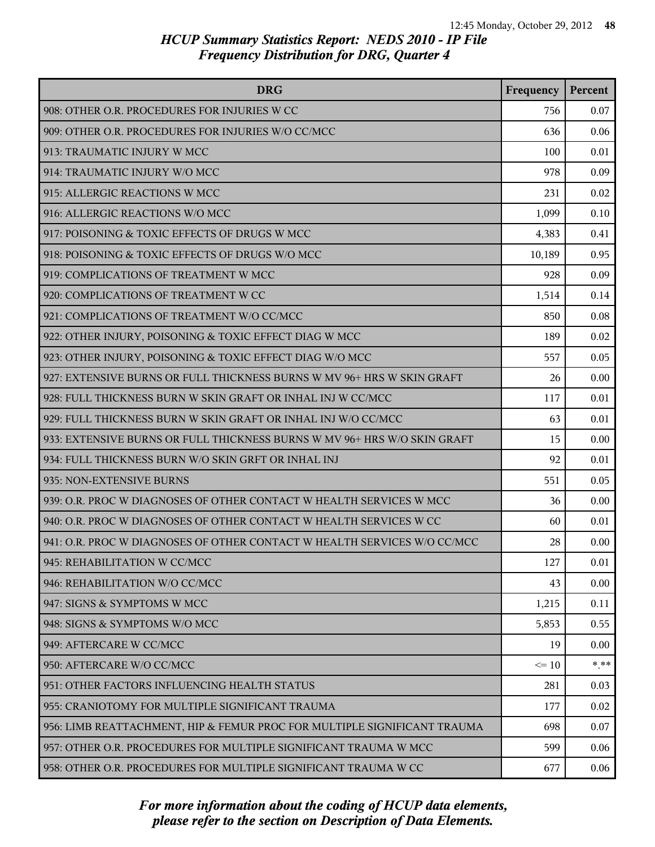| <b>DRG</b>                                                               | Frequency | Percent |
|--------------------------------------------------------------------------|-----------|---------|
| 908: OTHER O.R. PROCEDURES FOR INJURIES W CC                             | 756       | 0.07    |
| 909: OTHER O.R. PROCEDURES FOR INJURIES W/O CC/MCC                       | 636       | 0.06    |
| 913: TRAUMATIC INJURY W MCC                                              | 100       | 0.01    |
| 914: TRAUMATIC INJURY W/O MCC                                            | 978       | 0.09    |
| 915: ALLERGIC REACTIONS W MCC                                            | 231       | 0.02    |
| 916: ALLERGIC REACTIONS W/O MCC                                          | 1,099     | 0.10    |
| 917: POISONING & TOXIC EFFECTS OF DRUGS W MCC                            | 4,383     | 0.41    |
| 918: POISONING & TOXIC EFFECTS OF DRUGS W/O MCC                          | 10,189    | 0.95    |
| 919: COMPLICATIONS OF TREATMENT W MCC                                    | 928       | 0.09    |
| 920: COMPLICATIONS OF TREATMENT W CC                                     | 1,514     | 0.14    |
| 921: COMPLICATIONS OF TREATMENT W/O CC/MCC                               | 850       | 0.08    |
| 922: OTHER INJURY, POISONING & TOXIC EFFECT DIAG W MCC                   | 189       | 0.02    |
| 923: OTHER INJURY, POISONING & TOXIC EFFECT DIAG W/O MCC                 | 557       | 0.05    |
| 927: EXTENSIVE BURNS OR FULL THICKNESS BURNS W MV 96+ HRS W SKIN GRAFT   | 26        | 0.00    |
| 928: FULL THICKNESS BURN W SKIN GRAFT OR INHAL INJ W CC/MCC              | 117       | 0.01    |
| 929: FULL THICKNESS BURN W SKIN GRAFT OR INHAL INJ W/O CC/MCC            | 63        | 0.01    |
| 933: EXTENSIVE BURNS OR FULL THICKNESS BURNS W MV 96+ HRS W/O SKIN GRAFT | 15        | 0.00    |
| 934: FULL THICKNESS BURN W/O SKIN GRFT OR INHAL INJ                      | 92        | 0.01    |
| 935: NON-EXTENSIVE BURNS                                                 | 551       | 0.05    |
| 939: O.R. PROC W DIAGNOSES OF OTHER CONTACT W HEALTH SERVICES W MCC      | 36        | 0.00    |
| 940: O.R. PROC W DIAGNOSES OF OTHER CONTACT W HEALTH SERVICES W CC       | 60        | 0.01    |
| 941: O.R. PROC W DIAGNOSES OF OTHER CONTACT W HEALTH SERVICES W/O CC/MCC | 28        | 0.00    |
| 945: REHABILITATION W CC/MCC                                             | 127       | 0.01    |
| 946: REHABILITATION W/O CC/MCC                                           | 43        | 0.00    |
| 947: SIGNS & SYMPTOMS W MCC                                              | 1,215     | 0.11    |
| 948: SIGNS & SYMPTOMS W/O MCC                                            | 5,853     | 0.55    |
| 949: AFTERCARE W CC/MCC                                                  | 19        | 0.00    |
| 950: AFTERCARE W/O CC/MCC                                                | $\leq 10$ | $* * *$ |
| 951: OTHER FACTORS INFLUENCING HEALTH STATUS                             | 281       | 0.03    |
| 955: CRANIOTOMY FOR MULTIPLE SIGNIFICANT TRAUMA                          | 177       | 0.02    |
| 956: LIMB REATTACHMENT, HIP & FEMUR PROC FOR MULTIPLE SIGNIFICANT TRAUMA | 698       | 0.07    |
| 957: OTHER O.R. PROCEDURES FOR MULTIPLE SIGNIFICANT TRAUMA W MCC         | 599       | 0.06    |
| 958: OTHER O.R. PROCEDURES FOR MULTIPLE SIGNIFICANT TRAUMA W CC          | 677       | 0.06    |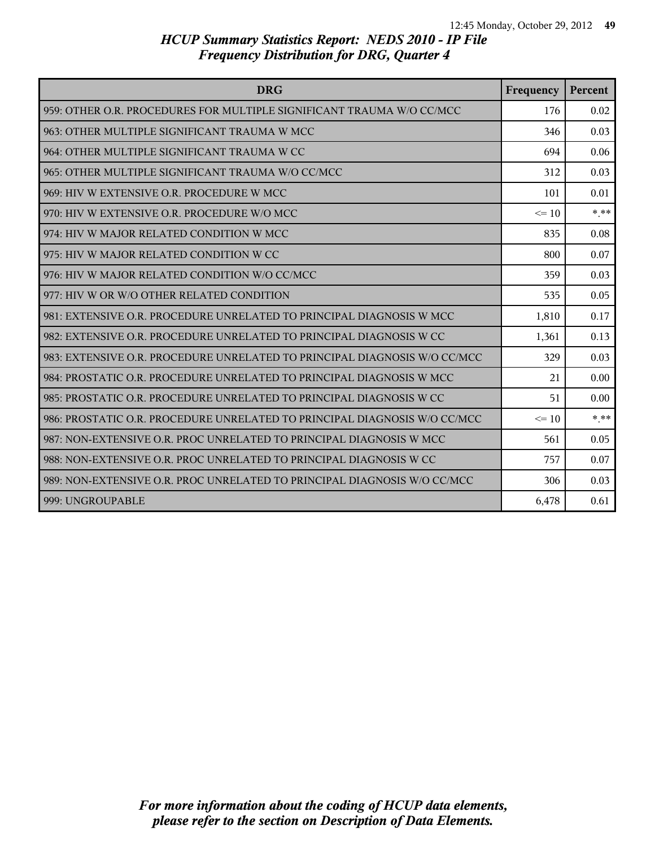| <b>DRG</b>                                                                | Frequency | Percent |
|---------------------------------------------------------------------------|-----------|---------|
| 959: OTHER O.R. PROCEDURES FOR MULTIPLE SIGNIFICANT TRAUMA W/O CC/MCC     | 176       | 0.02    |
| 963: OTHER MULTIPLE SIGNIFICANT TRAUMA W MCC                              | 346       | 0.03    |
| 964: OTHER MULTIPLE SIGNIFICANT TRAUMA W CC                               | 694       | 0.06    |
| 965: OTHER MULTIPLE SIGNIFICANT TRAUMA W/O CC/MCC                         | 312       | 0.03    |
| 969: HIV W EXTENSIVE O.R. PROCEDURE W MCC                                 | 101       | 0.01    |
| 970: HIV W EXTENSIVE O.R. PROCEDURE W/O MCC                               | $\leq$ 10 | $* * *$ |
| 974: HIV W MAJOR RELATED CONDITION W MCC                                  | 835       | 0.08    |
| 975: HIV W MAJOR RELATED CONDITION W CC                                   | 800       | 0.07    |
| 976: HIV W MAJOR RELATED CONDITION W/O CC/MCC                             | 359       | 0.03    |
| 977: HIV W OR W/O OTHER RELATED CONDITION                                 | 535       | 0.05    |
| 981: EXTENSIVE O.R. PROCEDURE UNRELATED TO PRINCIPAL DIAGNOSIS W MCC      | 1,810     | 0.17    |
| 982: EXTENSIVE O.R. PROCEDURE UNRELATED TO PRINCIPAL DIAGNOSIS W CC       | 1,361     | 0.13    |
| 983: EXTENSIVE O.R. PROCEDURE UNRELATED TO PRINCIPAL DIAGNOSIS W/O CC/MCC | 329       | 0.03    |
| 984: PROSTATIC O.R. PROCEDURE UNRELATED TO PRINCIPAL DIAGNOSIS W MCC      | 21        | 0.00    |
| 985: PROSTATIC O.R. PROCEDURE UNRELATED TO PRINCIPAL DIAGNOSIS W CC       | 51        | 0.00    |
| 986: PROSTATIC O.R. PROCEDURE UNRELATED TO PRINCIPAL DIAGNOSIS W/O CC/MCC | $\leq$ 10 | * **    |
| 987: NON-EXTENSIVE O.R. PROC UNRELATED TO PRINCIPAL DIAGNOSIS W MCC       | 561       | 0.05    |
| 988: NON-EXTENSIVE O.R. PROC UNRELATED TO PRINCIPAL DIAGNOSIS W CC        | 757       | 0.07    |
| 989: NON-EXTENSIVE O.R. PROC UNRELATED TO PRINCIPAL DIAGNOSIS W/O CC/MCC  | 306       | 0.03    |
| 999: UNGROUPABLE                                                          | 6,478     | 0.61    |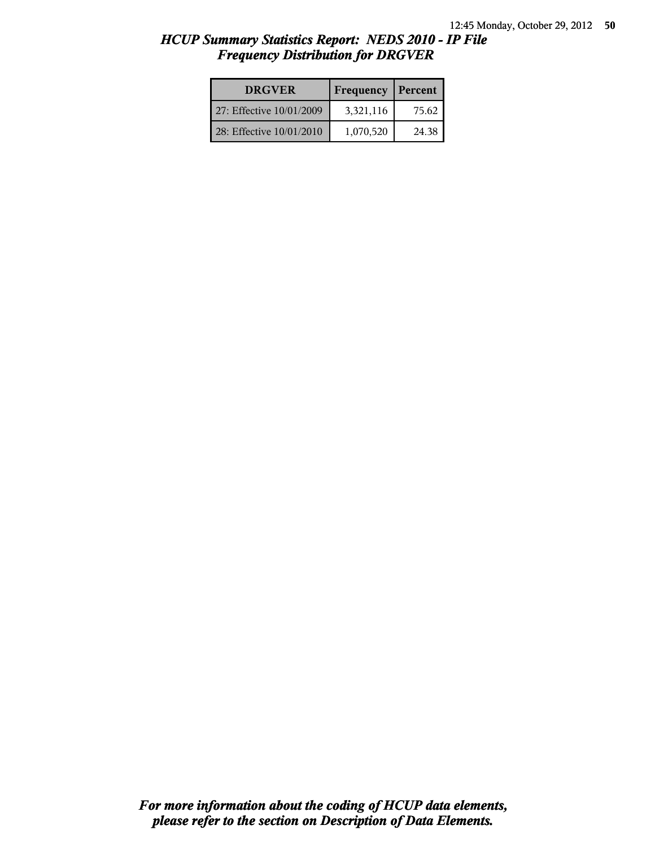| <b>DRGVER</b>            | Frequency | Percent |
|--------------------------|-----------|---------|
| 27: Effective 10/01/2009 | 3,321,116 | 75.62   |
| 28: Effective 10/01/2010 | 1,070,520 | 24.38   |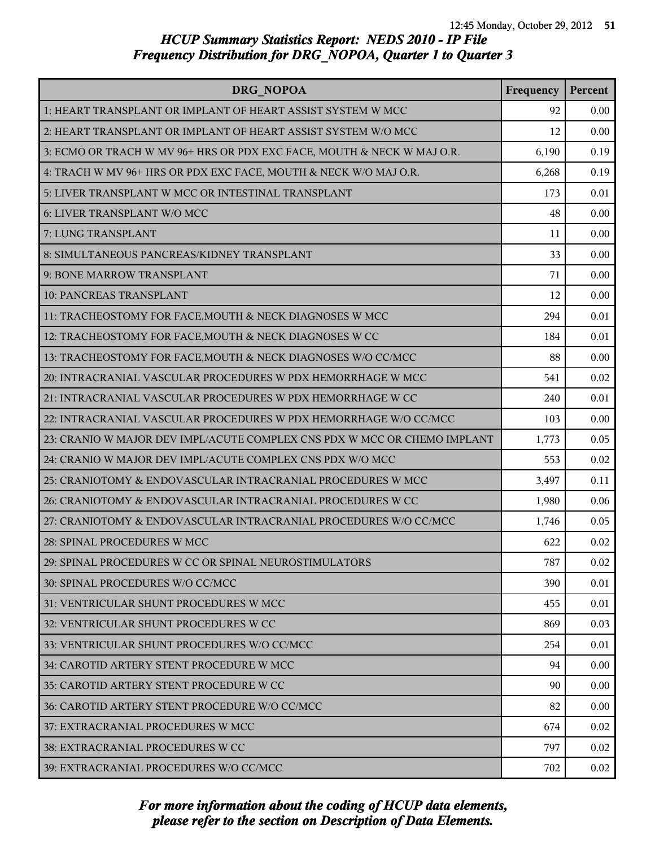| DRG NOPOA                                                                | Frequency | Percent |
|--------------------------------------------------------------------------|-----------|---------|
| 1: HEART TRANSPLANT OR IMPLANT OF HEART ASSIST SYSTEM W MCC              | 92        | 0.00    |
| 2: HEART TRANSPLANT OR IMPLANT OF HEART ASSIST SYSTEM W/O MCC            | 12        | 0.00    |
| 3: ECMO OR TRACH W MV 96+ HRS OR PDX EXC FACE, MOUTH & NECK W MAJ O.R.   | 6,190     | 0.19    |
| 4: TRACH W MV 96+ HRS OR PDX EXC FACE, MOUTH & NECK W/O MAJ O.R.         | 6,268     | 0.19    |
| 5: LIVER TRANSPLANT W MCC OR INTESTINAL TRANSPLANT                       | 173       | 0.01    |
| 6: LIVER TRANSPLANT W/O MCC                                              | 48        | 0.00    |
| 7: LUNG TRANSPLANT                                                       | 11        | 0.00    |
| 8: SIMULTANEOUS PANCREAS/KIDNEY TRANSPLANT                               | 33        | 0.00    |
| 9: BONE MARROW TRANSPLANT                                                | 71        | 0.00    |
| 10: PANCREAS TRANSPLANT                                                  | 12        | 0.00    |
| 11: TRACHEOSTOMY FOR FACE, MOUTH & NECK DIAGNOSES W MCC                  | 294       | 0.01    |
| 12: TRACHEOSTOMY FOR FACE, MOUTH & NECK DIAGNOSES W CC                   | 184       | 0.01    |
| 13: TRACHEOSTOMY FOR FACE, MOUTH & NECK DIAGNOSES W/O CC/MCC             | 88        | 0.00    |
| 20: INTRACRANIAL VASCULAR PROCEDURES W PDX HEMORRHAGE W MCC              | 541       | 0.02    |
| 21: INTRACRANIAL VASCULAR PROCEDURES W PDX HEMORRHAGE W CC               | 240       | 0.01    |
| 22: INTRACRANIAL VASCULAR PROCEDURES W PDX HEMORRHAGE W/O CC/MCC         | 103       | 0.00    |
| 23: CRANIO W MAJOR DEV IMPL/ACUTE COMPLEX CNS PDX W MCC OR CHEMO IMPLANT | 1,773     | 0.05    |
| 24: CRANIO W MAJOR DEV IMPL/ACUTE COMPLEX CNS PDX W/O MCC                | 553       | 0.02    |
| 25: CRANIOTOMY & ENDOVASCULAR INTRACRANIAL PROCEDURES W MCC              | 3,497     | 0.11    |
| 26: CRANIOTOMY & ENDOVASCULAR INTRACRANIAL PROCEDURES W CC               | 1,980     | 0.06    |
| 27: CRANIOTOMY & ENDOVASCULAR INTRACRANIAL PROCEDURES W/O CC/MCC         | 1,746     | 0.05    |
| 28: SPINAL PROCEDURES W MCC                                              | 622       | 0.02    |
| 29: SPINAL PROCEDURES W CC OR SPINAL NEUROSTIMULATORS                    | 787       | 0.02    |
| 30: SPINAL PROCEDURES W/O CC/MCC                                         | 390       | 0.01    |
| 31: VENTRICULAR SHUNT PROCEDURES W MCC                                   | 455       | 0.01    |
| 32: VENTRICULAR SHUNT PROCEDURES W CC                                    | 869       | 0.03    |
| 33: VENTRICULAR SHUNT PROCEDURES W/O CC/MCC                              | 254       | 0.01    |
| 34: CAROTID ARTERY STENT PROCEDURE W MCC                                 | 94        | 0.00    |
| 35: CAROTID ARTERY STENT PROCEDURE W CC                                  | 90        | 0.00    |
| 36: CAROTID ARTERY STENT PROCEDURE W/O CC/MCC                            | 82        | 0.00    |
| 37: EXTRACRANIAL PROCEDURES W MCC                                        | 674       | 0.02    |
| <b>38: EXTRACRANIAL PROCEDURES W CC</b>                                  | 797       | 0.02    |
| 39: EXTRACRANIAL PROCEDURES W/O CC/MCC                                   | 702       | 0.02    |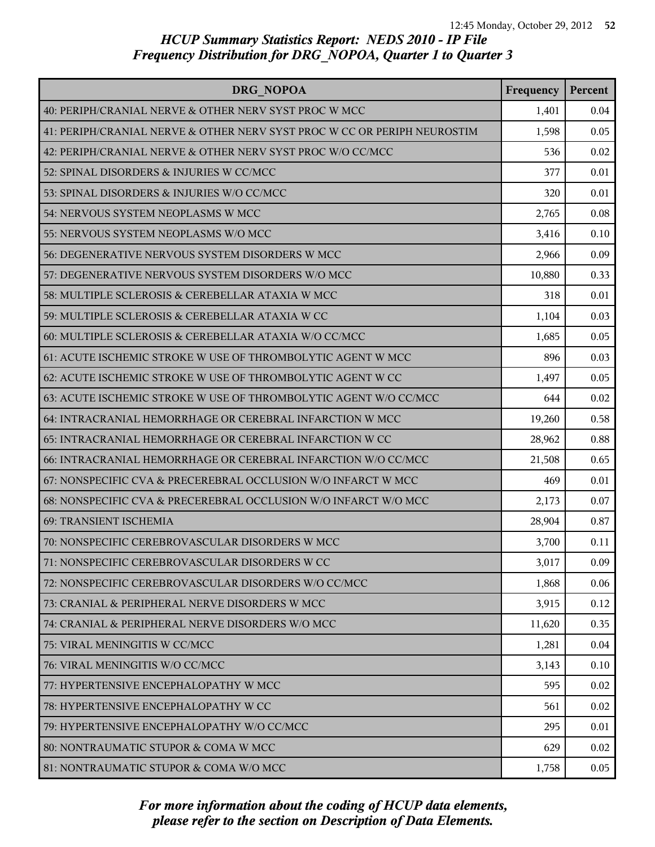| DRG NOPOA                                                                | Frequency | Percent |
|--------------------------------------------------------------------------|-----------|---------|
| 40: PERIPH/CRANIAL NERVE & OTHER NERV SYST PROC W MCC                    | 1,401     | 0.04    |
| 41: PERIPH/CRANIAL NERVE & OTHER NERV SYST PROC W CC OR PERIPH NEUROSTIM | 1,598     | 0.05    |
| 42: PERIPH/CRANIAL NERVE & OTHER NERV SYST PROC W/O CC/MCC               | 536       | 0.02    |
| 52: SPINAL DISORDERS & INJURIES W CC/MCC                                 | 377       | 0.01    |
| 53: SPINAL DISORDERS & INJURIES W/O CC/MCC                               | 320       | 0.01    |
| 54: NERVOUS SYSTEM NEOPLASMS W MCC                                       | 2,765     | 0.08    |
| 55: NERVOUS SYSTEM NEOPLASMS W/O MCC                                     | 3,416     | 0.10    |
| 56: DEGENERATIVE NERVOUS SYSTEM DISORDERS W MCC                          | 2,966     | 0.09    |
| 57: DEGENERATIVE NERVOUS SYSTEM DISORDERS W/O MCC                        | 10,880    | 0.33    |
| 58: MULTIPLE SCLEROSIS & CEREBELLAR ATAXIA W MCC                         | 318       | 0.01    |
| 59: MULTIPLE SCLEROSIS & CEREBELLAR ATAXIA W CC                          | 1,104     | 0.03    |
| 60: MULTIPLE SCLEROSIS & CEREBELLAR ATAXIA W/O CC/MCC                    | 1,685     | 0.05    |
| 61: ACUTE ISCHEMIC STROKE W USE OF THROMBOLYTIC AGENT W MCC              | 896       | 0.03    |
| 62: ACUTE ISCHEMIC STROKE W USE OF THROMBOLYTIC AGENT W CC               | 1,497     | 0.05    |
| 63: ACUTE ISCHEMIC STROKE W USE OF THROMBOLYTIC AGENT W/O CC/MCC         | 644       | 0.02    |
| 64: INTRACRANIAL HEMORRHAGE OR CEREBRAL INFARCTION W MCC                 | 19,260    | 0.58    |
| 65: INTRACRANIAL HEMORRHAGE OR CEREBRAL INFARCTION W CC                  | 28,962    | 0.88    |
| 66: INTRACRANIAL HEMORRHAGE OR CEREBRAL INFARCTION W/O CC/MCC            | 21,508    | 0.65    |
| 67: NONSPECIFIC CVA & PRECEREBRAL OCCLUSION W/O INFARCT W MCC            | 469       | 0.01    |
| 68: NONSPECIFIC CVA & PRECEREBRAL OCCLUSION W/O INFARCT W/O MCC          | 2,173     | 0.07    |
| 69: TRANSIENT ISCHEMIA                                                   | 28,904    | 0.87    |
| 70: NONSPECIFIC CEREBROVASCULAR DISORDERS W MCC                          | 3,700     | 0.11    |
| 71: NONSPECIFIC CEREBROVASCULAR DISORDERS W CC                           | 3,017     | 0.09    |
| 72: NONSPECIFIC CEREBROVASCULAR DISORDERS W/O CC/MCC                     | 1,868     | 0.06    |
| 73: CRANIAL & PERIPHERAL NERVE DISORDERS W MCC                           | 3,915     | 0.12    |
| 74: CRANIAL & PERIPHERAL NERVE DISORDERS W/O MCC                         | 11,620    | 0.35    |
| 75: VIRAL MENINGITIS W CC/MCC                                            | 1,281     | 0.04    |
| 76: VIRAL MENINGITIS W/O CC/MCC                                          | 3,143     | 0.10    |
| 77: HYPERTENSIVE ENCEPHALOPATHY W MCC                                    | 595       | 0.02    |
| 78: HYPERTENSIVE ENCEPHALOPATHY W CC                                     | 561       | 0.02    |
| 79: HYPERTENSIVE ENCEPHALOPATHY W/O CC/MCC                               | 295       | 0.01    |
| 80: NONTRAUMATIC STUPOR & COMA W MCC                                     | 629       | 0.02    |
| 81: NONTRAUMATIC STUPOR & COMA W/O MCC                                   | 1,758     | 0.05    |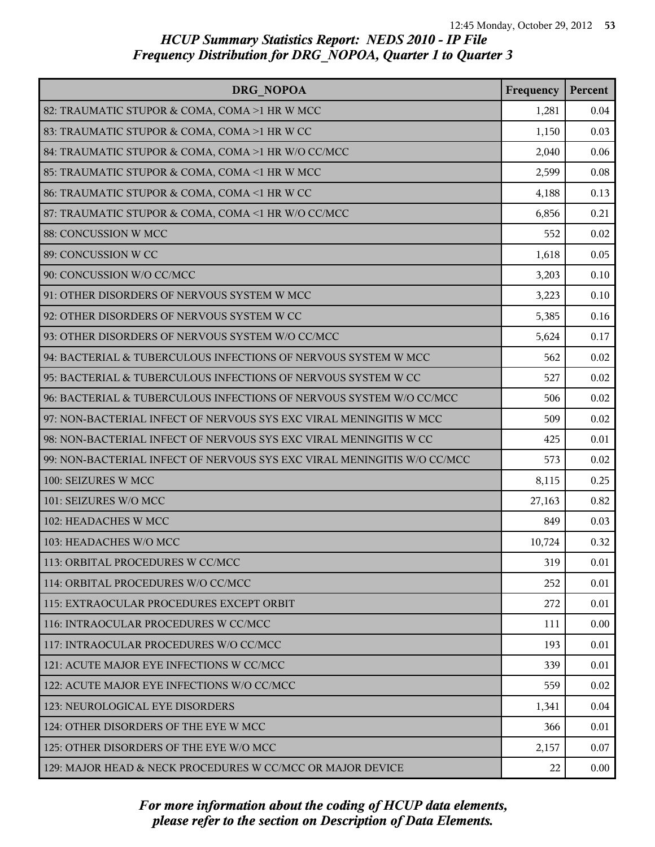| DRG NOPOA                                                               | Frequency | Percent  |
|-------------------------------------------------------------------------|-----------|----------|
| 82: TRAUMATIC STUPOR & COMA, COMA >1 HR W MCC                           | 1,281     | 0.04     |
| 83: TRAUMATIC STUPOR & COMA, COMA >1 HR W CC                            | 1,150     | 0.03     |
| 84: TRAUMATIC STUPOR & COMA, COMA >1 HR W/O CC/MCC                      | 2,040     | 0.06     |
| 85: TRAUMATIC STUPOR & COMA, COMA <1 HR W MCC                           | 2,599     | 0.08     |
| 86: TRAUMATIC STUPOR & COMA, COMA <1 HR W CC                            | 4,188     | 0.13     |
| 87: TRAUMATIC STUPOR & COMA, COMA <1 HR W/O CC/MCC                      | 6,856     | 0.21     |
| 88: CONCUSSION W MCC                                                    | 552       | 0.02     |
| 89: CONCUSSION W CC                                                     | 1,618     | 0.05     |
| 90: CONCUSSION W/O CC/MCC                                               | 3,203     | 0.10     |
| 91: OTHER DISORDERS OF NERVOUS SYSTEM W MCC                             | 3,223     | 0.10     |
| 92: OTHER DISORDERS OF NERVOUS SYSTEM W CC                              | 5,385     | 0.16     |
| 93: OTHER DISORDERS OF NERVOUS SYSTEM W/O CC/MCC                        | 5,624     | 0.17     |
| 94: BACTERIAL & TUBERCULOUS INFECTIONS OF NERVOUS SYSTEM W MCC          | 562       | 0.02     |
| 95: BACTERIAL & TUBERCULOUS INFECTIONS OF NERVOUS SYSTEM W CC           | 527       | 0.02     |
| 96: BACTERIAL & TUBERCULOUS INFECTIONS OF NERVOUS SYSTEM W/O CC/MCC     | 506       | 0.02     |
| 97: NON-BACTERIAL INFECT OF NERVOUS SYS EXC VIRAL MENINGITIS W MCC      | 509       | 0.02     |
| 98: NON-BACTERIAL INFECT OF NERVOUS SYS EXC VIRAL MENINGITIS W CC       | 425       | 0.01     |
| 99: NON-BACTERIAL INFECT OF NERVOUS SYS EXC VIRAL MENINGITIS W/O CC/MCC | 573       | 0.02     |
| 100: SEIZURES W MCC                                                     | 8,115     | 0.25     |
| 101: SEIZURES W/O MCC                                                   | 27,163    | 0.82     |
| 102: HEADACHES W MCC                                                    | 849       | 0.03     |
| 103: HEADACHES W/O MCC                                                  | 10,724    | 0.32     |
| 113: ORBITAL PROCEDURES W CC/MCC                                        | 319       | 0.01     |
| 114: ORBITAL PROCEDURES W/O CC/MCC                                      | 252       | 0.01     |
| 115: EXTRAOCULAR PROCEDURES EXCEPT ORBIT                                | 272       | 0.01     |
| 116: INTRAOCULAR PROCEDURES W CC/MCC                                    | 111       | 0.00     |
| 117: INTRAOCULAR PROCEDURES W/O CC/MCC                                  | 193       | 0.01     |
| 121: ACUTE MAJOR EYE INFECTIONS W CC/MCC                                | 339       | 0.01     |
| 122: ACUTE MAJOR EYE INFECTIONS W/O CC/MCC                              | 559       | 0.02     |
| 123: NEUROLOGICAL EYE DISORDERS                                         | 1,341     | 0.04     |
| 124: OTHER DISORDERS OF THE EYE W MCC                                   | 366       | 0.01     |
| 125: OTHER DISORDERS OF THE EYE W/O MCC                                 | 2,157     | 0.07     |
| 129: MAJOR HEAD & NECK PROCEDURES W CC/MCC OR MAJOR DEVICE              | 22        | $0.00\,$ |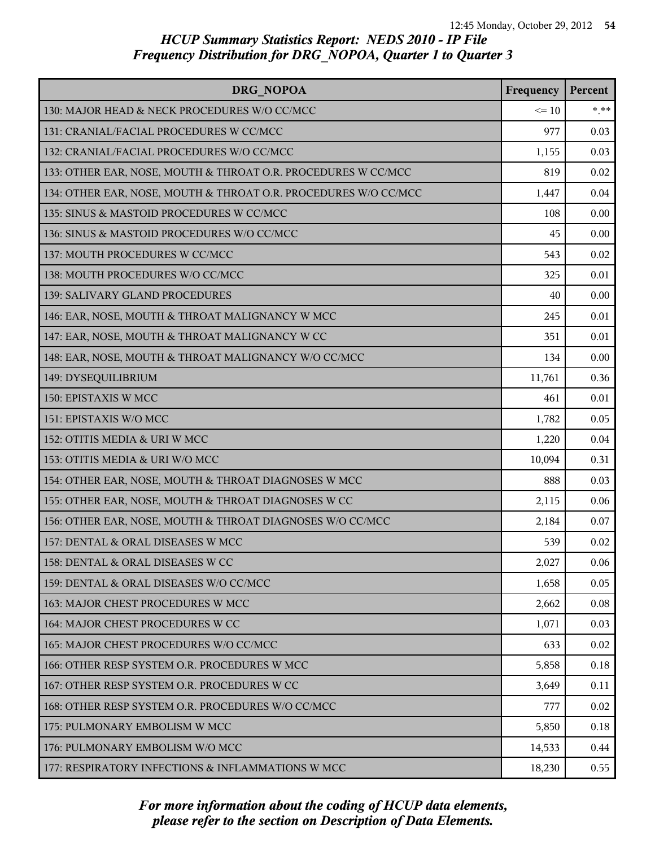| DRG NOPOA                                                       | Frequency | Percent |
|-----------------------------------------------------------------|-----------|---------|
| 130: MAJOR HEAD & NECK PROCEDURES W/O CC/MCC                    | $\leq$ 10 | $* * *$ |
| 131: CRANIAL/FACIAL PROCEDURES W CC/MCC                         | 977       | 0.03    |
| 132: CRANIAL/FACIAL PROCEDURES W/O CC/MCC                       | 1,155     | 0.03    |
| 133: OTHER EAR, NOSE, MOUTH & THROAT O.R. PROCEDURES W CC/MCC   | 819       | 0.02    |
| 134: OTHER EAR, NOSE, MOUTH & THROAT O.R. PROCEDURES W/O CC/MCC | 1,447     | 0.04    |
| 135: SINUS & MASTOID PROCEDURES W CC/MCC                        | 108       | 0.00    |
| 136: SINUS & MASTOID PROCEDURES W/O CC/MCC                      | 45        | 0.00    |
| 137: MOUTH PROCEDURES W CC/MCC                                  | 543       | 0.02    |
| 138: MOUTH PROCEDURES W/O CC/MCC                                | 325       | 0.01    |
| 139: SALIVARY GLAND PROCEDURES                                  | 40        | 0.00    |
| 146: EAR, NOSE, MOUTH & THROAT MALIGNANCY W MCC                 | 245       | 0.01    |
| 147: EAR, NOSE, MOUTH & THROAT MALIGNANCY W CC                  | 351       | 0.01    |
| 148: EAR, NOSE, MOUTH & THROAT MALIGNANCY W/O CC/MCC            | 134       | 0.00    |
| 149: DYSEQUILIBRIUM                                             | 11,761    | 0.36    |
| 150: EPISTAXIS W MCC                                            | 461       | 0.01    |
| 151: EPISTAXIS W/O MCC                                          | 1,782     | 0.05    |
| 152: OTITIS MEDIA & URI W MCC                                   | 1,220     | 0.04    |
| 153: OTITIS MEDIA & URI W/O MCC                                 | 10,094    | 0.31    |
| 154: OTHER EAR, NOSE, MOUTH & THROAT DIAGNOSES W MCC            | 888       | 0.03    |
| 155: OTHER EAR, NOSE, MOUTH & THROAT DIAGNOSES W CC             | 2,115     | 0.06    |
| 156: OTHER EAR, NOSE, MOUTH & THROAT DIAGNOSES W/O CC/MCC       | 2,184     | 0.07    |
| 157: DENTAL & ORAL DISEASES W MCC                               | 539       | 0.02    |
| 158: DENTAL & ORAL DISEASES W CC                                | 2,027     | 0.06    |
| 159: DENTAL & ORAL DISEASES W/O CC/MCC                          | 1,658     | 0.05    |
| 163: MAJOR CHEST PROCEDURES W MCC                               | 2,662     | 0.08    |
| 164: MAJOR CHEST PROCEDURES W CC                                | 1,071     | 0.03    |
| 165: MAJOR CHEST PROCEDURES W/O CC/MCC                          | 633       | 0.02    |
| 166: OTHER RESP SYSTEM O.R. PROCEDURES W MCC                    | 5,858     | 0.18    |
| 167: OTHER RESP SYSTEM O.R. PROCEDURES W CC                     | 3,649     | 0.11    |
| 168: OTHER RESP SYSTEM O.R. PROCEDURES W/O CC/MCC               | 777       | 0.02    |
| 175: PULMONARY EMBOLISM W MCC                                   | 5,850     | 0.18    |
| 176: PULMONARY EMBOLISM W/O MCC                                 | 14,533    | 0.44    |
| 177: RESPIRATORY INFECTIONS & INFLAMMATIONS W MCC               | 18,230    | 0.55    |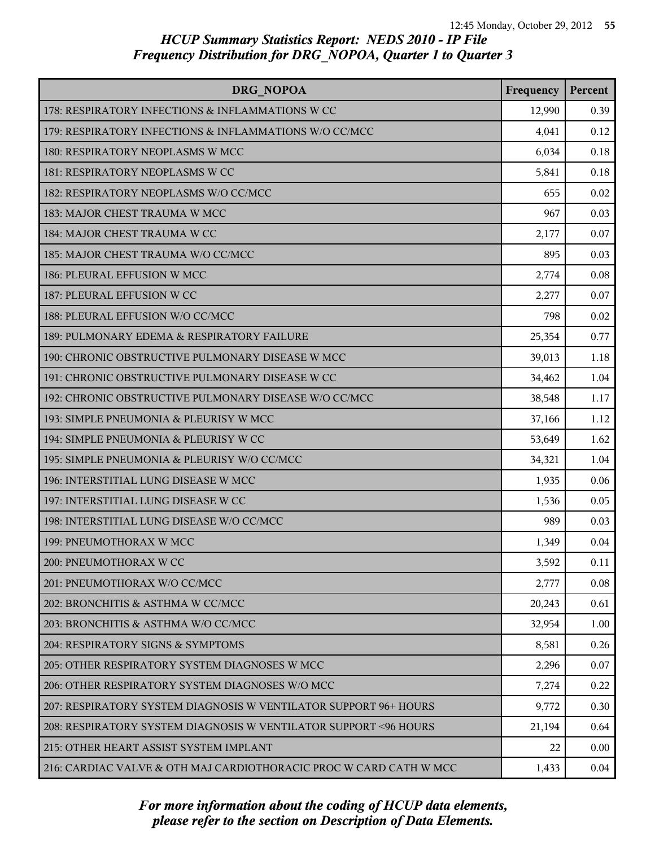| DRG NOPOA                                                          | Frequency | Percent |
|--------------------------------------------------------------------|-----------|---------|
| 178: RESPIRATORY INFECTIONS & INFLAMMATIONS W CC                   | 12,990    | 0.39    |
| 179: RESPIRATORY INFECTIONS & INFLAMMATIONS W/O CC/MCC             | 4,041     | 0.12    |
| 180: RESPIRATORY NEOPLASMS W MCC                                   | 6,034     | 0.18    |
| 181: RESPIRATORY NEOPLASMS W CC                                    | 5,841     | 0.18    |
| 182: RESPIRATORY NEOPLASMS W/O CC/MCC                              | 655       | 0.02    |
| 183: MAJOR CHEST TRAUMA W MCC                                      | 967       | 0.03    |
| 184: MAJOR CHEST TRAUMA W CC                                       | 2,177     | 0.07    |
| 185: MAJOR CHEST TRAUMA W/O CC/MCC                                 | 895       | 0.03    |
| 186: PLEURAL EFFUSION W MCC                                        | 2,774     | 0.08    |
| 187: PLEURAL EFFUSION W CC                                         | 2,277     | 0.07    |
| 188: PLEURAL EFFUSION W/O CC/MCC                                   | 798       | 0.02    |
| 189: PULMONARY EDEMA & RESPIRATORY FAILURE                         | 25,354    | 0.77    |
| 190: CHRONIC OBSTRUCTIVE PULMONARY DISEASE W MCC                   | 39,013    | 1.18    |
| 191: CHRONIC OBSTRUCTIVE PULMONARY DISEASE W CC                    | 34,462    | 1.04    |
| 192: CHRONIC OBSTRUCTIVE PULMONARY DISEASE W/O CC/MCC              | 38,548    | 1.17    |
| 193: SIMPLE PNEUMONIA & PLEURISY W MCC                             | 37,166    | 1.12    |
| 194: SIMPLE PNEUMONIA & PLEURISY W CC                              | 53,649    | 1.62    |
| 195: SIMPLE PNEUMONIA & PLEURISY W/O CC/MCC                        | 34,321    | 1.04    |
| 196: INTERSTITIAL LUNG DISEASE W MCC                               | 1,935     | 0.06    |
| 197: INTERSTITIAL LUNG DISEASE W CC                                | 1,536     | 0.05    |
| 198: INTERSTITIAL LUNG DISEASE W/O CC/MCC                          | 989       | 0.03    |
| 199: PNEUMOTHORAX W MCC                                            | 1,349     | 0.04    |
| 200: PNEUMOTHORAX W CC                                             | 3,592     | 0.11    |
| 201: PNEUMOTHORAX W/O CC/MCC                                       | 2,777     | 0.08    |
| 202: BRONCHITIS & ASTHMA W CC/MCC                                  | 20,243    | 0.61    |
| 203: BRONCHITIS & ASTHMA W/O CC/MCC                                | 32,954    | 1.00    |
| 204: RESPIRATORY SIGNS & SYMPTOMS                                  | 8,581     | 0.26    |
| 205: OTHER RESPIRATORY SYSTEM DIAGNOSES W MCC                      | 2,296     | 0.07    |
| 206: OTHER RESPIRATORY SYSTEM DIAGNOSES W/O MCC                    | 7,274     | 0.22    |
| 207: RESPIRATORY SYSTEM DIAGNOSIS W VENTILATOR SUPPORT 96+ HOURS   | 9,772     | 0.30    |
| 208: RESPIRATORY SYSTEM DIAGNOSIS W VENTILATOR SUPPORT <96 HOURS   | 21,194    | 0.64    |
| 215: OTHER HEART ASSIST SYSTEM IMPLANT                             | 22        | 0.00    |
| 216: CARDIAC VALVE & OTH MAJ CARDIOTHORACIC PROC W CARD CATH W MCC | 1,433     | 0.04    |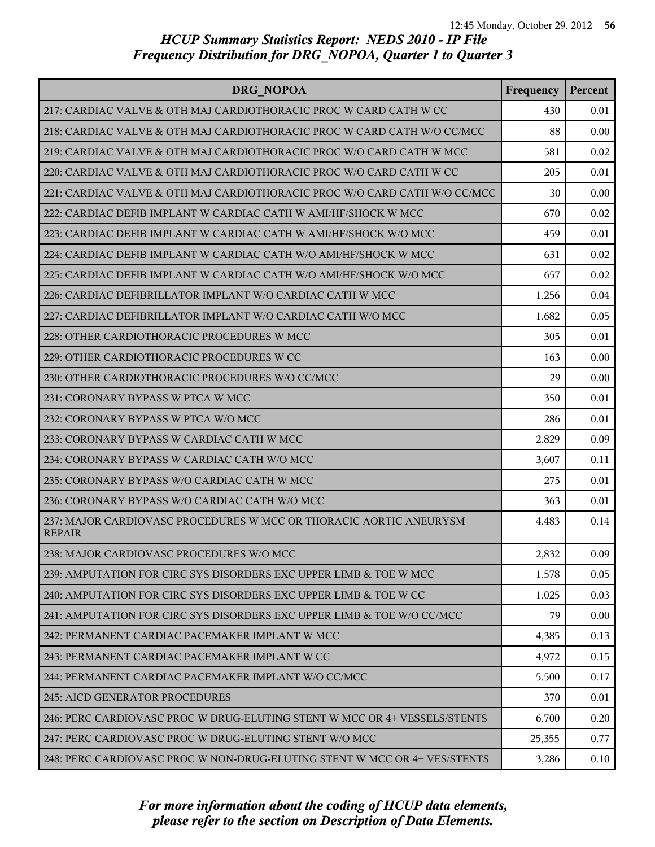| DRG NOPOA                                                                           | Frequency | Percent |
|-------------------------------------------------------------------------------------|-----------|---------|
| 217: CARDIAC VALVE & OTH MAJ CARDIOTHORACIC PROC W CARD CATH W CC                   | 430       | 0.01    |
| 218: CARDIAC VALVE & OTH MAJ CARDIOTHORACIC PROC W CARD CATH W/O CC/MCC             | 88        | 0.00    |
| 219: CARDIAC VALVE & OTH MAJ CARDIOTHORACIC PROC W/O CARD CATH W MCC                | 581       | 0.02    |
| 220: CARDIAC VALVE & OTH MAJ CARDIOTHORACIC PROC W/O CARD CATH W CC                 | 205       | 0.01    |
| 221: CARDIAC VALVE & OTH MAJ CARDIOTHORACIC PROC W/O CARD CATH W/O CC/MCC           | 30        | 0.00    |
| 222: CARDIAC DEFIB IMPLANT W CARDIAC CATH W AMI/HF/SHOCK W MCC                      | 670       | 0.02    |
| 223: CARDIAC DEFIB IMPLANT W CARDIAC CATH W AMI/HF/SHOCK W/O MCC                    | 459       | 0.01    |
| 224: CARDIAC DEFIB IMPLANT W CARDIAC CATH W/O AMI/HF/SHOCK W MCC                    | 631       | 0.02    |
| 225: CARDIAC DEFIB IMPLANT W CARDIAC CATH W/O AMI/HF/SHOCK W/O MCC                  | 657       | 0.02    |
| 226: CARDIAC DEFIBRILLATOR IMPLANT W/O CARDIAC CATH W MCC                           | 1,256     | 0.04    |
| 227: CARDIAC DEFIBRILLATOR IMPLANT W/O CARDIAC CATH W/O MCC                         | 1,682     | 0.05    |
| 228: OTHER CARDIOTHORACIC PROCEDURES W MCC                                          | 305       | 0.01    |
| 229: OTHER CARDIOTHORACIC PROCEDURES W CC                                           | 163       | 0.00    |
| 230: OTHER CARDIOTHORACIC PROCEDURES W/O CC/MCC                                     | 29        | 0.00    |
| 231: CORONARY BYPASS W PTCA W MCC                                                   | 350       | 0.01    |
| 232: CORONARY BYPASS W PTCA W/O MCC                                                 | 286       | 0.01    |
| 233: CORONARY BYPASS W CARDIAC CATH W MCC                                           | 2,829     | 0.09    |
| 234: CORONARY BYPASS W CARDIAC CATH W/O MCC                                         | 3,607     | 0.11    |
| 235: CORONARY BYPASS W/O CARDIAC CATH W MCC                                         | 275       | 0.01    |
| 236: CORONARY BYPASS W/O CARDIAC CATH W/O MCC                                       | 363       | 0.01    |
| 237: MAJOR CARDIOVASC PROCEDURES W MCC OR THORACIC AORTIC ANEURYSM<br><b>REPAIR</b> | 4,483     | 0.14    |
| 238: MAJOR CARDIOVASC PROCEDURES W/O MCC                                            | 2,832     | 0.09    |
| 239: AMPUTATION FOR CIRC SYS DISORDERS EXC UPPER LIMB & TOE W MCC                   | 1,578     | 0.05    |
| 240: AMPUTATION FOR CIRC SYS DISORDERS EXC UPPER LIMB & TOE W CC                    | 1,025     | 0.03    |
| 241: AMPUTATION FOR CIRC SYS DISORDERS EXC UPPER LIMB & TOE W/O CC/MCC              | 79        | 0.00    |
| 242: PERMANENT CARDIAC PACEMAKER IMPLANT W MCC                                      | 4,385     | 0.13    |
| 243: PERMANENT CARDIAC PACEMAKER IMPLANT W CC                                       | 4,972     | 0.15    |
| 244: PERMANENT CARDIAC PACEMAKER IMPLANT W/O CC/MCC                                 | 5,500     | 0.17    |
| 245: AICD GENERATOR PROCEDURES                                                      | 370       | 0.01    |
| 246: PERC CARDIOVASC PROC W DRUG-ELUTING STENT W MCC OR 4+ VESSELS/STENTS           | 6,700     | 0.20    |
| 247: PERC CARDIOVASC PROC W DRUG-ELUTING STENT W/O MCC                              | 25,355    | 0.77    |
| 248: PERC CARDIOVASC PROC W NON-DRUG-ELUTING STENT W MCC OR 4+ VES/STENTS           | 3,286     | 0.10    |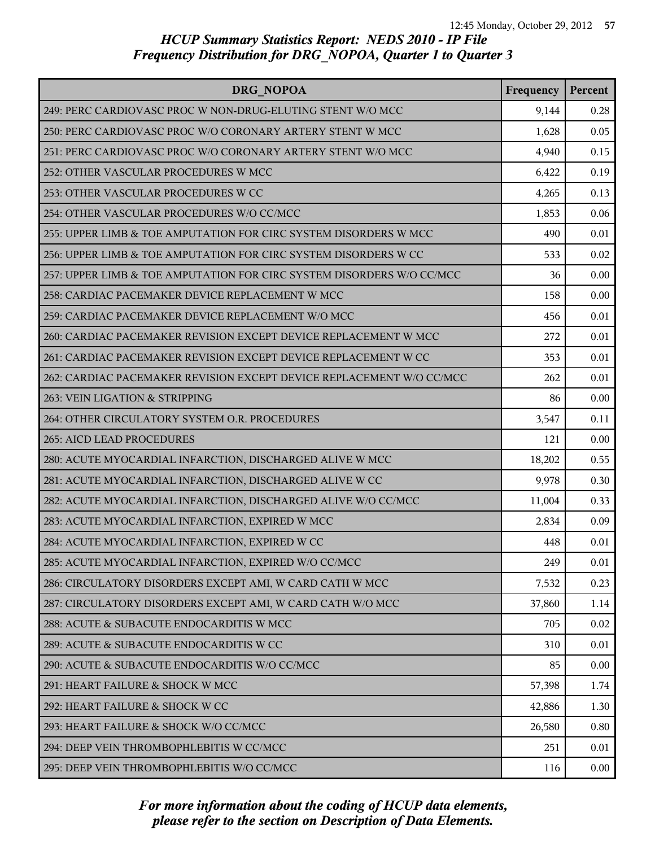| DRG NOPOA                                                             | Frequency | Percent |
|-----------------------------------------------------------------------|-----------|---------|
| 249: PERC CARDIOVASC PROC W NON-DRUG-ELUTING STENT W/O MCC            | 9,144     | 0.28    |
| 250: PERC CARDIOVASC PROC W/O CORONARY ARTERY STENT W MCC             | 1,628     | 0.05    |
| 251: PERC CARDIOVASC PROC W/O CORONARY ARTERY STENT W/O MCC           | 4,940     | 0.15    |
| 252: OTHER VASCULAR PROCEDURES W MCC                                  | 6,422     | 0.19    |
| 253: OTHER VASCULAR PROCEDURES W CC                                   | 4,265     | 0.13    |
| 254: OTHER VASCULAR PROCEDURES W/O CC/MCC                             | 1,853     | 0.06    |
| 255: UPPER LIMB & TOE AMPUTATION FOR CIRC SYSTEM DISORDERS W MCC      | 490       | 0.01    |
| 256: UPPER LIMB & TOE AMPUTATION FOR CIRC SYSTEM DISORDERS W CC       | 533       | 0.02    |
| 257: UPPER LIMB & TOE AMPUTATION FOR CIRC SYSTEM DISORDERS W/O CC/MCC | 36        | 0.00    |
| 258: CARDIAC PACEMAKER DEVICE REPLACEMENT W MCC                       | 158       | 0.00    |
| 259: CARDIAC PACEMAKER DEVICE REPLACEMENT W/O MCC                     | 456       | 0.01    |
| 260: CARDIAC PACEMAKER REVISION EXCEPT DEVICE REPLACEMENT W MCC       | 272       | 0.01    |
| 261: CARDIAC PACEMAKER REVISION EXCEPT DEVICE REPLACEMENT W CC        | 353       | 0.01    |
| 262: CARDIAC PACEMAKER REVISION EXCEPT DEVICE REPLACEMENT W/O CC/MCC  | 262       | 0.01    |
| 263: VEIN LIGATION & STRIPPING                                        | 86        | 0.00    |
| 264: OTHER CIRCULATORY SYSTEM O.R. PROCEDURES                         | 3,547     | 0.11    |
| 265: AICD LEAD PROCEDURES                                             | 121       | 0.00    |
| 280: ACUTE MYOCARDIAL INFARCTION, DISCHARGED ALIVE W MCC              | 18,202    | 0.55    |
| 281: ACUTE MYOCARDIAL INFARCTION, DISCHARGED ALIVE W CC               | 9,978     | 0.30    |
| 282: ACUTE MYOCARDIAL INFARCTION, DISCHARGED ALIVE W/O CC/MCC         | 11,004    | 0.33    |
| 283: ACUTE MYOCARDIAL INFARCTION, EXPIRED W MCC                       | 2,834     | 0.09    |
| 284: ACUTE MYOCARDIAL INFARCTION, EXPIRED W CC                        | 448       | 0.01    |
| 285: ACUTE MYOCARDIAL INFARCTION, EXPIRED W/O CC/MCC                  | 249       | 0.01    |
| 286: CIRCULATORY DISORDERS EXCEPT AMI, W CARD CATH W MCC              | 7,532     | 0.23    |
| 287: CIRCULATORY DISORDERS EXCEPT AMI, W CARD CATH W/O MCC            | 37,860    | 1.14    |
| 288: ACUTE & SUBACUTE ENDOCARDITIS W MCC                              | 705       | 0.02    |
| 289: ACUTE & SUBACUTE ENDOCARDITIS W CC                               | 310       | 0.01    |
| 290: ACUTE & SUBACUTE ENDOCARDITIS W/O CC/MCC                         | 85        | 0.00    |
| 291: HEART FAILURE & SHOCK W MCC                                      | 57,398    | 1.74    |
| 292: HEART FAILURE & SHOCK W CC                                       | 42,886    | 1.30    |
| 293: HEART FAILURE & SHOCK W/O CC/MCC                                 | 26,580    | 0.80    |
| 294: DEEP VEIN THROMBOPHLEBITIS W CC/MCC                              | 251       | 0.01    |
| 295: DEEP VEIN THROMBOPHLEBITIS W/O CC/MCC                            | 116       | 0.00    |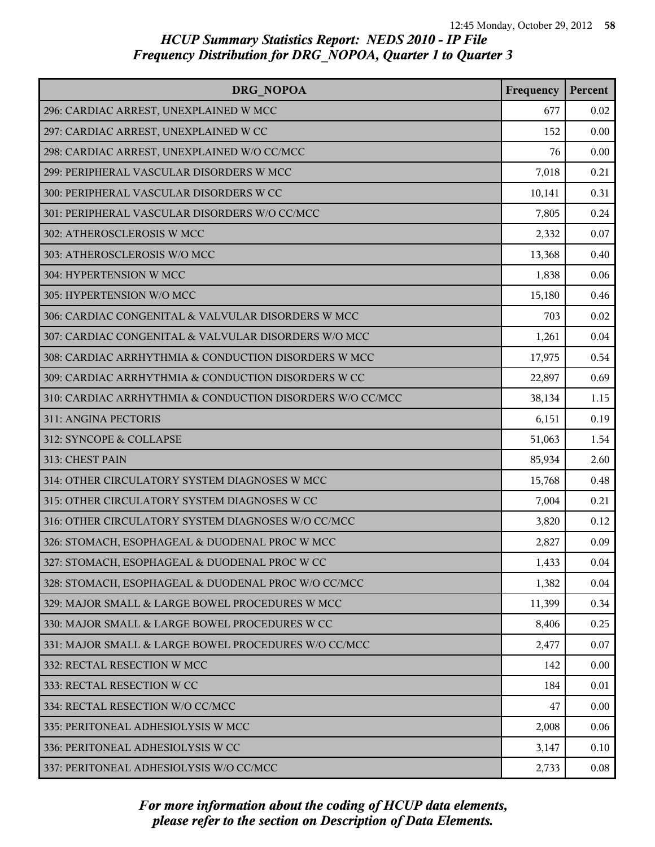| DRG NOPOA                                                 | Frequency | Percent |
|-----------------------------------------------------------|-----------|---------|
| 296: CARDIAC ARREST, UNEXPLAINED W MCC                    | 677       | 0.02    |
| 297: CARDIAC ARREST, UNEXPLAINED W CC                     | 152       | 0.00    |
| 298: CARDIAC ARREST, UNEXPLAINED W/O CC/MCC               | 76        | 0.00    |
| 299: PERIPHERAL VASCULAR DISORDERS W MCC                  | 7,018     | 0.21    |
| 300: PERIPHERAL VASCULAR DISORDERS W CC                   | 10,141    | 0.31    |
| 301: PERIPHERAL VASCULAR DISORDERS W/O CC/MCC             | 7,805     | 0.24    |
| 302: ATHEROSCLEROSIS W MCC                                | 2,332     | 0.07    |
| 303: ATHEROSCLEROSIS W/O MCC                              | 13,368    | 0.40    |
| 304: HYPERTENSION W MCC                                   | 1,838     | 0.06    |
| 305: HYPERTENSION W/O MCC                                 | 15,180    | 0.46    |
| 306: CARDIAC CONGENITAL & VALVULAR DISORDERS W MCC        | 703       | 0.02    |
| 307: CARDIAC CONGENITAL & VALVULAR DISORDERS W/O MCC      | 1,261     | 0.04    |
| 308: CARDIAC ARRHYTHMIA & CONDUCTION DISORDERS W MCC      | 17,975    | 0.54    |
| 309: CARDIAC ARRHYTHMIA & CONDUCTION DISORDERS W CC       | 22,897    | 0.69    |
| 310: CARDIAC ARRHYTHMIA & CONDUCTION DISORDERS W/O CC/MCC | 38,134    | 1.15    |
| 311: ANGINA PECTORIS                                      | 6,151     | 0.19    |
| 312: SYNCOPE & COLLAPSE                                   | 51,063    | 1.54    |
| 313: CHEST PAIN                                           | 85,934    | 2.60    |
| 314: OTHER CIRCULATORY SYSTEM DIAGNOSES W MCC             | 15,768    | 0.48    |
| 315: OTHER CIRCULATORY SYSTEM DIAGNOSES W CC              | 7,004     | 0.21    |
| 316: OTHER CIRCULATORY SYSTEM DIAGNOSES W/O CC/MCC        | 3,820     | 0.12    |
| 326: STOMACH, ESOPHAGEAL & DUODENAL PROC W MCC            | 2,827     | 0.09    |
| 327: STOMACH, ESOPHAGEAL & DUODENAL PROC W CC             | 1,433     | 0.04    |
| 328: STOMACH, ESOPHAGEAL & DUODENAL PROC W/O CC/MCC       | 1,382     | 0.04    |
| 329: MAJOR SMALL & LARGE BOWEL PROCEDURES W MCC           | 11,399    | 0.34    |
| 330: MAJOR SMALL & LARGE BOWEL PROCEDURES W CC            | 8,406     | 0.25    |
| 331: MAJOR SMALL & LARGE BOWEL PROCEDURES W/O CC/MCC      | 2,477     | 0.07    |
| 332: RECTAL RESECTION W MCC                               | 142       | 0.00    |
| 333: RECTAL RESECTION W CC                                | 184       | 0.01    |
| 334: RECTAL RESECTION W/O CC/MCC                          | 47        | 0.00    |
| 335: PERITONEAL ADHESIOLYSIS W MCC                        | 2,008     | 0.06    |
| 336: PERITONEAL ADHESIOLYSIS W CC                         | 3,147     | 0.10    |
| 337: PERITONEAL ADHESIOLYSIS W/O CC/MCC                   | 2,733     | 0.08    |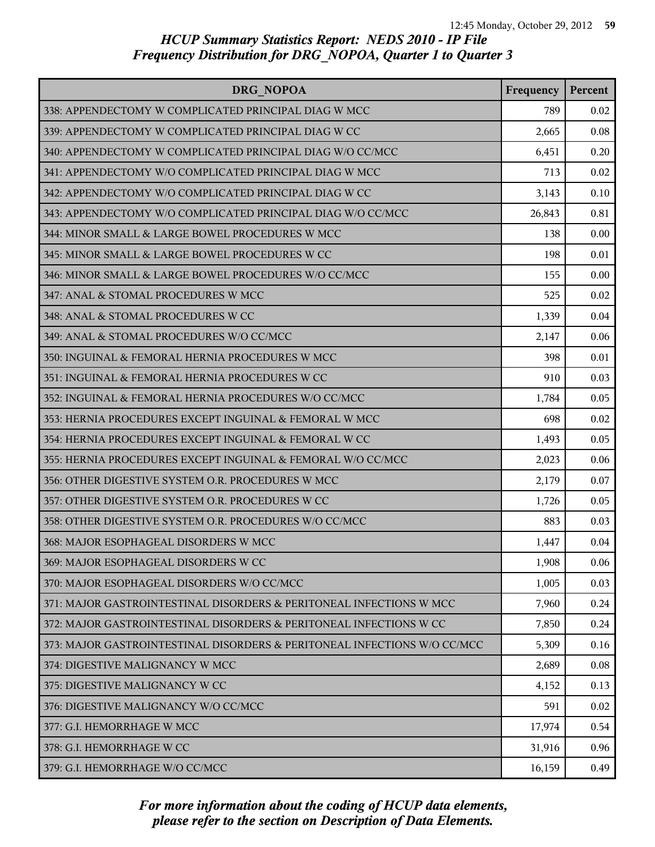| DRG NOPOA                                                                | Frequency | Percent |
|--------------------------------------------------------------------------|-----------|---------|
| 338: APPENDECTOMY W COMPLICATED PRINCIPAL DIAG W MCC                     | 789       | 0.02    |
| 339: APPENDECTOMY W COMPLICATED PRINCIPAL DIAG W CC                      | 2,665     | 0.08    |
| 340: APPENDECTOMY W COMPLICATED PRINCIPAL DIAG W/O CC/MCC                | 6,451     | 0.20    |
| 341: APPENDECTOMY W/O COMPLICATED PRINCIPAL DIAG W MCC                   | 713       | 0.02    |
| 342: APPENDECTOMY W/O COMPLICATED PRINCIPAL DIAG W CC                    | 3,143     | 0.10    |
| 343: APPENDECTOMY W/O COMPLICATED PRINCIPAL DIAG W/O CC/MCC              | 26,843    | 0.81    |
| 344: MINOR SMALL & LARGE BOWEL PROCEDURES W MCC                          | 138       | 0.00    |
| 345: MINOR SMALL & LARGE BOWEL PROCEDURES W CC                           | 198       | 0.01    |
| 346: MINOR SMALL & LARGE BOWEL PROCEDURES W/O CC/MCC                     | 155       | 0.00    |
| 347: ANAL & STOMAL PROCEDURES W MCC                                      | 525       | 0.02    |
| 348: ANAL & STOMAL PROCEDURES W CC                                       | 1,339     | 0.04    |
| 349: ANAL & STOMAL PROCEDURES W/O CC/MCC                                 | 2,147     | 0.06    |
| 350: INGUINAL & FEMORAL HERNIA PROCEDURES W MCC                          | 398       | 0.01    |
| 351: INGUINAL & FEMORAL HERNIA PROCEDURES W CC                           | 910       | 0.03    |
| 352: INGUINAL & FEMORAL HERNIA PROCEDURES W/O CC/MCC                     | 1,784     | 0.05    |
| 353: HERNIA PROCEDURES EXCEPT INGUINAL & FEMORAL W MCC                   | 698       | 0.02    |
| 354: HERNIA PROCEDURES EXCEPT INGUINAL & FEMORAL W CC                    | 1,493     | 0.05    |
| 355: HERNIA PROCEDURES EXCEPT INGUINAL & FEMORAL W/O CC/MCC              | 2,023     | 0.06    |
| 356: OTHER DIGESTIVE SYSTEM O.R. PROCEDURES W MCC                        | 2,179     | 0.07    |
| 357: OTHER DIGESTIVE SYSTEM O.R. PROCEDURES W CC                         | 1,726     | 0.05    |
| 358: OTHER DIGESTIVE SYSTEM O.R. PROCEDURES W/O CC/MCC                   | 883       | 0.03    |
| 368: MAJOR ESOPHAGEAL DISORDERS W MCC                                    | 1,447     | 0.04    |
| 369: MAJOR ESOPHAGEAL DISORDERS W CC                                     | 1,908     | 0.06    |
| 370: MAJOR ESOPHAGEAL DISORDERS W/O CC/MCC                               | 1,005     | 0.03    |
| 371: MAJOR GASTROINTESTINAL DISORDERS & PERITONEAL INFECTIONS W MCC      | 7,960     | 0.24    |
| 372: MAJOR GASTROINTESTINAL DISORDERS & PERITONEAL INFECTIONS W CC       | 7,850     | 0.24    |
| 373: MAJOR GASTROINTESTINAL DISORDERS & PERITONEAL INFECTIONS W/O CC/MCC | 5,309     | 0.16    |
| 374: DIGESTIVE MALIGNANCY W MCC                                          | 2,689     | 0.08    |
| 375: DIGESTIVE MALIGNANCY W CC                                           | 4,152     | 0.13    |
| 376: DIGESTIVE MALIGNANCY W/O CC/MCC                                     | 591       | 0.02    |
| 377: G.I. HEMORRHAGE W MCC                                               | 17,974    | 0.54    |
| 378: G.I. HEMORRHAGE W CC                                                | 31,916    | 0.96    |
| 379: G.I. HEMORRHAGE W/O CC/MCC                                          | 16,159    | 0.49    |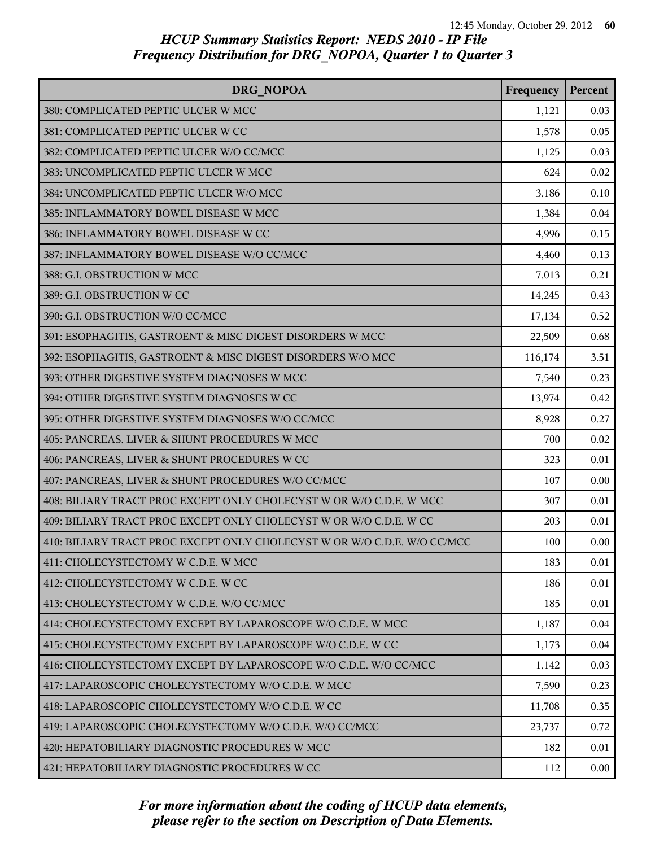| DRG NOPOA                                                                | Frequency | Percent |
|--------------------------------------------------------------------------|-----------|---------|
| 380: COMPLICATED PEPTIC ULCER W MCC                                      | 1,121     | 0.03    |
| 381: COMPLICATED PEPTIC ULCER W CC                                       | 1,578     | 0.05    |
| 382: COMPLICATED PEPTIC ULCER W/O CC/MCC                                 | 1,125     | 0.03    |
| 383: UNCOMPLICATED PEPTIC ULCER W MCC                                    | 624       | 0.02    |
| 384: UNCOMPLICATED PEPTIC ULCER W/O MCC                                  | 3,186     | 0.10    |
| 385: INFLAMMATORY BOWEL DISEASE W MCC                                    | 1,384     | 0.04    |
| 386: INFLAMMATORY BOWEL DISEASE W CC                                     | 4,996     | 0.15    |
| 387: INFLAMMATORY BOWEL DISEASE W/O CC/MCC                               | 4,460     | 0.13    |
| 388: G.I. OBSTRUCTION W MCC                                              | 7,013     | 0.21    |
| 389: G.I. OBSTRUCTION W CC                                               | 14,245    | 0.43    |
| 390: G.I. OBSTRUCTION W/O CC/MCC                                         | 17,134    | 0.52    |
| 391: ESOPHAGITIS, GASTROENT & MISC DIGEST DISORDERS W MCC                | 22,509    | 0.68    |
| 392: ESOPHAGITIS, GASTROENT & MISC DIGEST DISORDERS W/O MCC              | 116,174   | 3.51    |
| 393: OTHER DIGESTIVE SYSTEM DIAGNOSES W MCC                              | 7,540     | 0.23    |
| 394: OTHER DIGESTIVE SYSTEM DIAGNOSES W CC                               | 13,974    | 0.42    |
| 395: OTHER DIGESTIVE SYSTEM DIAGNOSES W/O CC/MCC                         | 8,928     | 0.27    |
| 405: PANCREAS, LIVER & SHUNT PROCEDURES W MCC                            | 700       | 0.02    |
| 406: PANCREAS, LIVER & SHUNT PROCEDURES W CC                             | 323       | 0.01    |
| 407: PANCREAS, LIVER & SHUNT PROCEDURES W/O CC/MCC                       | 107       | 0.00    |
| 408: BILIARY TRACT PROC EXCEPT ONLY CHOLECYST W OR W/O C.D.E. W MCC      | 307       | 0.01    |
| 409: BILIARY TRACT PROC EXCEPT ONLY CHOLECYST W OR W/O C.D.E. W CC       | 203       | 0.01    |
| 410: BILIARY TRACT PROC EXCEPT ONLY CHOLECYST W OR W/O C.D.E. W/O CC/MCC | 100       | 0.00    |
| 411: CHOLECYSTECTOMY W C.D.E. W MCC                                      | 183       | 0.01    |
| 412: CHOLECYSTECTOMY W C.D.E. W CC                                       | 186       | 0.01    |
| 413: CHOLECYSTECTOMY W C.D.E. W/O CC/MCC                                 | 185       | 0.01    |
| 414: CHOLECYSTECTOMY EXCEPT BY LAPAROSCOPE W/O C.D.E. W MCC              | 1,187     | 0.04    |
| 415: CHOLECYSTECTOMY EXCEPT BY LAPAROSCOPE W/O C.D.E. W CC               | 1,173     | 0.04    |
| 416: CHOLECYSTECTOMY EXCEPT BY LAPAROSCOPE W/O C.D.E. W/O CC/MCC         | 1,142     | 0.03    |
| 417: LAPAROSCOPIC CHOLECYSTECTOMY W/O C.D.E. W MCC                       | 7,590     | 0.23    |
| 418: LAPAROSCOPIC CHOLECYSTECTOMY W/O C.D.E. W CC                        | 11,708    | 0.35    |
| 419: LAPAROSCOPIC CHOLECYSTECTOMY W/O C.D.E. W/O CC/MCC                  | 23,737    | 0.72    |
| 420: HEPATOBILIARY DIAGNOSTIC PROCEDURES W MCC                           | 182       | 0.01    |
| 421: HEPATOBILIARY DIAGNOSTIC PROCEDURES W CC                            | 112       | 0.00    |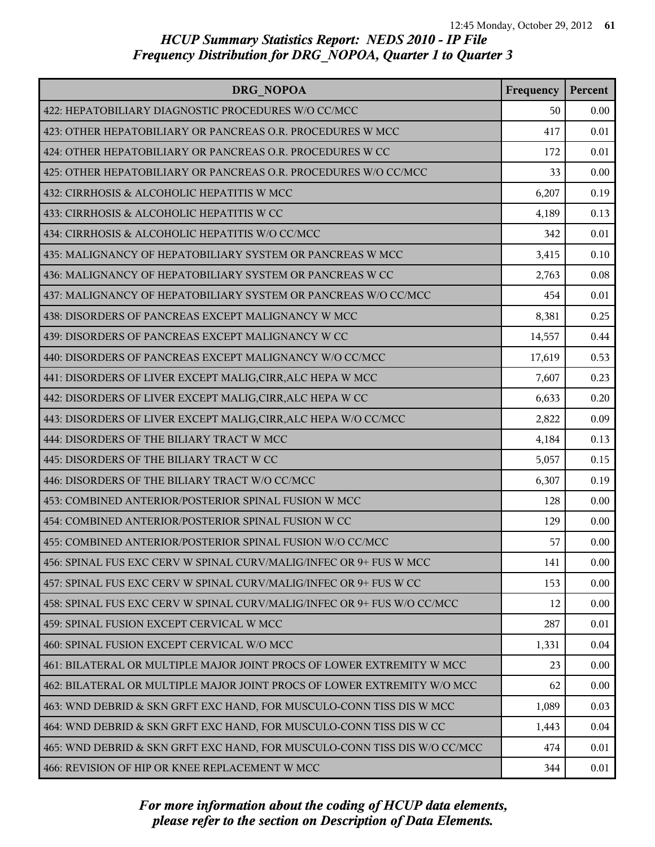| DRG NOPOA                                                                 | Frequency | Percent |
|---------------------------------------------------------------------------|-----------|---------|
| 422: HEPATOBILIARY DIAGNOSTIC PROCEDURES W/O CC/MCC                       | 50        | 0.00    |
| 423: OTHER HEPATOBILIARY OR PANCREAS O.R. PROCEDURES W MCC                | 417       | 0.01    |
| 424: OTHER HEPATOBILIARY OR PANCREAS O.R. PROCEDURES W CC                 | 172       | 0.01    |
| 425: OTHER HEPATOBILIARY OR PANCREAS O.R. PROCEDURES W/O CC/MCC           | 33        | 0.00    |
| 432: CIRRHOSIS & ALCOHOLIC HEPATITIS W MCC                                | 6,207     | 0.19    |
| 433: CIRRHOSIS & ALCOHOLIC HEPATITIS W CC                                 | 4,189     | 0.13    |
| 434: CIRRHOSIS & ALCOHOLIC HEPATITIS W/O CC/MCC                           | 342       | 0.01    |
| 435: MALIGNANCY OF HEPATOBILIARY SYSTEM OR PANCREAS W MCC                 | 3,415     | 0.10    |
| 436: MALIGNANCY OF HEPATOBILIARY SYSTEM OR PANCREAS W CC                  | 2,763     | 0.08    |
| 437: MALIGNANCY OF HEPATOBILIARY SYSTEM OR PANCREAS W/O CC/MCC            | 454       | 0.01    |
| 438: DISORDERS OF PANCREAS EXCEPT MALIGNANCY W MCC                        | 8,381     | 0.25    |
| 439: DISORDERS OF PANCREAS EXCEPT MALIGNANCY W CC                         | 14,557    | 0.44    |
| 440: DISORDERS OF PANCREAS EXCEPT MALIGNANCY W/O CC/MCC                   | 17,619    | 0.53    |
| 441: DISORDERS OF LIVER EXCEPT MALIG, CIRR, ALC HEPA W MCC                | 7,607     | 0.23    |
| 442: DISORDERS OF LIVER EXCEPT MALIG, CIRR, ALC HEPA W CC                 | 6,633     | 0.20    |
| 443: DISORDERS OF LIVER EXCEPT MALIG, CIRR, ALC HEPA W/O CC/MCC           | 2,822     | 0.09    |
| 444: DISORDERS OF THE BILIARY TRACT W MCC                                 | 4,184     | 0.13    |
| 445: DISORDERS OF THE BILIARY TRACT W CC                                  | 5,057     | 0.15    |
| 446: DISORDERS OF THE BILIARY TRACT W/O CC/MCC                            | 6,307     | 0.19    |
| 453: COMBINED ANTERIOR/POSTERIOR SPINAL FUSION W MCC                      | 128       | 0.00    |
| 454: COMBINED ANTERIOR/POSTERIOR SPINAL FUSION W CC                       | 129       | 0.00    |
| 455: COMBINED ANTERIOR/POSTERIOR SPINAL FUSION W/O CC/MCC                 | 57        | 0.00    |
| 456: SPINAL FUS EXC CERV W SPINAL CURV/MALIG/INFEC OR 9+ FUS W MCC        | 141       | 0.00    |
| 457: SPINAL FUS EXC CERV W SPINAL CURV/MALIG/INFEC OR 9+ FUS W CC         | 153       | 0.00    |
| 458: SPINAL FUS EXC CERV W SPINAL CURV/MALIG/INFEC OR 9+ FUS W/O CC/MCC   | 12        | 0.00    |
| 459: SPINAL FUSION EXCEPT CERVICAL W MCC                                  | 287       | 0.01    |
| 460: SPINAL FUSION EXCEPT CERVICAL W/O MCC                                | 1,331     | 0.04    |
| 461: BILATERAL OR MULTIPLE MAJOR JOINT PROCS OF LOWER EXTREMITY W MCC     | 23        | 0.00    |
| 462: BILATERAL OR MULTIPLE MAJOR JOINT PROCS OF LOWER EXTREMITY W/O MCC   | 62        | 0.00    |
| 463: WND DEBRID & SKN GRFT EXC HAND, FOR MUSCULO-CONN TISS DIS W MCC      | 1,089     | 0.03    |
| 464: WND DEBRID & SKN GRFT EXC HAND, FOR MUSCULO-CONN TISS DIS W CC       | 1,443     | 0.04    |
| 465: WND DEBRID & SKN GRFT EXC HAND, FOR MUSCULO-CONN TISS DIS W/O CC/MCC | 474       | 0.01    |
| 466: REVISION OF HIP OR KNEE REPLACEMENT W MCC                            | 344       | 0.01    |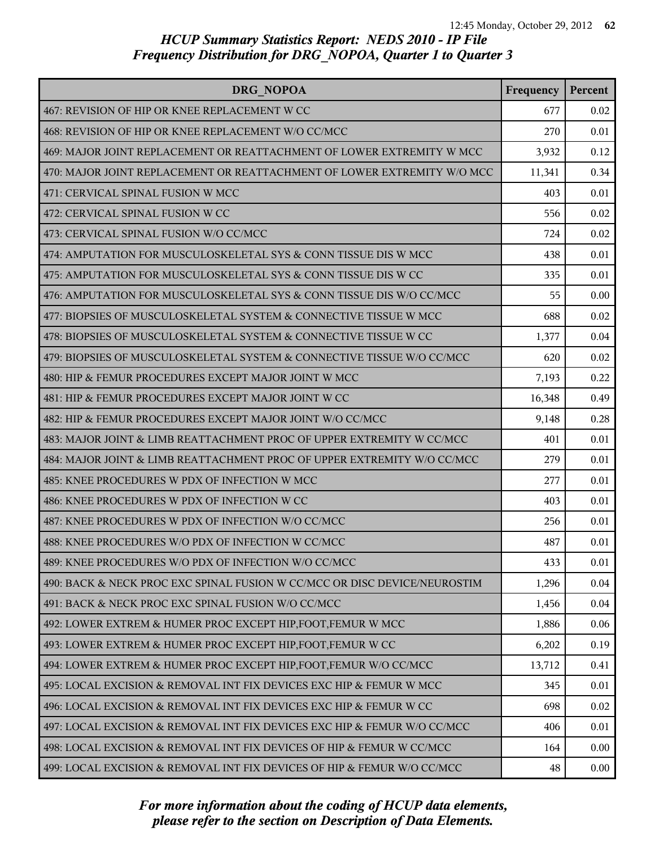| DRG NOPOA                                                                 | Frequency | Percent |
|---------------------------------------------------------------------------|-----------|---------|
| 467: REVISION OF HIP OR KNEE REPLACEMENT W CC                             | 677       | 0.02    |
| 468: REVISION OF HIP OR KNEE REPLACEMENT W/O CC/MCC                       | 270       | 0.01    |
| 469: MAJOR JOINT REPLACEMENT OR REATTACHMENT OF LOWER EXTREMITY W MCC     | 3,932     | 0.12    |
| 470: MAJOR JOINT REPLACEMENT OR REATTACHMENT OF LOWER EXTREMITY W/O MCC   | 11,341    | 0.34    |
| 471: CERVICAL SPINAL FUSION W MCC                                         | 403       | 0.01    |
| 472: CERVICAL SPINAL FUSION W CC                                          | 556       | 0.02    |
| 473: CERVICAL SPINAL FUSION W/O CC/MCC                                    | 724       | 0.02    |
| 474: AMPUTATION FOR MUSCULOSKELETAL SYS & CONN TISSUE DIS W MCC           | 438       | 0.01    |
| 475: AMPUTATION FOR MUSCULOSKELETAL SYS & CONN TISSUE DIS W CC            | 335       | 0.01    |
| 476: AMPUTATION FOR MUSCULOSKELETAL SYS & CONN TISSUE DIS W/O CC/MCC      | 55        | 0.00    |
| 477: BIOPSIES OF MUSCULOSKELETAL SYSTEM & CONNECTIVE TISSUE W MCC         | 688       | 0.02    |
| 478: BIOPSIES OF MUSCULOSKELETAL SYSTEM & CONNECTIVE TISSUE W CC          | 1,377     | 0.04    |
| 479: BIOPSIES OF MUSCULOSKELETAL SYSTEM & CONNECTIVE TISSUE W/O CC/MCC    | 620       | 0.02    |
| 480: HIP & FEMUR PROCEDURES EXCEPT MAJOR JOINT W MCC                      | 7,193     | 0.22    |
| 481: HIP & FEMUR PROCEDURES EXCEPT MAJOR JOINT W CC                       | 16,348    | 0.49    |
| 482: HIP & FEMUR PROCEDURES EXCEPT MAJOR JOINT W/O CC/MCC                 | 9,148     | 0.28    |
| 483: MAJOR JOINT & LIMB REATTACHMENT PROC OF UPPER EXTREMITY W CC/MCC     | 401       | 0.01    |
| 484: MAJOR JOINT & LIMB REATTACHMENT PROC OF UPPER EXTREMITY W/O CC/MCC   | 279       | 0.01    |
| 485: KNEE PROCEDURES W PDX OF INFECTION W MCC                             | 277       | 0.01    |
| 486: KNEE PROCEDURES W PDX OF INFECTION W CC                              | 403       | 0.01    |
| 487: KNEE PROCEDURES W PDX OF INFECTION W/O CC/MCC                        | 256       | 0.01    |
| 488: KNEE PROCEDURES W/O PDX OF INFECTION W CC/MCC                        | 487       | 0.01    |
| 489: KNEE PROCEDURES W/O PDX OF INFECTION W/O CC/MCC                      | 433       | 0.01    |
| 490: BACK & NECK PROC EXC SPINAL FUSION W CC/MCC OR DISC DEVICE/NEUROSTIM | 1,296     | 0.04    |
| 491: BACK & NECK PROC EXC SPINAL FUSION W/O CC/MCC                        | 1,456     | 0.04    |
| 492: LOWER EXTREM & HUMER PROC EXCEPT HIP, FOOT, FEMUR W MCC              | 1,886     | 0.06    |
| 493: LOWER EXTREM & HUMER PROC EXCEPT HIP, FOOT, FEMUR W CC               | 6,202     | 0.19    |
| 494: LOWER EXTREM & HUMER PROC EXCEPT HIP, FOOT, FEMUR W/O CC/MCC         | 13,712    | 0.41    |
| 495: LOCAL EXCISION & REMOVAL INT FIX DEVICES EXC HIP & FEMUR W MCC       | 345       | 0.01    |
| 496: LOCAL EXCISION & REMOVAL INT FIX DEVICES EXC HIP & FEMUR W CC        | 698       | 0.02    |
| 497: LOCAL EXCISION & REMOVAL INT FIX DEVICES EXC HIP & FEMUR W/O CC/MCC  | 406       | 0.01    |
| 498: LOCAL EXCISION & REMOVAL INT FIX DEVICES OF HIP & FEMUR W CC/MCC     | 164       | 0.00    |
| 499: LOCAL EXCISION & REMOVAL INT FIX DEVICES OF HIP & FEMUR W/O CC/MCC   | 48        | 0.00    |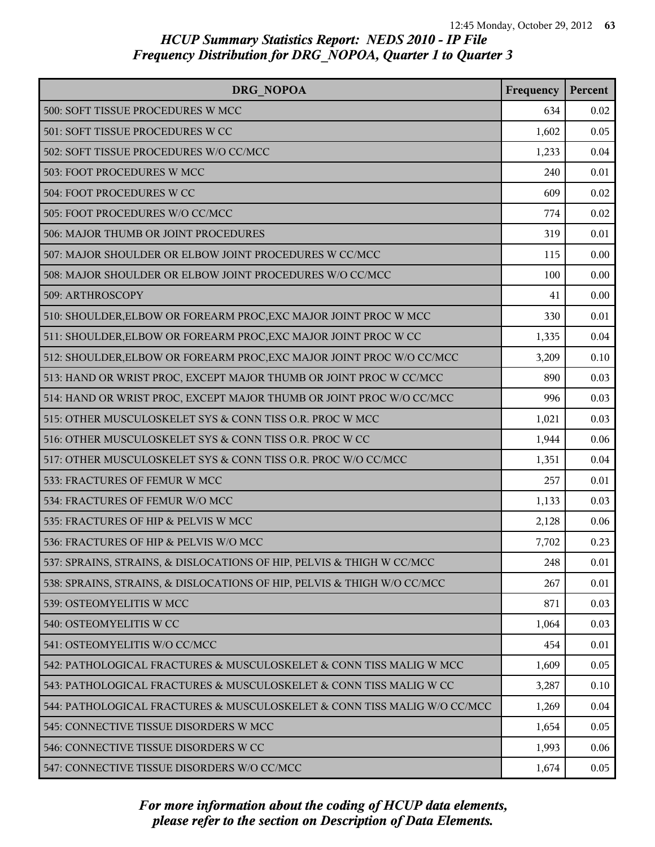| DRG NOPOA                                                                | Frequency | Percent |
|--------------------------------------------------------------------------|-----------|---------|
| 500: SOFT TISSUE PROCEDURES W MCC                                        | 634       | 0.02    |
| 501: SOFT TISSUE PROCEDURES W CC                                         | 1,602     | 0.05    |
| 502: SOFT TISSUE PROCEDURES W/O CC/MCC                                   | 1,233     | 0.04    |
| 503: FOOT PROCEDURES W MCC                                               | 240       | 0.01    |
| 504: FOOT PROCEDURES W CC                                                | 609       | 0.02    |
| 505: FOOT PROCEDURES W/O CC/MCC                                          | 774       | 0.02    |
| 506: MAJOR THUMB OR JOINT PROCEDURES                                     | 319       | 0.01    |
| 507: MAJOR SHOULDER OR ELBOW JOINT PROCEDURES W CC/MCC                   | 115       | 0.00    |
| 508: MAJOR SHOULDER OR ELBOW JOINT PROCEDURES W/O CC/MCC                 | 100       | 0.00    |
| 509: ARTHROSCOPY                                                         | 41        | 0.00    |
| 510: SHOULDER, ELBOW OR FOREARM PROC, EXC MAJOR JOINT PROC W MCC         | 330       | 0.01    |
| 511: SHOULDER, ELBOW OR FOREARM PROC, EXC MAJOR JOINT PROC W CC          | 1,335     | 0.04    |
| 512: SHOULDER, ELBOW OR FOREARM PROC, EXC MAJOR JOINT PROC W/O CC/MCC    | 3,209     | 0.10    |
| 513: HAND OR WRIST PROC, EXCEPT MAJOR THUMB OR JOINT PROC W CC/MCC       | 890       | 0.03    |
| 514: HAND OR WRIST PROC, EXCEPT MAJOR THUMB OR JOINT PROC W/O CC/MCC     | 996       | 0.03    |
| 515: OTHER MUSCULOSKELET SYS & CONN TISS O.R. PROC W MCC                 | 1,021     | 0.03    |
| 516: OTHER MUSCULOSKELET SYS & CONN TISS O.R. PROC W CC                  | 1,944     | 0.06    |
| 517: OTHER MUSCULOSKELET SYS & CONN TISS O.R. PROC W/O CC/MCC            | 1,351     | 0.04    |
| 533: FRACTURES OF FEMUR W MCC                                            | 257       | 0.01    |
| 534: FRACTURES OF FEMUR W/O MCC                                          | 1,133     | 0.03    |
| 535: FRACTURES OF HIP & PELVIS W MCC                                     | 2,128     | 0.06    |
| 536: FRACTURES OF HIP & PELVIS W/O MCC                                   | 7,702     | 0.23    |
| 537: SPRAINS, STRAINS, & DISLOCATIONS OF HIP, PELVIS & THIGH W CC/MCC    | 248       | 0.01    |
| 538: SPRAINS, STRAINS, & DISLOCATIONS OF HIP, PELVIS & THIGH W/O CC/MCC  | 267       | 0.01    |
| 539: OSTEOMYELITIS W MCC                                                 | 871       | 0.03    |
| 540: OSTEOMYELITIS W CC                                                  | 1,064     | 0.03    |
| 541: OSTEOMYELITIS W/O CC/MCC                                            | 454       | 0.01    |
| 542: PATHOLOGICAL FRACTURES & MUSCULOSKELET & CONN TISS MALIG W MCC      | 1,609     | 0.05    |
| 543: PATHOLOGICAL FRACTURES & MUSCULOSKELET & CONN TISS MALIG W CC       | 3,287     | 0.10    |
| 544: PATHOLOGICAL FRACTURES & MUSCULOSKELET & CONN TISS MALIG W/O CC/MCC | 1,269     | 0.04    |
| 545: CONNECTIVE TISSUE DISORDERS W MCC                                   | 1,654     | 0.05    |
| 546: CONNECTIVE TISSUE DISORDERS W CC                                    | 1,993     | 0.06    |
| 547: CONNECTIVE TISSUE DISORDERS W/O CC/MCC                              | 1,674     | 0.05    |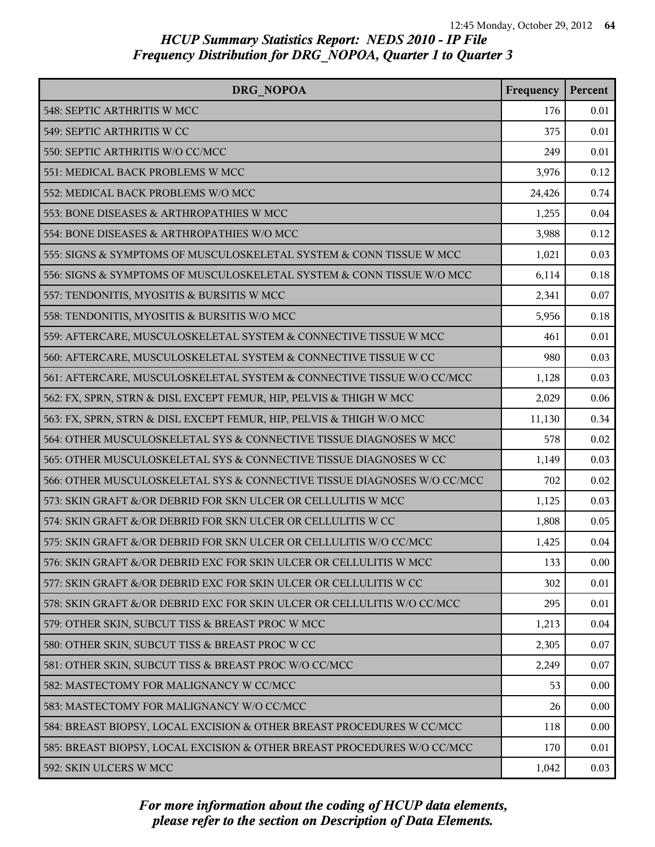| DRG NOPOA                                                               | Frequency | Percent |
|-------------------------------------------------------------------------|-----------|---------|
| 548: SEPTIC ARTHRITIS W MCC                                             | 176       | 0.01    |
| 549: SEPTIC ARTHRITIS W CC                                              | 375       | 0.01    |
| 550: SEPTIC ARTHRITIS W/O CC/MCC                                        | 249       | 0.01    |
| 551: MEDICAL BACK PROBLEMS W MCC                                        | 3,976     | 0.12    |
| 552: MEDICAL BACK PROBLEMS W/O MCC                                      | 24,426    | 0.74    |
| 553: BONE DISEASES & ARTHROPATHIES W MCC                                | 1,255     | 0.04    |
| 554: BONE DISEASES & ARTHROPATHIES W/O MCC                              | 3,988     | 0.12    |
| 555: SIGNS & SYMPTOMS OF MUSCULOSKELETAL SYSTEM & CONN TISSUE W MCC     | 1,021     | 0.03    |
| 556: SIGNS & SYMPTOMS OF MUSCULOSKELETAL SYSTEM & CONN TISSUE W/O MCC   | 6,114     | 0.18    |
| 557: TENDONITIS, MYOSITIS & BURSITIS W MCC                              | 2,341     | 0.07    |
| 558: TENDONITIS, MYOSITIS & BURSITIS W/O MCC                            | 5,956     | 0.18    |
| 559: AFTERCARE, MUSCULOSKELETAL SYSTEM & CONNECTIVE TISSUE W MCC        | 461       | 0.01    |
| 560: AFTERCARE, MUSCULOSKELETAL SYSTEM & CONNECTIVE TISSUE W CC         | 980       | 0.03    |
| 561: AFTERCARE, MUSCULOSKELETAL SYSTEM & CONNECTIVE TISSUE W/O CC/MCC   | 1,128     | 0.03    |
| 562: FX, SPRN, STRN & DISL EXCEPT FEMUR, HIP, PELVIS & THIGH W MCC      | 2,029     | 0.06    |
| 563: FX, SPRN, STRN & DISL EXCEPT FEMUR, HIP, PELVIS & THIGH W/O MCC    | 11,130    | 0.34    |
| 564: OTHER MUSCULOSKELETAL SYS & CONNECTIVE TISSUE DIAGNOSES W MCC      | 578       | 0.02    |
| 565: OTHER MUSCULOSKELETAL SYS & CONNECTIVE TISSUE DIAGNOSES W CC       | 1,149     | 0.03    |
| 566: OTHER MUSCULOSKELETAL SYS & CONNECTIVE TISSUE DIAGNOSES W/O CC/MCC | 702       | 0.02    |
| 573: SKIN GRAFT &/OR DEBRID FOR SKN ULCER OR CELLULITIS W MCC           | 1,125     | 0.03    |
| 574: SKIN GRAFT &/OR DEBRID FOR SKN ULCER OR CELLULITIS W CC            | 1,808     | 0.05    |
| 575: SKIN GRAFT &/OR DEBRID FOR SKN ULCER OR CELLULITIS W/O CC/MCC      | 1,425     | 0.04    |
| 576: SKIN GRAFT &/OR DEBRID EXC FOR SKIN ULCER OR CELLULITIS W MCC      | 133       | 0.00    |
| 577: SKIN GRAFT &/OR DEBRID EXC FOR SKIN ULCER OR CELLULITIS W CC       | 302       | 0.01    |
| 578: SKIN GRAFT &/OR DEBRID EXC FOR SKIN ULCER OR CELLULITIS W/O CC/MCC | 295       | 0.01    |
| 579: OTHER SKIN, SUBCUT TISS & BREAST PROC W MCC                        | 1,213     | 0.04    |
| 580: OTHER SKIN, SUBCUT TISS & BREAST PROC W CC                         | 2,305     | 0.07    |
| 581: OTHER SKIN, SUBCUT TISS & BREAST PROC W/O CC/MCC                   | 2,249     | 0.07    |
| 582: MASTECTOMY FOR MALIGNANCY W CC/MCC                                 | 53        | 0.00    |
| 583: MASTECTOMY FOR MALIGNANCY W/O CC/MCC                               | 26        | 0.00    |
| 584: BREAST BIOPSY, LOCAL EXCISION & OTHER BREAST PROCEDURES W CC/MCC   | 118       | 0.00    |
| 585: BREAST BIOPSY, LOCAL EXCISION & OTHER BREAST PROCEDURES W/O CC/MCC | 170       | 0.01    |
| 592: SKIN ULCERS W MCC                                                  | 1,042     | 0.03    |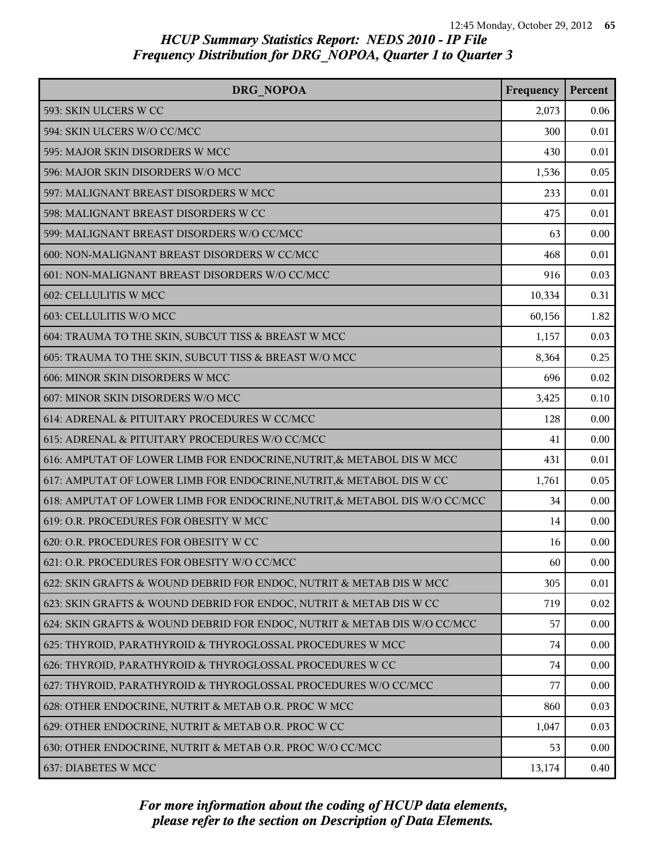| <b>DRG NOPOA</b>                                                           | Frequency | Percent |
|----------------------------------------------------------------------------|-----------|---------|
| 593: SKIN ULCERS W CC                                                      | 2,073     | 0.06    |
| 594: SKIN ULCERS W/O CC/MCC                                                | 300       | 0.01    |
| 595: MAJOR SKIN DISORDERS W MCC                                            | 430       | 0.01    |
| 596: MAJOR SKIN DISORDERS W/O MCC                                          | 1,536     | 0.05    |
| 597: MALIGNANT BREAST DISORDERS W MCC                                      | 233       | 0.01    |
| 598: MALIGNANT BREAST DISORDERS W CC                                       | 475       | 0.01    |
| 599: MALIGNANT BREAST DISORDERS W/O CC/MCC                                 | 63        | 0.00    |
| 600: NON-MALIGNANT BREAST DISORDERS W CC/MCC                               | 468       | 0.01    |
| 601: NON-MALIGNANT BREAST DISORDERS W/O CC/MCC                             | 916       | 0.03    |
| 602: CELLULITIS W MCC                                                      | 10,334    | 0.31    |
| 603: CELLULITIS W/O MCC                                                    | 60,156    | 1.82    |
| 604: TRAUMA TO THE SKIN, SUBCUT TISS & BREAST W MCC                        | 1,157     | 0.03    |
| 605: TRAUMA TO THE SKIN, SUBCUT TISS & BREAST W/O MCC                      | 8,364     | 0.25    |
| 606: MINOR SKIN DISORDERS W MCC                                            | 696       | 0.02    |
| 607: MINOR SKIN DISORDERS W/O MCC                                          | 3,425     | 0.10    |
| 614: ADRENAL & PITUITARY PROCEDURES W CC/MCC                               | 128       | 0.00    |
| 615: ADRENAL & PITUITARY PROCEDURES W/O CC/MCC                             | 41        | 0.00    |
| 616: AMPUTAT OF LOWER LIMB FOR ENDOCRINE, NUTRIT, & METABOL DIS W MCC      | 431       | 0.01    |
| 617: AMPUTAT OF LOWER LIMB FOR ENDOCRINE, NUTRIT, & METABOL DIS W CC       | 1,761     | 0.05    |
| 618: AMPUTAT OF LOWER LIMB FOR ENDOCRINE, NUTRIT, & METABOL DIS W/O CC/MCC | 34        | 0.00    |
| 619: O.R. PROCEDURES FOR OBESITY W MCC                                     | 14        | 0.00    |
| 620: O.R. PROCEDURES FOR OBESITY W CC                                      | 16        | 0.00    |
| 621: O.R. PROCEDURES FOR OBESITY W/O CC/MCC                                | 60        | 0.00    |
| 622: SKIN GRAFTS & WOUND DEBRID FOR ENDOC, NUTRIT & METAB DIS W MCC        | 305       | 0.01    |
| 623: SKIN GRAFTS & WOUND DEBRID FOR ENDOC, NUTRIT & METAB DIS W CC         | 719       | 0.02    |
| 624: SKIN GRAFTS & WOUND DEBRID FOR ENDOC, NUTRIT & METAB DIS W/O CC/MCC   | 57        | 0.00    |
| 625: THYROID, PARATHYROID & THYROGLOSSAL PROCEDURES W MCC                  | 74        | 0.00    |
| 626: THYROID, PARATHYROID & THYROGLOSSAL PROCEDURES W CC                   | 74        | 0.00    |
| 627: THYROID, PARATHYROID & THYROGLOSSAL PROCEDURES W/O CC/MCC             | 77        | 0.00    |
| 628: OTHER ENDOCRINE, NUTRIT & METAB O.R. PROC W MCC                       | 860       | 0.03    |
| 629: OTHER ENDOCRINE, NUTRIT & METAB O.R. PROC W CC                        | 1,047     | 0.03    |
| 630: OTHER ENDOCRINE, NUTRIT & METAB O.R. PROC W/O CC/MCC                  | 53        | 0.00    |
| 637: DIABETES W MCC                                                        | 13,174    | 0.40    |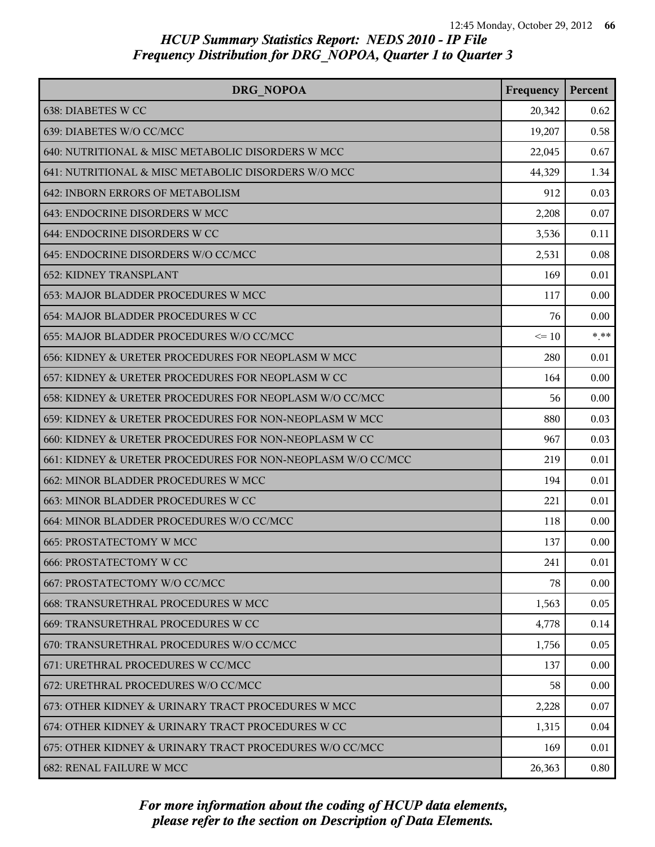| <b>DRG NOPOA</b>                                            | Frequency | Percent |
|-------------------------------------------------------------|-----------|---------|
| 638: DIABETES W CC                                          | 20,342    | 0.62    |
| 639: DIABETES W/O CC/MCC                                    | 19,207    | 0.58    |
| 640: NUTRITIONAL & MISC METABOLIC DISORDERS W MCC           | 22,045    | 0.67    |
| 641: NUTRITIONAL & MISC METABOLIC DISORDERS W/O MCC         | 44,329    | 1.34    |
| 642: INBORN ERRORS OF METABOLISM                            | 912       | 0.03    |
| 643: ENDOCRINE DISORDERS W MCC                              | 2,208     | 0.07    |
| 644: ENDOCRINE DISORDERS W CC                               | 3,536     | 0.11    |
| 645: ENDOCRINE DISORDERS W/O CC/MCC                         | 2,531     | 0.08    |
| <b>652: KIDNEY TRANSPLANT</b>                               | 169       | 0.01    |
| 653: MAJOR BLADDER PROCEDURES W MCC                         | 117       | 0.00    |
| 654: MAJOR BLADDER PROCEDURES W CC                          | 76        | 0.00    |
| 655: MAJOR BLADDER PROCEDURES W/O CC/MCC                    | $\leq 10$ | $* * *$ |
| 656: KIDNEY & URETER PROCEDURES FOR NEOPLASM W MCC          | 280       | 0.01    |
| 657: KIDNEY & URETER PROCEDURES FOR NEOPLASM W CC           | 164       | 0.00    |
| 658: KIDNEY & URETER PROCEDURES FOR NEOPLASM W/O CC/MCC     | 56        | 0.00    |
| 659: KIDNEY & URETER PROCEDURES FOR NON-NEOPLASM W MCC      | 880       | 0.03    |
| 660: KIDNEY & URETER PROCEDURES FOR NON-NEOPLASM W CC       | 967       | 0.03    |
| 661: KIDNEY & URETER PROCEDURES FOR NON-NEOPLASM W/O CC/MCC | 219       | 0.01    |
| 662: MINOR BLADDER PROCEDURES W MCC                         | 194       | 0.01    |
| 663: MINOR BLADDER PROCEDURES W CC                          | 221       | 0.01    |
| 664: MINOR BLADDER PROCEDURES W/O CC/MCC                    | 118       | 0.00    |
| <b>665: PROSTATECTOMY W MCC</b>                             | 137       | 0.00    |
| <b>666: PROSTATECTOMY W CC</b>                              | 241       | 0.01    |
| 667: PROSTATECTOMY W/O CC/MCC                               | 78        | 0.00    |
| 668: TRANSURETHRAL PROCEDURES W MCC                         | 1,563     | 0.05    |
| 669: TRANSURETHRAL PROCEDURES W CC                          | 4,778     | 0.14    |
| 670: TRANSURETHRAL PROCEDURES W/O CC/MCC                    | 1,756     | 0.05    |
| 671: URETHRAL PROCEDURES W CC/MCC                           | 137       | 0.00    |
| 672: URETHRAL PROCEDURES W/O CC/MCC                         | 58        | 0.00    |
| 673: OTHER KIDNEY & URINARY TRACT PROCEDURES W MCC          | 2,228     | 0.07    |
| 674: OTHER KIDNEY & URINARY TRACT PROCEDURES W CC           | 1,315     | 0.04    |
| 675: OTHER KIDNEY & URINARY TRACT PROCEDURES W/O CC/MCC     | 169       | 0.01    |
| 682: RENAL FAILURE W MCC                                    | 26,363    | 0.80    |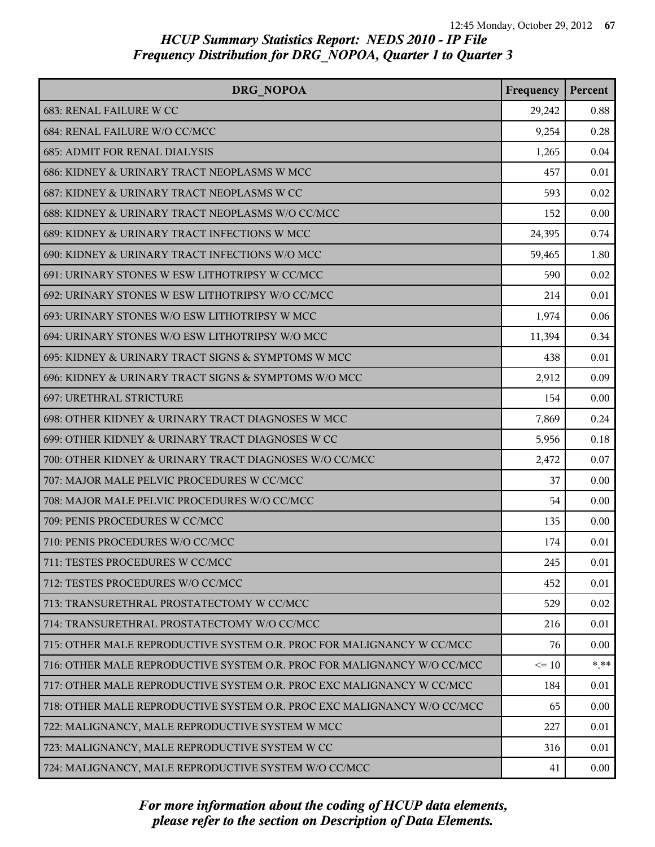| DRG NOPOA                                                               | Frequency | Percent |
|-------------------------------------------------------------------------|-----------|---------|
| 683: RENAL FAILURE W CC                                                 | 29,242    | 0.88    |
| 684: RENAL FAILURE W/O CC/MCC                                           | 9,254     | 0.28    |
| <b>685: ADMIT FOR RENAL DIALYSIS</b>                                    | 1,265     | 0.04    |
| 686: KIDNEY & URINARY TRACT NEOPLASMS W MCC                             | 457       | 0.01    |
| 687: KIDNEY & URINARY TRACT NEOPLASMS W CC                              | 593       | 0.02    |
| 688: KIDNEY & URINARY TRACT NEOPLASMS W/O CC/MCC                        | 152       | 0.00    |
| 689: KIDNEY & URINARY TRACT INFECTIONS W MCC                            | 24,395    | 0.74    |
| 690: KIDNEY & URINARY TRACT INFECTIONS W/O MCC                          | 59,465    | 1.80    |
| 691: URINARY STONES W ESW LITHOTRIPSY W CC/MCC                          | 590       | 0.02    |
| 692: URINARY STONES W ESW LITHOTRIPSY W/O CC/MCC                        | 214       | 0.01    |
| 693: URINARY STONES W/O ESW LITHOTRIPSY W MCC                           | 1,974     | 0.06    |
| 694: URINARY STONES W/O ESW LITHOTRIPSY W/O MCC                         | 11,394    | 0.34    |
| 695: KIDNEY & URINARY TRACT SIGNS & SYMPTOMS W MCC                      | 438       | 0.01    |
| 696: KIDNEY & URINARY TRACT SIGNS & SYMPTOMS W/O MCC                    | 2,912     | 0.09    |
| 697: URETHRAL STRICTURE                                                 | 154       | 0.00    |
| 698: OTHER KIDNEY & URINARY TRACT DIAGNOSES W MCC                       | 7,869     | 0.24    |
| 699: OTHER KIDNEY & URINARY TRACT DIAGNOSES W CC                        | 5,956     | 0.18    |
| 700: OTHER KIDNEY & URINARY TRACT DIAGNOSES W/O CC/MCC                  | 2,472     | 0.07    |
| 707: MAJOR MALE PELVIC PROCEDURES W CC/MCC                              | 37        | 0.00    |
| 708: MAJOR MALE PELVIC PROCEDURES W/O CC/MCC                            | 54        | 0.00    |
| 709: PENIS PROCEDURES W CC/MCC                                          | 135       | 0.00    |
| 710: PENIS PROCEDURES W/O CC/MCC                                        | 174       | 0.01    |
| 711: TESTES PROCEDURES W CC/MCC                                         | 245       | 0.01    |
| 712: TESTES PROCEDURES W/O CC/MCC                                       | 452       | 0.01    |
| 713: TRANSURETHRAL PROSTATECTOMY W CC/MCC                               | 529       | 0.02    |
| 714: TRANSURETHRAL PROSTATECTOMY W/O CC/MCC                             | 216       | 0.01    |
| 715: OTHER MALE REPRODUCTIVE SYSTEM O.R. PROC FOR MALIGNANCY W CC/MCC   | 76        | 0.00    |
| 716: OTHER MALE REPRODUCTIVE SYSTEM O.R. PROC FOR MALIGNANCY W/O CC/MCC | $\leq 10$ | $* * *$ |
| 717: OTHER MALE REPRODUCTIVE SYSTEM O.R. PROC EXC MALIGNANCY W CC/MCC   | 184       | 0.01    |
| 718: OTHER MALE REPRODUCTIVE SYSTEM O.R. PROC EXC MALIGNANCY W/O CC/MCC | 65        | 0.00    |
| 722: MALIGNANCY, MALE REPRODUCTIVE SYSTEM W MCC                         | 227       | 0.01    |
| 723: MALIGNANCY, MALE REPRODUCTIVE SYSTEM W CC                          | 316       | 0.01    |
| 724: MALIGNANCY, MALE REPRODUCTIVE SYSTEM W/O CC/MCC                    | 41        | 0.00    |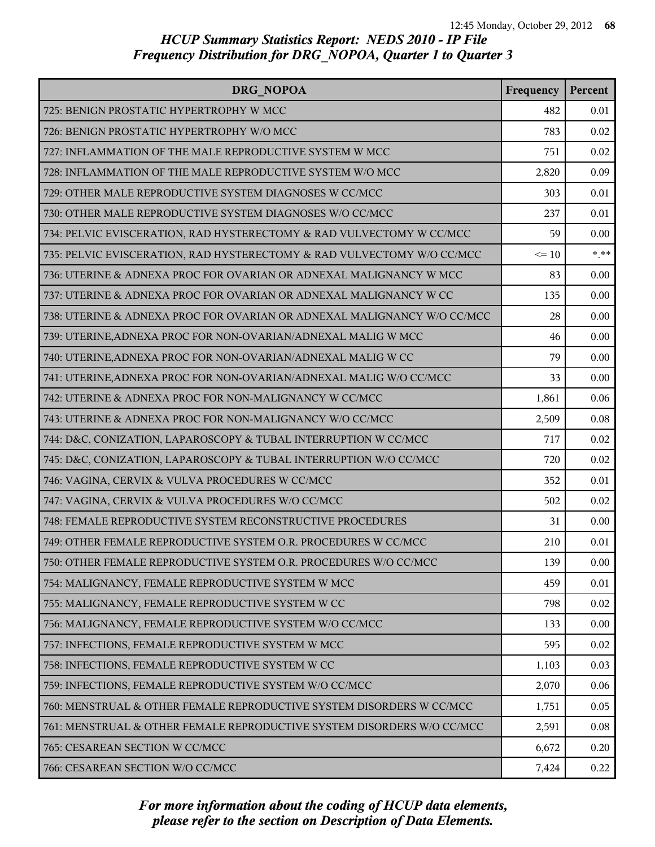| DRG NOPOA                                                               | Frequency | Percent |
|-------------------------------------------------------------------------|-----------|---------|
| 725: BENIGN PROSTATIC HYPERTROPHY W MCC                                 | 482       | 0.01    |
| 726: BENIGN PROSTATIC HYPERTROPHY W/O MCC                               | 783       | 0.02    |
| 727: INFLAMMATION OF THE MALE REPRODUCTIVE SYSTEM W MCC                 | 751       | 0.02    |
| 728: INFLAMMATION OF THE MALE REPRODUCTIVE SYSTEM W/O MCC               | 2,820     | 0.09    |
| 729: OTHER MALE REPRODUCTIVE SYSTEM DIAGNOSES W CC/MCC                  | 303       | 0.01    |
| 730: OTHER MALE REPRODUCTIVE SYSTEM DIAGNOSES W/O CC/MCC                | 237       | 0.01    |
| 734: PELVIC EVISCERATION, RAD HYSTERECTOMY & RAD VULVECTOMY W CC/MCC    | 59        | 0.00    |
| 735: PELVIC EVISCERATION, RAD HYSTERECTOMY & RAD VULVECTOMY W/O CC/MCC  | $\leq 10$ | $*$ **  |
| 736: UTERINE & ADNEXA PROC FOR OVARIAN OR ADNEXAL MALIGNANCY W MCC      | 83        | 0.00    |
| 737: UTERINE & ADNEXA PROC FOR OVARIAN OR ADNEXAL MALIGNANCY W CC       | 135       | 0.00    |
| 738: UTERINE & ADNEXA PROC FOR OVARIAN OR ADNEXAL MALIGNANCY W/O CC/MCC | 28        | 0.00    |
| 739: UTERINE, ADNEXA PROC FOR NON-OVARIAN/ADNEXAL MALIG W MCC           | 46        | 0.00    |
| 740: UTERINE, ADNEXA PROC FOR NON-OVARIAN/ADNEXAL MALIG W CC            | 79        | 0.00    |
| 741: UTERINE, ADNEXA PROC FOR NON-OVARIAN/ADNEXAL MALIG W/O CC/MCC      | 33        | 0.00    |
| 742: UTERINE & ADNEXA PROC FOR NON-MALIGNANCY W CC/MCC                  | 1,861     | 0.06    |
| 743: UTERINE & ADNEXA PROC FOR NON-MALIGNANCY W/O CC/MCC                | 2,509     | 0.08    |
| 744: D&C, CONIZATION, LAPAROSCOPY & TUBAL INTERRUPTION W CC/MCC         | 717       | 0.02    |
| 745: D&C, CONIZATION, LAPAROSCOPY & TUBAL INTERRUPTION W/O CC/MCC       | 720       | 0.02    |
| 746: VAGINA, CERVIX & VULVA PROCEDURES W CC/MCC                         | 352       | 0.01    |
| 747: VAGINA, CERVIX & VULVA PROCEDURES W/O CC/MCC                       | 502       | 0.02    |
| 748: FEMALE REPRODUCTIVE SYSTEM RECONSTRUCTIVE PROCEDURES               | 31        | 0.00    |
| 749: OTHER FEMALE REPRODUCTIVE SYSTEM O.R. PROCEDURES W CC/MCC          | 210       | 0.01    |
| 750: OTHER FEMALE REPRODUCTIVE SYSTEM O.R. PROCEDURES W/O CC/MCC        | 139       | 0.00    |
| 754: MALIGNANCY, FEMALE REPRODUCTIVE SYSTEM W MCC                       | 459       | 0.01    |
| 755: MALIGNANCY, FEMALE REPRODUCTIVE SYSTEM W CC                        | 798       | 0.02    |
| 756: MALIGNANCY, FEMALE REPRODUCTIVE SYSTEM W/O CC/MCC                  | 133       | 0.00    |
| 757: INFECTIONS, FEMALE REPRODUCTIVE SYSTEM W MCC                       | 595       | 0.02    |
| 758: INFECTIONS, FEMALE REPRODUCTIVE SYSTEM W CC                        | 1,103     | 0.03    |
| 759: INFECTIONS, FEMALE REPRODUCTIVE SYSTEM W/O CC/MCC                  | 2,070     | 0.06    |
| 760: MENSTRUAL & OTHER FEMALE REPRODUCTIVE SYSTEM DISORDERS W CC/MCC    | 1,751     | 0.05    |
| 761: MENSTRUAL & OTHER FEMALE REPRODUCTIVE SYSTEM DISORDERS W/O CC/MCC  | 2,591     | 0.08    |
| 765: CESAREAN SECTION W CC/MCC                                          | 6,672     | 0.20    |
| 766: CESAREAN SECTION W/O CC/MCC                                        | 7,424     | 0.22    |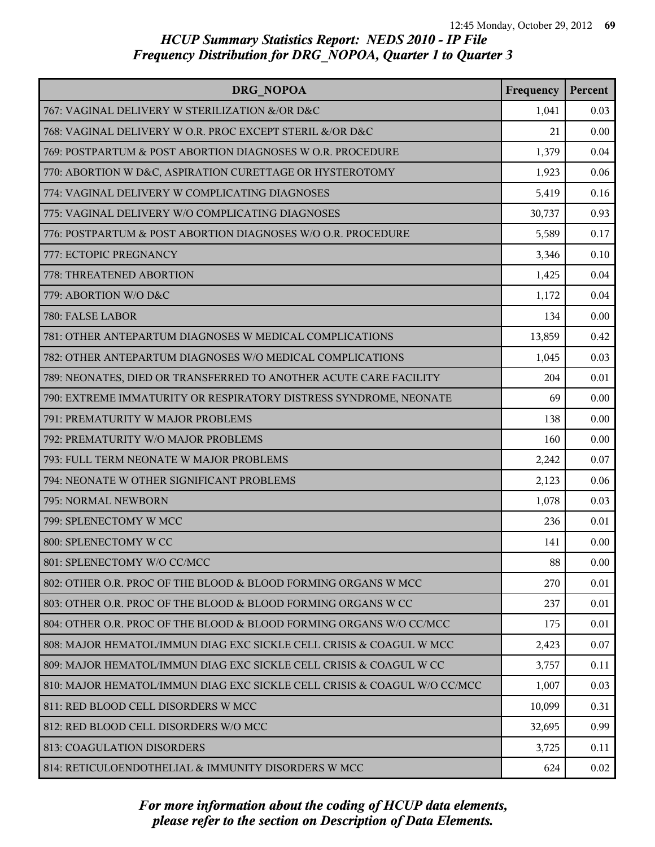| DRG NOPOA                                                                | Frequency | Percent |
|--------------------------------------------------------------------------|-----------|---------|
| 767: VAGINAL DELIVERY W STERILIZATION &/OR D&C                           | 1,041     | 0.03    |
| 768: VAGINAL DELIVERY W O.R. PROC EXCEPT STERIL &/OR D&C                 | 21        | 0.00    |
| 769: POSTPARTUM & POST ABORTION DIAGNOSES W O.R. PROCEDURE               | 1,379     | 0.04    |
| 770: ABORTION W D&C, ASPIRATION CURETTAGE OR HYSTEROTOMY                 | 1,923     | 0.06    |
| 774: VAGINAL DELIVERY W COMPLICATING DIAGNOSES                           | 5,419     | 0.16    |
| 775: VAGINAL DELIVERY W/O COMPLICATING DIAGNOSES                         | 30,737    | 0.93    |
| 776: POSTPARTUM & POST ABORTION DIAGNOSES W/O O.R. PROCEDURE             | 5,589     | 0.17    |
| 777: ECTOPIC PREGNANCY                                                   | 3,346     | 0.10    |
| 778: THREATENED ABORTION                                                 | 1,425     | 0.04    |
| 779: ABORTION W/O D&C                                                    | 1,172     | 0.04    |
| 780: FALSE LABOR                                                         | 134       | 0.00    |
| 781: OTHER ANTEPARTUM DIAGNOSES W MEDICAL COMPLICATIONS                  | 13,859    | 0.42    |
| 782: OTHER ANTEPARTUM DIAGNOSES W/O MEDICAL COMPLICATIONS                | 1,045     | 0.03    |
| 789: NEONATES, DIED OR TRANSFERRED TO ANOTHER ACUTE CARE FACILITY        | 204       | 0.01    |
| 790: EXTREME IMMATURITY OR RESPIRATORY DISTRESS SYNDROME, NEONATE        | 69        | 0.00    |
| 791: PREMATURITY W MAJOR PROBLEMS                                        | 138       | 0.00    |
| 792: PREMATURITY W/O MAJOR PROBLEMS                                      | 160       | 0.00    |
| 793: FULL TERM NEONATE W MAJOR PROBLEMS                                  | 2,242     | 0.07    |
| 794: NEONATE W OTHER SIGNIFICANT PROBLEMS                                | 2,123     | 0.06    |
| 795: NORMAL NEWBORN                                                      | 1,078     | 0.03    |
| 799: SPLENECTOMY W MCC                                                   | 236       | 0.01    |
| 800: SPLENECTOMY W CC                                                    | 141       | 0.00    |
| 801: SPLENECTOMY W/O CC/MCC                                              | 88        | 0.00    |
| 802: OTHER O.R. PROC OF THE BLOOD & BLOOD FORMING ORGANS W MCC           | 270       | 0.01    |
| 803: OTHER O.R. PROC OF THE BLOOD & BLOOD FORMING ORGANS W CC            | 237       | 0.01    |
| 804: OTHER O.R. PROC OF THE BLOOD & BLOOD FORMING ORGANS W/O CC/MCC      | 175       | 0.01    |
| 808: MAJOR HEMATOL/IMMUN DIAG EXC SICKLE CELL CRISIS & COAGUL W MCC      | 2,423     | 0.07    |
| 809: MAJOR HEMATOL/IMMUN DIAG EXC SICKLE CELL CRISIS & COAGUL W CC       | 3,757     | 0.11    |
| 810: MAJOR HEMATOL/IMMUN DIAG EXC SICKLE CELL CRISIS & COAGUL W/O CC/MCC | 1,007     | 0.03    |
| 811: RED BLOOD CELL DISORDERS W MCC                                      | 10,099    | 0.31    |
| 812: RED BLOOD CELL DISORDERS W/O MCC                                    | 32,695    | 0.99    |
| 813: COAGULATION DISORDERS                                               | 3,725     | 0.11    |
| 814: RETICULOENDOTHELIAL & IMMUNITY DISORDERS W MCC                      | 624       | 0.02    |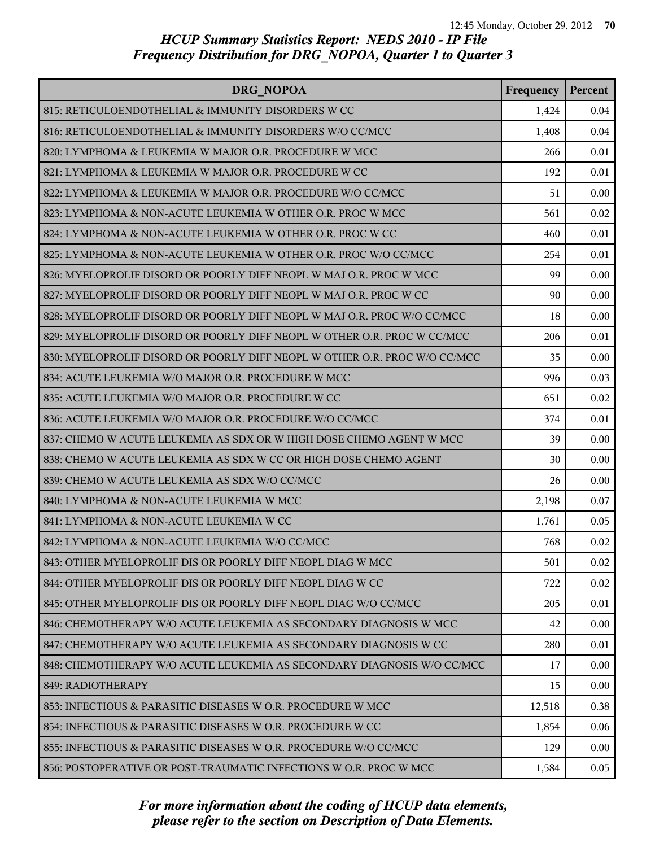| DRG NOPOA                                                                 | Frequency | Percent |
|---------------------------------------------------------------------------|-----------|---------|
| 815: RETICULOENDOTHELIAL & IMMUNITY DISORDERS W CC                        | 1,424     | 0.04    |
| 816: RETICULOENDOTHELIAL & IMMUNITY DISORDERS W/O CC/MCC                  | 1,408     | 0.04    |
| 820: LYMPHOMA & LEUKEMIA W MAJOR O.R. PROCEDURE W MCC                     | 266       | 0.01    |
| 821: LYMPHOMA & LEUKEMIA W MAJOR O.R. PROCEDURE W CC                      | 192       | 0.01    |
| 822: LYMPHOMA & LEUKEMIA W MAJOR O.R. PROCEDURE W/O CC/MCC                | 51        | 0.00    |
| 823: LYMPHOMA & NON-ACUTE LEUKEMIA W OTHER O.R. PROC W MCC                | 561       | 0.02    |
| 824: LYMPHOMA & NON-ACUTE LEUKEMIA W OTHER O.R. PROC W CC                 | 460       | 0.01    |
| 825: LYMPHOMA & NON-ACUTE LEUKEMIA W OTHER O.R. PROC W/O CC/MCC           | 254       | 0.01    |
| 826: MYELOPROLIF DISORD OR POORLY DIFF NEOPL W MAJ O.R. PROC W MCC        | 99        | 0.00    |
| 827: MYELOPROLIF DISORD OR POORLY DIFF NEOPL W MAJ O.R. PROC W CC         | 90        | 0.00    |
| 828: MYELOPROLIF DISORD OR POORLY DIFF NEOPL W MAJ O.R. PROC W/O CC/MCC   | 18        | 0.00    |
| 829: MYELOPROLIF DISORD OR POORLY DIFF NEOPL W OTHER O.R. PROC W CC/MCC   | 206       | 0.01    |
| 830: MYELOPROLIF DISORD OR POORLY DIFF NEOPL W OTHER O.R. PROC W/O CC/MCC | 35        | 0.00    |
| 834: ACUTE LEUKEMIA W/O MAJOR O.R. PROCEDURE W MCC                        | 996       | 0.03    |
| 835: ACUTE LEUKEMIA W/O MAJOR O.R. PROCEDURE W CC                         | 651       | 0.02    |
| 836: ACUTE LEUKEMIA W/O MAJOR O.R. PROCEDURE W/O CC/MCC                   | 374       | 0.01    |
| 837: CHEMO W ACUTE LEUKEMIA AS SDX OR W HIGH DOSE CHEMO AGENT W MCC       | 39        | 0.00    |
| 838: CHEMO W ACUTE LEUKEMIA AS SDX W CC OR HIGH DOSE CHEMO AGENT          | 30        | 0.00    |
| 839: CHEMO W ACUTE LEUKEMIA AS SDX W/O CC/MCC                             | 26        | 0.00    |
| 840: LYMPHOMA & NON-ACUTE LEUKEMIA W MCC                                  | 2,198     | 0.07    |
| 841: LYMPHOMA & NON-ACUTE LEUKEMIA W CC                                   | 1,761     | 0.05    |
| 842: LYMPHOMA & NON-ACUTE LEUKEMIA W/O CC/MCC                             | 768       | 0.02    |
| 843: OTHER MYELOPROLIF DIS OR POORLY DIFF NEOPL DIAG W MCC                | 501       | 0.02    |
| 844: OTHER MYELOPROLIF DIS OR POORLY DIFF NEOPL DIAG W CC                 | 722       | 0.02    |
| 845: OTHER MYELOPROLIF DIS OR POORLY DIFF NEOPL DIAG W/O CC/MCC           | 205       | 0.01    |
| 846: CHEMOTHERAPY W/O ACUTE LEUKEMIA AS SECONDARY DIAGNOSIS W MCC         | 42        | 0.00    |
| 847: CHEMOTHERAPY W/O ACUTE LEUKEMIA AS SECONDARY DIAGNOSIS W CC          | 280       | 0.01    |
| 848: CHEMOTHERAPY W/O ACUTE LEUKEMIA AS SECONDARY DIAGNOSIS W/O CC/MCC    | 17        | 0.00    |
| 849: RADIOTHERAPY                                                         | 15        | 0.00    |
| 853: INFECTIOUS & PARASITIC DISEASES W O.R. PROCEDURE W MCC               | 12,518    | 0.38    |
| 854: INFECTIOUS & PARASITIC DISEASES W O.R. PROCEDURE W CC                | 1,854     | 0.06    |
| 855: INFECTIOUS & PARASITIC DISEASES W O.R. PROCEDURE W/O CC/MCC          | 129       | 0.00    |
| 856: POSTOPERATIVE OR POST-TRAUMATIC INFECTIONS W O.R. PROC W MCC         | 1,584     | 0.05    |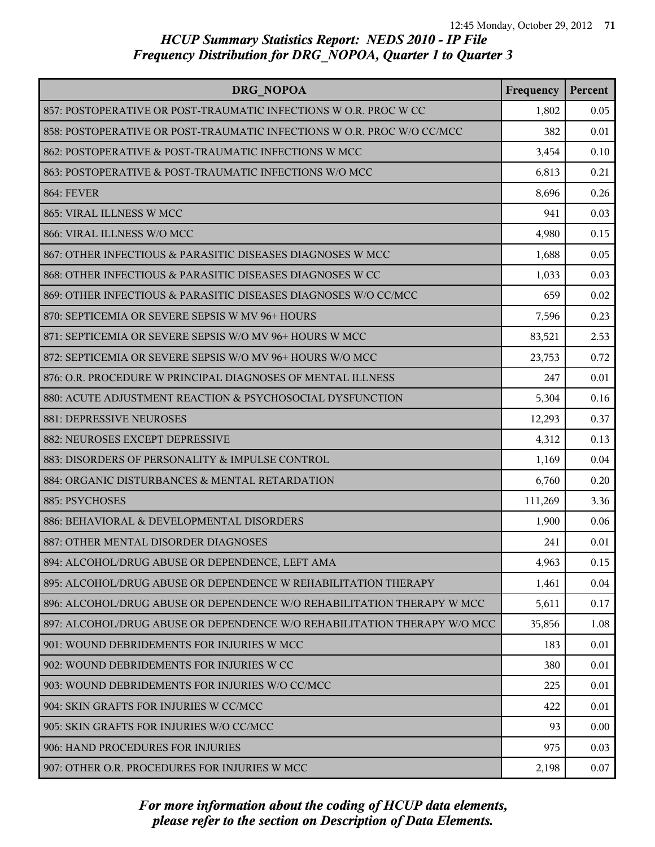| DRG NOPOA                                                                | Frequency | Percent |
|--------------------------------------------------------------------------|-----------|---------|
| 857: POSTOPERATIVE OR POST-TRAUMATIC INFECTIONS W O.R. PROC W CC         | 1,802     | 0.05    |
| 858: POSTOPERATIVE OR POST-TRAUMATIC INFECTIONS W O.R. PROC W/O CC/MCC   | 382       | 0.01    |
| 862: POSTOPERATIVE & POST-TRAUMATIC INFECTIONS W MCC                     | 3,454     | 0.10    |
| 863: POSTOPERATIVE & POST-TRAUMATIC INFECTIONS W/O MCC                   | 6,813     | 0.21    |
| <b>864: FEVER</b>                                                        | 8,696     | 0.26    |
| 865: VIRAL ILLNESS W MCC                                                 | 941       | 0.03    |
| 866: VIRAL ILLNESS W/O MCC                                               | 4,980     | 0.15    |
| 867: OTHER INFECTIOUS & PARASITIC DISEASES DIAGNOSES W MCC               | 1,688     | 0.05    |
| 868: OTHER INFECTIOUS & PARASITIC DISEASES DIAGNOSES W CC                | 1,033     | 0.03    |
| 869: OTHER INFECTIOUS & PARASITIC DISEASES DIAGNOSES W/O CC/MCC          | 659       | 0.02    |
| 870: SEPTICEMIA OR SEVERE SEPSIS W MV 96+ HOURS                          | 7,596     | 0.23    |
| 871: SEPTICEMIA OR SEVERE SEPSIS W/O MV 96+ HOURS W MCC                  | 83,521    | 2.53    |
| 872: SEPTICEMIA OR SEVERE SEPSIS W/O MV 96+ HOURS W/O MCC                | 23,753    | 0.72    |
| 876: O.R. PROCEDURE W PRINCIPAL DIAGNOSES OF MENTAL ILLNESS              | 247       | 0.01    |
| 880: ACUTE ADJUSTMENT REACTION & PSYCHOSOCIAL DYSFUNCTION                | 5,304     | 0.16    |
| 881: DEPRESSIVE NEUROSES                                                 | 12,293    | 0.37    |
| 882: NEUROSES EXCEPT DEPRESSIVE                                          | 4,312     | 0.13    |
| 883: DISORDERS OF PERSONALITY & IMPULSE CONTROL                          | 1,169     | 0.04    |
| 884: ORGANIC DISTURBANCES & MENTAL RETARDATION                           | 6,760     | 0.20    |
| 885: PSYCHOSES                                                           | 111,269   | 3.36    |
| 886: BEHAVIORAL & DEVELOPMENTAL DISORDERS                                | 1,900     | 0.06    |
| 887: OTHER MENTAL DISORDER DIAGNOSES                                     | 241       | 0.01    |
| 894: ALCOHOL/DRUG ABUSE OR DEPENDENCE, LEFT AMA                          | 4,963     | 0.15    |
| 895: ALCOHOL/DRUG ABUSE OR DEPENDENCE W REHABILITATION THERAPY           | 1,461     | 0.04    |
| 896: ALCOHOL/DRUG ABUSE OR DEPENDENCE W/O REHABILITATION THERAPY W MCC   | 5,611     | 0.17    |
| 897: ALCOHOL/DRUG ABUSE OR DEPENDENCE W/O REHABILITATION THERAPY W/O MCC | 35,856    | 1.08    |
| 901: WOUND DEBRIDEMENTS FOR INJURIES W MCC                               | 183       | 0.01    |
| 902: WOUND DEBRIDEMENTS FOR INJURIES W CC                                | 380       | 0.01    |
| 903: WOUND DEBRIDEMENTS FOR INJURIES W/O CC/MCC                          | 225       | 0.01    |
| 904: SKIN GRAFTS FOR INJURIES W CC/MCC                                   | 422       | 0.01    |
| 905: SKIN GRAFTS FOR INJURIES W/O CC/MCC                                 | 93        | 0.00    |
| 906: HAND PROCEDURES FOR INJURIES                                        | 975       | 0.03    |
| 907: OTHER O.R. PROCEDURES FOR INJURIES W MCC                            | 2,198     | 0.07    |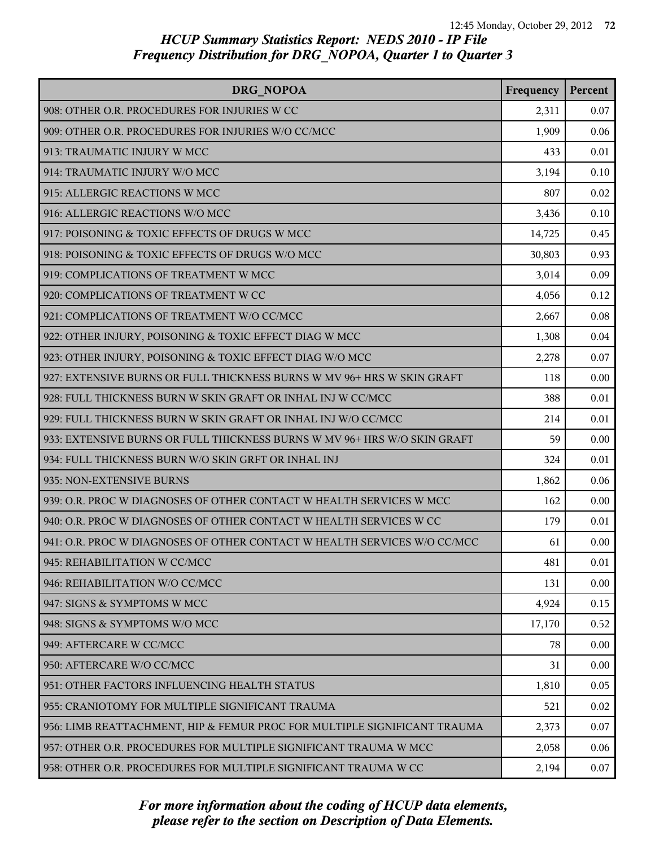| DRG NOPOA                                                                | Frequency | Percent |
|--------------------------------------------------------------------------|-----------|---------|
| 908: OTHER O.R. PROCEDURES FOR INJURIES W CC                             | 2,311     | 0.07    |
| 909: OTHER O.R. PROCEDURES FOR INJURIES W/O CC/MCC                       | 1,909     | 0.06    |
| 913: TRAUMATIC INJURY W MCC                                              | 433       | 0.01    |
| 914: TRAUMATIC INJURY W/O MCC                                            | 3,194     | 0.10    |
| 915: ALLERGIC REACTIONS W MCC                                            | 807       | 0.02    |
| 916: ALLERGIC REACTIONS W/O MCC                                          | 3,436     | 0.10    |
| 917: POISONING & TOXIC EFFECTS OF DRUGS W MCC                            | 14,725    | 0.45    |
| 918: POISONING & TOXIC EFFECTS OF DRUGS W/O MCC                          | 30,803    | 0.93    |
| 919: COMPLICATIONS OF TREATMENT W MCC                                    | 3,014     | 0.09    |
| 920: COMPLICATIONS OF TREATMENT W CC                                     | 4,056     | 0.12    |
| 921: COMPLICATIONS OF TREATMENT W/O CC/MCC                               | 2,667     | 0.08    |
| 922: OTHER INJURY, POISONING & TOXIC EFFECT DIAG W MCC                   | 1,308     | 0.04    |
| 923: OTHER INJURY, POISONING & TOXIC EFFECT DIAG W/O MCC                 | 2,278     | 0.07    |
| 927: EXTENSIVE BURNS OR FULL THICKNESS BURNS W MV 96+ HRS W SKIN GRAFT   | 118       | 0.00    |
| 928: FULL THICKNESS BURN W SKIN GRAFT OR INHAL INJ W CC/MCC              | 388       | 0.01    |
| 929: FULL THICKNESS BURN W SKIN GRAFT OR INHAL INJ W/O CC/MCC            | 214       | 0.01    |
| 933: EXTENSIVE BURNS OR FULL THICKNESS BURNS W MV 96+ HRS W/O SKIN GRAFT | 59        | 0.00    |
| 934: FULL THICKNESS BURN W/O SKIN GRFT OR INHAL INJ                      | 324       | 0.01    |
| 935: NON-EXTENSIVE BURNS                                                 | 1,862     | 0.06    |
| 939: O.R. PROC W DIAGNOSES OF OTHER CONTACT W HEALTH SERVICES W MCC      | 162       | 0.00    |
| 940: O.R. PROC W DIAGNOSES OF OTHER CONTACT W HEALTH SERVICES W CC       | 179       | 0.01    |
| 941: O.R. PROC W DIAGNOSES OF OTHER CONTACT W HEALTH SERVICES W/O CC/MCC | 61        | 0.00    |
| 945: REHABILITATION W CC/MCC                                             | 481       | 0.01    |
| 946: REHABILITATION W/O CC/MCC                                           | 131       | 0.00    |
| 947: SIGNS & SYMPTOMS W MCC                                              | 4,924     | 0.15    |
| 948: SIGNS & SYMPTOMS W/O MCC                                            | 17,170    | 0.52    |
| 949: AFTERCARE W CC/MCC                                                  | 78        | 0.00    |
| 950: AFTERCARE W/O CC/MCC                                                | 31        | 0.00    |
| 951: OTHER FACTORS INFLUENCING HEALTH STATUS                             | 1,810     | 0.05    |
| 955: CRANIOTOMY FOR MULTIPLE SIGNIFICANT TRAUMA                          | 521       | 0.02    |
| 956: LIMB REATTACHMENT, HIP & FEMUR PROC FOR MULTIPLE SIGNIFICANT TRAUMA | 2,373     | 0.07    |
| 957: OTHER O.R. PROCEDURES FOR MULTIPLE SIGNIFICANT TRAUMA W MCC         | 2,058     | 0.06    |
| 958: OTHER O.R. PROCEDURES FOR MULTIPLE SIGNIFICANT TRAUMA W CC          | 2,194     | 0.07    |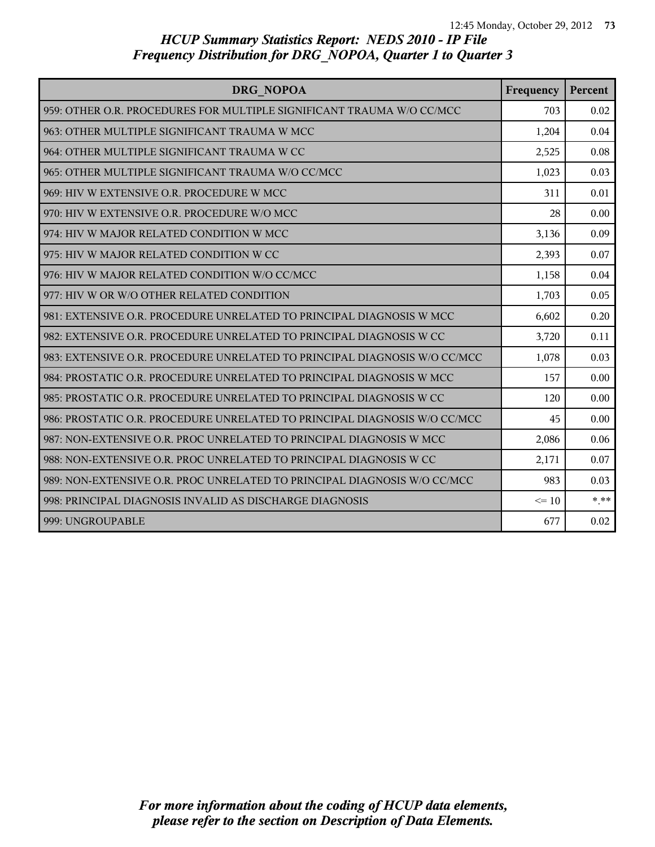| DRG NOPOA                                                                 | Frequency | Percent |
|---------------------------------------------------------------------------|-----------|---------|
| 959: OTHER O.R. PROCEDURES FOR MULTIPLE SIGNIFICANT TRAUMA W/O CC/MCC     | 703       | 0.02    |
| 963: OTHER MULTIPLE SIGNIFICANT TRAUMA W MCC                              | 1,204     | 0.04    |
| 964: OTHER MULTIPLE SIGNIFICANT TRAUMA W CC                               | 2,525     | 0.08    |
| 965: OTHER MULTIPLE SIGNIFICANT TRAUMA W/O CC/MCC                         | 1,023     | 0.03    |
| 969: HIV W EXTENSIVE O.R. PROCEDURE W MCC                                 | 311       | 0.01    |
| 970: HIV W EXTENSIVE O.R. PROCEDURE W/O MCC                               | 28        | 0.00    |
| 974: HIV W MAJOR RELATED CONDITION W MCC                                  | 3,136     | 0.09    |
| 975: HIV W MAJOR RELATED CONDITION W CC                                   | 2,393     | 0.07    |
| 976: HIV W MAJOR RELATED CONDITION W/O CC/MCC                             | 1,158     | 0.04    |
| 977: HIV W OR W/O OTHER RELATED CONDITION                                 | 1,703     | 0.05    |
| 981: EXTENSIVE O.R. PROCEDURE UNRELATED TO PRINCIPAL DIAGNOSIS W MCC      | 6,602     | 0.20    |
| 982: EXTENSIVE O.R. PROCEDURE UNRELATED TO PRINCIPAL DIAGNOSIS W CC       | 3,720     | 0.11    |
| 983: EXTENSIVE O.R. PROCEDURE UNRELATED TO PRINCIPAL DIAGNOSIS W/O CC/MCC | 1,078     | 0.03    |
| 984: PROSTATIC O.R. PROCEDURE UNRELATED TO PRINCIPAL DIAGNOSIS W MCC      | 157       | 0.00    |
| 985: PROSTATIC O.R. PROCEDURE UNRELATED TO PRINCIPAL DIAGNOSIS W CC       | 120       | 0.00    |
| 986: PROSTATIC O.R. PROCEDURE UNRELATED TO PRINCIPAL DIAGNOSIS W/O CC/MCC | 45        | 0.00    |
| 987: NON-EXTENSIVE O.R. PROC UNRELATED TO PRINCIPAL DIAGNOSIS W MCC       | 2,086     | 0.06    |
| 988: NON-EXTENSIVE O.R. PROC UNRELATED TO PRINCIPAL DIAGNOSIS W CC        | 2,171     | 0.07    |
| 989: NON-EXTENSIVE O.R. PROC UNRELATED TO PRINCIPAL DIAGNOSIS W/O CC/MCC  | 983       | 0.03    |
| 998: PRINCIPAL DIAGNOSIS INVALID AS DISCHARGE DIAGNOSIS                   | $\leq 10$ | $* * *$ |
| 999: UNGROUPABLE                                                          | 677       | 0.02    |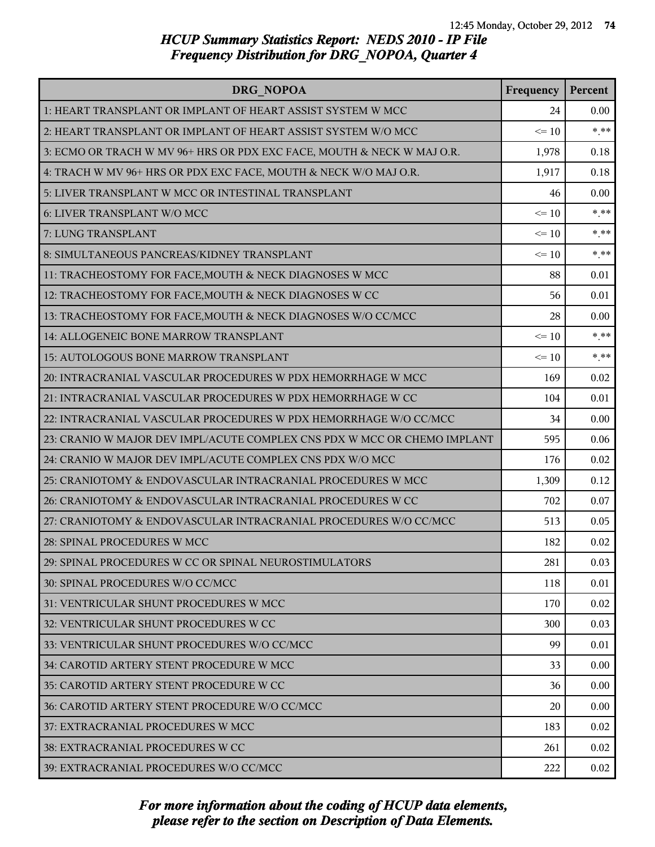| DRG NOPOA                                                                | Frequency | Percent |
|--------------------------------------------------------------------------|-----------|---------|
| 1: HEART TRANSPLANT OR IMPLANT OF HEART ASSIST SYSTEM W MCC              | 24        | 0.00    |
| 2: HEART TRANSPLANT OR IMPLANT OF HEART ASSIST SYSTEM W/O MCC            | $\leq 10$ | $***$   |
| 3: ECMO OR TRACH W MV 96+ HRS OR PDX EXC FACE, MOUTH & NECK W MAJ O.R.   | 1,978     | 0.18    |
| 4: TRACH W MV 96+ HRS OR PDX EXC FACE, MOUTH & NECK W/O MAJ O.R.         | 1,917     | 0.18    |
| 5: LIVER TRANSPLANT W MCC OR INTESTINAL TRANSPLANT                       | 46        | 0.00    |
| 6: LIVER TRANSPLANT W/O MCC                                              | $\leq 10$ | $* * *$ |
| 7: LUNG TRANSPLANT                                                       | $\leq 10$ | $* * *$ |
| 8: SIMULTANEOUS PANCREAS/KIDNEY TRANSPLANT                               | $\leq 10$ | $*$ **  |
| 11: TRACHEOSTOMY FOR FACE, MOUTH & NECK DIAGNOSES W MCC                  | 88        | 0.01    |
| 12: TRACHEOSTOMY FOR FACE, MOUTH & NECK DIAGNOSES W CC                   | 56        | 0.01    |
| 13: TRACHEOSTOMY FOR FACE, MOUTH & NECK DIAGNOSES W/O CC/MCC             | 28        | 0.00    |
| 14: ALLOGENEIC BONE MARROW TRANSPLANT                                    | $\leq 10$ | $***$   |
| 15: AUTOLOGOUS BONE MARROW TRANSPLANT                                    | $\leq 10$ | $* * *$ |
| 20: INTRACRANIAL VASCULAR PROCEDURES W PDX HEMORRHAGE W MCC              | 169       | 0.02    |
| 21: INTRACRANIAL VASCULAR PROCEDURES W PDX HEMORRHAGE W CC               | 104       | 0.01    |
| 22: INTRACRANIAL VASCULAR PROCEDURES W PDX HEMORRHAGE W/O CC/MCC         | 34        | 0.00    |
| 23: CRANIO W MAJOR DEV IMPL/ACUTE COMPLEX CNS PDX W MCC OR CHEMO IMPLANT | 595       | 0.06    |
| 24: CRANIO W MAJOR DEV IMPL/ACUTE COMPLEX CNS PDX W/O MCC                | 176       | 0.02    |
| 25: CRANIOTOMY & ENDOVASCULAR INTRACRANIAL PROCEDURES W MCC              | 1,309     | 0.12    |
| 26: CRANIOTOMY & ENDOVASCULAR INTRACRANIAL PROCEDURES W CC               | 702       | 0.07    |
| 27: CRANIOTOMY & ENDOVASCULAR INTRACRANIAL PROCEDURES W/O CC/MCC         | 513       | 0.05    |
| 28: SPINAL PROCEDURES W MCC                                              | 182       | 0.02    |
| 29: SPINAL PROCEDURES W CC OR SPINAL NEUROSTIMULATORS                    | 281       | 0.03    |
| 30: SPINAL PROCEDURES W/O CC/MCC                                         | 118       | 0.01    |
| 31: VENTRICULAR SHUNT PROCEDURES W MCC                                   | 170       | 0.02    |
| 32: VENTRICULAR SHUNT PROCEDURES W CC                                    | 300       | 0.03    |
| 33: VENTRICULAR SHUNT PROCEDURES W/O CC/MCC                              | 99        | 0.01    |
| 34: CAROTID ARTERY STENT PROCEDURE W MCC                                 | 33        | 0.00    |
| 35: CAROTID ARTERY STENT PROCEDURE W CC                                  | 36        | 0.00    |
| 36: CAROTID ARTERY STENT PROCEDURE W/O CC/MCC                            | 20        | 0.00    |
| 37: EXTRACRANIAL PROCEDURES W MCC                                        | 183       | 0.02    |
| 38: EXTRACRANIAL PROCEDURES W CC                                         | 261       | 0.02    |
| 39: EXTRACRANIAL PROCEDURES W/O CC/MCC                                   | 222       | 0.02    |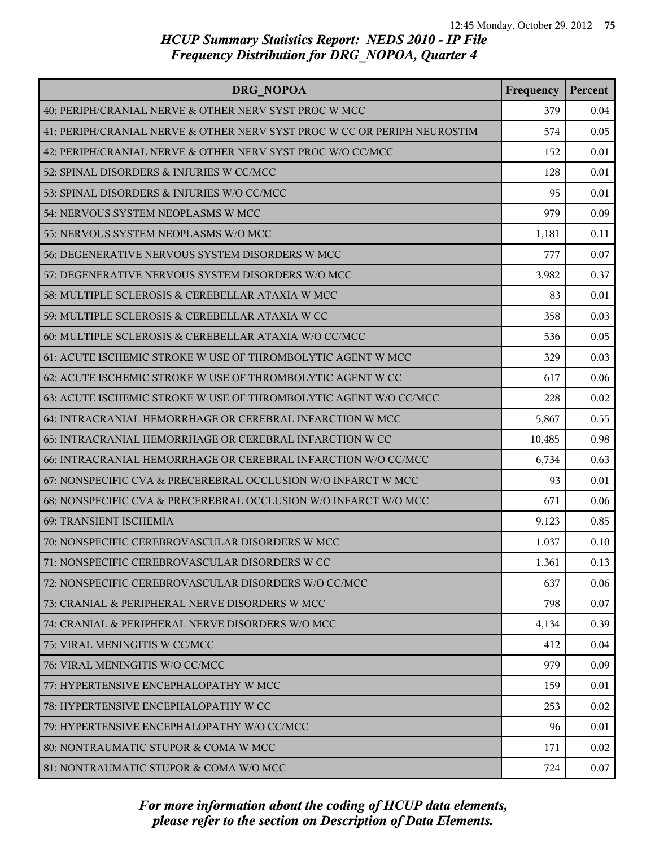| DRG NOPOA                                                                | Frequency | Percent |
|--------------------------------------------------------------------------|-----------|---------|
| 40: PERIPH/CRANIAL NERVE & OTHER NERV SYST PROC W MCC                    | 379       | 0.04    |
| 41: PERIPH/CRANIAL NERVE & OTHER NERV SYST PROC W CC OR PERIPH NEUROSTIM | 574       | 0.05    |
| 42: PERIPH/CRANIAL NERVE & OTHER NERV SYST PROC W/O CC/MCC               | 152       | 0.01    |
| 52: SPINAL DISORDERS & INJURIES W CC/MCC                                 | 128       | 0.01    |
| 53: SPINAL DISORDERS & INJURIES W/O CC/MCC                               | 95        | 0.01    |
| 54: NERVOUS SYSTEM NEOPLASMS W MCC                                       | 979       | 0.09    |
| 55: NERVOUS SYSTEM NEOPLASMS W/O MCC                                     | 1,181     | 0.11    |
| 56: DEGENERATIVE NERVOUS SYSTEM DISORDERS W MCC                          | 777       | 0.07    |
| 57: DEGENERATIVE NERVOUS SYSTEM DISORDERS W/O MCC                        | 3,982     | 0.37    |
| 58: MULTIPLE SCLEROSIS & CEREBELLAR ATAXIA W MCC                         | 83        | 0.01    |
| 59: MULTIPLE SCLEROSIS & CEREBELLAR ATAXIA W CC                          | 358       | 0.03    |
| 60: MULTIPLE SCLEROSIS & CEREBELLAR ATAXIA W/O CC/MCC                    | 536       | 0.05    |
| 61: ACUTE ISCHEMIC STROKE W USE OF THROMBOLYTIC AGENT W MCC              | 329       | 0.03    |
| 62: ACUTE ISCHEMIC STROKE W USE OF THROMBOLYTIC AGENT W CC               | 617       | 0.06    |
| 63: ACUTE ISCHEMIC STROKE W USE OF THROMBOLYTIC AGENT W/O CC/MCC         | 228       | 0.02    |
| 64: INTRACRANIAL HEMORRHAGE OR CEREBRAL INFARCTION W MCC                 | 5,867     | 0.55    |
| 65: INTRACRANIAL HEMORRHAGE OR CEREBRAL INFARCTION W CC                  | 10,485    | 0.98    |
| 66: INTRACRANIAL HEMORRHAGE OR CEREBRAL INFARCTION W/O CC/MCC            | 6,734     | 0.63    |
| 67: NONSPECIFIC CVA & PRECEREBRAL OCCLUSION W/O INFARCT W MCC            | 93        | 0.01    |
| 68: NONSPECIFIC CVA & PRECEREBRAL OCCLUSION W/O INFARCT W/O MCC          | 671       | 0.06    |
| 69: TRANSIENT ISCHEMIA                                                   | 9,123     | 0.85    |
| 70: NONSPECIFIC CEREBROVASCULAR DISORDERS W MCC                          | 1,037     | 0.10    |
| 71: NONSPECIFIC CEREBROVASCULAR DISORDERS W CC                           | 1,361     | 0.13    |
| 72: NONSPECIFIC CEREBROVASCULAR DISORDERS W/O CC/MCC                     | 637       | 0.06    |
| 73: CRANIAL & PERIPHERAL NERVE DISORDERS W MCC                           | 798       | 0.07    |
| 74: CRANIAL & PERIPHERAL NERVE DISORDERS W/O MCC                         | 4,134     | 0.39    |
| 75: VIRAL MENINGITIS W CC/MCC                                            | 412       | 0.04    |
| 76: VIRAL MENINGITIS W/O CC/MCC                                          | 979       | 0.09    |
| 77: HYPERTENSIVE ENCEPHALOPATHY W MCC                                    | 159       | 0.01    |
| 78: HYPERTENSIVE ENCEPHALOPATHY W CC                                     | 253       | 0.02    |
| 79: HYPERTENSIVE ENCEPHALOPATHY W/O CC/MCC                               | 96        | 0.01    |
| 80: NONTRAUMATIC STUPOR & COMA W MCC                                     | 171       | 0.02    |
| 81: NONTRAUMATIC STUPOR & COMA W/O MCC                                   | 724       | 0.07    |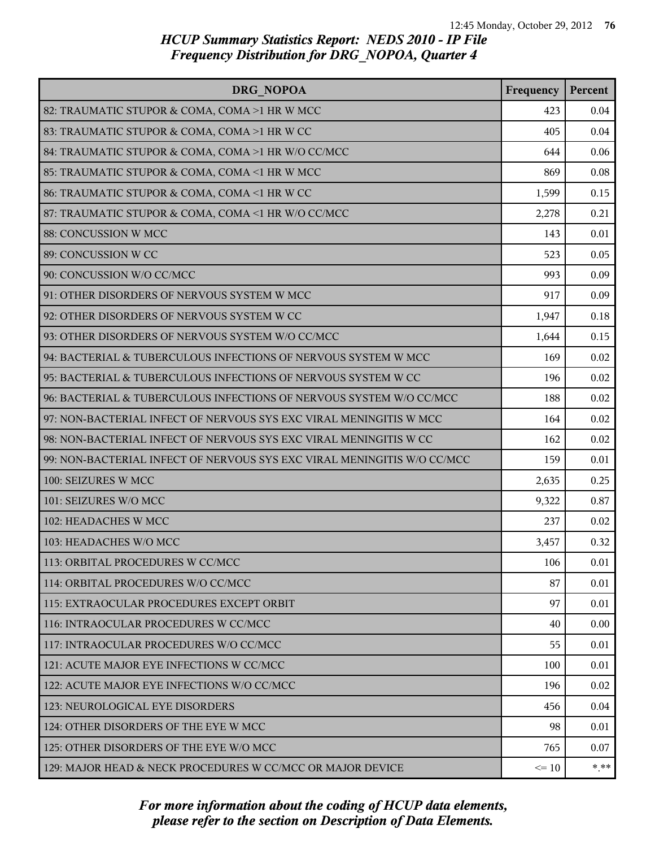| DRG NOPOA                                                               | Frequency | Percent  |
|-------------------------------------------------------------------------|-----------|----------|
| 82: TRAUMATIC STUPOR & COMA, COMA >1 HR W MCC                           | 423       | 0.04     |
| 83: TRAUMATIC STUPOR & COMA, COMA >1 HR W CC                            | 405       | 0.04     |
| 84: TRAUMATIC STUPOR & COMA, COMA >1 HR W/O CC/MCC                      | 644       | 0.06     |
| 85: TRAUMATIC STUPOR & COMA, COMA <1 HR W MCC                           | 869       | 0.08     |
| 86: TRAUMATIC STUPOR & COMA, COMA <1 HR W CC                            | 1,599     | 0.15     |
| 87: TRAUMATIC STUPOR & COMA, COMA <1 HR W/O CC/MCC                      | 2,278     | 0.21     |
| 88: CONCUSSION W MCC                                                    | 143       | 0.01     |
| 89: CONCUSSION W CC                                                     | 523       | 0.05     |
| 90: CONCUSSION W/O CC/MCC                                               | 993       | 0.09     |
| 91: OTHER DISORDERS OF NERVOUS SYSTEM W MCC                             | 917       | 0.09     |
| 92: OTHER DISORDERS OF NERVOUS SYSTEM W CC                              | 1,947     | 0.18     |
| 93: OTHER DISORDERS OF NERVOUS SYSTEM W/O CC/MCC                        | 1,644     | 0.15     |
| 94: BACTERIAL & TUBERCULOUS INFECTIONS OF NERVOUS SYSTEM W MCC          | 169       | 0.02     |
| 95: BACTERIAL & TUBERCULOUS INFECTIONS OF NERVOUS SYSTEM W CC           | 196       | 0.02     |
| 96: BACTERIAL & TUBERCULOUS INFECTIONS OF NERVOUS SYSTEM W/O CC/MCC     | 188       | 0.02     |
| 97: NON-BACTERIAL INFECT OF NERVOUS SYS EXC VIRAL MENINGITIS W MCC      | 164       | 0.02     |
| 98: NON-BACTERIAL INFECT OF NERVOUS SYS EXC VIRAL MENINGITIS W CC       | 162       | 0.02     |
| 99: NON-BACTERIAL INFECT OF NERVOUS SYS EXC VIRAL MENINGITIS W/O CC/MCC | 159       | 0.01     |
| 100: SEIZURES W MCC                                                     | 2,635     | 0.25     |
| 101: SEIZURES W/O MCC                                                   | 9,322     | 0.87     |
| 102: HEADACHES W MCC                                                    | 237       | 0.02     |
| 103: HEADACHES W/O MCC                                                  | 3,457     | 0.32     |
| 113: ORBITAL PROCEDURES W CC/MCC                                        | 106       | 0.01     |
| 114: ORBITAL PROCEDURES W/O CC/MCC                                      | 87        | 0.01     |
| 115: EXTRAOCULAR PROCEDURES EXCEPT ORBIT                                | 97        | 0.01     |
| 116: INTRAOCULAR PROCEDURES W CC/MCC                                    | 40        | 0.00     |
| 117: INTRAOCULAR PROCEDURES W/O CC/MCC                                  | 55        | 0.01     |
| 121: ACUTE MAJOR EYE INFECTIONS W CC/MCC                                | 100       | 0.01     |
| 122: ACUTE MAJOR EYE INFECTIONS W/O CC/MCC                              | 196       | 0.02     |
| 123: NEUROLOGICAL EYE DISORDERS                                         | 456       | 0.04     |
| 124: OTHER DISORDERS OF THE EYE W MCC                                   | 98        | 0.01     |
| 125: OTHER DISORDERS OF THE EYE W/O MCC                                 | 765       | 0.07     |
| 129: MAJOR HEAD & NECK PROCEDURES W CC/MCC OR MAJOR DEVICE              | $\leq 10$ | $*$ $**$ |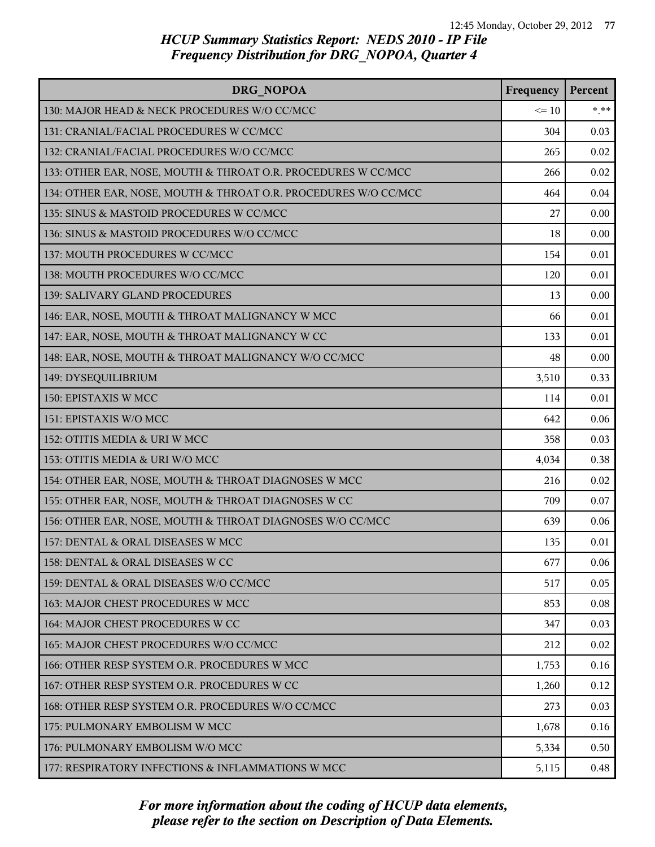| DRG NOPOA                                                       | Frequency | Percent |
|-----------------------------------------------------------------|-----------|---------|
| 130: MAJOR HEAD & NECK PROCEDURES W/O CC/MCC                    | $\leq 10$ | $*$ **  |
| 131: CRANIAL/FACIAL PROCEDURES W CC/MCC                         | 304       | 0.03    |
| 132: CRANIAL/FACIAL PROCEDURES W/O CC/MCC                       | 265       | 0.02    |
| 133: OTHER EAR, NOSE, MOUTH & THROAT O.R. PROCEDURES W CC/MCC   | 266       | 0.02    |
| 134: OTHER EAR, NOSE, MOUTH & THROAT O.R. PROCEDURES W/O CC/MCC | 464       | 0.04    |
| 135: SINUS & MASTOID PROCEDURES W CC/MCC                        | 27        | 0.00    |
| 136: SINUS & MASTOID PROCEDURES W/O CC/MCC                      | 18        | 0.00    |
| 137: MOUTH PROCEDURES W CC/MCC                                  | 154       | 0.01    |
| 138: MOUTH PROCEDURES W/O CC/MCC                                | 120       | 0.01    |
| 139: SALIVARY GLAND PROCEDURES                                  | 13        | 0.00    |
| 146: EAR, NOSE, MOUTH & THROAT MALIGNANCY W MCC                 | 66        | 0.01    |
| 147: EAR, NOSE, MOUTH & THROAT MALIGNANCY W CC                  | 133       | 0.01    |
| 148: EAR, NOSE, MOUTH & THROAT MALIGNANCY W/O CC/MCC            | 48        | 0.00    |
| 149: DYSEQUILIBRIUM                                             | 3,510     | 0.33    |
| 150: EPISTAXIS W MCC                                            | 114       | 0.01    |
| 151: EPISTAXIS W/O MCC                                          | 642       | 0.06    |
| 152: OTITIS MEDIA & URI W MCC                                   | 358       | 0.03    |
| 153: OTITIS MEDIA & URI W/O MCC                                 | 4,034     | 0.38    |
| 154: OTHER EAR, NOSE, MOUTH & THROAT DIAGNOSES W MCC            | 216       | 0.02    |
| 155: OTHER EAR, NOSE, MOUTH & THROAT DIAGNOSES W CC             | 709       | 0.07    |
| 156: OTHER EAR, NOSE, MOUTH & THROAT DIAGNOSES W/O CC/MCC       | 639       | 0.06    |
| 157: DENTAL & ORAL DISEASES W MCC                               | 135       | 0.01    |
| 158: DENTAL & ORAL DISEASES W CC                                | 677       | 0.06    |
| 159: DENTAL & ORAL DISEASES W/O CC/MCC                          | 517       | 0.05    |
| 163: MAJOR CHEST PROCEDURES W MCC                               | 853       | 0.08    |
| 164: MAJOR CHEST PROCEDURES W CC                                | 347       | 0.03    |
| 165: MAJOR CHEST PROCEDURES W/O CC/MCC                          | 212       | 0.02    |
| 166: OTHER RESP SYSTEM O.R. PROCEDURES W MCC                    | 1,753     | 0.16    |
| 167: OTHER RESP SYSTEM O.R. PROCEDURES W CC                     | 1,260     | 0.12    |
| 168: OTHER RESP SYSTEM O.R. PROCEDURES W/O CC/MCC               | 273       | 0.03    |
| 175: PULMONARY EMBOLISM W MCC                                   | 1,678     | 0.16    |
| 176: PULMONARY EMBOLISM W/O MCC                                 | 5,334     | 0.50    |
| 177: RESPIRATORY INFECTIONS & INFLAMMATIONS W MCC               | 5,115     | 0.48    |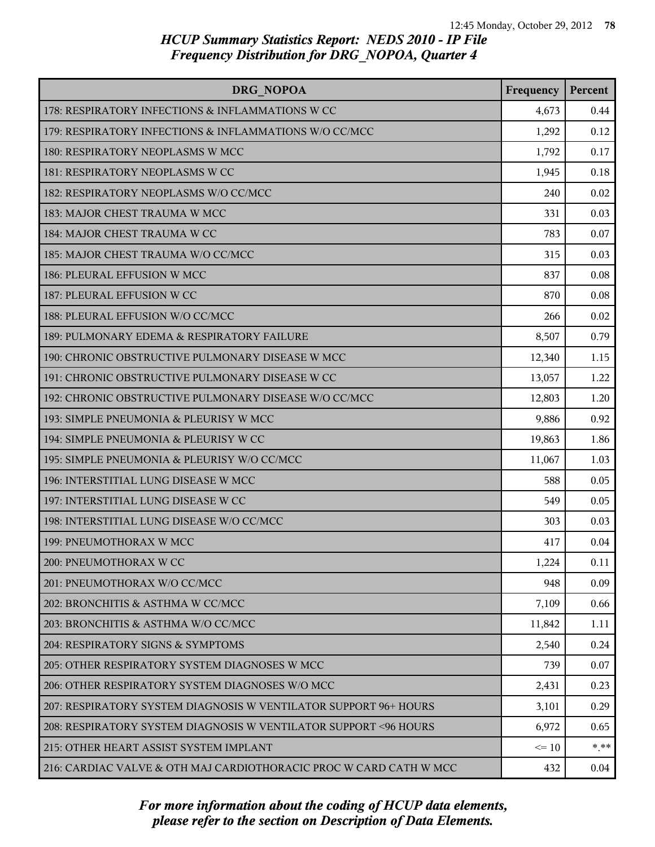| DRG NOPOA                                                          | Frequency | Percent |
|--------------------------------------------------------------------|-----------|---------|
| 178: RESPIRATORY INFECTIONS & INFLAMMATIONS W CC                   | 4,673     | 0.44    |
| 179: RESPIRATORY INFECTIONS & INFLAMMATIONS W/O CC/MCC             | 1,292     | 0.12    |
| 180: RESPIRATORY NEOPLASMS W MCC                                   | 1,792     | 0.17    |
| 181: RESPIRATORY NEOPLASMS W CC                                    | 1,945     | 0.18    |
| 182: RESPIRATORY NEOPLASMS W/O CC/MCC                              | 240       | 0.02    |
| 183: MAJOR CHEST TRAUMA W MCC                                      | 331       | 0.03    |
| 184: MAJOR CHEST TRAUMA W CC                                       | 783       | 0.07    |
| 185: MAJOR CHEST TRAUMA W/O CC/MCC                                 | 315       | 0.03    |
| 186: PLEURAL EFFUSION W MCC                                        | 837       | 0.08    |
| 187: PLEURAL EFFUSION W CC                                         | 870       | 0.08    |
| 188: PLEURAL EFFUSION W/O CC/MCC                                   | 266       | 0.02    |
| 189: PULMONARY EDEMA & RESPIRATORY FAILURE                         | 8,507     | 0.79    |
| 190: CHRONIC OBSTRUCTIVE PULMONARY DISEASE W MCC                   | 12,340    | 1.15    |
| 191: CHRONIC OBSTRUCTIVE PULMONARY DISEASE W CC                    | 13,057    | 1.22    |
| 192: CHRONIC OBSTRUCTIVE PULMONARY DISEASE W/O CC/MCC              | 12,803    | 1.20    |
| 193: SIMPLE PNEUMONIA & PLEURISY W MCC                             | 9,886     | 0.92    |
| 194: SIMPLE PNEUMONIA & PLEURISY W CC                              | 19,863    | 1.86    |
| 195: SIMPLE PNEUMONIA & PLEURISY W/O CC/MCC                        | 11,067    | 1.03    |
| 196: INTERSTITIAL LUNG DISEASE W MCC                               | 588       | 0.05    |
| 197: INTERSTITIAL LUNG DISEASE W CC                                | 549       | 0.05    |
| 198: INTERSTITIAL LUNG DISEASE W/O CC/MCC                          | 303       | 0.03    |
| 199: PNEUMOTHORAX W MCC                                            | 417       | 0.04    |
| 200: PNEUMOTHORAX W CC                                             | 1,224     | 0.11    |
| 201: PNEUMOTHORAX W/O CC/MCC                                       | 948       | 0.09    |
| 202: BRONCHITIS & ASTHMA W CC/MCC                                  | 7,109     | 0.66    |
| 203: BRONCHITIS & ASTHMA W/O CC/MCC                                | 11,842    | 1.11    |
| 204: RESPIRATORY SIGNS & SYMPTOMS                                  | 2,540     | 0.24    |
| 205: OTHER RESPIRATORY SYSTEM DIAGNOSES W MCC                      | 739       | 0.07    |
| 206: OTHER RESPIRATORY SYSTEM DIAGNOSES W/O MCC                    | 2,431     | 0.23    |
| 207: RESPIRATORY SYSTEM DIAGNOSIS W VENTILATOR SUPPORT 96+ HOURS   | 3,101     | 0.29    |
| 208: RESPIRATORY SYSTEM DIAGNOSIS W VENTILATOR SUPPORT < 96 HOURS  | 6,972     | 0.65    |
| 215: OTHER HEART ASSIST SYSTEM IMPLANT                             | $\leq 10$ | $* * *$ |
| 216: CARDIAC VALVE & OTH MAJ CARDIOTHORACIC PROC W CARD CATH W MCC | 432       | 0.04    |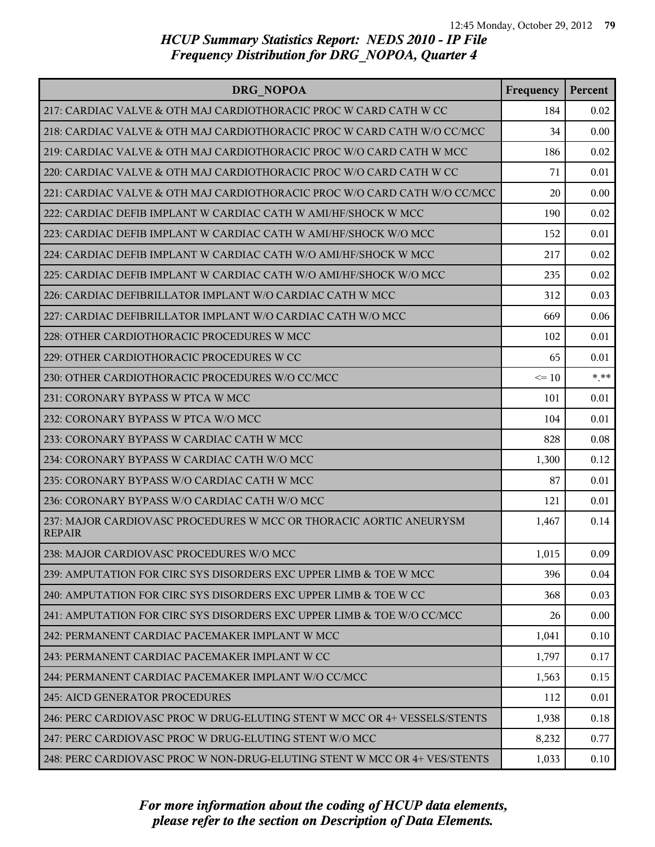| DRG NOPOA                                                                           | Frequency | Percent |
|-------------------------------------------------------------------------------------|-----------|---------|
| 217: CARDIAC VALVE & OTH MAJ CARDIOTHORACIC PROC W CARD CATH W CC                   | 184       | 0.02    |
| 218: CARDIAC VALVE & OTH MAJ CARDIOTHORACIC PROC W CARD CATH W/O CC/MCC             | 34        | 0.00    |
| 219: CARDIAC VALVE & OTH MAJ CARDIOTHORACIC PROC W/O CARD CATH W MCC                | 186       | 0.02    |
| 220: CARDIAC VALVE & OTH MAJ CARDIOTHORACIC PROC W/O CARD CATH W CC                 | 71        | 0.01    |
| 221: CARDIAC VALVE & OTH MAJ CARDIOTHORACIC PROC W/O CARD CATH W/O CC/MCC           | 20        | 0.00    |
| 222: CARDIAC DEFIB IMPLANT W CARDIAC CATH W AMI/HF/SHOCK W MCC                      | 190       | 0.02    |
| 223: CARDIAC DEFIB IMPLANT W CARDIAC CATH W AMI/HF/SHOCK W/O MCC                    | 152       | 0.01    |
| 224: CARDIAC DEFIB IMPLANT W CARDIAC CATH W/O AMI/HF/SHOCK W MCC                    | 217       | 0.02    |
| 225: CARDIAC DEFIB IMPLANT W CARDIAC CATH W/O AMI/HF/SHOCK W/O MCC                  | 235       | 0.02    |
| 226: CARDIAC DEFIBRILLATOR IMPLANT W/O CARDIAC CATH W MCC                           | 312       | 0.03    |
| 227: CARDIAC DEFIBRILLATOR IMPLANT W/O CARDIAC CATH W/O MCC                         | 669       | 0.06    |
| 228: OTHER CARDIOTHORACIC PROCEDURES W MCC                                          | 102       | 0.01    |
| 229: OTHER CARDIOTHORACIC PROCEDURES W CC                                           | 65        | 0.01    |
| 230: OTHER CARDIOTHORACIC PROCEDURES W/O CC/MCC                                     | $\leq 10$ | $***$   |
| 231: CORONARY BYPASS W PTCA W MCC                                                   | 101       | 0.01    |
| 232: CORONARY BYPASS W PTCA W/O MCC                                                 | 104       | 0.01    |
| 233: CORONARY BYPASS W CARDIAC CATH W MCC                                           | 828       | 0.08    |
| 234: CORONARY BYPASS W CARDIAC CATH W/O MCC                                         | 1,300     | 0.12    |
| 235: CORONARY BYPASS W/O CARDIAC CATH W MCC                                         | 87        | 0.01    |
| 236: CORONARY BYPASS W/O CARDIAC CATH W/O MCC                                       | 121       | 0.01    |
| 237: MAJOR CARDIOVASC PROCEDURES W MCC OR THORACIC AORTIC ANEURYSM<br><b>REPAIR</b> | 1,467     | 0.14    |
| 238: MAJOR CARDIOVASC PROCEDURES W/O MCC                                            | 1,015     | 0.09    |
| 239: AMPUTATION FOR CIRC SYS DISORDERS EXC UPPER LIMB & TOE W MCC                   | 396       | 0.04    |
| 240: AMPUTATION FOR CIRC SYS DISORDERS EXC UPPER LIMB & TOE W CC                    | 368       | 0.03    |
| 241: AMPUTATION FOR CIRC SYS DISORDERS EXC UPPER LIMB & TOE W/O CC/MCC              | 26        | 0.00    |
| 242: PERMANENT CARDIAC PACEMAKER IMPLANT W MCC                                      | 1,041     | 0.10    |
| 243: PERMANENT CARDIAC PACEMAKER IMPLANT W CC                                       | 1,797     | 0.17    |
| 244: PERMANENT CARDIAC PACEMAKER IMPLANT W/O CC/MCC                                 | 1,563     | 0.15    |
| 245: AICD GENERATOR PROCEDURES                                                      | 112       | 0.01    |
| 246: PERC CARDIOVASC PROC W DRUG-ELUTING STENT W MCC OR 4+ VESSELS/STENTS           | 1,938     | 0.18    |
| 247: PERC CARDIOVASC PROC W DRUG-ELUTING STENT W/O MCC                              | 8,232     | 0.77    |
| 248: PERC CARDIOVASC PROC W NON-DRUG-ELUTING STENT W MCC OR 4+ VES/STENTS           | 1,033     | 0.10    |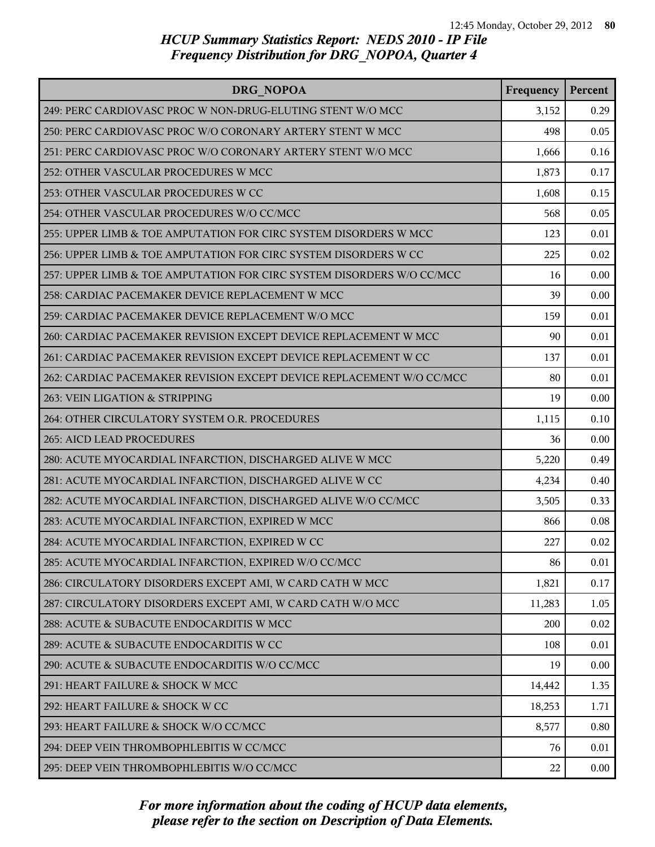| DRG NOPOA                                                             | Frequency | Percent |
|-----------------------------------------------------------------------|-----------|---------|
| 249: PERC CARDIOVASC PROC W NON-DRUG-ELUTING STENT W/O MCC            | 3,152     | 0.29    |
| 250: PERC CARDIOVASC PROC W/O CORONARY ARTERY STENT W MCC             | 498       | 0.05    |
| 251: PERC CARDIOVASC PROC W/O CORONARY ARTERY STENT W/O MCC           | 1,666     | 0.16    |
| 252: OTHER VASCULAR PROCEDURES W MCC                                  | 1,873     | 0.17    |
| 253: OTHER VASCULAR PROCEDURES W CC                                   | 1,608     | 0.15    |
| 254: OTHER VASCULAR PROCEDURES W/O CC/MCC                             | 568       | 0.05    |
| 255: UPPER LIMB & TOE AMPUTATION FOR CIRC SYSTEM DISORDERS W MCC      | 123       | 0.01    |
| 256: UPPER LIMB & TOE AMPUTATION FOR CIRC SYSTEM DISORDERS W CC       | 225       | 0.02    |
| 257: UPPER LIMB & TOE AMPUTATION FOR CIRC SYSTEM DISORDERS W/O CC/MCC | 16        | 0.00    |
| 258: CARDIAC PACEMAKER DEVICE REPLACEMENT W MCC                       | 39        | 0.00    |
| 259: CARDIAC PACEMAKER DEVICE REPLACEMENT W/O MCC                     | 159       | 0.01    |
| 260: CARDIAC PACEMAKER REVISION EXCEPT DEVICE REPLACEMENT W MCC       | 90        | 0.01    |
| 261: CARDIAC PACEMAKER REVISION EXCEPT DEVICE REPLACEMENT W CC        | 137       | 0.01    |
| 262: CARDIAC PACEMAKER REVISION EXCEPT DEVICE REPLACEMENT W/O CC/MCC  | 80        | 0.01    |
| 263: VEIN LIGATION & STRIPPING                                        | 19        | 0.00    |
| 264: OTHER CIRCULATORY SYSTEM O.R. PROCEDURES                         | 1,115     | 0.10    |
| 265: AICD LEAD PROCEDURES                                             | 36        | 0.00    |
| 280: ACUTE MYOCARDIAL INFARCTION, DISCHARGED ALIVE W MCC              | 5,220     | 0.49    |
| 281: ACUTE MYOCARDIAL INFARCTION, DISCHARGED ALIVE W CC               | 4,234     | 0.40    |
| 282: ACUTE MYOCARDIAL INFARCTION, DISCHARGED ALIVE W/O CC/MCC         | 3,505     | 0.33    |
| 283: ACUTE MYOCARDIAL INFARCTION, EXPIRED W MCC                       | 866       | 0.08    |
| 284: ACUTE MYOCARDIAL INFARCTION, EXPIRED W CC                        | 227       | 0.02    |
| 285: ACUTE MYOCARDIAL INFARCTION, EXPIRED W/O CC/MCC                  | 86        | 0.01    |
| 286: CIRCULATORY DISORDERS EXCEPT AMI, W CARD CATH W MCC              | 1,821     | 0.17    |
| 287: CIRCULATORY DISORDERS EXCEPT AMI, W CARD CATH W/O MCC            | 11,283    | 1.05    |
| 288: ACUTE & SUBACUTE ENDOCARDITIS W MCC                              | 200       | 0.02    |
| 289: ACUTE & SUBACUTE ENDOCARDITIS W CC                               | 108       | 0.01    |
| 290: ACUTE & SUBACUTE ENDOCARDITIS W/O CC/MCC                         | 19        | 0.00    |
| 291: HEART FAILURE & SHOCK W MCC                                      | 14,442    | 1.35    |
| 292: HEART FAILURE & SHOCK W CC                                       | 18,253    | 1.71    |
| 293: HEART FAILURE & SHOCK W/O CC/MCC                                 | 8,577     | 0.80    |
| 294: DEEP VEIN THROMBOPHLEBITIS W CC/MCC                              | 76        | 0.01    |
| 295: DEEP VEIN THROMBOPHLEBITIS W/O CC/MCC                            | 22        | 0.00    |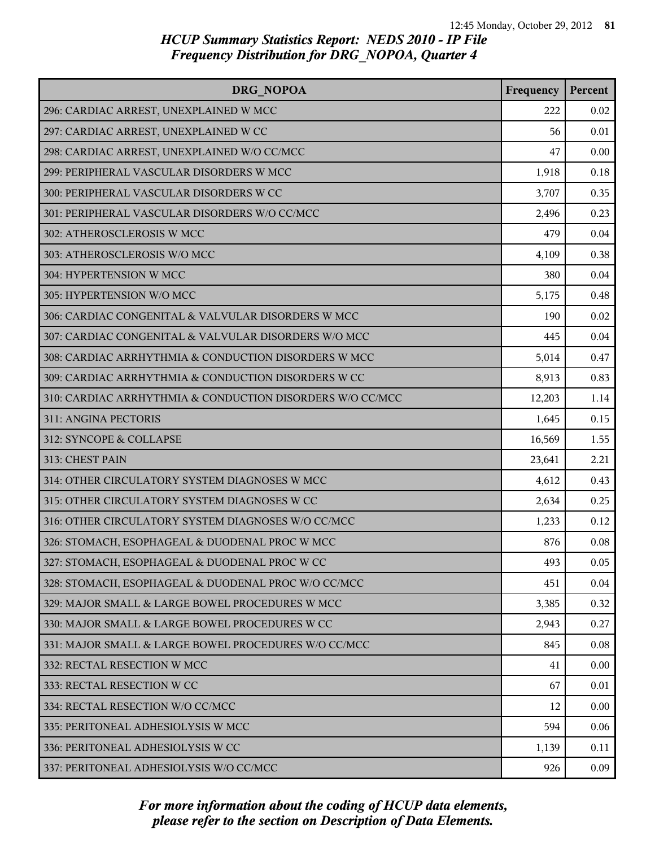| DRG NOPOA                                                 | Frequency | Percent |
|-----------------------------------------------------------|-----------|---------|
| 296: CARDIAC ARREST, UNEXPLAINED W MCC                    | 222       | 0.02    |
| 297: CARDIAC ARREST, UNEXPLAINED W CC                     | 56        | 0.01    |
| 298: CARDIAC ARREST, UNEXPLAINED W/O CC/MCC               | 47        | 0.00    |
| 299: PERIPHERAL VASCULAR DISORDERS W MCC                  | 1,918     | 0.18    |
| 300: PERIPHERAL VASCULAR DISORDERS W CC                   | 3,707     | 0.35    |
| 301: PERIPHERAL VASCULAR DISORDERS W/O CC/MCC             | 2,496     | 0.23    |
| 302: ATHEROSCLEROSIS W MCC                                | 479       | 0.04    |
| 303: ATHEROSCLEROSIS W/O MCC                              | 4,109     | 0.38    |
| 304: HYPERTENSION W MCC                                   | 380       | 0.04    |
| 305: HYPERTENSION W/O MCC                                 | 5,175     | 0.48    |
| 306: CARDIAC CONGENITAL & VALVULAR DISORDERS W MCC        | 190       | 0.02    |
| 307: CARDIAC CONGENITAL & VALVULAR DISORDERS W/O MCC      | 445       | 0.04    |
| 308: CARDIAC ARRHYTHMIA & CONDUCTION DISORDERS W MCC      | 5,014     | 0.47    |
| 309: CARDIAC ARRHYTHMIA & CONDUCTION DISORDERS W CC       | 8,913     | 0.83    |
| 310: CARDIAC ARRHYTHMIA & CONDUCTION DISORDERS W/O CC/MCC | 12,203    | 1.14    |
| 311: ANGINA PECTORIS                                      | 1,645     | 0.15    |
| 312: SYNCOPE & COLLAPSE                                   | 16,569    | 1.55    |
| 313: CHEST PAIN                                           | 23,641    | 2.21    |
| 314: OTHER CIRCULATORY SYSTEM DIAGNOSES W MCC             | 4,612     | 0.43    |
| 315: OTHER CIRCULATORY SYSTEM DIAGNOSES W CC              | 2,634     | 0.25    |
| 316: OTHER CIRCULATORY SYSTEM DIAGNOSES W/O CC/MCC        | 1,233     | 0.12    |
| 326: STOMACH, ESOPHAGEAL & DUODENAL PROC W MCC            | 876       | 0.08    |
| 327: STOMACH, ESOPHAGEAL & DUODENAL PROC W CC             | 493       | 0.05    |
| 328: STOMACH, ESOPHAGEAL & DUODENAL PROC W/O CC/MCC       | 451       | 0.04    |
| 329: MAJOR SMALL & LARGE BOWEL PROCEDURES W MCC           | 3,385     | 0.32    |
| 330: MAJOR SMALL & LARGE BOWEL PROCEDURES W CC            | 2,943     | 0.27    |
| 331: MAJOR SMALL & LARGE BOWEL PROCEDURES W/O CC/MCC      | 845       | 0.08    |
| 332: RECTAL RESECTION W MCC                               | 41        | 0.00    |
| 333: RECTAL RESECTION W CC                                | 67        | 0.01    |
| 334: RECTAL RESECTION W/O CC/MCC                          | 12        | 0.00    |
| 335: PERITONEAL ADHESIOLYSIS W MCC                        | 594       | 0.06    |
| 336: PERITONEAL ADHESIOLYSIS W CC                         | 1,139     | 0.11    |
| 337: PERITONEAL ADHESIOLYSIS W/O CC/MCC                   | 926       | 0.09    |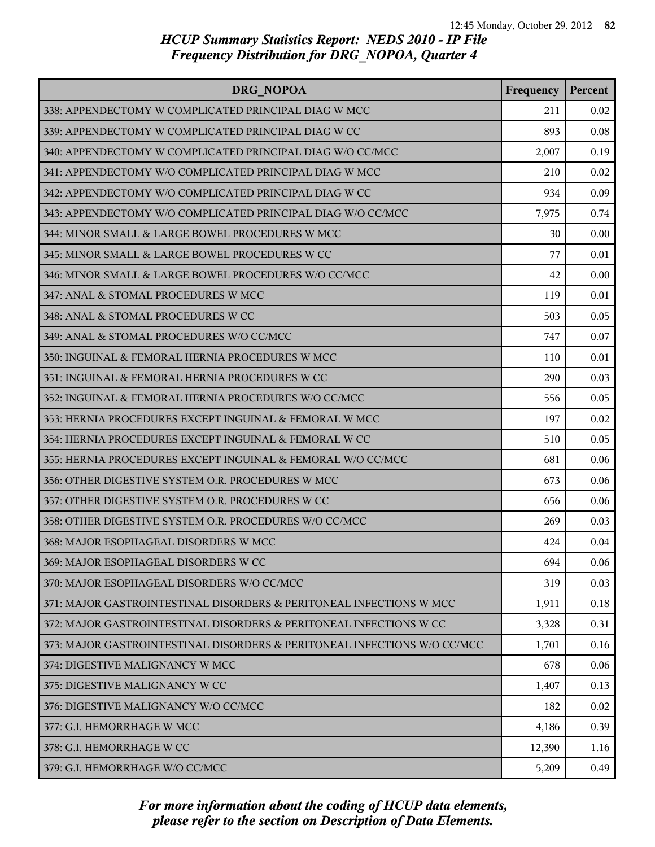| DRG NOPOA                                                                | Frequency | Percent |
|--------------------------------------------------------------------------|-----------|---------|
| 338: APPENDECTOMY W COMPLICATED PRINCIPAL DIAG W MCC                     | 211       | 0.02    |
| 339: APPENDECTOMY W COMPLICATED PRINCIPAL DIAG W CC                      | 893       | 0.08    |
| 340: APPENDECTOMY W COMPLICATED PRINCIPAL DIAG W/O CC/MCC                | 2,007     | 0.19    |
| 341: APPENDECTOMY W/O COMPLICATED PRINCIPAL DIAG W MCC                   | 210       | 0.02    |
| 342: APPENDECTOMY W/O COMPLICATED PRINCIPAL DIAG W CC                    | 934       | 0.09    |
| 343: APPENDECTOMY W/O COMPLICATED PRINCIPAL DIAG W/O CC/MCC              | 7,975     | 0.74    |
| 344: MINOR SMALL & LARGE BOWEL PROCEDURES W MCC                          | 30        | 0.00    |
| 345: MINOR SMALL & LARGE BOWEL PROCEDURES W CC                           | 77        | 0.01    |
| 346: MINOR SMALL & LARGE BOWEL PROCEDURES W/O CC/MCC                     | 42        | 0.00    |
| 347: ANAL & STOMAL PROCEDURES W MCC                                      | 119       | 0.01    |
| 348: ANAL & STOMAL PROCEDURES W CC                                       | 503       | 0.05    |
| 349: ANAL & STOMAL PROCEDURES W/O CC/MCC                                 | 747       | 0.07    |
| 350: INGUINAL & FEMORAL HERNIA PROCEDURES W MCC                          | 110       | 0.01    |
| 351: INGUINAL & FEMORAL HERNIA PROCEDURES W CC                           | 290       | 0.03    |
| 352: INGUINAL & FEMORAL HERNIA PROCEDURES W/O CC/MCC                     | 556       | 0.05    |
| 353: HERNIA PROCEDURES EXCEPT INGUINAL & FEMORAL W MCC                   | 197       | 0.02    |
| 354: HERNIA PROCEDURES EXCEPT INGUINAL & FEMORAL W CC                    | 510       | 0.05    |
| 355: HERNIA PROCEDURES EXCEPT INGUINAL & FEMORAL W/O CC/MCC              | 681       | 0.06    |
| 356: OTHER DIGESTIVE SYSTEM O.R. PROCEDURES W MCC                        | 673       | 0.06    |
| 357: OTHER DIGESTIVE SYSTEM O.R. PROCEDURES W CC                         | 656       | 0.06    |
| 358: OTHER DIGESTIVE SYSTEM O.R. PROCEDURES W/O CC/MCC                   | 269       | 0.03    |
| 368: MAJOR ESOPHAGEAL DISORDERS W MCC                                    | 424       | 0.04    |
| 369: MAJOR ESOPHAGEAL DISORDERS W CC                                     | 694       | 0.06    |
| 370: MAJOR ESOPHAGEAL DISORDERS W/O CC/MCC                               | 319       | 0.03    |
| 371: MAJOR GASTROINTESTINAL DISORDERS & PERITONEAL INFECTIONS W MCC      | 1,911     | 0.18    |
| 372: MAJOR GASTROINTESTINAL DISORDERS & PERITONEAL INFECTIONS W CC       | 3,328     | 0.31    |
| 373: MAJOR GASTROINTESTINAL DISORDERS & PERITONEAL INFECTIONS W/O CC/MCC | 1,701     | 0.16    |
| 374: DIGESTIVE MALIGNANCY W MCC                                          | 678       | 0.06    |
| 375: DIGESTIVE MALIGNANCY W CC                                           | 1,407     | 0.13    |
| 376: DIGESTIVE MALIGNANCY W/O CC/MCC                                     | 182       | 0.02    |
| 377: G.I. HEMORRHAGE W MCC                                               | 4,186     | 0.39    |
| 378: G.I. HEMORRHAGE W CC                                                | 12,390    | 1.16    |
| 379: G.I. HEMORRHAGE W/O CC/MCC                                          | 5,209     | 0.49    |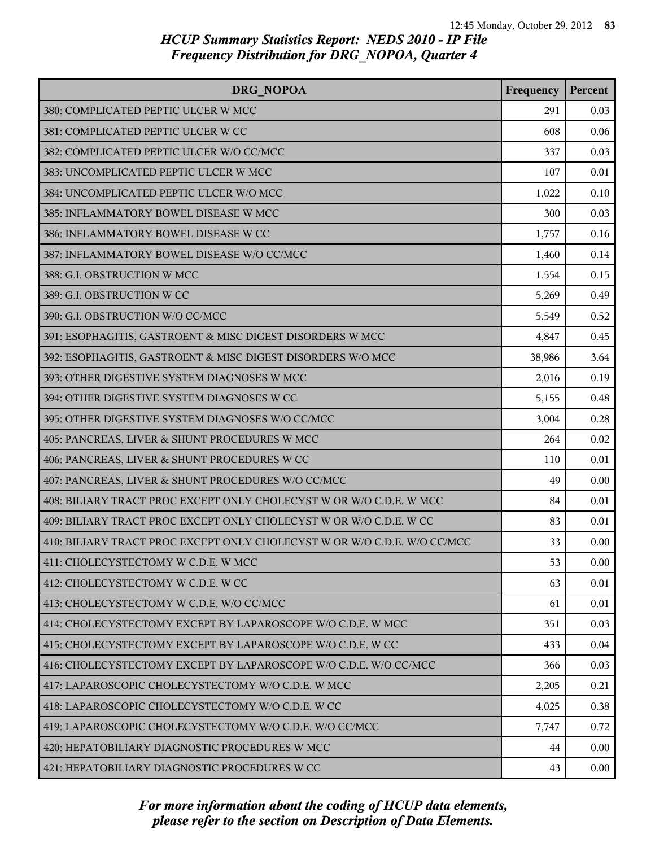| DRG NOPOA                                                                | Frequency | Percent |
|--------------------------------------------------------------------------|-----------|---------|
| 380: COMPLICATED PEPTIC ULCER W MCC                                      | 291       | 0.03    |
| 381: COMPLICATED PEPTIC ULCER W CC                                       | 608       | 0.06    |
| 382: COMPLICATED PEPTIC ULCER W/O CC/MCC                                 | 337       | 0.03    |
| 383: UNCOMPLICATED PEPTIC ULCER W MCC                                    | 107       | 0.01    |
| 384: UNCOMPLICATED PEPTIC ULCER W/O MCC                                  | 1,022     | 0.10    |
| 385: INFLAMMATORY BOWEL DISEASE W MCC                                    | 300       | 0.03    |
| 386: INFLAMMATORY BOWEL DISEASE W CC                                     | 1,757     | 0.16    |
| 387: INFLAMMATORY BOWEL DISEASE W/O CC/MCC                               | 1,460     | 0.14    |
| 388: G.I. OBSTRUCTION W MCC                                              | 1,554     | 0.15    |
| 389: G.I. OBSTRUCTION W CC                                               | 5,269     | 0.49    |
| 390: G.I. OBSTRUCTION W/O CC/MCC                                         | 5,549     | 0.52    |
| 391: ESOPHAGITIS, GASTROENT & MISC DIGEST DISORDERS W MCC                | 4,847     | 0.45    |
| 392: ESOPHAGITIS, GASTROENT & MISC DIGEST DISORDERS W/O MCC              | 38,986    | 3.64    |
| 393: OTHER DIGESTIVE SYSTEM DIAGNOSES W MCC                              | 2,016     | 0.19    |
| 394: OTHER DIGESTIVE SYSTEM DIAGNOSES W CC                               | 5,155     | 0.48    |
| 395: OTHER DIGESTIVE SYSTEM DIAGNOSES W/O CC/MCC                         | 3,004     | 0.28    |
| 405: PANCREAS, LIVER & SHUNT PROCEDURES W MCC                            | 264       | 0.02    |
| 406: PANCREAS, LIVER & SHUNT PROCEDURES W CC                             | 110       | 0.01    |
| 407: PANCREAS, LIVER & SHUNT PROCEDURES W/O CC/MCC                       | 49        | 0.00    |
| 408: BILIARY TRACT PROC EXCEPT ONLY CHOLECYST W OR W/O C.D.E. W MCC      | 84        | 0.01    |
| 409: BILIARY TRACT PROC EXCEPT ONLY CHOLECYST W OR W/O C.D.E. W CC       | 83        | 0.01    |
| 410: BILIARY TRACT PROC EXCEPT ONLY CHOLECYST W OR W/O C.D.E. W/O CC/MCC | 33        | 0.00    |
| 411: CHOLECYSTECTOMY W C.D.E. W MCC                                      | 53        | 0.00    |
| 412: CHOLECYSTECTOMY W C.D.E. W CC                                       | 63        | 0.01    |
| 413: CHOLECYSTECTOMY W C.D.E. W/O CC/MCC                                 | 61        | 0.01    |
| 414: CHOLECYSTECTOMY EXCEPT BY LAPAROSCOPE W/O C.D.E. W MCC              | 351       | 0.03    |
| 415: CHOLECYSTECTOMY EXCEPT BY LAPAROSCOPE W/O C.D.E. W CC               | 433       | 0.04    |
| 416: CHOLECYSTECTOMY EXCEPT BY LAPAROSCOPE W/O C.D.E. W/O CC/MCC         | 366       | 0.03    |
| 417: LAPAROSCOPIC CHOLECYSTECTOMY W/O C.D.E. W MCC                       | 2,205     | 0.21    |
| 418: LAPAROSCOPIC CHOLECYSTECTOMY W/O C.D.E. W CC                        | 4,025     | 0.38    |
| 419: LAPAROSCOPIC CHOLECYSTECTOMY W/O C.D.E. W/O CC/MCC                  | 7,747     | 0.72    |
| 420: HEPATOBILIARY DIAGNOSTIC PROCEDURES W MCC                           | 44        | 0.00    |
| 421: HEPATOBILIARY DIAGNOSTIC PROCEDURES W CC                            | 43        | 0.00    |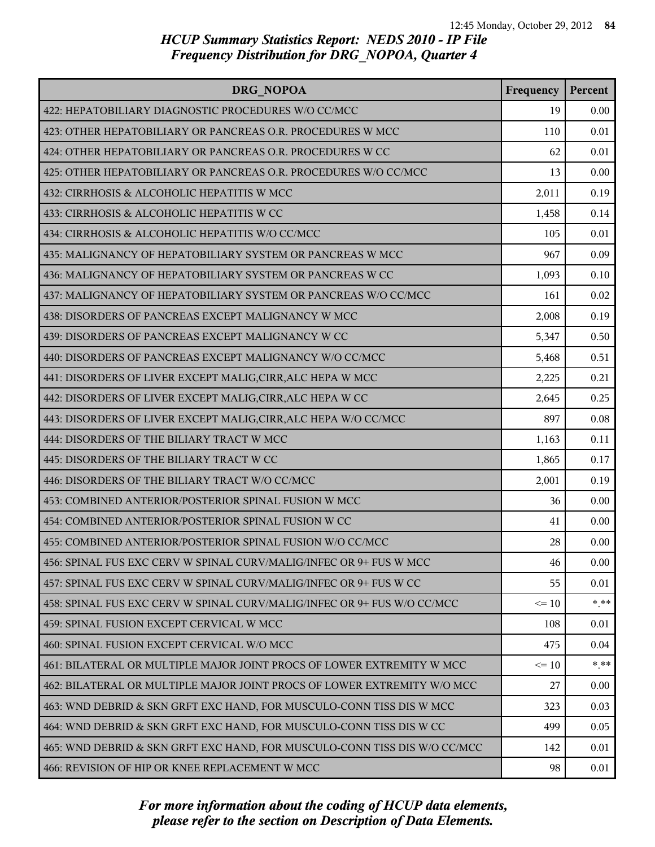| DRG NOPOA                                                                 | Frequency | Percent |
|---------------------------------------------------------------------------|-----------|---------|
| 422: HEPATOBILIARY DIAGNOSTIC PROCEDURES W/O CC/MCC                       | 19        | 0.00    |
| 423: OTHER HEPATOBILIARY OR PANCREAS O.R. PROCEDURES W MCC                | 110       | 0.01    |
| 424: OTHER HEPATOBILIARY OR PANCREAS O.R. PROCEDURES W CC                 | 62        | 0.01    |
| 425: OTHER HEPATOBILIARY OR PANCREAS O.R. PROCEDURES W/O CC/MCC           | 13        | 0.00    |
| 432: CIRRHOSIS & ALCOHOLIC HEPATITIS W MCC                                | 2,011     | 0.19    |
| 433: CIRRHOSIS & ALCOHOLIC HEPATITIS W CC                                 | 1,458     | 0.14    |
| 434: CIRRHOSIS & ALCOHOLIC HEPATITIS W/O CC/MCC                           | 105       | 0.01    |
| 435: MALIGNANCY OF HEPATOBILIARY SYSTEM OR PANCREAS W MCC                 | 967       | 0.09    |
| 436: MALIGNANCY OF HEPATOBILIARY SYSTEM OR PANCREAS W CC                  | 1,093     | 0.10    |
| 437: MALIGNANCY OF HEPATOBILIARY SYSTEM OR PANCREAS W/O CC/MCC            | 161       | 0.02    |
| 438: DISORDERS OF PANCREAS EXCEPT MALIGNANCY W MCC                        | 2,008     | 0.19    |
| 439: DISORDERS OF PANCREAS EXCEPT MALIGNANCY W CC                         | 5,347     | 0.50    |
| 440: DISORDERS OF PANCREAS EXCEPT MALIGNANCY W/O CC/MCC                   | 5,468     | 0.51    |
| 441: DISORDERS OF LIVER EXCEPT MALIG, CIRR, ALC HEPA W MCC                | 2,225     | 0.21    |
| 442: DISORDERS OF LIVER EXCEPT MALIG, CIRR, ALC HEPA W CC                 | 2,645     | 0.25    |
| 443: DISORDERS OF LIVER EXCEPT MALIG, CIRR, ALC HEPA W/O CC/MCC           | 897       | 0.08    |
| 444: DISORDERS OF THE BILIARY TRACT W MCC                                 | 1,163     | 0.11    |
| 445: DISORDERS OF THE BILIARY TRACT W CC                                  | 1,865     | 0.17    |
| 446: DISORDERS OF THE BILIARY TRACT W/O CC/MCC                            | 2,001     | 0.19    |
| 453: COMBINED ANTERIOR/POSTERIOR SPINAL FUSION W MCC                      | 36        | 0.00    |
| 454: COMBINED ANTERIOR/POSTERIOR SPINAL FUSION W CC                       | 41        | 0.00    |
| 455: COMBINED ANTERIOR/POSTERIOR SPINAL FUSION W/O CC/MCC                 | 28        | 0.00    |
| 456: SPINAL FUS EXC CERV W SPINAL CURV/MALIG/INFEC OR 9+ FUS W MCC        | 46        | 0.00    |
| 457: SPINAL FUS EXC CERV W SPINAL CURV/MALIG/INFEC OR 9+ FUS W CC         | 55        | 0.01    |
| 458: SPINAL FUS EXC CERV W SPINAL CURV/MALIG/INFEC OR 9+ FUS W/O CC/MCC   | $\leq 10$ | * **    |
| 459: SPINAL FUSION EXCEPT CERVICAL W MCC                                  | 108       | 0.01    |
| 460: SPINAL FUSION EXCEPT CERVICAL W/O MCC                                | 475       | 0.04    |
| 461: BILATERAL OR MULTIPLE MAJOR JOINT PROCS OF LOWER EXTREMITY W MCC     | $\leq 10$ | $* * *$ |
| 462: BILATERAL OR MULTIPLE MAJOR JOINT PROCS OF LOWER EXTREMITY W/O MCC   | 27        | 0.00    |
| 463: WND DEBRID & SKN GRFT EXC HAND, FOR MUSCULO-CONN TISS DIS W MCC      | 323       | 0.03    |
| 464: WND DEBRID & SKN GRFT EXC HAND, FOR MUSCULO-CONN TISS DIS W CC       | 499       | 0.05    |
| 465: WND DEBRID & SKN GRFT EXC HAND, FOR MUSCULO-CONN TISS DIS W/O CC/MCC | 142       | 0.01    |
| 466: REVISION OF HIP OR KNEE REPLACEMENT W MCC                            | 98        | 0.01    |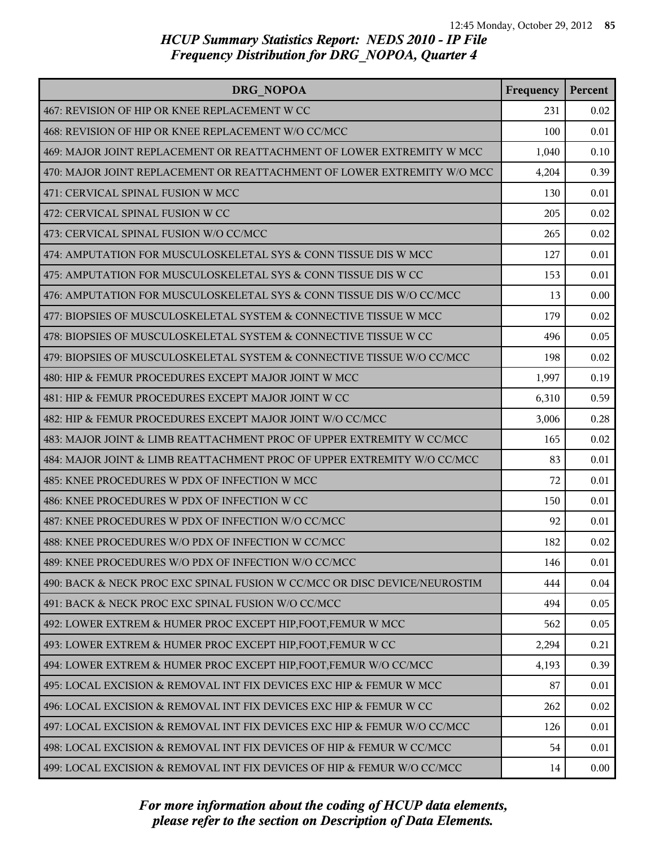| DRG NOPOA                                                                 | Frequency | Percent |
|---------------------------------------------------------------------------|-----------|---------|
| 467: REVISION OF HIP OR KNEE REPLACEMENT W CC                             | 231       | 0.02    |
| 468: REVISION OF HIP OR KNEE REPLACEMENT W/O CC/MCC                       | 100       | 0.01    |
| 469: MAJOR JOINT REPLACEMENT OR REATTACHMENT OF LOWER EXTREMITY W MCC     | 1,040     | 0.10    |
| 470: MAJOR JOINT REPLACEMENT OR REATTACHMENT OF LOWER EXTREMITY W/O MCC   | 4,204     | 0.39    |
| 471: CERVICAL SPINAL FUSION W MCC                                         | 130       | 0.01    |
| 472: CERVICAL SPINAL FUSION W CC                                          | 205       | 0.02    |
| 473: CERVICAL SPINAL FUSION W/O CC/MCC                                    | 265       | 0.02    |
| 474: AMPUTATION FOR MUSCULOSKELETAL SYS & CONN TISSUE DIS W MCC           | 127       | 0.01    |
| 475: AMPUTATION FOR MUSCULOSKELETAL SYS & CONN TISSUE DIS W CC            | 153       | 0.01    |
| 476: AMPUTATION FOR MUSCULOSKELETAL SYS & CONN TISSUE DIS W/O CC/MCC      | 13        | 0.00    |
| 477: BIOPSIES OF MUSCULOSKELETAL SYSTEM & CONNECTIVE TISSUE W MCC         | 179       | 0.02    |
| 478: BIOPSIES OF MUSCULOSKELETAL SYSTEM & CONNECTIVE TISSUE W CC          | 496       | 0.05    |
| 479: BIOPSIES OF MUSCULOSKELETAL SYSTEM & CONNECTIVE TISSUE W/O CC/MCC    | 198       | 0.02    |
| 480: HIP & FEMUR PROCEDURES EXCEPT MAJOR JOINT W MCC                      | 1,997     | 0.19    |
| 481: HIP & FEMUR PROCEDURES EXCEPT MAJOR JOINT W CC                       | 6,310     | 0.59    |
| 482: HIP & FEMUR PROCEDURES EXCEPT MAJOR JOINT W/O CC/MCC                 | 3,006     | 0.28    |
| 483: MAJOR JOINT & LIMB REATTACHMENT PROC OF UPPER EXTREMITY W CC/MCC     | 165       | 0.02    |
| 484: MAJOR JOINT & LIMB REATTACHMENT PROC OF UPPER EXTREMITY W/O CC/MCC   | 83        | 0.01    |
| 485: KNEE PROCEDURES W PDX OF INFECTION W MCC                             | 72        | 0.01    |
| 486: KNEE PROCEDURES W PDX OF INFECTION W CC                              | 150       | 0.01    |
| 487: KNEE PROCEDURES W PDX OF INFECTION W/O CC/MCC                        | 92        | 0.01    |
| 488: KNEE PROCEDURES W/O PDX OF INFECTION W CC/MCC                        | 182       | 0.02    |
| 489: KNEE PROCEDURES W/O PDX OF INFECTION W/O CC/MCC                      | 146       | 0.01    |
| 490: BACK & NECK PROC EXC SPINAL FUSION W CC/MCC OR DISC DEVICE/NEUROSTIM | 444       | 0.04    |
| 491: BACK & NECK PROC EXC SPINAL FUSION W/O CC/MCC                        | 494       | 0.05    |
| 492: LOWER EXTREM & HUMER PROC EXCEPT HIP, FOOT, FEMUR W MCC              | 562       | 0.05    |
| 493: LOWER EXTREM & HUMER PROC EXCEPT HIP, FOOT, FEMUR W CC               | 2,294     | 0.21    |
| 494: LOWER EXTREM & HUMER PROC EXCEPT HIP, FOOT, FEMUR W/O CC/MCC         | 4,193     | 0.39    |
| 495: LOCAL EXCISION & REMOVAL INT FIX DEVICES EXC HIP & FEMUR W MCC       | 87        | 0.01    |
| 496: LOCAL EXCISION & REMOVAL INT FIX DEVICES EXC HIP & FEMUR W CC        | 262       | 0.02    |
| 497: LOCAL EXCISION & REMOVAL INT FIX DEVICES EXC HIP & FEMUR W/O CC/MCC  | 126       | 0.01    |
| 498: LOCAL EXCISION & REMOVAL INT FIX DEVICES OF HIP & FEMUR W CC/MCC     | 54        | 0.01    |
| 499: LOCAL EXCISION & REMOVAL INT FIX DEVICES OF HIP & FEMUR W/O CC/MCC   | 14        | 0.00    |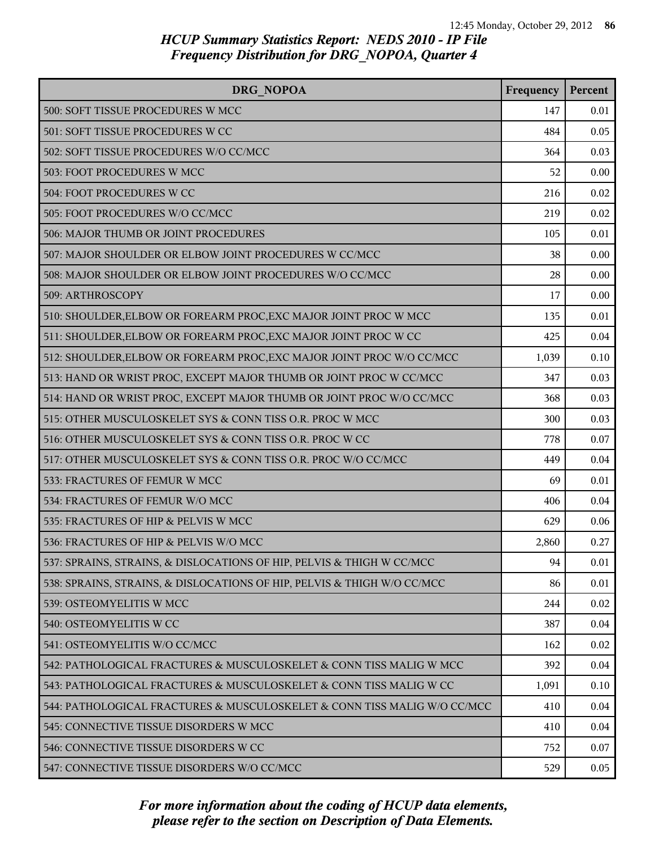| DRG NOPOA                                                                | Frequency | Percent |
|--------------------------------------------------------------------------|-----------|---------|
| 500: SOFT TISSUE PROCEDURES W MCC                                        | 147       | 0.01    |
| 501: SOFT TISSUE PROCEDURES W CC                                         | 484       | 0.05    |
| 502: SOFT TISSUE PROCEDURES W/O CC/MCC                                   | 364       | 0.03    |
| 503: FOOT PROCEDURES W MCC                                               | 52        | 0.00    |
| 504: FOOT PROCEDURES W CC                                                | 216       | 0.02    |
| 505: FOOT PROCEDURES W/O CC/MCC                                          | 219       | 0.02    |
| 506: MAJOR THUMB OR JOINT PROCEDURES                                     | 105       | 0.01    |
| 507: MAJOR SHOULDER OR ELBOW JOINT PROCEDURES W CC/MCC                   | 38        | 0.00    |
| 508: MAJOR SHOULDER OR ELBOW JOINT PROCEDURES W/O CC/MCC                 | 28        | 0.00    |
| 509: ARTHROSCOPY                                                         | 17        | 0.00    |
| 510: SHOULDER, ELBOW OR FOREARM PROC, EXC MAJOR JOINT PROC W MCC         | 135       | 0.01    |
| 511: SHOULDER, ELBOW OR FOREARM PROC, EXC MAJOR JOINT PROC W CC          | 425       | 0.04    |
| 512: SHOULDER, ELBOW OR FOREARM PROC, EXC MAJOR JOINT PROC W/O CC/MCC    | 1,039     | 0.10    |
| 513: HAND OR WRIST PROC, EXCEPT MAJOR THUMB OR JOINT PROC W CC/MCC       | 347       | 0.03    |
| 514: HAND OR WRIST PROC, EXCEPT MAJOR THUMB OR JOINT PROC W/O CC/MCC     | 368       | 0.03    |
| 515: OTHER MUSCULOSKELET SYS & CONN TISS O.R. PROC W MCC                 | 300       | 0.03    |
| 516: OTHER MUSCULOSKELET SYS & CONN TISS O.R. PROC W CC                  | 778       | 0.07    |
| 517: OTHER MUSCULOSKELET SYS & CONN TISS O.R. PROC W/O CC/MCC            | 449       | 0.04    |
| 533: FRACTURES OF FEMUR W MCC                                            | 69        | 0.01    |
| 534: FRACTURES OF FEMUR W/O MCC                                          | 406       | 0.04    |
| 535: FRACTURES OF HIP & PELVIS W MCC                                     | 629       | 0.06    |
| 536: FRACTURES OF HIP & PELVIS W/O MCC                                   | 2,860     | 0.27    |
| 537: SPRAINS, STRAINS, & DISLOCATIONS OF HIP, PELVIS & THIGH W CC/MCC    | 94        | 0.01    |
| 538: SPRAINS, STRAINS, & DISLOCATIONS OF HIP, PELVIS & THIGH W/O CC/MCC  | 86        | 0.01    |
| 539: OSTEOMYELITIS W MCC                                                 | 244       | 0.02    |
| 540: OSTEOMYELITIS W CC                                                  | 387       | 0.04    |
| 541: OSTEOMYELITIS W/O CC/MCC                                            | 162       | 0.02    |
| 542: PATHOLOGICAL FRACTURES & MUSCULOSKELET & CONN TISS MALIG W MCC      | 392       | 0.04    |
| 543: PATHOLOGICAL FRACTURES & MUSCULOSKELET & CONN TISS MALIG W CC       | 1,091     | 0.10    |
| 544: PATHOLOGICAL FRACTURES & MUSCULOSKELET & CONN TISS MALIG W/O CC/MCC | 410       | 0.04    |
| 545: CONNECTIVE TISSUE DISORDERS W MCC                                   | 410       | 0.04    |
| 546: CONNECTIVE TISSUE DISORDERS W CC                                    | 752       | 0.07    |
| 547: CONNECTIVE TISSUE DISORDERS W/O CC/MCC                              | 529       | 0.05    |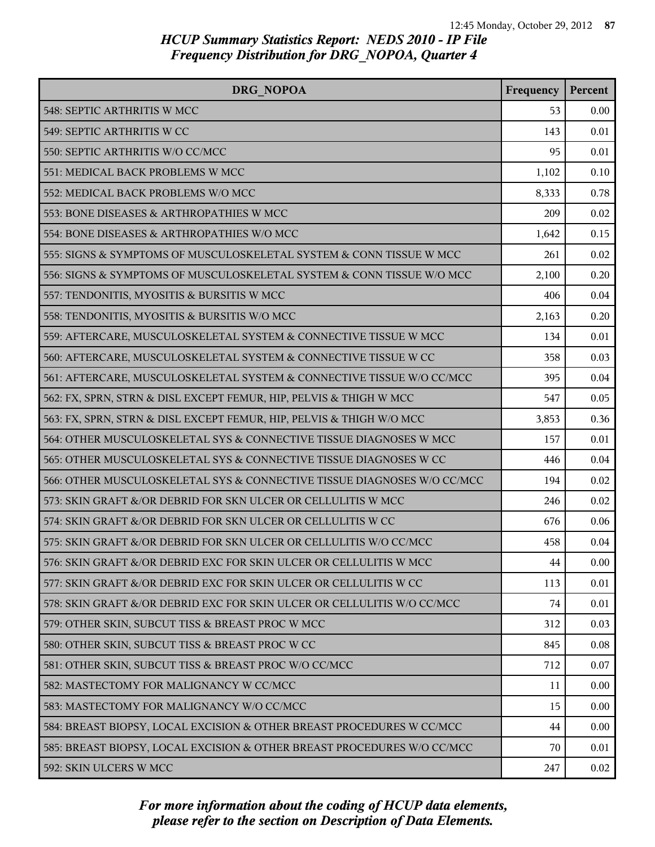| DRG NOPOA                                                               | Frequency | Percent |
|-------------------------------------------------------------------------|-----------|---------|
| 548: SEPTIC ARTHRITIS W MCC                                             | 53        | 0.00    |
| 549: SEPTIC ARTHRITIS W CC                                              | 143       | 0.01    |
| 550: SEPTIC ARTHRITIS W/O CC/MCC                                        | 95        | 0.01    |
| 551: MEDICAL BACK PROBLEMS W MCC                                        | 1,102     | 0.10    |
| 552: MEDICAL BACK PROBLEMS W/O MCC                                      | 8,333     | 0.78    |
| 553: BONE DISEASES & ARTHROPATHIES W MCC                                | 209       | 0.02    |
| 554: BONE DISEASES & ARTHROPATHIES W/O MCC                              | 1,642     | 0.15    |
| 555: SIGNS & SYMPTOMS OF MUSCULOSKELETAL SYSTEM & CONN TISSUE W MCC     | 261       | 0.02    |
| 556: SIGNS & SYMPTOMS OF MUSCULOSKELETAL SYSTEM & CONN TISSUE W/O MCC   | 2,100     | 0.20    |
| 557: TENDONITIS, MYOSITIS & BURSITIS W MCC                              | 406       | 0.04    |
| 558: TENDONITIS, MYOSITIS & BURSITIS W/O MCC                            | 2,163     | 0.20    |
| 559: AFTERCARE, MUSCULOSKELETAL SYSTEM & CONNECTIVE TISSUE W MCC        | 134       | 0.01    |
| 560: AFTERCARE, MUSCULOSKELETAL SYSTEM & CONNECTIVE TISSUE W CC         | 358       | 0.03    |
| 561: AFTERCARE, MUSCULOSKELETAL SYSTEM & CONNECTIVE TISSUE W/O CC/MCC   | 395       | 0.04    |
| 562: FX, SPRN, STRN & DISL EXCEPT FEMUR, HIP, PELVIS & THIGH W MCC      | 547       | 0.05    |
| 563: FX, SPRN, STRN & DISL EXCEPT FEMUR, HIP, PELVIS & THIGH W/O MCC    | 3,853     | 0.36    |
| 564: OTHER MUSCULOSKELETAL SYS & CONNECTIVE TISSUE DIAGNOSES W MCC      | 157       | 0.01    |
| 565: OTHER MUSCULOSKELETAL SYS & CONNECTIVE TISSUE DIAGNOSES W CC       | 446       | 0.04    |
| 566: OTHER MUSCULOSKELETAL SYS & CONNECTIVE TISSUE DIAGNOSES W/O CC/MCC | 194       | 0.02    |
| 573: SKIN GRAFT &/OR DEBRID FOR SKN ULCER OR CELLULITIS W MCC           | 246       | 0.02    |
| 574: SKIN GRAFT &/OR DEBRID FOR SKN ULCER OR CELLULITIS W CC            | 676       | 0.06    |
| 575: SKIN GRAFT &/OR DEBRID FOR SKN ULCER OR CELLULITIS W/O CC/MCC      | 458       | 0.04    |
| 576: SKIN GRAFT &/OR DEBRID EXC FOR SKIN ULCER OR CELLULITIS W MCC      | 44        | 0.00    |
| 577: SKIN GRAFT &/OR DEBRID EXC FOR SKIN ULCER OR CELLULITIS W CC       | 113       | 0.01    |
| 578: SKIN GRAFT &/OR DEBRID EXC FOR SKIN ULCER OR CELLULITIS W/O CC/MCC | 74        | 0.01    |
| 579: OTHER SKIN, SUBCUT TISS & BREAST PROC W MCC                        | 312       | 0.03    |
| 580: OTHER SKIN, SUBCUT TISS & BREAST PROC W CC                         | 845       | 0.08    |
| 581: OTHER SKIN, SUBCUT TISS & BREAST PROC W/O CC/MCC                   | 712       | 0.07    |
| 582: MASTECTOMY FOR MALIGNANCY W CC/MCC                                 | 11        | 0.00    |
| 583: MASTECTOMY FOR MALIGNANCY W/O CC/MCC                               | 15        | 0.00    |
| 584: BREAST BIOPSY, LOCAL EXCISION & OTHER BREAST PROCEDURES W CC/MCC   | 44        | 0.00    |
| 585: BREAST BIOPSY, LOCAL EXCISION & OTHER BREAST PROCEDURES W/O CC/MCC | 70        | 0.01    |
| 592: SKIN ULCERS W MCC                                                  | 247       | 0.02    |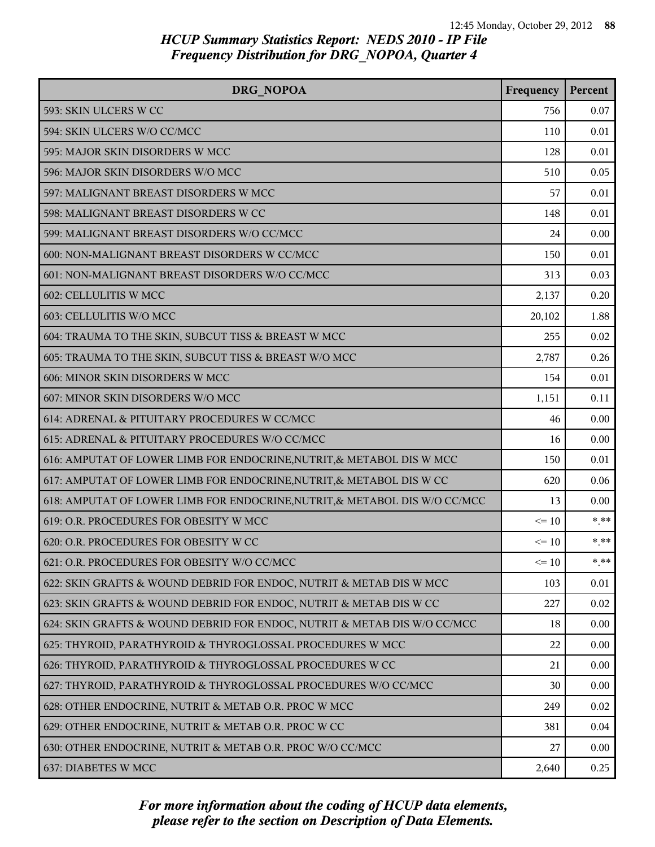| DRG NOPOA                                                                  | Frequency | Percent |
|----------------------------------------------------------------------------|-----------|---------|
| 593: SKIN ULCERS W CC                                                      | 756       | 0.07    |
| 594: SKIN ULCERS W/O CC/MCC                                                | 110       | 0.01    |
| 595: MAJOR SKIN DISORDERS W MCC                                            | 128       | 0.01    |
| 596: MAJOR SKIN DISORDERS W/O MCC                                          | 510       | 0.05    |
| 597: MALIGNANT BREAST DISORDERS W MCC                                      | 57        | 0.01    |
| 598: MALIGNANT BREAST DISORDERS W CC                                       | 148       | 0.01    |
| 599: MALIGNANT BREAST DISORDERS W/O CC/MCC                                 | 24        | 0.00    |
| 600: NON-MALIGNANT BREAST DISORDERS W CC/MCC                               | 150       | 0.01    |
| 601: NON-MALIGNANT BREAST DISORDERS W/O CC/MCC                             | 313       | 0.03    |
| 602: CELLULITIS W MCC                                                      | 2,137     | 0.20    |
| 603: CELLULITIS W/O MCC                                                    | 20,102    | 1.88    |
| 604: TRAUMA TO THE SKIN, SUBCUT TISS & BREAST W MCC                        | 255       | 0.02    |
| 605: TRAUMA TO THE SKIN, SUBCUT TISS & BREAST W/O MCC                      | 2,787     | 0.26    |
| 606: MINOR SKIN DISORDERS W MCC                                            | 154       | 0.01    |
| 607: MINOR SKIN DISORDERS W/O MCC                                          | 1,151     | 0.11    |
| 614: ADRENAL & PITUITARY PROCEDURES W CC/MCC                               | 46        | 0.00    |
| 615: ADRENAL & PITUITARY PROCEDURES W/O CC/MCC                             | 16        | 0.00    |
| 616: AMPUTAT OF LOWER LIMB FOR ENDOCRINE, NUTRIT, & METABOL DIS W MCC      | 150       | 0.01    |
| 617: AMPUTAT OF LOWER LIMB FOR ENDOCRINE, NUTRIT, & METABOL DIS W CC       | 620       | 0.06    |
| 618: AMPUTAT OF LOWER LIMB FOR ENDOCRINE, NUTRIT, & METABOL DIS W/O CC/MCC | 13        | 0.00    |
| 619: O.R. PROCEDURES FOR OBESITY W MCC                                     | $\leq 10$ | $* * *$ |
| 620: O.R. PROCEDURES FOR OBESITY W CC                                      | $\leq 10$ | $*$ **  |
| 621: O.R. PROCEDURES FOR OBESITY W/O CC/MCC                                | $\leq 10$ | * **    |
| 622: SKIN GRAFTS & WOUND DEBRID FOR ENDOC, NUTRIT & METAB DIS W MCC        | 103       | 0.01    |
| 623: SKIN GRAFTS & WOUND DEBRID FOR ENDOC, NUTRIT & METAB DIS W CC         | 227       | 0.02    |
| 624: SKIN GRAFTS & WOUND DEBRID FOR ENDOC, NUTRIT & METAB DIS W/O CC/MCC   | 18        | 0.00    |
| 625: THYROID, PARATHYROID & THYROGLOSSAL PROCEDURES W MCC                  | 22        | 0.00    |
| 626: THYROID, PARATHYROID & THYROGLOSSAL PROCEDURES W CC                   | 21        | 0.00    |
| 627: THYROID, PARATHYROID & THYROGLOSSAL PROCEDURES W/O CC/MCC             | 30        | 0.00    |
| 628: OTHER ENDOCRINE, NUTRIT & METAB O.R. PROC W MCC                       | 249       | 0.02    |
| 629: OTHER ENDOCRINE, NUTRIT & METAB O.R. PROC W CC                        | 381       | 0.04    |
| 630: OTHER ENDOCRINE, NUTRIT & METAB O.R. PROC W/O CC/MCC                  | 27        | 0.00    |
| 637: DIABETES W MCC                                                        | 2,640     | 0.25    |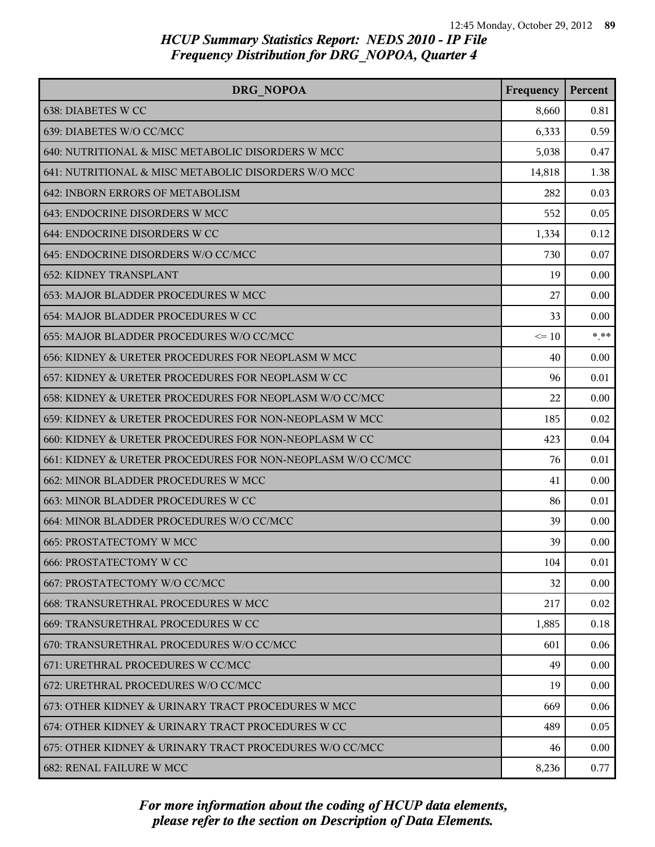| DRG NOPOA                                                   | Frequency | Percent |
|-------------------------------------------------------------|-----------|---------|
| 638: DIABETES W CC                                          | 8,660     | 0.81    |
| 639: DIABETES W/O CC/MCC                                    | 6,333     | 0.59    |
| 640: NUTRITIONAL & MISC METABOLIC DISORDERS W MCC           | 5,038     | 0.47    |
| 641: NUTRITIONAL & MISC METABOLIC DISORDERS W/O MCC         | 14,818    | 1.38    |
| 642: INBORN ERRORS OF METABOLISM                            | 282       | 0.03    |
| 643: ENDOCRINE DISORDERS W MCC                              | 552       | 0.05    |
| 644: ENDOCRINE DISORDERS W CC                               | 1,334     | 0.12    |
| 645: ENDOCRINE DISORDERS W/O CC/MCC                         | 730       | 0.07    |
| <b>652: KIDNEY TRANSPLANT</b>                               | 19        | 0.00    |
| 653: MAJOR BLADDER PROCEDURES W MCC                         | 27        | 0.00    |
| 654: MAJOR BLADDER PROCEDURES W CC                          | 33        | 0.00    |
| 655: MAJOR BLADDER PROCEDURES W/O CC/MCC                    | $\leq 10$ | $***$   |
| 656: KIDNEY & URETER PROCEDURES FOR NEOPLASM W MCC          | 40        | 0.00    |
| 657: KIDNEY & URETER PROCEDURES FOR NEOPLASM W CC           | 96        | 0.01    |
| 658: KIDNEY & URETER PROCEDURES FOR NEOPLASM W/O CC/MCC     | 22        | 0.00    |
| 659: KIDNEY & URETER PROCEDURES FOR NON-NEOPLASM W MCC      | 185       | 0.02    |
| 660: KIDNEY & URETER PROCEDURES FOR NON-NEOPLASM W CC       | 423       | 0.04    |
| 661: KIDNEY & URETER PROCEDURES FOR NON-NEOPLASM W/O CC/MCC | 76        | 0.01    |
| 662: MINOR BLADDER PROCEDURES W MCC                         | 41        | 0.00    |
| 663: MINOR BLADDER PROCEDURES W CC                          | 86        | 0.01    |
| 664: MINOR BLADDER PROCEDURES W/O CC/MCC                    | 39        | 0.00    |
| 665: PROSTATECTOMY W MCC                                    | 39        | 0.00    |
| <b>666: PROSTATECTOMY W CC</b>                              | 104       | 0.01    |
| 667: PROSTATECTOMY W/O CC/MCC                               | 32        | 0.00    |
| <b>668: TRANSURETHRAL PROCEDURES W MCC</b>                  | 217       | 0.02    |
| 669: TRANSURETHRAL PROCEDURES W CC                          | 1,885     | 0.18    |
| 670: TRANSURETHRAL PROCEDURES W/O CC/MCC                    | 601       | 0.06    |
| 671: URETHRAL PROCEDURES W CC/MCC                           | 49        | 0.00    |
| 672: URETHRAL PROCEDURES W/O CC/MCC                         | 19        | 0.00    |
| 673: OTHER KIDNEY & URINARY TRACT PROCEDURES W MCC          | 669       | 0.06    |
| 674: OTHER KIDNEY & URINARY TRACT PROCEDURES W CC           | 489       | 0.05    |
| 675: OTHER KIDNEY & URINARY TRACT PROCEDURES W/O CC/MCC     | 46        | 0.00    |
| 682: RENAL FAILURE W MCC                                    | 8,236     | 0.77    |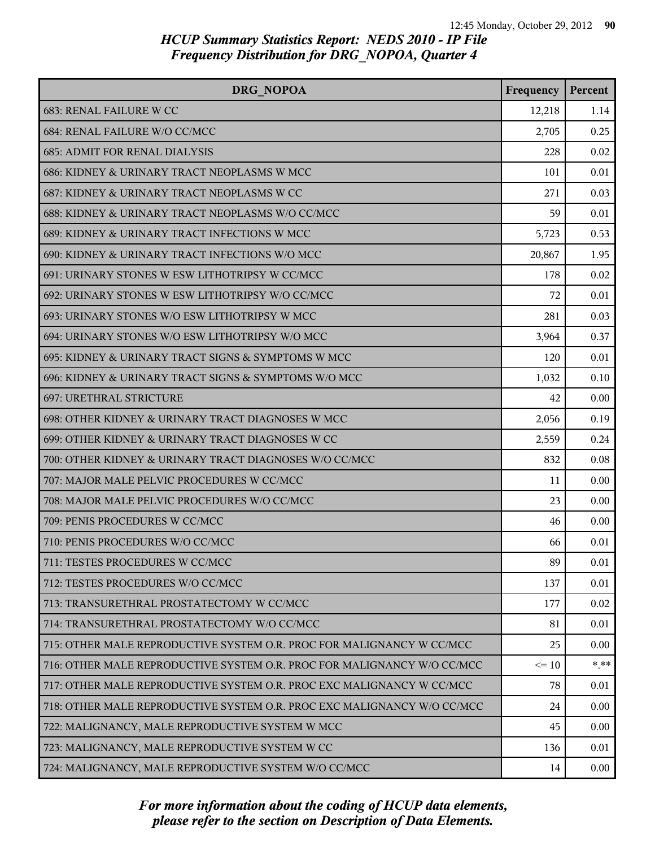| DRG NOPOA                                                               | Frequency | Percent |
|-------------------------------------------------------------------------|-----------|---------|
| <b>683: RENAL FAILURE W CC</b>                                          | 12,218    | 1.14    |
| 684: RENAL FAILURE W/O CC/MCC                                           | 2,705     | 0.25    |
| <b>685: ADMIT FOR RENAL DIALYSIS</b>                                    | 228       | 0.02    |
| 686: KIDNEY & URINARY TRACT NEOPLASMS W MCC                             | 101       | 0.01    |
| 687: KIDNEY & URINARY TRACT NEOPLASMS W CC                              | 271       | 0.03    |
| 688: KIDNEY & URINARY TRACT NEOPLASMS W/O CC/MCC                        | 59        | 0.01    |
| 689: KIDNEY & URINARY TRACT INFECTIONS W MCC                            | 5,723     | 0.53    |
| 690: KIDNEY & URINARY TRACT INFECTIONS W/O MCC                          | 20,867    | 1.95    |
| 691: URINARY STONES W ESW LITHOTRIPSY W CC/MCC                          | 178       | 0.02    |
| 692: URINARY STONES W ESW LITHOTRIPSY W/O CC/MCC                        | 72        | 0.01    |
| 693: URINARY STONES W/O ESW LITHOTRIPSY W MCC                           | 281       | 0.03    |
| 694: URINARY STONES W/O ESW LITHOTRIPSY W/O MCC                         | 3,964     | 0.37    |
| 695: KIDNEY & URINARY TRACT SIGNS & SYMPTOMS W MCC                      | 120       | 0.01    |
| 696: KIDNEY & URINARY TRACT SIGNS & SYMPTOMS W/O MCC                    | 1,032     | 0.10    |
| <b>697: URETHRAL STRICTURE</b>                                          | 42        | 0.00    |
| 698: OTHER KIDNEY & URINARY TRACT DIAGNOSES W MCC                       | 2,056     | 0.19    |
| 699: OTHER KIDNEY & URINARY TRACT DIAGNOSES W CC                        | 2,559     | 0.24    |
| 700: OTHER KIDNEY & URINARY TRACT DIAGNOSES W/O CC/MCC                  | 832       | 0.08    |
| 707: MAJOR MALE PELVIC PROCEDURES W CC/MCC                              | 11        | 0.00    |
| 708: MAJOR MALE PELVIC PROCEDURES W/O CC/MCC                            | 23        | 0.00    |
| 709: PENIS PROCEDURES W CC/MCC                                          | 46        | 0.00    |
| 710: PENIS PROCEDURES W/O CC/MCC                                        | 66        | 0.01    |
| 711: TESTES PROCEDURES W CC/MCC                                         | 89        | 0.01    |
| 712: TESTES PROCEDURES W/O CC/MCC                                       | 137       | 0.01    |
| 713: TRANSURETHRAL PROSTATECTOMY W CC/MCC                               | 177       | 0.02    |
| 714: TRANSURETHRAL PROSTATECTOMY W/O CC/MCC                             | 81        | 0.01    |
| 715: OTHER MALE REPRODUCTIVE SYSTEM O.R. PROC FOR MALIGNANCY W CC/MCC   | 25        | 0.00    |
| 716: OTHER MALE REPRODUCTIVE SYSTEM O.R. PROC FOR MALIGNANCY W/O CC/MCC | $\leq$ 10 | * **    |
| 717: OTHER MALE REPRODUCTIVE SYSTEM O.R. PROC EXC MALIGNANCY W CC/MCC   | 78        | 0.01    |
| 718: OTHER MALE REPRODUCTIVE SYSTEM O.R. PROC EXC MALIGNANCY W/O CC/MCC | 24        | 0.00    |
| 722: MALIGNANCY, MALE REPRODUCTIVE SYSTEM W MCC                         | 45        | 0.00    |
| 723: MALIGNANCY, MALE REPRODUCTIVE SYSTEM W CC                          | 136       | 0.01    |
| 724: MALIGNANCY, MALE REPRODUCTIVE SYSTEM W/O CC/MCC                    | 14        | 0.00    |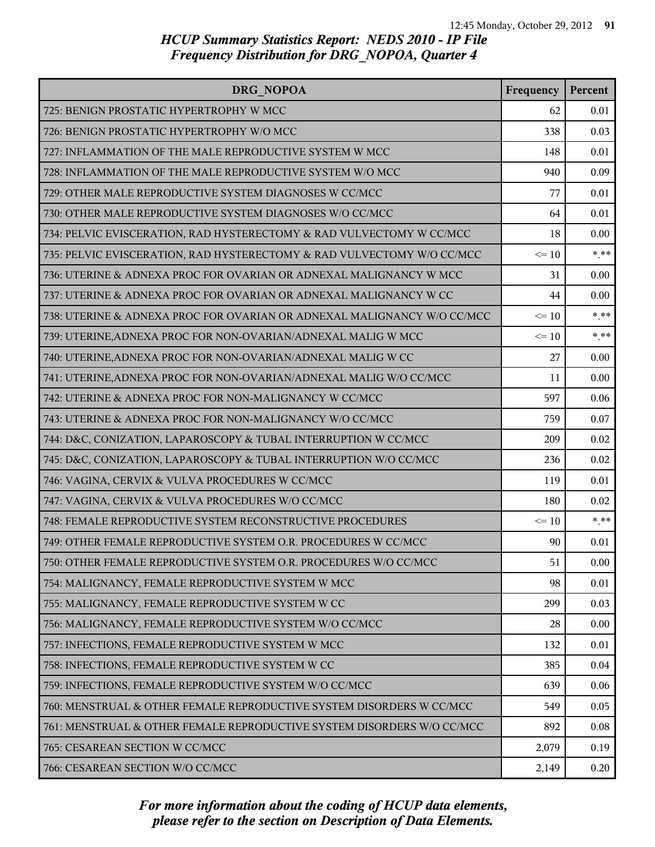| DRG NOPOA                                                               | Frequency | Percent |
|-------------------------------------------------------------------------|-----------|---------|
| 725: BENIGN PROSTATIC HYPERTROPHY W MCC                                 | 62        | 0.01    |
| 726: BENIGN PROSTATIC HYPERTROPHY W/O MCC                               | 338       | 0.03    |
| 727: INFLAMMATION OF THE MALE REPRODUCTIVE SYSTEM W MCC                 | 148       | 0.01    |
| 728: INFLAMMATION OF THE MALE REPRODUCTIVE SYSTEM W/O MCC               | 940       | 0.09    |
| 729: OTHER MALE REPRODUCTIVE SYSTEM DIAGNOSES W CC/MCC                  | 77        | 0.01    |
| 730: OTHER MALE REPRODUCTIVE SYSTEM DIAGNOSES W/O CC/MCC                | 64        | 0.01    |
| 734: PELVIC EVISCERATION, RAD HYSTERECTOMY & RAD VULVECTOMY W CC/MCC    | 18        | 0.00    |
| 735: PELVIC EVISCERATION, RAD HYSTERECTOMY & RAD VULVECTOMY W/O CC/MCC  | $\leq 10$ | $*$ **  |
| 736: UTERINE & ADNEXA PROC FOR OVARIAN OR ADNEXAL MALIGNANCY W MCC      | 31        | 0.00    |
| 737: UTERINE & ADNEXA PROC FOR OVARIAN OR ADNEXAL MALIGNANCY W CC       | 44        | 0.00    |
| 738: UTERINE & ADNEXA PROC FOR OVARIAN OR ADNEXAL MALIGNANCY W/O CC/MCC | $\leq 10$ | $* * *$ |
| 739: UTERINE, ADNEXA PROC FOR NON-OVARIAN/ADNEXAL MALIG W MCC           | $\leq 10$ | $* * *$ |
| 740: UTERINE, ADNEXA PROC FOR NON-OVARIAN/ADNEXAL MALIG W CC            | 27        | 0.00    |
| 741: UTERINE, ADNEXA PROC FOR NON-OVARIAN/ADNEXAL MALIG W/O CC/MCC      | 11        | 0.00    |
| 742: UTERINE & ADNEXA PROC FOR NON-MALIGNANCY W CC/MCC                  | 597       | 0.06    |
| 743: UTERINE & ADNEXA PROC FOR NON-MALIGNANCY W/O CC/MCC                | 759       | 0.07    |
| 744: D&C, CONIZATION, LAPAROSCOPY & TUBAL INTERRUPTION W CC/MCC         | 209       | 0.02    |
| 745: D&C, CONIZATION, LAPAROSCOPY & TUBAL INTERRUPTION W/O CC/MCC       | 236       | 0.02    |
| 746: VAGINA, CERVIX & VULVA PROCEDURES W CC/MCC                         | 119       | 0.01    |
| 747: VAGINA, CERVIX & VULVA PROCEDURES W/O CC/MCC                       | 180       | 0.02    |
| 748: FEMALE REPRODUCTIVE SYSTEM RECONSTRUCTIVE PROCEDURES               | $\leq 10$ | $* * *$ |
| 749: OTHER FEMALE REPRODUCTIVE SYSTEM O.R. PROCEDURES W CC/MCC          | 90        | 0.01    |
| 750: OTHER FEMALE REPRODUCTIVE SYSTEM O.R. PROCEDURES W/O CC/MCC        | 51        | 0.00    |
| 754: MALIGNANCY, FEMALE REPRODUCTIVE SYSTEM W MCC                       | 98        | 0.01    |
| 755: MALIGNANCY, FEMALE REPRODUCTIVE SYSTEM W CC                        | 299       | 0.03    |
| 756: MALIGNANCY, FEMALE REPRODUCTIVE SYSTEM W/O CC/MCC                  | 28        | 0.00    |
| 757: INFECTIONS, FEMALE REPRODUCTIVE SYSTEM W MCC                       | 132       | 0.01    |
| 758: INFECTIONS, FEMALE REPRODUCTIVE SYSTEM W CC                        | 385       | 0.04    |
| 759: INFECTIONS, FEMALE REPRODUCTIVE SYSTEM W/O CC/MCC                  | 639       | 0.06    |
| 760: MENSTRUAL & OTHER FEMALE REPRODUCTIVE SYSTEM DISORDERS W CC/MCC    | 549       | 0.05    |
| 761: MENSTRUAL & OTHER FEMALE REPRODUCTIVE SYSTEM DISORDERS W/O CC/MCC  | 892       | 0.08    |
| 765: CESAREAN SECTION W CC/MCC                                          | 2,079     | 0.19    |
| 766: CESAREAN SECTION W/O CC/MCC                                        | 2,149     | 0.20    |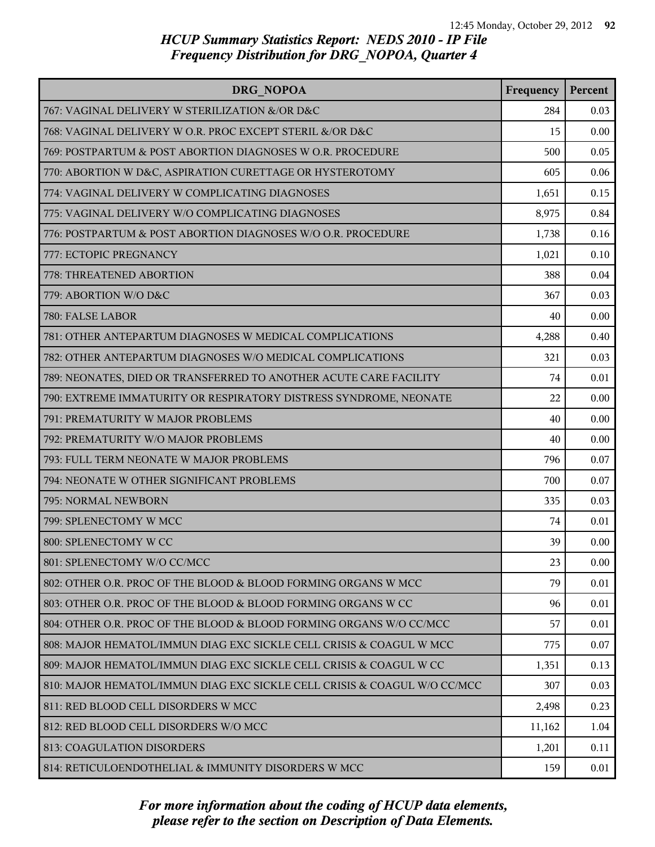| <b>DRG NOPOA</b>                                                         | Frequency | Percent |
|--------------------------------------------------------------------------|-----------|---------|
| 767: VAGINAL DELIVERY W STERILIZATION &/OR D&C                           | 284       | 0.03    |
| 768: VAGINAL DELIVERY W O.R. PROC EXCEPT STERIL &/OR D&C                 | 15        | 0.00    |
| 769: POSTPARTUM & POST ABORTION DIAGNOSES W O.R. PROCEDURE               | 500       | 0.05    |
| 770: ABORTION W D&C, ASPIRATION CURETTAGE OR HYSTEROTOMY                 | 605       | 0.06    |
| 774: VAGINAL DELIVERY W COMPLICATING DIAGNOSES                           | 1,651     | 0.15    |
| 775: VAGINAL DELIVERY W/O COMPLICATING DIAGNOSES                         | 8,975     | 0.84    |
| 776: POSTPARTUM & POST ABORTION DIAGNOSES W/O O.R. PROCEDURE             | 1,738     | 0.16    |
| 777: ECTOPIC PREGNANCY                                                   | 1,021     | 0.10    |
| 778: THREATENED ABORTION                                                 | 388       | 0.04    |
| 779: ABORTION W/O D&C                                                    | 367       | 0.03    |
| 780: FALSE LABOR                                                         | 40        | 0.00    |
| 781: OTHER ANTEPARTUM DIAGNOSES W MEDICAL COMPLICATIONS                  | 4,288     | 0.40    |
| 782: OTHER ANTEPARTUM DIAGNOSES W/O MEDICAL COMPLICATIONS                | 321       | 0.03    |
| 789: NEONATES, DIED OR TRANSFERRED TO ANOTHER ACUTE CARE FACILITY        | 74        | 0.01    |
| 790: EXTREME IMMATURITY OR RESPIRATORY DISTRESS SYNDROME, NEONATE        | 22        | 0.00    |
| 791: PREMATURITY W MAJOR PROBLEMS                                        | 40        | 0.00    |
| 792: PREMATURITY W/O MAJOR PROBLEMS                                      | 40        | 0.00    |
| 793: FULL TERM NEONATE W MAJOR PROBLEMS                                  | 796       | 0.07    |
| 794: NEONATE W OTHER SIGNIFICANT PROBLEMS                                | 700       | 0.07    |
| 795: NORMAL NEWBORN                                                      | 335       | 0.03    |
| 799: SPLENECTOMY W MCC                                                   | 74        | 0.01    |
| 800: SPLENECTOMY W CC                                                    | 39        | 0.00    |
| 801: SPLENECTOMY W/O CC/MCC                                              | 23        | 0.00    |
| 802: OTHER O.R. PROC OF THE BLOOD & BLOOD FORMING ORGANS W MCC           | 79        | 0.01    |
| 803: OTHER O.R. PROC OF THE BLOOD & BLOOD FORMING ORGANS W CC            | 96        | 0.01    |
| 804: OTHER O.R. PROC OF THE BLOOD & BLOOD FORMING ORGANS W/O CC/MCC      | 57        | 0.01    |
| 808: MAJOR HEMATOL/IMMUN DIAG EXC SICKLE CELL CRISIS & COAGUL W MCC      | 775       | 0.07    |
| 809: MAJOR HEMATOL/IMMUN DIAG EXC SICKLE CELL CRISIS & COAGUL W CC       | 1,351     | 0.13    |
| 810: MAJOR HEMATOL/IMMUN DIAG EXC SICKLE CELL CRISIS & COAGUL W/O CC/MCC | 307       | 0.03    |
| 811: RED BLOOD CELL DISORDERS W MCC                                      | 2,498     | 0.23    |
| 812: RED BLOOD CELL DISORDERS W/O MCC                                    | 11,162    | 1.04    |
| 813: COAGULATION DISORDERS                                               | 1,201     | 0.11    |
| 814: RETICULOENDOTHELIAL & IMMUNITY DISORDERS W MCC                      | 159       | 0.01    |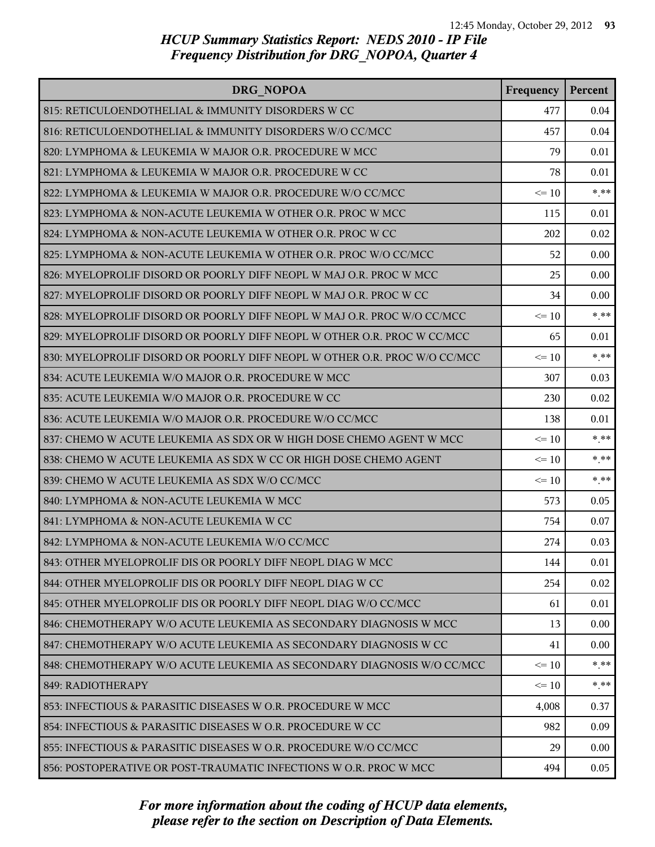| DRG NOPOA                                                                 | Frequency | Percent  |
|---------------------------------------------------------------------------|-----------|----------|
| 815: RETICULOENDOTHELIAL & IMMUNITY DISORDERS W CC                        | 477       | 0.04     |
| 816: RETICULOENDOTHELIAL & IMMUNITY DISORDERS W/O CC/MCC                  | 457       | 0.04     |
| 820: LYMPHOMA & LEUKEMIA W MAJOR O.R. PROCEDURE W MCC                     | 79        | 0.01     |
| 821: LYMPHOMA & LEUKEMIA W MAJOR O.R. PROCEDURE W CC                      | 78        | 0.01     |
| 822: LYMPHOMA & LEUKEMIA W MAJOR O.R. PROCEDURE W/O CC/MCC                | $\leq 10$ | $* * *$  |
| 823: LYMPHOMA & NON-ACUTE LEUKEMIA W OTHER O.R. PROC W MCC                | 115       | 0.01     |
| 824: LYMPHOMA & NON-ACUTE LEUKEMIA W OTHER O.R. PROC W CC                 | 202       | 0.02     |
| 825: LYMPHOMA & NON-ACUTE LEUKEMIA W OTHER O.R. PROC W/O CC/MCC           | 52        | 0.00     |
| 826: MYELOPROLIF DISORD OR POORLY DIFF NEOPL W MAJ O.R. PROC W MCC        | 25        | 0.00     |
| 827: MYELOPROLIF DISORD OR POORLY DIFF NEOPL W MAJ O.R. PROC W CC         | 34        | 0.00     |
| 828: MYELOPROLIF DISORD OR POORLY DIFF NEOPL W MAJ O.R. PROC W/O CC/MCC   | $\leq 10$ | $* * *$  |
| 829: MYELOPROLIF DISORD OR POORLY DIFF NEOPL W OTHER O.R. PROC W CC/MCC   | 65        | 0.01     |
| 830: MYELOPROLIF DISORD OR POORLY DIFF NEOPL W OTHER O.R. PROC W/O CC/MCC | $\leq 10$ | $*$ $**$ |
| 834: ACUTE LEUKEMIA W/O MAJOR O.R. PROCEDURE W MCC                        | 307       | 0.03     |
| 835: ACUTE LEUKEMIA W/O MAJOR O.R. PROCEDURE W CC                         | 230       | 0.02     |
| 836: ACUTE LEUKEMIA W/O MAJOR O.R. PROCEDURE W/O CC/MCC                   | 138       | 0.01     |
| 837: CHEMO W ACUTE LEUKEMIA AS SDX OR W HIGH DOSE CHEMO AGENT W MCC       | $\leq 10$ | $*$ $**$ |
| 838: CHEMO W ACUTE LEUKEMIA AS SDX W CC OR HIGH DOSE CHEMO AGENT          | $\leq 10$ | $* * *$  |
| 839: CHEMO W ACUTE LEUKEMIA AS SDX W/O CC/MCC                             | $\leq 10$ | * **     |
| 840: LYMPHOMA & NON-ACUTE LEUKEMIA W MCC                                  | 573       | 0.05     |
| 841: LYMPHOMA & NON-ACUTE LEUKEMIA W CC                                   | 754       | 0.07     |
| 842: LYMPHOMA & NON-ACUTE LEUKEMIA W/O CC/MCC                             | 274       | 0.03     |
| 843: OTHER MYELOPROLIF DIS OR POORLY DIFF NEOPL DIAG W MCC                | 144       | 0.01     |
| 844: OTHER MYELOPROLIF DIS OR POORLY DIFF NEOPL DIAG W CC                 | 254       | 0.02     |
| 845: OTHER MYELOPROLIF DIS OR POORLY DIFF NEOPL DIAG W/O CC/MCC           | 61        | 0.01     |
| 846: CHEMOTHERAPY W/O ACUTE LEUKEMIA AS SECONDARY DIAGNOSIS W MCC         | 13        | 0.00     |
| 847: CHEMOTHERAPY W/O ACUTE LEUKEMIA AS SECONDARY DIAGNOSIS W CC          | 41        | 0.00     |
| 848: CHEMOTHERAPY W/O ACUTE LEUKEMIA AS SECONDARY DIAGNOSIS W/O CC/MCC    | $\leq$ 10 | * **     |
| 849: RADIOTHERAPY                                                         | $\leq 10$ | * **     |
| 853: INFECTIOUS & PARASITIC DISEASES W O.R. PROCEDURE W MCC               | 4,008     | 0.37     |
| 854: INFECTIOUS & PARASITIC DISEASES W O.R. PROCEDURE W CC                | 982       | 0.09     |
| 855: INFECTIOUS & PARASITIC DISEASES W O.R. PROCEDURE W/O CC/MCC          | 29        | 0.00     |
| 856: POSTOPERATIVE OR POST-TRAUMATIC INFECTIONS W O.R. PROC W MCC         | 494       | 0.05     |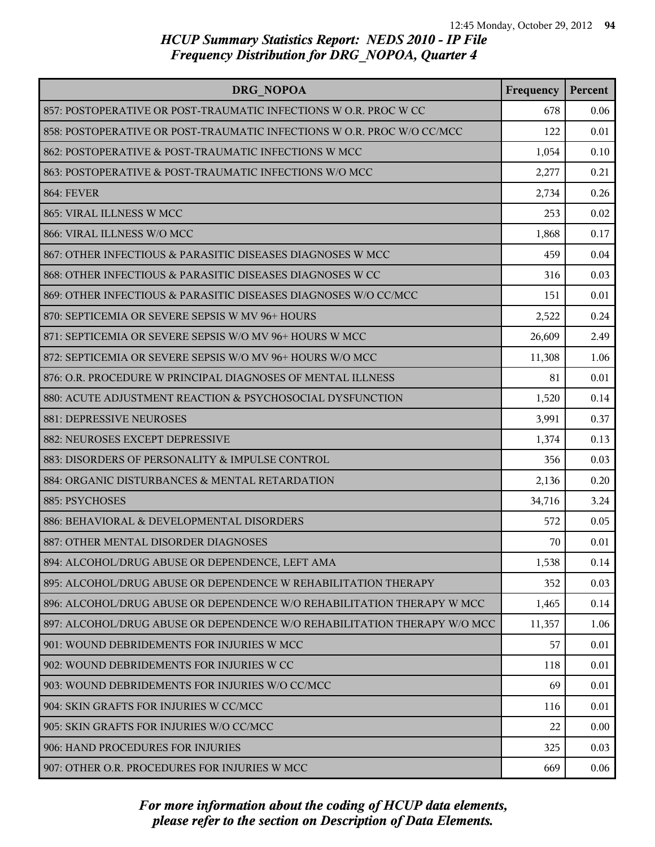| DRG NOPOA                                                                | Frequency | Percent |
|--------------------------------------------------------------------------|-----------|---------|
| 857: POSTOPERATIVE OR POST-TRAUMATIC INFECTIONS W O.R. PROC W CC         | 678       | 0.06    |
| 858: POSTOPERATIVE OR POST-TRAUMATIC INFECTIONS W O.R. PROC W/O CC/MCC   | 122       | 0.01    |
| 862: POSTOPERATIVE & POST-TRAUMATIC INFECTIONS W MCC                     | 1,054     | 0.10    |
| 863: POSTOPERATIVE & POST-TRAUMATIC INFECTIONS W/O MCC                   | 2,277     | 0.21    |
| <b>864: FEVER</b>                                                        | 2,734     | 0.26    |
| 865: VIRAL ILLNESS W MCC                                                 | 253       | 0.02    |
| 866: VIRAL ILLNESS W/O MCC                                               | 1,868     | 0.17    |
| 867: OTHER INFECTIOUS & PARASITIC DISEASES DIAGNOSES W MCC               | 459       | 0.04    |
| 868: OTHER INFECTIOUS & PARASITIC DISEASES DIAGNOSES W CC                | 316       | 0.03    |
| 869: OTHER INFECTIOUS & PARASITIC DISEASES DIAGNOSES W/O CC/MCC          | 151       | 0.01    |
| 870: SEPTICEMIA OR SEVERE SEPSIS W MV 96+ HOURS                          | 2,522     | 0.24    |
| 871: SEPTICEMIA OR SEVERE SEPSIS W/O MV 96+ HOURS W MCC                  | 26,609    | 2.49    |
| 872: SEPTICEMIA OR SEVERE SEPSIS W/O MV 96+ HOURS W/O MCC                | 11,308    | 1.06    |
| 876: O.R. PROCEDURE W PRINCIPAL DIAGNOSES OF MENTAL ILLNESS              | 81        | 0.01    |
| 880: ACUTE ADJUSTMENT REACTION & PSYCHOSOCIAL DYSFUNCTION                | 1,520     | 0.14    |
| 881: DEPRESSIVE NEUROSES                                                 | 3,991     | 0.37    |
| 882: NEUROSES EXCEPT DEPRESSIVE                                          | 1,374     | 0.13    |
| 883: DISORDERS OF PERSONALITY & IMPULSE CONTROL                          | 356       | 0.03    |
| 884: ORGANIC DISTURBANCES & MENTAL RETARDATION                           | 2,136     | 0.20    |
| 885: PSYCHOSES                                                           | 34,716    | 3.24    |
| 886: BEHAVIORAL & DEVELOPMENTAL DISORDERS                                | 572       | 0.05    |
| 887: OTHER MENTAL DISORDER DIAGNOSES                                     | 70        | 0.01    |
| 894: ALCOHOL/DRUG ABUSE OR DEPENDENCE, LEFT AMA                          | 1,538     | 0.14    |
| 895: ALCOHOL/DRUG ABUSE OR DEPENDENCE W REHABILITATION THERAPY           | 352       | 0.03    |
| 896: ALCOHOL/DRUG ABUSE OR DEPENDENCE W/O REHABILITATION THERAPY W MCC   | 1,465     | 0.14    |
| 897: ALCOHOL/DRUG ABUSE OR DEPENDENCE W/O REHABILITATION THERAPY W/O MCC | 11,357    | 1.06    |
| 901: WOUND DEBRIDEMENTS FOR INJURIES W MCC                               | 57        | 0.01    |
| 902: WOUND DEBRIDEMENTS FOR INJURIES W CC                                | 118       | 0.01    |
| 903: WOUND DEBRIDEMENTS FOR INJURIES W/O CC/MCC                          | 69        | 0.01    |
| 904: SKIN GRAFTS FOR INJURIES W CC/MCC                                   | 116       | 0.01    |
| 905: SKIN GRAFTS FOR INJURIES W/O CC/MCC                                 | 22        | 0.00    |
| 906: HAND PROCEDURES FOR INJURIES                                        | 325       | 0.03    |
| 907: OTHER O.R. PROCEDURES FOR INJURIES W MCC                            | 669       | 0.06    |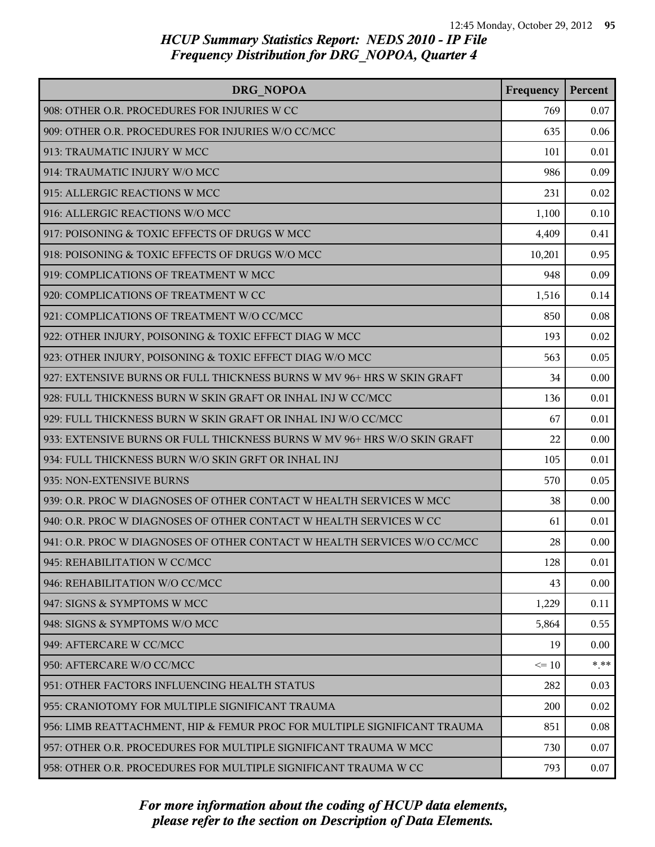| DRG NOPOA                                                                | Frequency | Percent |
|--------------------------------------------------------------------------|-----------|---------|
| 908: OTHER O.R. PROCEDURES FOR INJURIES W CC                             | 769       | 0.07    |
| 909: OTHER O.R. PROCEDURES FOR INJURIES W/O CC/MCC                       | 635       | 0.06    |
| 913: TRAUMATIC INJURY W MCC                                              | 101       | 0.01    |
| 914: TRAUMATIC INJURY W/O MCC                                            | 986       | 0.09    |
| 915: ALLERGIC REACTIONS W MCC                                            | 231       | 0.02    |
| 916: ALLERGIC REACTIONS W/O MCC                                          | 1,100     | 0.10    |
| 917: POISONING & TOXIC EFFECTS OF DRUGS W MCC                            | 4,409     | 0.41    |
| 918: POISONING & TOXIC EFFECTS OF DRUGS W/O MCC                          | 10,201    | 0.95    |
| 919: COMPLICATIONS OF TREATMENT W MCC                                    | 948       | 0.09    |
| 920: COMPLICATIONS OF TREATMENT W CC                                     | 1,516     | 0.14    |
| 921: COMPLICATIONS OF TREATMENT W/O CC/MCC                               | 850       | 0.08    |
| 922: OTHER INJURY, POISONING & TOXIC EFFECT DIAG W MCC                   | 193       | 0.02    |
| 923: OTHER INJURY, POISONING & TOXIC EFFECT DIAG W/O MCC                 | 563       | 0.05    |
| 927: EXTENSIVE BURNS OR FULL THICKNESS BURNS W MV 96+ HRS W SKIN GRAFT   | 34        | 0.00    |
| 928: FULL THICKNESS BURN W SKIN GRAFT OR INHAL INJ W CC/MCC              | 136       | 0.01    |
| 929: FULL THICKNESS BURN W SKIN GRAFT OR INHAL INJ W/O CC/MCC            | 67        | 0.01    |
| 933: EXTENSIVE BURNS OR FULL THICKNESS BURNS W MV 96+ HRS W/O SKIN GRAFT | 22        | 0.00    |
| 934: FULL THICKNESS BURN W/O SKIN GRFT OR INHAL INJ                      | 105       | 0.01    |
| 935: NON-EXTENSIVE BURNS                                                 | 570       | 0.05    |
| 939: O.R. PROC W DIAGNOSES OF OTHER CONTACT W HEALTH SERVICES W MCC      | 38        | 0.00    |
| 940: O.R. PROC W DIAGNOSES OF OTHER CONTACT W HEALTH SERVICES W CC       | 61        | 0.01    |
| 941: O.R. PROC W DIAGNOSES OF OTHER CONTACT W HEALTH SERVICES W/O CC/MCC | 28        | 0.00    |
| 945: REHABILITATION W CC/MCC                                             | 128       | 0.01    |
| 946: REHABILITATION W/O CC/MCC                                           | 43        | 0.00    |
| 947: SIGNS & SYMPTOMS W MCC                                              | 1,229     | 0.11    |
| 948: SIGNS & SYMPTOMS W/O MCC                                            | 5,864     | 0.55    |
| 949: AFTERCARE W CC/MCC                                                  | 19        | 0.00    |
| 950: AFTERCARE W/O CC/MCC                                                | $\leq$ 10 | * **    |
| 951: OTHER FACTORS INFLUENCING HEALTH STATUS                             | 282       | 0.03    |
| 955: CRANIOTOMY FOR MULTIPLE SIGNIFICANT TRAUMA                          | 200       | 0.02    |
| 956: LIMB REATTACHMENT, HIP & FEMUR PROC FOR MULTIPLE SIGNIFICANT TRAUMA | 851       | 0.08    |
| 957: OTHER O.R. PROCEDURES FOR MULTIPLE SIGNIFICANT TRAUMA W MCC         | 730       | 0.07    |
| 958: OTHER O.R. PROCEDURES FOR MULTIPLE SIGNIFICANT TRAUMA W CC          | 793       | 0.07    |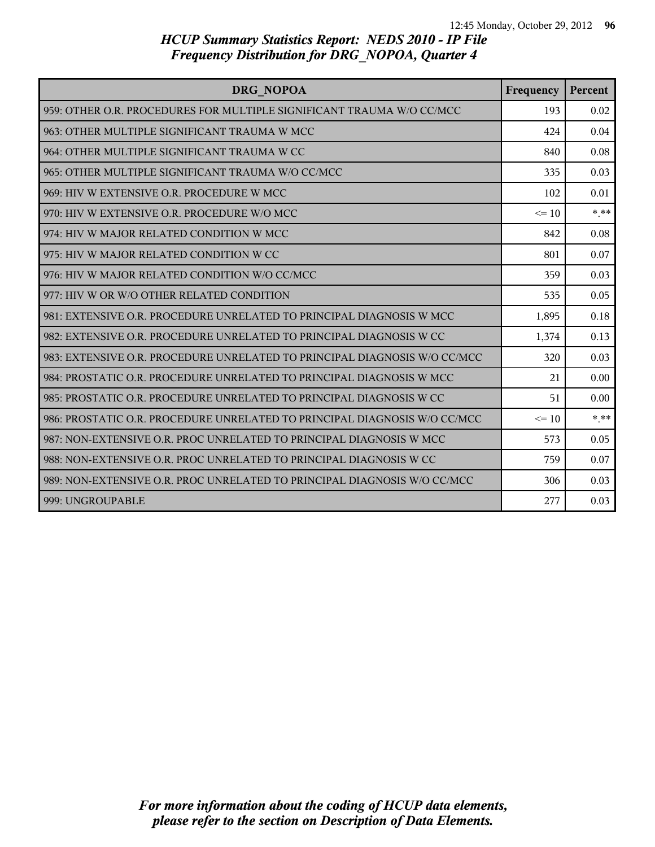| DRG NOPOA                                                                 | Frequency | Percent |
|---------------------------------------------------------------------------|-----------|---------|
| 959: OTHER O.R. PROCEDURES FOR MULTIPLE SIGNIFICANT TRAUMA W/O CC/MCC     | 193       | 0.02    |
| 963: OTHER MULTIPLE SIGNIFICANT TRAUMA W MCC                              | 424       | 0.04    |
| 964: OTHER MULTIPLE SIGNIFICANT TRAUMA W CC                               | 840       | 0.08    |
| 965: OTHER MULTIPLE SIGNIFICANT TRAUMA W/O CC/MCC                         | 335       | 0.03    |
| 969: HIV W EXTENSIVE O.R. PROCEDURE W MCC                                 | 102       | 0.01    |
| 970: HIV W EXTENSIVE O.R. PROCEDURE W/O MCC                               | $\leq$ 10 | $* * *$ |
| 974: HIV W MAJOR RELATED CONDITION W MCC                                  | 842       | 0.08    |
| 975: HIV W MAJOR RELATED CONDITION W CC                                   | 801       | 0.07    |
| 976: HIV W MAJOR RELATED CONDITION W/O CC/MCC                             | 359       | 0.03    |
| 977: HIV W OR W/O OTHER RELATED CONDITION                                 | 535       | 0.05    |
| 981: EXTENSIVE O.R. PROCEDURE UNRELATED TO PRINCIPAL DIAGNOSIS W MCC      | 1,895     | 0.18    |
| 982: EXTENSIVE O.R. PROCEDURE UNRELATED TO PRINCIPAL DIAGNOSIS W CC       | 1,374     | 0.13    |
| 983: EXTENSIVE O.R. PROCEDURE UNRELATED TO PRINCIPAL DIAGNOSIS W/O CC/MCC | 320       | 0.03    |
| 984: PROSTATIC O.R. PROCEDURE UNRELATED TO PRINCIPAL DIAGNOSIS W MCC      | 21        | 0.00    |
| 985: PROSTATIC O.R. PROCEDURE UNRELATED TO PRINCIPAL DIAGNOSIS W CC       | 51        | 0.00    |
| 986: PROSTATIC O.R. PROCEDURE UNRELATED TO PRINCIPAL DIAGNOSIS W/O CC/MCC | $\leq$ 10 | $* * *$ |
| 987: NON-EXTENSIVE O.R. PROC UNRELATED TO PRINCIPAL DIAGNOSIS W MCC       | 573       | 0.05    |
| 988: NON-EXTENSIVE O.R. PROC UNRELATED TO PRINCIPAL DIAGNOSIS W CC        | 759       | 0.07    |
| 989: NON-EXTENSIVE O.R. PROC UNRELATED TO PRINCIPAL DIAGNOSIS W/O CC/MCC  | 306       | 0.03    |
| 999: UNGROUPABLE                                                          | 277       | 0.03    |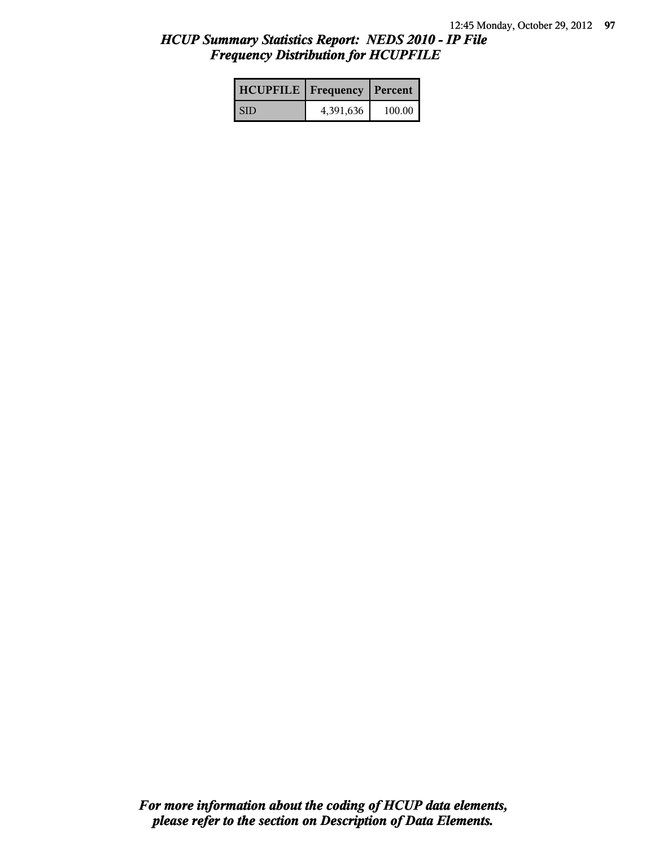| <b>HCUPFILE</b>   Frequency   Percent |           |        |
|---------------------------------------|-----------|--------|
| <b>SID</b>                            | 4,391,636 | 100.00 |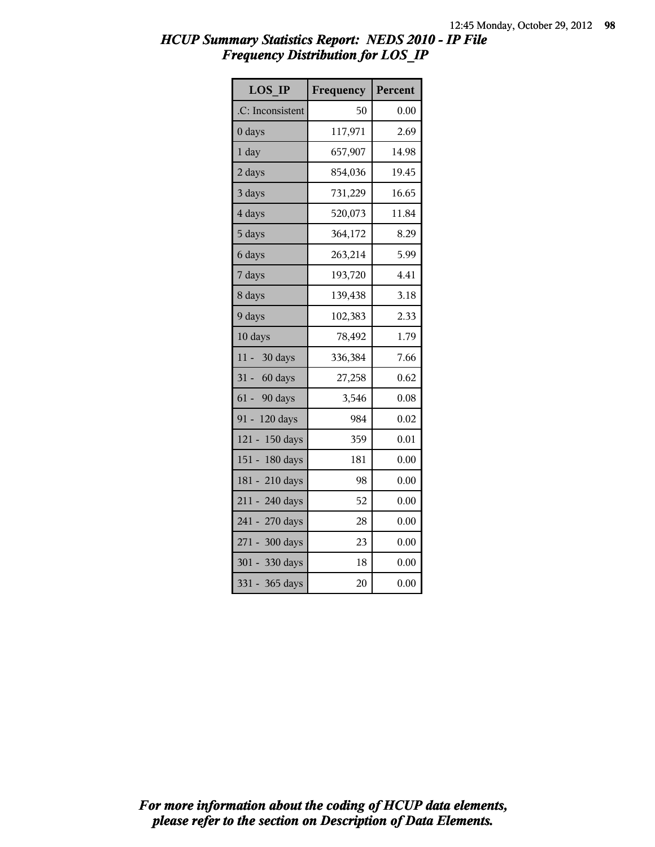| <b>LOS IP</b>      | Frequency | Percent |
|--------------------|-----------|---------|
| .C: Inconsistent   | 50        | 0.00    |
| 0 days             | 117,971   | 2.69    |
| $1$ day            | 657,907   | 14.98   |
| 2 days             | 854,036   | 19.45   |
| 3 days             | 731,229   | 16.65   |
| 4 days             | 520,073   | 11.84   |
| 5 days             | 364,172   | 8.29    |
| 6 days             | 263,214   | 5.99    |
| 7 days             | 193,720   | 4.41    |
| 8 days             | 139,438   | 3.18    |
| 9 days             | 102,383   | 2.33    |
| 10 days            | 78,492    | 1.79    |
| $11 -$<br>30 days  | 336,384   | 7.66    |
| 31 - 60 days       | 27,258    | 0.62    |
| 61 - 90 days       | 3,546     | 0.08    |
| $91 -$<br>120 days | 984       | 0.02    |
| 121 - 150 days     | 359       | 0.01    |
| 151 - 180 days     | 181       | 0.00    |
| 181 - 210 days     | 98        | 0.00    |
| 211 - 240 days     | 52        | 0.00    |
| 241 - 270 days     | 28        | 0.00    |
| 271 - 300 days     | 23        | 0.00    |
| 301 - 330 days     | 18        | 0.00    |
| 331 - 365 days     | 20        | 0.00    |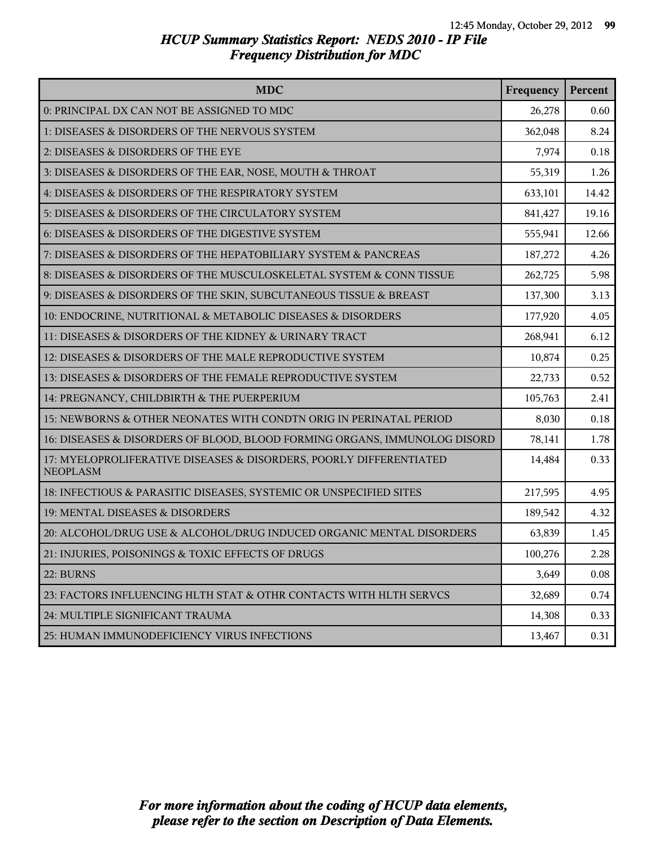| <b>MDC</b>                                                                            | Frequency | Percent |
|---------------------------------------------------------------------------------------|-----------|---------|
| 0: PRINCIPAL DX CAN NOT BE ASSIGNED TO MDC                                            | 26,278    | 0.60    |
| 1: DISEASES & DISORDERS OF THE NERVOUS SYSTEM                                         | 362,048   | 8.24    |
| 2: DISEASES & DISORDERS OF THE EYE                                                    | 7,974     | 0.18    |
| 3: DISEASES & DISORDERS OF THE EAR, NOSE, MOUTH & THROAT                              | 55,319    | 1.26    |
| 4: DISEASES & DISORDERS OF THE RESPIRATORY SYSTEM                                     | 633,101   | 14.42   |
| 5: DISEASES & DISORDERS OF THE CIRCULATORY SYSTEM                                     | 841,427   | 19.16   |
| 6: DISEASES & DISORDERS OF THE DIGESTIVE SYSTEM                                       | 555,941   | 12.66   |
| 7: DISEASES & DISORDERS OF THE HEPATOBILIARY SYSTEM & PANCREAS                        | 187,272   | 4.26    |
| 8: DISEASES & DISORDERS OF THE MUSCULOSKELETAL SYSTEM & CONN TISSUE                   | 262,725   | 5.98    |
| 9: DISEASES & DISORDERS OF THE SKIN, SUBCUTANEOUS TISSUE & BREAST                     | 137,300   | 3.13    |
| 10: ENDOCRINE, NUTRITIONAL & METABOLIC DISEASES & DISORDERS                           | 177,920   | 4.05    |
| 11: DISEASES & DISORDERS OF THE KIDNEY & URINARY TRACT                                | 268,941   | 6.12    |
| 12: DISEASES & DISORDERS OF THE MALE REPRODUCTIVE SYSTEM                              | 10,874    | 0.25    |
| 13: DISEASES & DISORDERS OF THE FEMALE REPRODUCTIVE SYSTEM                            | 22,733    | 0.52    |
| 14: PREGNANCY, CHILDBIRTH & THE PUERPERIUM                                            | 105,763   | 2.41    |
| 15: NEWBORNS & OTHER NEONATES WITH CONDTN ORIG IN PERINATAL PERIOD                    | 8,030     | 0.18    |
| 16: DISEASES & DISORDERS OF BLOOD, BLOOD FORMING ORGANS, IMMUNOLOG DISORD             | 78,141    | 1.78    |
| 17: MYELOPROLIFERATIVE DISEASES & DISORDERS, POORLY DIFFERENTIATED<br><b>NEOPLASM</b> | 14,484    | 0.33    |
| 18: INFECTIOUS & PARASITIC DISEASES, SYSTEMIC OR UNSPECIFIED SITES                    | 217,595   | 4.95    |
| 19: MENTAL DISEASES & DISORDERS                                                       | 189,542   | 4.32    |
| 20: ALCOHOL/DRUG USE & ALCOHOL/DRUG INDUCED ORGANIC MENTAL DISORDERS                  | 63,839    | 1.45    |
| 21: INJURIES, POISONINGS & TOXIC EFFECTS OF DRUGS                                     | 100,276   | 2.28    |
| 22: BURNS                                                                             | 3,649     | 0.08    |
| 23: FACTORS INFLUENCING HLTH STAT & OTHR CONTACTS WITH HLTH SERVCS                    | 32,689    | 0.74    |
| 24: MULTIPLE SIGNIFICANT TRAUMA                                                       | 14,308    | 0.33    |
| 25: HUMAN IMMUNODEFICIENCY VIRUS INFECTIONS                                           | 13,467    | 0.31    |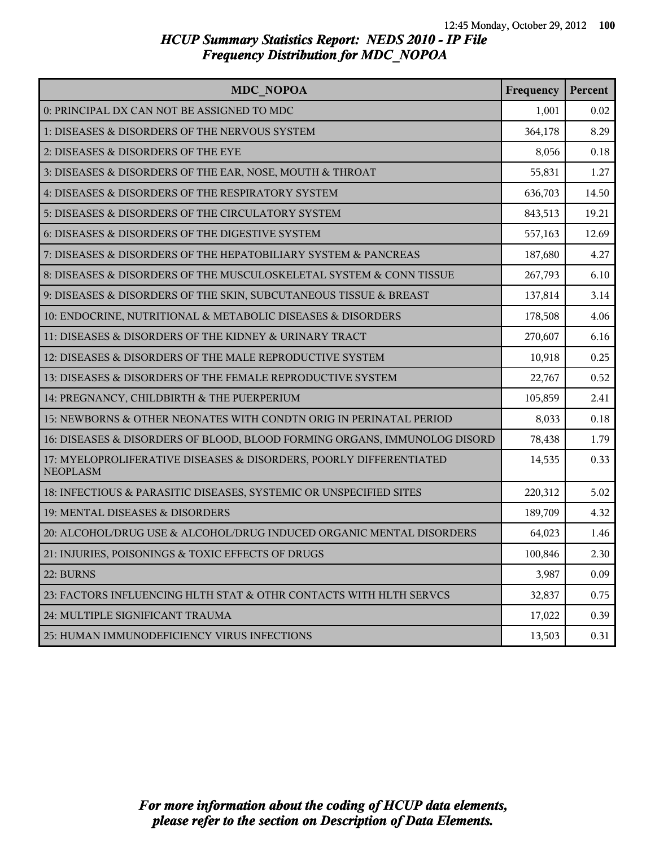| <b>MDC NOPOA</b>                                                                      | Frequency | Percent |
|---------------------------------------------------------------------------------------|-----------|---------|
| 0: PRINCIPAL DX CAN NOT BE ASSIGNED TO MDC                                            | 1,001     | 0.02    |
| 1: DISEASES & DISORDERS OF THE NERVOUS SYSTEM                                         | 364,178   | 8.29    |
| 2: DISEASES & DISORDERS OF THE EYE                                                    | 8,056     | 0.18    |
| 3: DISEASES & DISORDERS OF THE EAR, NOSE, MOUTH & THROAT                              | 55,831    | 1.27    |
| 4: DISEASES & DISORDERS OF THE RESPIRATORY SYSTEM                                     | 636,703   | 14.50   |
| 5: DISEASES & DISORDERS OF THE CIRCULATORY SYSTEM                                     | 843,513   | 19.21   |
| 6: DISEASES & DISORDERS OF THE DIGESTIVE SYSTEM                                       | 557,163   | 12.69   |
| 7: DISEASES & DISORDERS OF THE HEPATOBILIARY SYSTEM & PANCREAS                        | 187,680   | 4.27    |
| 8: DISEASES & DISORDERS OF THE MUSCULOSKELETAL SYSTEM & CONN TISSUE                   | 267,793   | 6.10    |
| 9: DISEASES & DISORDERS OF THE SKIN, SUBCUTANEOUS TISSUE & BREAST                     | 137,814   | 3.14    |
| 10: ENDOCRINE, NUTRITIONAL & METABOLIC DISEASES & DISORDERS                           | 178,508   | 4.06    |
| 11: DISEASES & DISORDERS OF THE KIDNEY & URINARY TRACT                                | 270,607   | 6.16    |
| 12: DISEASES & DISORDERS OF THE MALE REPRODUCTIVE SYSTEM                              | 10,918    | 0.25    |
| 13: DISEASES & DISORDERS OF THE FEMALE REPRODUCTIVE SYSTEM                            | 22,767    | 0.52    |
| 14: PREGNANCY, CHILDBIRTH & THE PUERPERIUM                                            | 105,859   | 2.41    |
| 15: NEWBORNS & OTHER NEONATES WITH CONDTN ORIG IN PERINATAL PERIOD                    | 8,033     | 0.18    |
| 16: DISEASES & DISORDERS OF BLOOD, BLOOD FORMING ORGANS, IMMUNOLOG DISORD             | 78,438    | 1.79    |
| 17: MYELOPROLIFERATIVE DISEASES & DISORDERS, POORLY DIFFERENTIATED<br><b>NEOPLASM</b> | 14,535    | 0.33    |
| 18: INFECTIOUS & PARASITIC DISEASES, SYSTEMIC OR UNSPECIFIED SITES                    | 220,312   | 5.02    |
| 19: MENTAL DISEASES & DISORDERS                                                       | 189,709   | 4.32    |
| 20: ALCOHOL/DRUG USE & ALCOHOL/DRUG INDUCED ORGANIC MENTAL DISORDERS                  | 64,023    | 1.46    |
| 21: INJURIES, POISONINGS & TOXIC EFFECTS OF DRUGS                                     | 100,846   | 2.30    |
| 22: BURNS                                                                             | 3,987     | 0.09    |
| 23: FACTORS INFLUENCING HLTH STAT & OTHR CONTACTS WITH HLTH SERVCS                    | 32,837    | 0.75    |
| 24: MULTIPLE SIGNIFICANT TRAUMA                                                       | 17,022    | 0.39    |
| 25: HUMAN IMMUNODEFICIENCY VIRUS INFECTIONS                                           | 13,503    | 0.31    |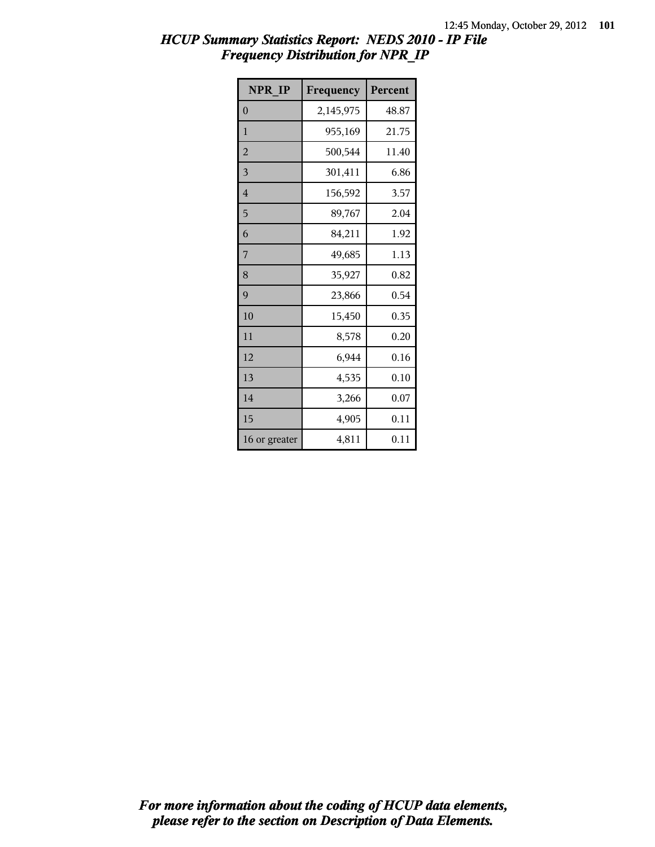| NPR IP         | Frequency | Percent |
|----------------|-----------|---------|
| $\overline{0}$ | 2,145,975 | 48.87   |
| $\mathbf{1}$   | 955,169   | 21.75   |
| $\overline{2}$ | 500,544   | 11.40   |
| 3              | 301,411   | 6.86    |
| 4              | 156,592   | 3.57    |
| 5              | 89,767    | 2.04    |
| 6              | 84,211    | 1.92    |
| 7              | 49,685    | 1.13    |
| 8              | 35,927    | 0.82    |
| 9              | 23,866    | 0.54    |
| 10             | 15,450    | 0.35    |
| 11             | 8,578     | 0.20    |
| 12             | 6,944     | 0.16    |
| 13             | 4,535     | 0.10    |
| 14             | 3,266     | 0.07    |
| 15             | 4,905     | 0.11    |
| 16 or greater  | 4,811     | 0.11    |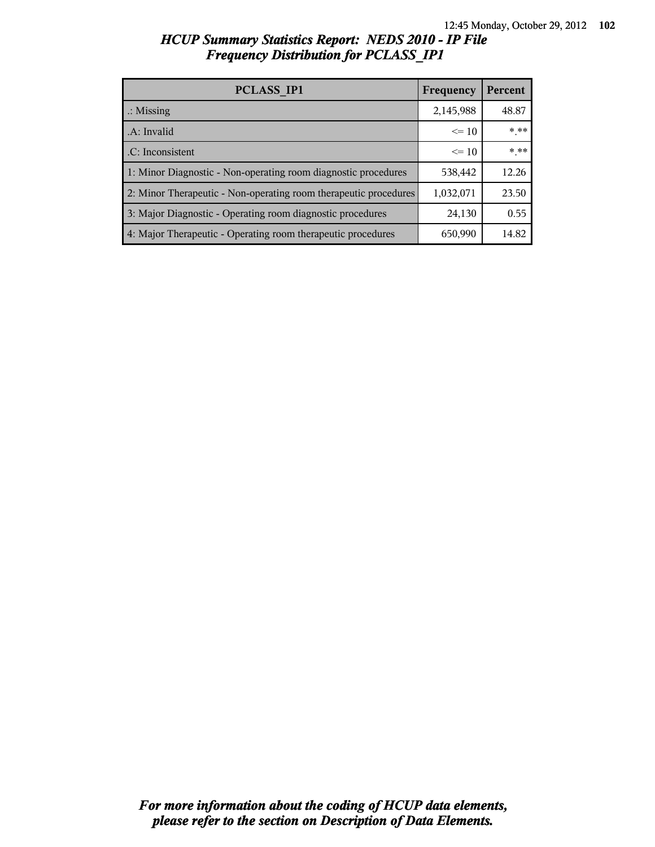| PCLASS IP1                                                       | Frequency | Percent |
|------------------------------------------------------------------|-----------|---------|
| $\therefore$ Missing                                             | 2,145,988 | 48.87   |
| .A: Invalid                                                      | $\leq 10$ | * **    |
| .C: Inconsistent                                                 | $\leq 10$ | * **    |
| 1: Minor Diagnostic - Non-operating room diagnostic procedures   | 538,442   | 12.26   |
| 2: Minor Therapeutic - Non-operating room therapeutic procedures | 1,032,071 | 23.50   |
| 3: Major Diagnostic - Operating room diagnostic procedures       | 24,130    | 0.55    |
| 4: Major Therapeutic - Operating room therapeutic procedures     | 650,990   | 14.82   |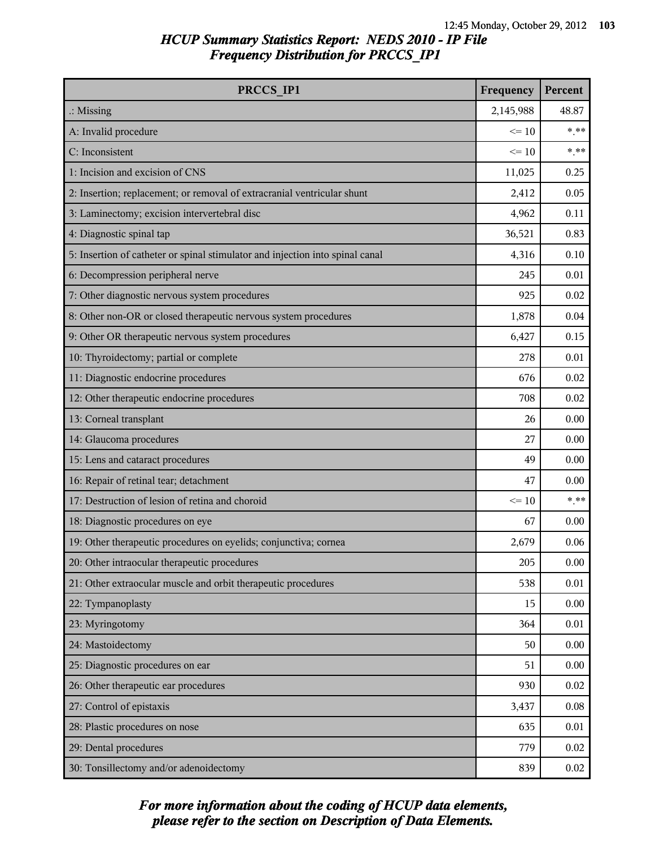| PRCCS IP1                                                                     | Frequency | Percent |
|-------------------------------------------------------------------------------|-----------|---------|
| $\therefore$ Missing                                                          | 2,145,988 | 48.87   |
| A: Invalid procedure                                                          | $\leq 10$ | $***$   |
| C: Inconsistent                                                               | $\leq 10$ | $***$   |
| 1: Incision and excision of CNS                                               | 11,025    | 0.25    |
| 2: Insertion; replacement; or removal of extracranial ventricular shunt       | 2,412     | 0.05    |
| 3: Laminectomy; excision intervertebral disc                                  | 4,962     | 0.11    |
| 4: Diagnostic spinal tap                                                      | 36,521    | 0.83    |
| 5: Insertion of catheter or spinal stimulator and injection into spinal canal | 4,316     | 0.10    |
| 6: Decompression peripheral nerve                                             | 245       | 0.01    |
| 7: Other diagnostic nervous system procedures                                 | 925       | 0.02    |
| 8: Other non-OR or closed therapeutic nervous system procedures               | 1,878     | 0.04    |
| 9: Other OR therapeutic nervous system procedures                             | 6,427     | 0.15    |
| 10: Thyroidectomy; partial or complete                                        | 278       | 0.01    |
| 11: Diagnostic endocrine procedures                                           | 676       | 0.02    |
| 12: Other therapeutic endocrine procedures                                    | 708       | 0.02    |
| 13: Corneal transplant                                                        | 26        | 0.00    |
| 14: Glaucoma procedures                                                       | 27        | 0.00    |
| 15: Lens and cataract procedures                                              | 49        | 0.00    |
| 16: Repair of retinal tear; detachment                                        | 47        | 0.00    |
| 17: Destruction of lesion of retina and choroid                               | $\leq 10$ | $***$   |
| 18: Diagnostic procedures on eye                                              | 67        | 0.00    |
| 19: Other therapeutic procedures on eyelids; conjunctiva; cornea              | 2,679     | 0.06    |
| 20: Other intraocular therapeutic procedures                                  | 205       | 0.00    |
| 21: Other extraocular muscle and orbit therapeutic procedures                 | 538       | 0.01    |
| 22: Tympanoplasty                                                             | 15        | 0.00    |
| 23: Myringotomy                                                               | 364       | 0.01    |
| 24: Mastoidectomy                                                             | 50        | 0.00    |
| 25: Diagnostic procedures on ear                                              | 51        | 0.00    |
| 26: Other therapeutic ear procedures                                          | 930       | 0.02    |
| 27: Control of epistaxis                                                      | 3,437     | 0.08    |
| 28: Plastic procedures on nose                                                | 635       | 0.01    |
| 29: Dental procedures                                                         | 779       | 0.02    |
| 30: Tonsillectomy and/or adenoidectomy                                        | 839       | 0.02    |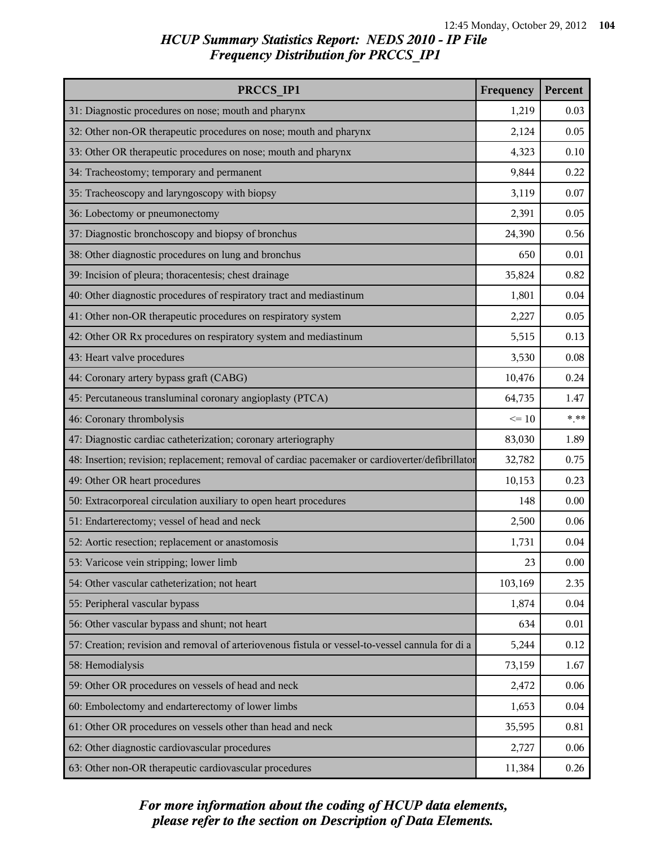| PRCCS IP1                                                                                        | Frequency | Percent |
|--------------------------------------------------------------------------------------------------|-----------|---------|
| 31: Diagnostic procedures on nose; mouth and pharynx                                             | 1,219     | 0.03    |
| 32: Other non-OR therapeutic procedures on nose; mouth and pharynx                               | 2,124     | 0.05    |
| 33: Other OR therapeutic procedures on nose; mouth and pharynx                                   | 4,323     | 0.10    |
| 34: Tracheostomy; temporary and permanent                                                        | 9,844     | 0.22    |
| 35: Tracheoscopy and laryngoscopy with biopsy                                                    | 3,119     | 0.07    |
| 36: Lobectomy or pneumonectomy                                                                   | 2,391     | 0.05    |
| 37: Diagnostic bronchoscopy and biopsy of bronchus                                               | 24,390    | 0.56    |
| 38: Other diagnostic procedures on lung and bronchus                                             | 650       | 0.01    |
| 39: Incision of pleura; thoracentesis; chest drainage                                            | 35,824    | 0.82    |
| 40: Other diagnostic procedures of respiratory tract and mediastinum                             | 1,801     | 0.04    |
| 41: Other non-OR therapeutic procedures on respiratory system                                    | 2,227     | 0.05    |
| 42: Other OR Rx procedures on respiratory system and mediastinum                                 | 5,515     | 0.13    |
| 43: Heart valve procedures                                                                       | 3,530     | 0.08    |
| 44: Coronary artery bypass graft (CABG)                                                          | 10,476    | 0.24    |
| 45: Percutaneous transluminal coronary angioplasty (PTCA)                                        | 64,735    | 1.47    |
| 46: Coronary thrombolysis                                                                        | $\leq 10$ | $***$   |
| 47: Diagnostic cardiac catheterization; coronary arteriography                                   | 83,030    | 1.89    |
| 48: Insertion; revision; replacement; removal of cardiac pacemaker or cardioverter/defibrillator | 32,782    | 0.75    |
| 49: Other OR heart procedures                                                                    | 10,153    | 0.23    |
| 50: Extracorporeal circulation auxiliary to open heart procedures                                | 148       | 0.00    |
| 51: Endarterectomy; vessel of head and neck                                                      | 2,500     | 0.06    |
| 52: Aortic resection; replacement or anastomosis                                                 | 1,731     | 0.04    |
| 53: Varicose vein stripping; lower limb                                                          | 23        | 0.00    |
| 54: Other vascular catheterization; not heart                                                    | 103,169   | 2.35    |
| 55: Peripheral vascular bypass                                                                   | 1,874     | 0.04    |
| 56: Other vascular bypass and shunt; not heart                                                   | 634       | 0.01    |
| 57: Creation; revision and removal of arteriovenous fistula or vessel-to-vessel cannula for di a | 5,244     | 0.12    |
| 58: Hemodialysis                                                                                 | 73,159    | 1.67    |
| 59: Other OR procedures on vessels of head and neck                                              | 2,472     | 0.06    |
| 60: Embolectomy and endarterectomy of lower limbs                                                | 1,653     | 0.04    |
| 61: Other OR procedures on vessels other than head and neck                                      | 35,595    | 0.81    |
| 62: Other diagnostic cardiovascular procedures                                                   | 2,727     | 0.06    |
| 63: Other non-OR therapeutic cardiovascular procedures                                           | 11,384    | 0.26    |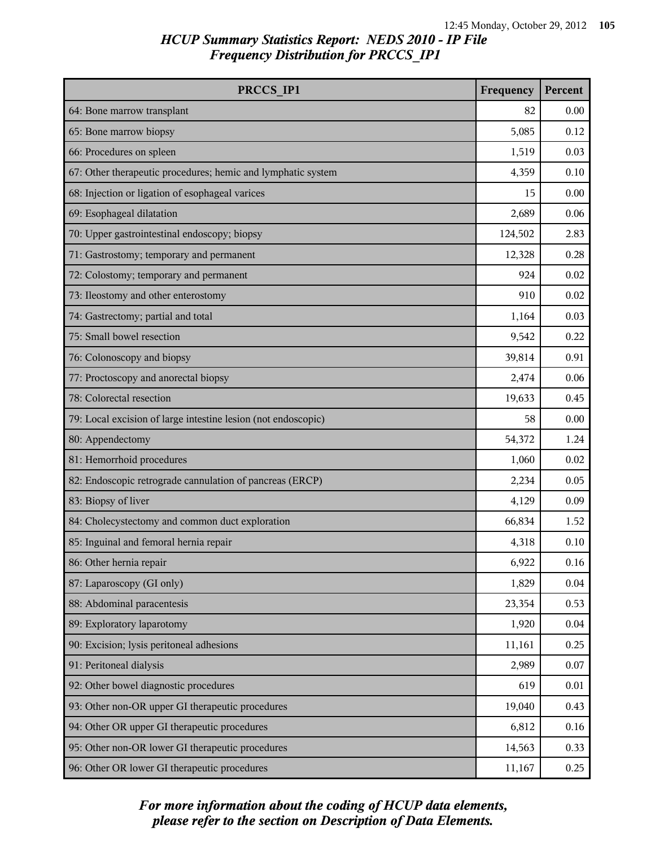| PRCCS IP1                                                     | Frequency | Percent |
|---------------------------------------------------------------|-----------|---------|
| 64: Bone marrow transplant                                    | 82        | 0.00    |
| 65: Bone marrow biopsy                                        | 5,085     | 0.12    |
| 66: Procedures on spleen                                      | 1,519     | 0.03    |
| 67: Other therapeutic procedures; hemic and lymphatic system  | 4,359     | 0.10    |
| 68: Injection or ligation of esophageal varices               | 15        | 0.00    |
| 69: Esophageal dilatation                                     | 2,689     | 0.06    |
| 70: Upper gastrointestinal endoscopy; biopsy                  | 124,502   | 2.83    |
| 71: Gastrostomy; temporary and permanent                      | 12,328    | 0.28    |
| 72: Colostomy; temporary and permanent                        | 924       | 0.02    |
| 73: Ileostomy and other enterostomy                           | 910       | 0.02    |
| 74: Gastrectomy; partial and total                            | 1,164     | 0.03    |
| 75: Small bowel resection                                     | 9,542     | 0.22    |
| 76: Colonoscopy and biopsy                                    | 39,814    | 0.91    |
| 77: Proctoscopy and anorectal biopsy                          | 2,474     | 0.06    |
| 78: Colorectal resection                                      | 19,633    | 0.45    |
| 79: Local excision of large intestine lesion (not endoscopic) | 58        | 0.00    |
| 80: Appendectomy                                              | 54,372    | 1.24    |
| 81: Hemorrhoid procedures                                     | 1,060     | 0.02    |
| 82: Endoscopic retrograde cannulation of pancreas (ERCP)      | 2,234     | 0.05    |
| 83: Biopsy of liver                                           | 4,129     | 0.09    |
| 84: Cholecystectomy and common duct exploration               | 66,834    | 1.52    |
| 85: Inguinal and femoral hernia repair                        | 4,318     | 0.10    |
| 86: Other hernia repair                                       | 6,922     | 0.16    |
| 87: Laparoscopy (GI only)                                     | 1,829     | 0.04    |
| 88: Abdominal paracentesis                                    | 23,354    | 0.53    |
| 89: Exploratory laparotomy                                    | 1,920     | 0.04    |
| 90: Excision; lysis peritoneal adhesions                      | 11,161    | 0.25    |
| 91: Peritoneal dialysis                                       | 2,989     | 0.07    |
| 92: Other bowel diagnostic procedures                         | 619       | 0.01    |
| 93: Other non-OR upper GI therapeutic procedures              | 19,040    | 0.43    |
| 94: Other OR upper GI therapeutic procedures                  | 6,812     | 0.16    |
| 95: Other non-OR lower GI therapeutic procedures              | 14,563    | 0.33    |
| 96: Other OR lower GI therapeutic procedures                  | 11,167    | 0.25    |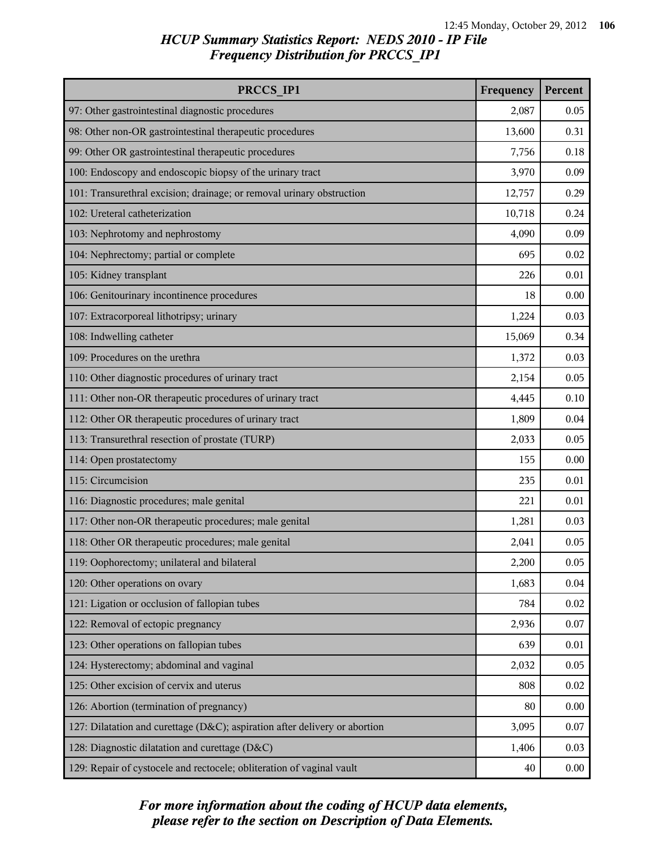| PRCCS IP1                                                                  | Frequency | Percent |
|----------------------------------------------------------------------------|-----------|---------|
| 97: Other gastrointestinal diagnostic procedures                           | 2,087     | 0.05    |
| 98: Other non-OR gastrointestinal therapeutic procedures                   | 13,600    | 0.31    |
| 99: Other OR gastrointestinal therapeutic procedures                       | 7,756     | 0.18    |
| 100: Endoscopy and endoscopic biopsy of the urinary tract                  | 3,970     | 0.09    |
| 101: Transurethral excision; drainage; or removal urinary obstruction      | 12,757    | 0.29    |
| 102: Ureteral catheterization                                              | 10,718    | 0.24    |
| 103: Nephrotomy and nephrostomy                                            | 4,090     | 0.09    |
| 104: Nephrectomy; partial or complete                                      | 695       | 0.02    |
| 105: Kidney transplant                                                     | 226       | 0.01    |
| 106: Genitourinary incontinence procedures                                 | 18        | 0.00    |
| 107: Extracorporeal lithotripsy; urinary                                   | 1,224     | 0.03    |
| 108: Indwelling catheter                                                   | 15,069    | 0.34    |
| 109: Procedures on the urethra                                             | 1,372     | 0.03    |
| 110: Other diagnostic procedures of urinary tract                          | 2,154     | 0.05    |
| 111: Other non-OR therapeutic procedures of urinary tract                  | 4,445     | 0.10    |
| 112: Other OR therapeutic procedures of urinary tract                      | 1,809     | 0.04    |
| 113: Transurethral resection of prostate (TURP)                            | 2,033     | 0.05    |
| 114: Open prostatectomy                                                    | 155       | 0.00    |
| 115: Circumcision                                                          | 235       | 0.01    |
| 116: Diagnostic procedures; male genital                                   | 221       | 0.01    |
| 117: Other non-OR therapeutic procedures; male genital                     | 1,281     | 0.03    |
| 118: Other OR therapeutic procedures; male genital                         | 2,041     | 0.05    |
| 119: Oophorectomy; unilateral and bilateral                                | 2,200     | 0.05    |
| 120: Other operations on ovary                                             | 1,683     | 0.04    |
| 121: Ligation or occlusion of fallopian tubes                              | 784       | 0.02    |
| 122: Removal of ectopic pregnancy                                          | 2,936     | 0.07    |
| 123: Other operations on fallopian tubes                                   | 639       | 0.01    |
| 124: Hysterectomy; abdominal and vaginal                                   | 2,032     | 0.05    |
| 125: Other excision of cervix and uterus                                   | 808       | 0.02    |
| 126: Abortion (termination of pregnancy)                                   | 80        | 0.00    |
| 127: Dilatation and curettage (D&C); aspiration after delivery or abortion | 3,095     | 0.07    |
| 128: Diagnostic dilatation and curettage (D&C)                             | 1,406     | 0.03    |
| 129: Repair of cystocele and rectocele; obliteration of vaginal vault      | 40        | 0.00    |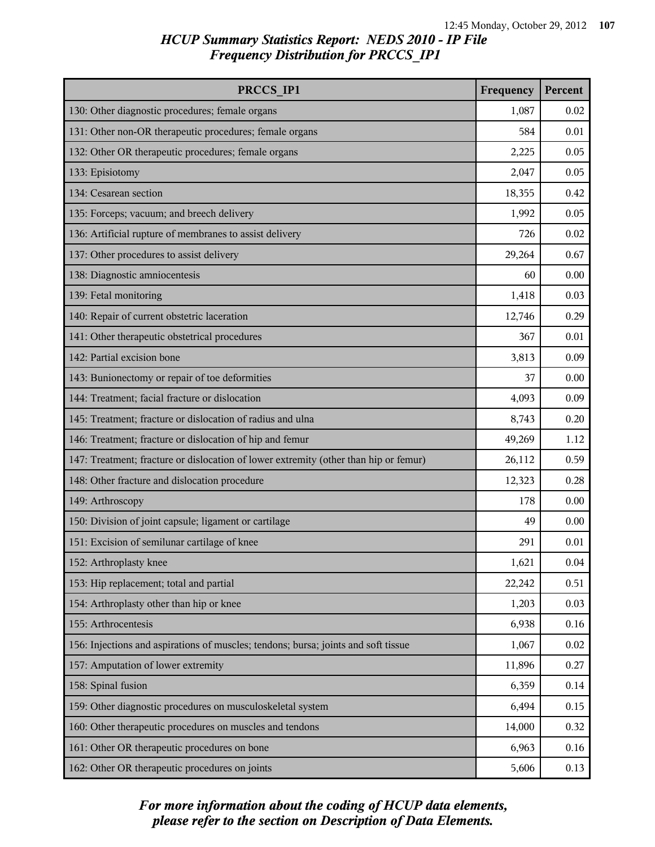| PRCCS IP1                                                                            | Frequency | Percent |
|--------------------------------------------------------------------------------------|-----------|---------|
| 130: Other diagnostic procedures; female organs                                      | 1,087     | 0.02    |
| 131: Other non-OR therapeutic procedures; female organs                              | 584       | 0.01    |
| 132: Other OR therapeutic procedures; female organs                                  | 2,225     | 0.05    |
| 133: Episiotomy                                                                      | 2,047     | 0.05    |
| 134: Cesarean section                                                                | 18,355    | 0.42    |
| 135: Forceps; vacuum; and breech delivery                                            | 1,992     | 0.05    |
| 136: Artificial rupture of membranes to assist delivery                              | 726       | 0.02    |
| 137: Other procedures to assist delivery                                             | 29,264    | 0.67    |
| 138: Diagnostic amniocentesis                                                        | 60        | 0.00    |
| 139: Fetal monitoring                                                                | 1,418     | 0.03    |
| 140: Repair of current obstetric laceration                                          | 12,746    | 0.29    |
| 141: Other therapeutic obstetrical procedures                                        | 367       | 0.01    |
| 142: Partial excision bone                                                           | 3,813     | 0.09    |
| 143: Bunionectomy or repair of toe deformities                                       | 37        | 0.00    |
| 144: Treatment; facial fracture or dislocation                                       | 4,093     | 0.09    |
| 145: Treatment; fracture or dislocation of radius and ulna                           | 8,743     | 0.20    |
| 146: Treatment; fracture or dislocation of hip and femur                             | 49,269    | 1.12    |
| 147: Treatment; fracture or dislocation of lower extremity (other than hip or femur) | 26,112    | 0.59    |
| 148: Other fracture and dislocation procedure                                        | 12,323    | 0.28    |
| 149: Arthroscopy                                                                     | 178       | 0.00    |
| 150: Division of joint capsule; ligament or cartilage                                | 49        | 0.00    |
| 151: Excision of semilunar cartilage of knee                                         | 291       | 0.01    |
| 152: Arthroplasty knee                                                               | 1,621     | 0.04    |
| 153: Hip replacement; total and partial                                              | 22,242    | 0.51    |
| 154: Arthroplasty other than hip or knee                                             | 1,203     | 0.03    |
| 155: Arthrocentesis                                                                  | 6,938     | 0.16    |
| 156: Injections and aspirations of muscles; tendons; bursa; joints and soft tissue   | 1,067     | 0.02    |
| 157: Amputation of lower extremity                                                   | 11,896    | 0.27    |
| 158: Spinal fusion                                                                   | 6,359     | 0.14    |
| 159: Other diagnostic procedures on musculoskeletal system                           | 6,494     | 0.15    |
| 160: Other therapeutic procedures on muscles and tendons                             | 14,000    | 0.32    |
| 161: Other OR therapeutic procedures on bone                                         | 6,963     | 0.16    |
| 162: Other OR therapeutic procedures on joints                                       | 5,606     | 0.13    |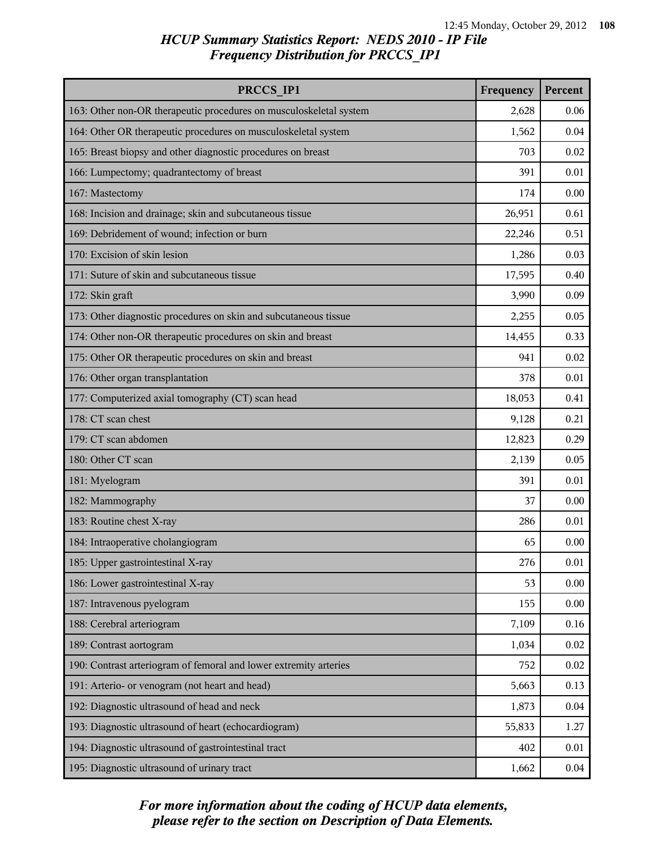| PRCCS IP1                                                          | Frequency | Percent |
|--------------------------------------------------------------------|-----------|---------|
| 163: Other non-OR therapeutic procedures on musculoskeletal system | 2,628     | 0.06    |
| 164: Other OR therapeutic procedures on musculoskeletal system     | 1,562     | 0.04    |
| 165: Breast biopsy and other diagnostic procedures on breast       | 703       | 0.02    |
| 166: Lumpectomy; quadrantectomy of breast                          | 391       | 0.01    |
| 167: Mastectomy                                                    | 174       | 0.00    |
| 168: Incision and drainage; skin and subcutaneous tissue           | 26,951    | 0.61    |
| 169: Debridement of wound; infection or burn                       | 22,246    | 0.51    |
| 170: Excision of skin lesion                                       | 1,286     | 0.03    |
| 171: Suture of skin and subcutaneous tissue                        | 17,595    | 0.40    |
| 172: Skin graft                                                    | 3,990     | 0.09    |
| 173: Other diagnostic procedures on skin and subcutaneous tissue   | 2,255     | 0.05    |
| 174: Other non-OR therapeutic procedures on skin and breast        | 14,455    | 0.33    |
| 175: Other OR therapeutic procedures on skin and breast            | 941       | 0.02    |
| 176: Other organ transplantation                                   | 378       | 0.01    |
| 177: Computerized axial tomography (CT) scan head                  | 18,053    | 0.41    |
| 178: CT scan chest                                                 | 9,128     | 0.21    |
| 179: CT scan abdomen                                               | 12,823    | 0.29    |
| 180: Other CT scan                                                 | 2,139     | 0.05    |
| 181: Myelogram                                                     | 391       | 0.01    |
| 182: Mammography                                                   | 37        | 0.00    |
| 183: Routine chest X-ray                                           | 286       | 0.01    |
| 184: Intraoperative cholangiogram                                  | 65        | 0.00    |
| 185: Upper gastrointestinal X-ray                                  | 276       | 0.01    |
| 186: Lower gastrointestinal X-ray                                  | 53        | 0.00    |
| 187: Intravenous pyelogram                                         | 155       | 0.00    |
| 188: Cerebral arteriogram                                          | 7,109     | 0.16    |
| 189: Contrast aortogram                                            | 1,034     | 0.02    |
| 190: Contrast arteriogram of femoral and lower extremity arteries  | 752       | 0.02    |
| 191: Arterio- or venogram (not heart and head)                     | 5,663     | 0.13    |
| 192: Diagnostic ultrasound of head and neck                        | 1,873     | 0.04    |
| 193: Diagnostic ultrasound of heart (echocardiogram)               | 55,833    | 1.27    |
| 194: Diagnostic ultrasound of gastrointestinal tract               | 402       | 0.01    |
| 195: Diagnostic ultrasound of urinary tract                        | 1,662     | 0.04    |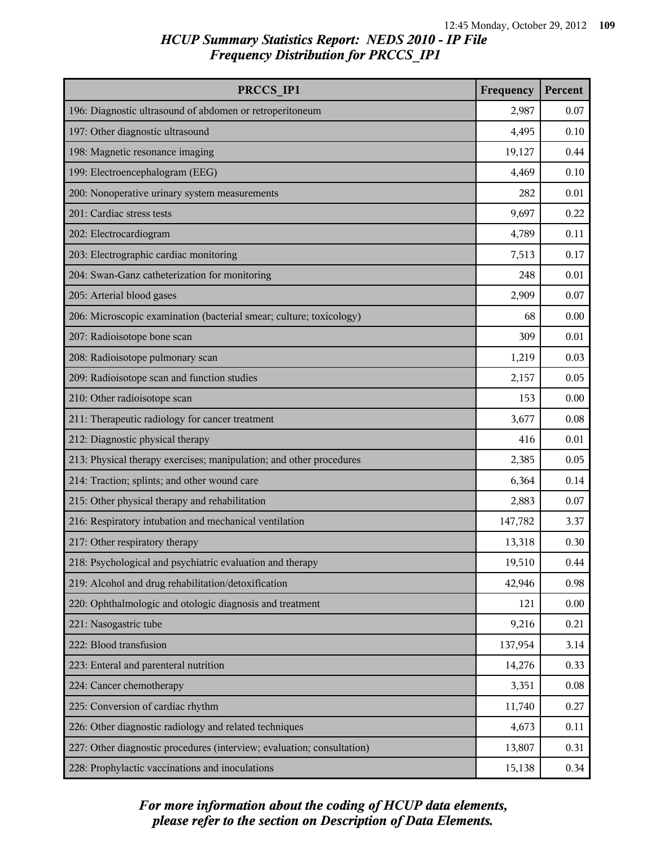# *HCUP Summary Statistics Report: NEDS 2010 - IP File Frequency Distribution for PRCCS\_IP1*

| PRCCS IP1                                                              | Frequency | Percent |
|------------------------------------------------------------------------|-----------|---------|
| 196: Diagnostic ultrasound of abdomen or retroperitoneum               | 2,987     | 0.07    |
| 197: Other diagnostic ultrasound                                       | 4,495     | 0.10    |
| 198: Magnetic resonance imaging                                        | 19,127    | 0.44    |
| 199: Electroencephalogram (EEG)                                        | 4,469     | 0.10    |
| 200: Nonoperative urinary system measurements                          | 282       | 0.01    |
| 201: Cardiac stress tests                                              | 9,697     | 0.22    |
| 202: Electrocardiogram                                                 | 4,789     | 0.11    |
| 203: Electrographic cardiac monitoring                                 | 7,513     | 0.17    |
| 204: Swan-Ganz catheterization for monitoring                          | 248       | 0.01    |
| 205: Arterial blood gases                                              | 2,909     | 0.07    |
| 206: Microscopic examination (bacterial smear; culture; toxicology)    | 68        | 0.00    |
| 207: Radioisotope bone scan                                            | 309       | 0.01    |
| 208: Radioisotope pulmonary scan                                       | 1,219     | 0.03    |
| 209: Radioisotope scan and function studies                            | 2,157     | 0.05    |
| 210: Other radioisotope scan                                           | 153       | 0.00    |
| 211: Therapeutic radiology for cancer treatment                        | 3,677     | 0.08    |
| 212: Diagnostic physical therapy                                       | 416       | 0.01    |
| 213: Physical therapy exercises; manipulation; and other procedures    | 2,385     | 0.05    |
| 214: Traction; splints; and other wound care                           | 6,364     | 0.14    |
| 215: Other physical therapy and rehabilitation                         | 2,883     | 0.07    |
| 216: Respiratory intubation and mechanical ventilation                 | 147,782   | 3.37    |
| 217: Other respiratory therapy                                         | 13,318    | 0.30    |
| 218: Psychological and psychiatric evaluation and therapy              | 19,510    | 0.44    |
| 219: Alcohol and drug rehabilitation/detoxification                    | 42,946    | 0.98    |
| 220: Ophthalmologic and otologic diagnosis and treatment               | 121       | 0.00    |
| 221: Nasogastric tube                                                  | 9,216     | 0.21    |
| 222: Blood transfusion                                                 | 137,954   | 3.14    |
| 223: Enteral and parenteral nutrition                                  | 14,276    | 0.33    |
| 224: Cancer chemotherapy                                               | 3,351     | 0.08    |
| 225: Conversion of cardiac rhythm                                      | 11,740    | 0.27    |
| 226: Other diagnostic radiology and related techniques                 | 4,673     | 0.11    |
| 227: Other diagnostic procedures (interview; evaluation; consultation) | 13,807    | 0.31    |
| 228: Prophylactic vaccinations and inoculations                        | 15,138    | 0.34    |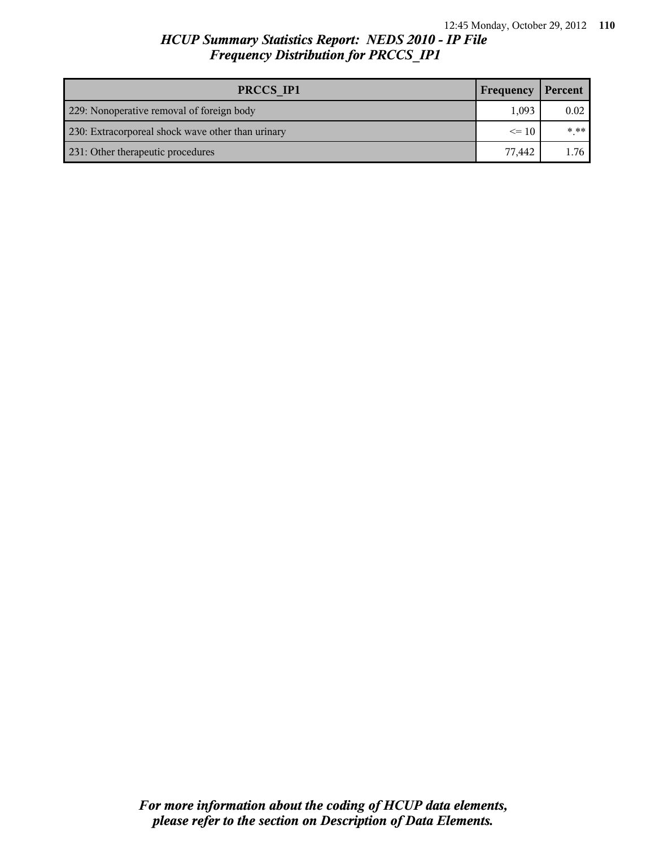# *HCUP Summary Statistics Report: NEDS 2010 - IP File Frequency Distribution for PRCCS\_IP1*

| PRCCS IP1                                         | Frequency | Percent |
|---------------------------------------------------|-----------|---------|
| 229: Nonoperative removal of foreign body         | 1.093     | 0.02    |
| 230: Extracorporeal shock wave other than urinary | $\leq$ 10 | * **    |
| 231: Other therapeutic procedures                 | 77.442    | 1.76    |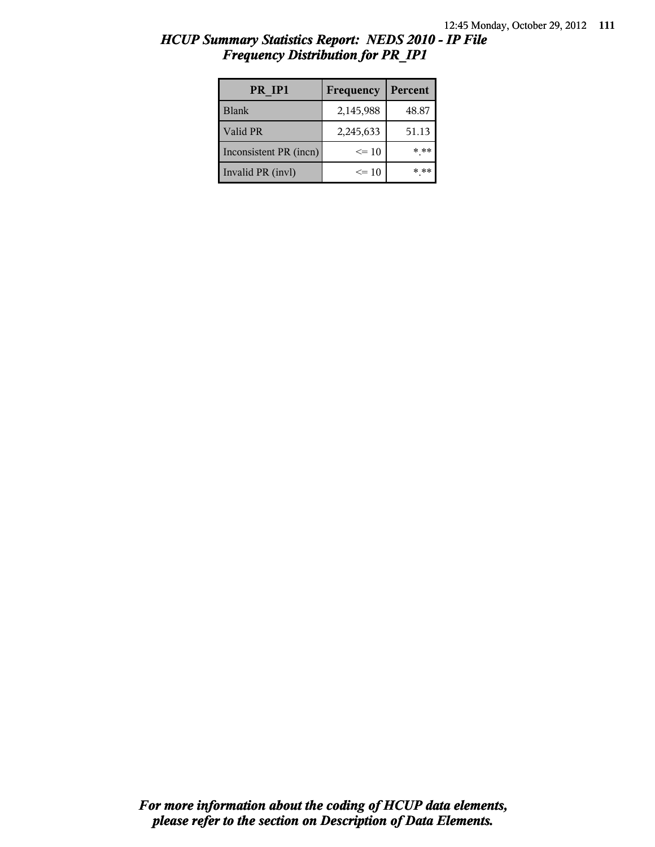| PR IP1                 | Frequency | Percent |  |
|------------------------|-----------|---------|--|
| <b>Blank</b>           | 2,145,988 | 48.87   |  |
| Valid PR               | 2,245,633 | 51.13   |  |
| Inconsistent PR (incn) | $\leq$ 10 | * **    |  |
| Invalid PR (invl)      | $\leq$ 10 | * **    |  |

# *HCUP Summary Statistics Report: NEDS 2010 - IP File Frequency Distribution for PR\_IP1*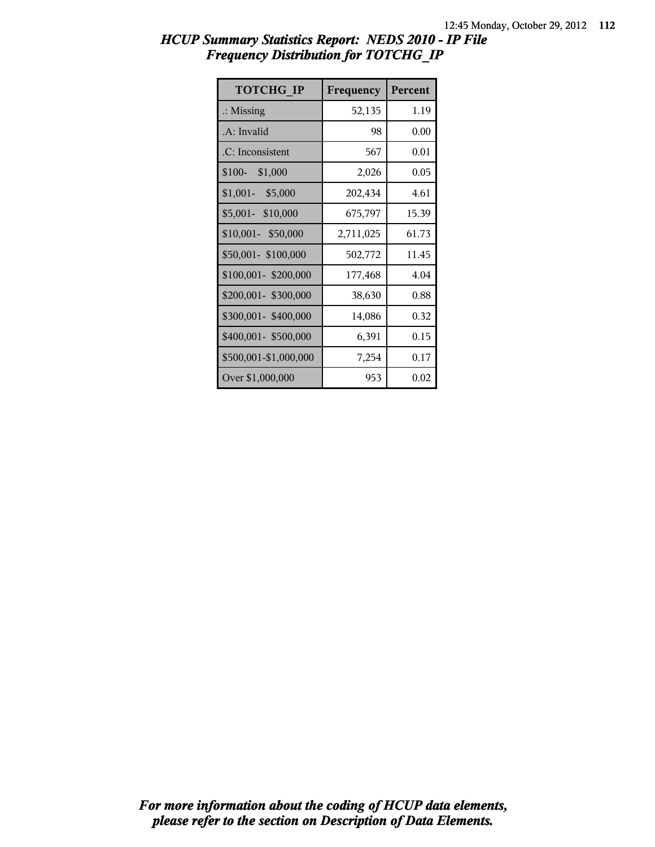| <b>TOTCHG IP</b>      | Frequency | Percent |
|-----------------------|-----------|---------|
| $\therefore$ Missing  | 52,135    | 1.19    |
| .A: Invalid           | 98        | 0.00    |
| .C: Inconsistent      | 567       | 0.01    |
| $$100-$<br>\$1,000    | 2,026     | 0.05    |
| $$1,001 - $5,000$     | 202,434   | 4.61    |
| \$5,001- \$10,000     | 675,797   | 15.39   |
| \$10,001-\$50,000     | 2,711,025 | 61.73   |
| \$50,001-\$100,000    | 502,772   | 11.45   |
| \$100,001-\$200,000   | 177,468   | 4.04    |
| \$200,001- \$300,000  | 38,630    | 0.88    |
| \$300,001-\$400,000   | 14,086    | 0.32    |
| \$400,001- \$500,000  | 6,391     | 0.15    |
| \$500,001-\$1,000,000 | 7,254     | 0.17    |
| Over \$1,000,000      | 953       | 0.02    |

# *HCUP Summary Statistics Report: NEDS 2010 - IP File Frequency Distribution for TOTCHG\_IP*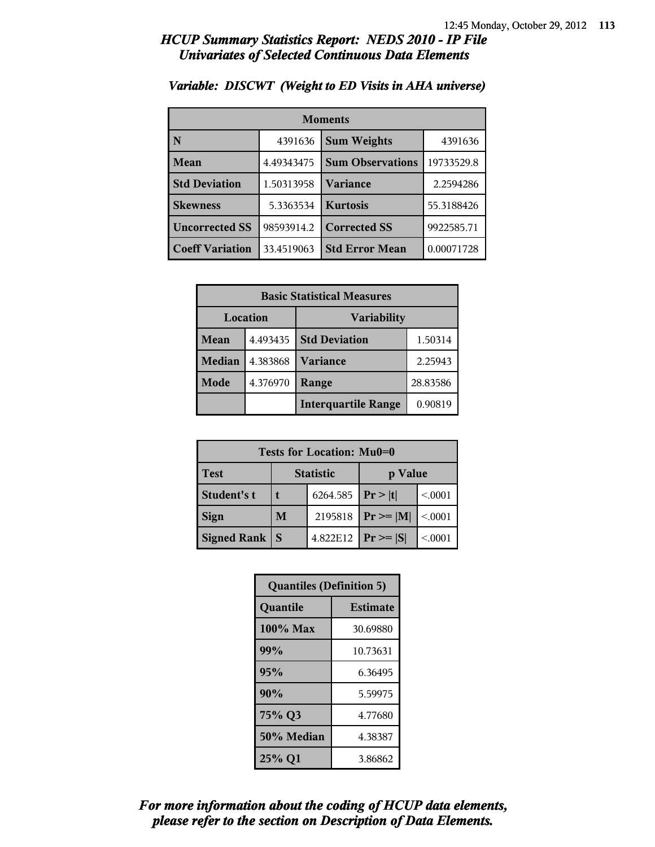| <b>Moments</b>         |            |                         |            |  |
|------------------------|------------|-------------------------|------------|--|
| N                      | 4391636    | <b>Sum Weights</b>      | 4391636    |  |
| Mean                   | 4.49343475 | <b>Sum Observations</b> | 19733529.8 |  |
| <b>Std Deviation</b>   | 1.50313958 | Variance                | 2.2594286  |  |
| <b>Skewness</b>        | 5.3363534  | <b>Kurtosis</b>         | 55.3188426 |  |
| <b>Uncorrected SS</b>  | 98593914.2 | <b>Corrected SS</b>     | 9922585.71 |  |
| <b>Coeff Variation</b> | 33.4519063 | <b>Std Error Mean</b>   | 0.00071728 |  |

#### *Variable: DISCWT (Weight to ED Visits in AHA universe)*

| <b>Basic Statistical Measures</b> |          |                            |          |
|-----------------------------------|----------|----------------------------|----------|
| Location<br><b>Variability</b>    |          |                            |          |
| <b>Mean</b>                       | 4.493435 | <b>Std Deviation</b>       | 1.50314  |
| Median                            | 4.383868 | <b>Variance</b>            | 2.25943  |
| Mode                              | 4.376970 | Range                      | 28.83586 |
|                                   |          | <b>Interquartile Range</b> | 0.90819  |

| Tests for Location: Mu0=0 |                             |          |               |         |  |
|---------------------------|-----------------------------|----------|---------------|---------|--|
| <b>Test</b>               | <b>Statistic</b><br>p Value |          |               |         |  |
| Student's t               |                             | 6264.585 | Pr >  t       | < 0.001 |  |
| <b>Sign</b>               | M                           | 2195818  | $Pr \geq  M $ | < 0.001 |  |
| <b>Signed Rank</b>        | <sub>S</sub>                | 4.822E12 | $Pr \geq  S $ | < 0.001 |  |

| <b>Quantiles (Definition 5)</b> |                 |  |  |  |
|---------------------------------|-----------------|--|--|--|
| Quantile                        | <b>Estimate</b> |  |  |  |
| $100\%$ Max                     | 30.69880        |  |  |  |
| 99%                             | 10.73631        |  |  |  |
| 95%                             | 6.36495         |  |  |  |
| 90%                             | 5.59975         |  |  |  |
| 75% Q3                          | 4.77680         |  |  |  |
| 50% Median                      | 4.38387         |  |  |  |
| 25% Q1                          | 3.86862         |  |  |  |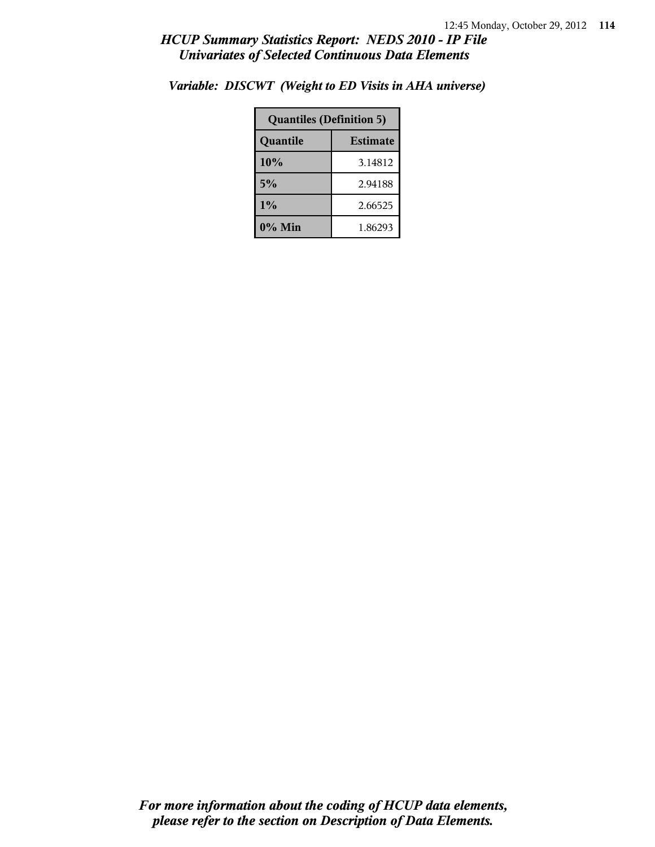| <b>Quantiles (Definition 5)</b> |                 |  |  |
|---------------------------------|-----------------|--|--|
| Quantile                        | <b>Estimate</b> |  |  |
| 10%                             | 3.14812         |  |  |
| 5%                              | 2.94188         |  |  |
| $1\%$                           | 2.66525         |  |  |
| $0\%$ Min                       | 1.86293         |  |  |

*Variable: DISCWT (Weight to ED Visits in AHA universe)*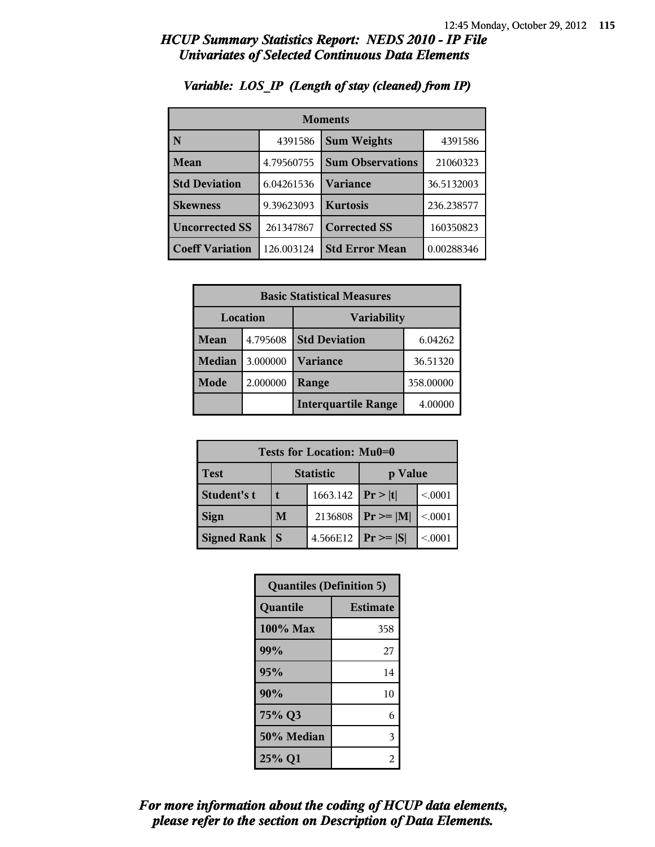| <b>Moments</b>         |            |                         |            |  |
|------------------------|------------|-------------------------|------------|--|
| N                      | 4391586    | <b>Sum Weights</b>      | 4391586    |  |
| Mean                   | 4.79560755 | <b>Sum Observations</b> | 21060323   |  |
| <b>Std Deviation</b>   | 6.04261536 | Variance                | 36.5132003 |  |
| <b>Skewness</b>        | 9.39623093 | <b>Kurtosis</b>         | 236.238577 |  |
| <b>Uncorrected SS</b>  | 261347867  | <b>Corrected SS</b>     | 160350823  |  |
| <b>Coeff Variation</b> | 126.003124 | <b>Std Error Mean</b>   | 0.00288346 |  |

# *Variable: LOS\_IP (Length of stay (cleaned) from IP)*

| <b>Basic Statistical Measures</b> |          |                            |           |
|-----------------------------------|----------|----------------------------|-----------|
| Location<br><b>Variability</b>    |          |                            |           |
| Mean                              | 4.795608 | <b>Std Deviation</b>       | 6.04262   |
| <b>Median</b>                     | 3.000000 | <b>Variance</b>            | 36.51320  |
| Mode                              | 2.000000 | Range                      | 358.00000 |
|                                   |          | <b>Interquartile Range</b> | 4.00000   |

| Tests for Location: Mu0=0 |                             |          |                 |         |  |
|---------------------------|-----------------------------|----------|-----------------|---------|--|
| <b>Test</b>               | <b>Statistic</b><br>p Value |          |                 |         |  |
| Student's t               |                             | 1663.142 | Pr> t           | < 0.001 |  |
| <b>Sign</b>               | M                           | 2136808  | $ Pr \ge =  M $ | < 0.001 |  |
| <b>Signed Rank</b>        | S                           | 4.566E12 | $ Pr \ge =  S $ | < 0.001 |  |

| <b>Quantiles (Definition 5)</b> |                 |  |
|---------------------------------|-----------------|--|
| Quantile                        | <b>Estimate</b> |  |
| 100% Max                        | 358             |  |
| 99%                             | 27              |  |
| 95%                             | 14              |  |
| 90%                             | 10              |  |
| 75% Q3                          | 6               |  |
| 50% Median                      | 3               |  |
| 25% Q1                          | 2               |  |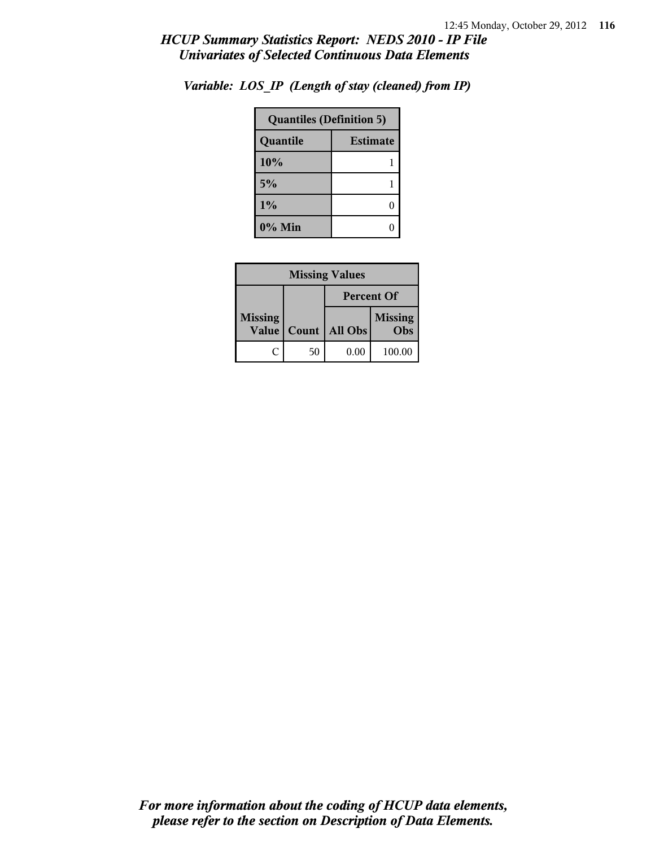| <b>Quantiles (Definition 5)</b> |                 |  |
|---------------------------------|-----------------|--|
| Quantile                        | <b>Estimate</b> |  |
| 10%                             |                 |  |
| 5%                              |                 |  |
| 1%                              |                 |  |
| $0\%$ Min                       |                 |  |

*Variable: LOS\_IP (Length of stay (cleaned) from IP)*

| <b>Missing Values</b>          |       |                   |                       |
|--------------------------------|-------|-------------------|-----------------------|
|                                |       | <b>Percent Of</b> |                       |
| <b>Missing</b><br><b>Value</b> | Count | All Obs           | <b>Missing</b><br>Obs |
| ſ.                             | 50    | 0.00              | 100.00                |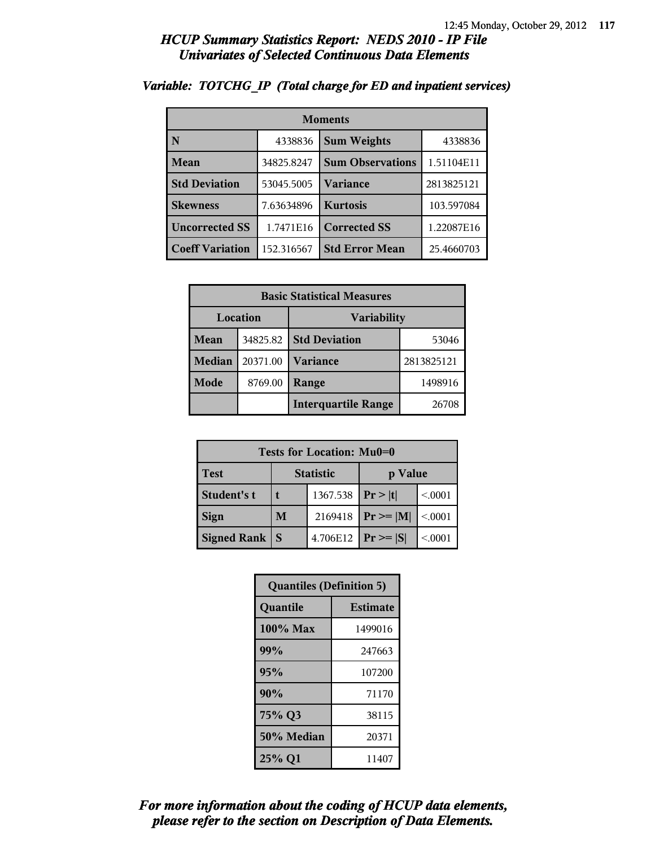| <b>Moments</b>         |            |                         |            |
|------------------------|------------|-------------------------|------------|
| N                      | 4338836    | <b>Sum Weights</b>      | 4338836    |
| Mean                   | 34825.8247 | <b>Sum Observations</b> | 1.51104E11 |
| <b>Std Deviation</b>   | 53045.5005 | Variance                | 2813825121 |
| <b>Skewness</b>        | 7.63634896 | <b>Kurtosis</b>         | 103.597084 |
| <b>Uncorrected SS</b>  | 1.7471E16  | <b>Corrected SS</b>     | 1.22087E16 |
| <b>Coeff Variation</b> | 152.316567 | <b>Std Error Mean</b>   | 25.4660703 |

### *Variable: TOTCHG\_IP (Total charge for ED and inpatient services)*

| <b>Basic Statistical Measures</b> |                                |                            |            |
|-----------------------------------|--------------------------------|----------------------------|------------|
|                                   | Location<br><b>Variability</b> |                            |            |
| Mean                              | 34825.82                       | <b>Std Deviation</b>       | 53046      |
| <b>Median</b>                     | 20371.00                       | <b>Variance</b>            | 2813825121 |
| <b>Mode</b>                       | 8769.00                        | Range                      | 1498916    |
|                                   |                                | <b>Interquartile Range</b> | 26708      |

| Tests for Location: Mu0=0       |              |          |               |         |
|---------------------------------|--------------|----------|---------------|---------|
| <b>Test</b><br><b>Statistic</b> |              |          | p Value       |         |
| Student's t                     | t            | 1367.538 | Pr> t         | < 0001  |
| <b>Sign</b>                     | M            | 2169418  | $Pr \geq  M $ | < 0.001 |
| <b>Signed Rank</b>              | <sup>S</sup> | 4.706E12 | $Pr \geq  S $ | < 0001  |

| <b>Quantiles (Definition 5)</b> |                 |  |
|---------------------------------|-----------------|--|
| Quantile                        | <b>Estimate</b> |  |
| 100% Max                        | 1499016         |  |
| 99%                             | 247663          |  |
| 95%                             | 107200          |  |
| 90%                             | 71170           |  |
| 75% Q3                          | 38115           |  |
| 50% Median                      | 20371           |  |
| 25% Q1                          | 11407           |  |